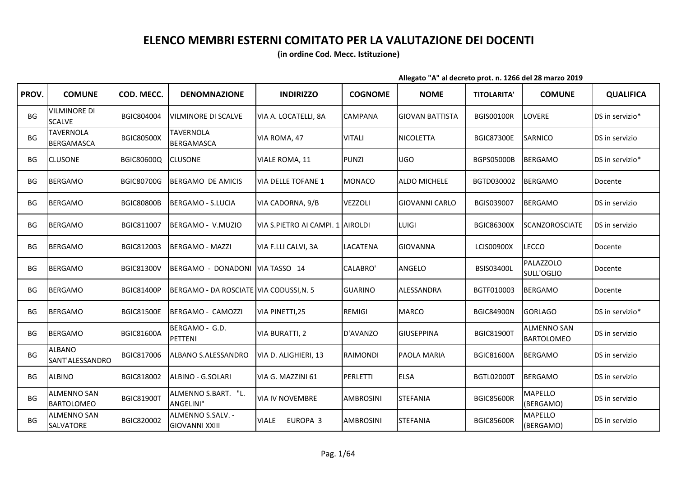## **ELENCO MEMBRI ESTERNI COMITATO PER LA VALUTAZIONE DEI DOCENTI**

**(in ordine Cod. Mecc. Istituzione)**

**Allegato "A" al decreto prot. n. 1266 del 28 marzo 2019**

| PROV.     | <b>COMUNE</b>                           | COD. MECC.        | <b>DENOMNAZIONE</b>                        | <b>INDIRIZZO</b>                 | <b>COGNOME</b>   | <b>NOME</b>            | <b>TITOLARITA'</b> | <b>COMUNE</b>                           | <b>QUALIFICA</b> |
|-----------|-----------------------------------------|-------------------|--------------------------------------------|----------------------------------|------------------|------------------------|--------------------|-----------------------------------------|------------------|
| BG        | <b>VILMINORE DI</b><br><b>SCALVE</b>    | BGIC804004        | <b>VILMINORE DI SCALVE</b>                 | VIA A. LOCATELLI, 8A             | CAMPANA          | <b>GIOVAN BATTISTA</b> | <b>BGIS00100R</b>  | LOVERE                                  | DS in servizio*  |
| <b>BG</b> | <b>TAVERNOLA</b><br><b>BERGAMASCA</b>   | <b>BGIC80500X</b> | <b>TAVERNOLA</b><br><b>BERGAMASCA</b>      | VIA ROMA, 47                     | <b>VITALI</b>    | <b>NICOLETTA</b>       | <b>BGIC87300E</b>  | <b>SARNICO</b>                          | DS in servizio   |
| <b>BG</b> | <b>CLUSONE</b>                          | BGIC80600Q        | <b>CLUSONE</b>                             | VIALE ROMA, 11                   | <b>PUNZI</b>     | <b>UGO</b>             | <b>BGPS05000B</b>  | <b>BERGAMO</b>                          | DS in servizio*  |
| BG        | <b>BERGAMO</b>                          | <b>BGIC80700G</b> | BERGAMO DE AMICIS                          | <b>VIA DELLE TOFANE 1</b>        | <b>MONACO</b>    | <b>ALDO MICHELE</b>    | BGTD030002         | <b>BERGAMO</b>                          | Docente          |
| BG        | <b>BERGAMO</b>                          | <b>BGIC80800B</b> | BERGAMO - S.LUCIA                          | VIA CADORNA, 9/B                 | <b>VEZZOLI</b>   | <b>GIOVANNI CARLO</b>  | BGIS039007         | <b>BERGAMO</b>                          | DS in servizio   |
| BG        | <b>BERGAMO</b>                          | BGIC811007        | BERGAMO - V.MUZIO                          | VIA S.PIETRO AI CAMPI. 1 AIROLDI |                  | LUIGI                  | <b>BGIC86300X</b>  | <b>SCANZOROSCIATE</b>                   | DS in servizio   |
| BG        | <b>BERGAMO</b>                          | BGIC812003        | BERGAMO - MAZZI                            | VIA F.LLI CALVI, 3A              | LACATENA         | <b>GIOVANNA</b>        | <b>LCIS00900X</b>  | <b>LECCO</b>                            | Docente          |
| BG        | <b>BERGAMO</b>                          | <b>BGIC81300V</b> | BERGAMO - DONADONI                         | VIA TASSO 14                     | <b>CALABRO'</b>  | ANGELO                 | <b>BSIS03400L</b>  | <b>PALAZZOLO</b><br>SULL'OGLIO          | Docente          |
| BG        | <b>BERGAMO</b>                          | <b>BGIC81400P</b> | BERGAMO - DA ROSCIATE VIA CODUSSI, N. 5    |                                  | <b>GUARINO</b>   | ALESSANDRA             | BGTF010003         | <b>BERGAMO</b>                          | Docente          |
| BG        | <b>BERGAMO</b>                          | <b>BGIC81500E</b> | BERGAMO - CAMOZZI                          | VIA PINETTI, 25                  | <b>REMIGI</b>    | <b>MARCO</b>           | <b>BGIC84900N</b>  | <b>GORLAGO</b>                          | DS in servizio*  |
| BG        | <b>BERGAMO</b>                          | <b>BGIC81600A</b> | BERGAMO - G.D.<br>PETTENI                  | VIA BURATTI, 2                   | D'AVANZO         | <b>GIUSEPPINA</b>      | <b>BGIC81900T</b>  | <b>ALMENNO SAN</b><br><b>BARTOLOMEO</b> | DS in servizio   |
| <b>BG</b> | <b>ALBANO</b><br>SANT'ALESSANDRO        | BGIC817006        | ALBANO S.ALESSANDRO                        | VIA D. ALIGHIERI, 13             | <b>RAIMONDI</b>  | PAOLA MARIA            | <b>BGIC81600A</b>  | <b>BERGAMO</b>                          | DS in servizio   |
| BG        | <b>ALBINO</b>                           | BGIC818002        | ALBINO - G.SOLARI                          | VIA G. MAZZINI 61                | PERLETTI         | <b>ELSA</b>            | <b>BGTL02000T</b>  | <b>BERGAMO</b>                          | DS in servizio   |
| <b>BG</b> | <b>ALMENNO SAN</b><br><b>BARTOLOMEO</b> | <b>BGIC81900T</b> | ALMENNO S.BART. "L.<br>ANGELINI"           | <b>VIA IV NOVEMBRE</b>           | <b>AMBROSINI</b> | <b>STEFANIA</b>        | <b>BGIC85600R</b>  | <b>MAPELLO</b><br>(BERGAMO)             | DS in servizio   |
| <b>BG</b> | <b>ALMENNO SAN</b><br>SALVATORE         | BGIC820002        | ALMENNO S.SALV. -<br><b>GIOVANNI XXIII</b> | EUROPA 3<br><b>VIALE</b>         | <b>AMBROSINI</b> | <b>STEFANIA</b>        | <b>BGIC85600R</b>  | <b>MAPELLO</b><br>(BERGAMO)             | DS in servizio   |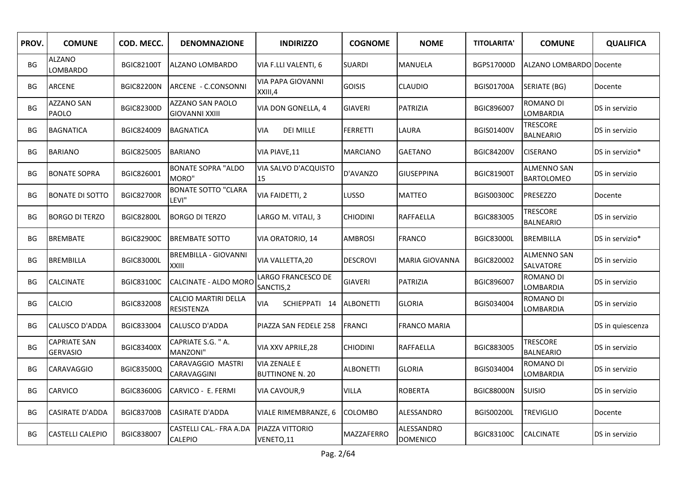| PROV.     | <b>COMUNE</b>                          | COD. MECC.        | <b>DENOMNAZIONE</b>                       | <b>INDIRIZZO</b>                              | <b>COGNOME</b>    | <b>NOME</b>                   | <b>TITOLARITA'</b> | <b>COMUNE</b>                           | <b>QUALIFICA</b> |
|-----------|----------------------------------------|-------------------|-------------------------------------------|-----------------------------------------------|-------------------|-------------------------------|--------------------|-----------------------------------------|------------------|
| BG        | <b>ALZANO</b><br>LOMBARDO              | <b>BGIC82100T</b> | ALZANO LOMBARDO                           | VIA F.LLI VALENTI, 6                          | <b>SUARDI</b>     | MANUELA                       | BGPS17000D         | ALZANO LOMBARDO Docente                 |                  |
| BG        | <b>ARCENE</b>                          | <b>BGIC82200N</b> | ARCENE - C.CONSONNI                       | VIA PAPA GIOVANNI<br>XXIII,4                  | <b>GOISIS</b>     | <b>CLAUDIO</b>                | <b>BGIS01700A</b>  | SERIATE (BG)                            | Docente          |
| <b>BG</b> | <b>AZZANO SAN</b><br>PAOLO             | <b>BGIC82300D</b> | AZZANO SAN PAOLO<br><b>GIOVANNI XXIII</b> | VIA DON GONELLA, 4                            | <b>GIAVERI</b>    | PATRIZIA                      | BGIC896007         | ROMANO DI<br>LOMBARDIA                  | DS in servizio   |
| BG        | <b>BAGNATICA</b>                       | BGIC824009        | <b>BAGNATICA</b>                          | <b>DEI MILLE</b><br>VIA                       | <b>FERRETTI</b>   | LAURA                         | <b>BGIS01400V</b>  | <b>TRESCORE</b><br><b>BALNEARIO</b>     | DS in servizio   |
| BG        | <b>BARIANO</b>                         | BGIC825005        | <b>BARIANO</b>                            | VIA PIAVE, 11                                 | <b>MARCIANO</b>   | <b>GAETANO</b>                | <b>BGIC84200V</b>  | <b>CISERANO</b>                         | DS in servizio*  |
| BG        | <b>BONATE SOPRA</b>                    | BGIC826001        | <b>BONATE SOPRA "ALDO</b><br>MORO"        | VIA SALVO D'ACQUISTO<br>15                    | D'AVANZO          | <b>GIUSEPPINA</b>             | <b>BGIC81900T</b>  | <b>ALMENNO SAN</b><br><b>BARTOLOMEO</b> | DS in servizio   |
| BG        | <b>BONATE DI SOTTO</b>                 | <b>BGIC82700R</b> | <b>BONATE SOTTO "CLARA</b><br>LEVI"       | VIA FAIDETTI, 2                               | LUSSO             | <b>MATTEO</b>                 | <b>BGIS00300C</b>  | <b>PRESEZZO</b>                         | Docente          |
| BG        | <b>BORGO DI TERZO</b>                  | <b>BGIC82800L</b> | <b>BORGO DI TERZO</b>                     | LARGO M. VITALI, 3                            | <b>CHIODINI</b>   | RAFFAELLA                     | BGIC883005         | <b>TRESCORE</b><br><b>BALNEARIO</b>     | DS in servizio   |
| <b>BG</b> | <b>BREMBATE</b>                        | <b>BGIC82900C</b> | <b>BREMBATE SOTTO</b>                     | VIA ORATORIO, 14                              | <b>AMBROSI</b>    | <b>FRANCO</b>                 | <b>BGIC83000L</b>  | <b>BREMBILLA</b>                        | DS in servizio*  |
| BG        | <b>BREMBILLA</b>                       | <b>BGIC83000L</b> | <b>BREMBILLA - GIOVANNI</b><br>XXIII      | VIA VALLETTA, 20                              | <b>DESCROVI</b>   | <b>MARIA GIOVANNA</b>         | BGIC820002         | <b>ALMENNO SAN</b><br>SALVATORE         | DS in servizio   |
| ВG        | <b>CALCINATE</b>                       | <b>BGIC83100C</b> | CALCINATE - ALDO MORO                     | LARGO FRANCESCO DE<br>SANCTIS,2               | <b>GIAVERI</b>    | PATRIZIA                      | BGIC896007         | ROMANO DI<br>LOMBARDIA                  | DS in servizio   |
| BG        | <b>CALCIO</b>                          | BGIC832008        | CALCIO MARTIRI DELLA<br><b>RESISTENZA</b> | VIA<br>SCHIEPPATI 14                          | <b>ALBONETTI</b>  | <b>GLORIA</b>                 | BGIS034004         | ROMANO DI<br>LOMBARDIA                  | DS in servizio   |
| BG        | CALUSCO D'ADDA                         | BGIC833004        | CALUSCO D'ADDA                            | PIAZZA SAN FEDELE 258                         | <b>FRANCI</b>     | <b>FRANCO MARIA</b>           |                    |                                         | DS in quiescenza |
| <b>BG</b> | <b>CAPRIATE SAN</b><br><b>GERVASIO</b> | <b>BGIC83400X</b> | CAPRIATE S.G. "A.<br>MANZONI"             | VIA XXV APRILE, 28                            | <b>CHIODINI</b>   | RAFFAELLA                     | BGIC883005         | <b>TRESCORE</b><br><b>BALNEARIO</b>     | DS in servizio   |
| BG        | <b>CARAVAGGIO</b>                      | <b>BGIC83500Q</b> | CARAVAGGIO MASTRI<br>CARAVAGGINI          | <b>VIA ZENALE E</b><br><b>BUTTINONE N. 20</b> | <b>ALBONETTI</b>  | <b>GLORIA</b>                 | BGIS034004         | ROMANO DI<br>LOMBARDIA                  | DS in servizio   |
| BG        | <b>CARVICO</b>                         | BGIC83600G        | CARVICO - E. FERMI                        | VIA CAVOUR, 9                                 | <b>VILLA</b>      | <b>ROBERTA</b>                | <b>BGIC88000N</b>  | <b>SUISIO</b>                           | DS in servizio   |
| BG        | <b>CASIRATE D'ADDA</b>                 | <b>BGIC83700B</b> | <b>CASIRATE D'ADDA</b>                    | VIALE RIMEMBRANZE, 6                          | <b>COLOMBO</b>    | ALESSANDRO                    | <b>BGIS00200L</b>  | <b>TREVIGLIO</b>                        | Docente          |
| <b>BG</b> | <b>CASTELLI CALEPIO</b>                | BGIC838007        | CASTELLI CAL.- FRA A.DA<br><b>CALEPIO</b> | PIAZZA VITTORIO<br>VENETO,11                  | <b>MAZZAFERRO</b> | ALESSANDRO<br><b>DOMENICO</b> | <b>BGIC83100C</b>  | <b>CALCINATE</b>                        | DS in servizio   |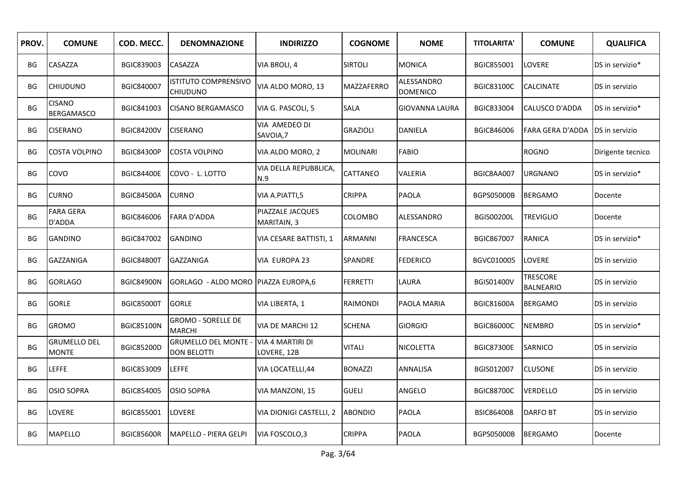| PROV.     | <b>COMUNE</b>                       | COD. MECC.        | <b>DENOMNAZIONE</b>                               | <b>INDIRIZZO</b>                       | <b>COGNOME</b>  | <b>NOME</b>                   | <b>TITOLARITA'</b> | <b>COMUNE</b>                       | <b>QUALIFICA</b>  |
|-----------|-------------------------------------|-------------------|---------------------------------------------------|----------------------------------------|-----------------|-------------------------------|--------------------|-------------------------------------|-------------------|
| BG        | CASAZZA                             | BGIC839003        | CASAZZA                                           | VIA BROLI, 4                           | <b>SIRTOLI</b>  | MONICA                        | BGIC855001         | LOVERE                              | DS in servizio*   |
| BG        | <b>CHIUDUNO</b>                     | BGIC840007        | <b>ISTITUTO COMPRENSIVO</b><br><b>CHIUDUNO</b>    | VIA ALDO MORO, 13                      | MAZZAFERRO      | ALESSANDRO<br><b>DOMENICO</b> | <b>BGIC83100C</b>  | <b>CALCINATE</b>                    | DS in servizio    |
| BG        | <b>CISANO</b><br><b>BERGAMASCO</b>  | BGIC841003        | <b>CISANO BERGAMASCO</b>                          | VIA G. PASCOLI, 5                      | <b>SALA</b>     | <b>GIOVANNA LAURA</b>         | BGIC833004         | CALUSCO D'ADDA                      | DS in servizio*   |
| BG        | <b>CISERANO</b>                     | <b>BGIC84200V</b> | <b>CISERANO</b>                                   | VIA AMEDEO DI<br>SAVOIA,7              | <b>GRAZIOLI</b> | DANIELA                       | BGIC846006         | FARA GERA D'ADDA                    | DS in servizio    |
| BG        | <b>COSTA VOLPINO</b>                | <b>BGIC84300P</b> | <b>COSTA VOLPINO</b>                              | VIA ALDO MORO, 2                       | <b>MOLINARI</b> | <b>FABIO</b>                  |                    | <b>ROGNO</b>                        | Dirigente tecnico |
| BG        | COVO                                | <b>BGIC84400E</b> | COVO - L. LOTTO                                   | VIA DELLA REPUBBLICA,<br>N.9           | <b>CATTANEO</b> | VALERIA                       | BGIC8AA007         | <b>URGNANO</b>                      | DS in servizio*   |
| BG        | <b>CURNO</b>                        | <b>BGIC84500A</b> | <b>CURNO</b>                                      | VIA A.PIATTI,5                         | <b>CRIPPA</b>   | PAOLA                         | <b>BGPS05000B</b>  | <b>BERGAMO</b>                      | Docente           |
| BG        | <b>FARA GERA</b><br>D'ADDA          | BGIC846006        | <b>FARA D'ADDA</b>                                | PIAZZALE JACQUES<br>MARITAIN, 3        | COLOMBO         | ALESSANDRO                    | <b>BGIS00200L</b>  | <b>TREVIGLIO</b>                    | Docente           |
| <b>BG</b> | <b>GANDINO</b>                      | BGIC847002        | <b>GANDINO</b>                                    | VIA CESARE BATTISTI, 1                 | <b>ARMANNI</b>  | <b>FRANCESCA</b>              | BGIC867007         | <b>RANICA</b>                       | DS in servizio*   |
| BG        | <b>GAZZANIGA</b>                    | <b>BGIC84800T</b> | GAZZANIGA                                         | VIA EUROPA 23                          | SPANDRE         | <b>FEDERICO</b>               | BGVC010005         | <b>LOVERE</b>                       | DS in servizio    |
| BG        | <b>GORLAGO</b>                      | <b>BGIC84900N</b> | GORLAGO - ALDO MORO PIAZZA EUROPA,6               |                                        | <b>FERRETTI</b> | LAURA                         | <b>BGIS01400V</b>  | <b>TRESCORE</b><br><b>BALNEARIO</b> | DS in servizio    |
| BG        | <b>GORLE</b>                        | <b>BGIC85000T</b> | <b>GORLE</b>                                      | VIA LIBERTA, 1                         | RAIMONDI        | PAOLA MARIA                   | <b>BGIC81600A</b>  | <b>BERGAMO</b>                      | DS in servizio    |
| BG        | <b>GROMO</b>                        | <b>BGIC85100N</b> | <b>GROMO - SORELLE DE</b><br><b>MARCHI</b>        | VIA DE MARCHI 12                       | <b>SCHENA</b>   | <b>GIORGIO</b>                | <b>BGIC86000C</b>  | <b>NEMBRO</b>                       | DS in servizio*   |
| BG        | <b>GRUMELLO DEL</b><br><b>MONTE</b> | <b>BGIC85200D</b> | <b>GRUMELLO DEL MONTE -</b><br><b>DON BELOTTI</b> | <b>VIA 4 MARTIRI DI</b><br>LOVERE, 12B | <b>VITALI</b>   | NICOLETTA                     | <b>BGIC87300E</b>  | SARNICO                             | DS in servizio    |
| BG        | <b>LEFFE</b>                        | BGIC853009        | <b>LEFFE</b>                                      | VIA LOCATELLI,44                       | <b>BONAZZI</b>  | ANNALISA                      | BGIS012007         | <b>CLUSONE</b>                      | DS in servizio    |
| <b>BG</b> | <b>OSIO SOPRA</b>                   | BGIC854005        | <b>OSIO SOPRA</b>                                 | VIA MANZONI, 15                        | <b>GUELI</b>    | ANGELO                        | <b>BGIC88700C</b>  | <b>VERDELLO</b>                     | DS in servizio    |
| BG        | <b>LOVERE</b>                       | BGIC855001        | LOVERE                                            | <b>VIA DIONIGI CASTELLI, 2</b>         | <b>ABONDIO</b>  | PAOLA                         | <b>BSIC864008</b>  | <b>DARFO BT</b>                     | DS in servizio    |
| BG        | <b>MAPELLO</b>                      | <b>BGIC85600R</b> | <b>MAPELLO - PIERA GELPI</b>                      | VIA FOSCOLO,3                          | <b>CRIPPA</b>   | <b>PAOLA</b>                  | <b>BGPS05000B</b>  | <b>BERGAMO</b>                      | Docente           |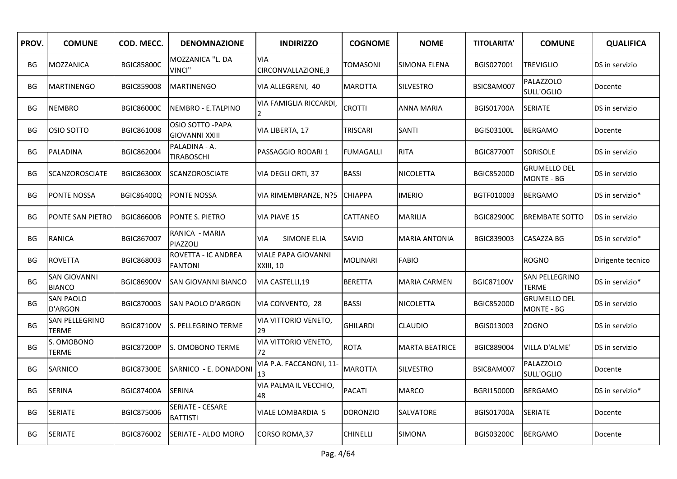| PROV.     | <b>COMUNE</b>                        | COD. MECC.        | <b>DENOMNAZIONE</b>                        | <b>INDIRIZZO</b>                        | <b>COGNOME</b>   | <b>NOME</b>           | <b>TITOLARITA'</b> | <b>COMUNE</b>                            | <b>QUALIFICA</b>  |
|-----------|--------------------------------------|-------------------|--------------------------------------------|-----------------------------------------|------------------|-----------------------|--------------------|------------------------------------------|-------------------|
| BG        | <b>MOZZANICA</b>                     | <b>BGIC85800C</b> | MOZZANICA "L. DA<br>VINCI"                 | <b>VIA</b><br>CIRCONVALLAZIONE,3        | TOMASONI         | SIMONA ELENA          | BGIS027001         | <b>TREVIGLIO</b>                         | DS in servizio    |
| BG        | <b>MARTINENGO</b>                    | <b>BGIC859008</b> | <b>MARTINENGO</b>                          | VIA ALLEGRENI, 40                       | <b>MAROTTA</b>   | <b>SILVESTRO</b>      | BSIC8AM007         | <b>PALAZZOLO</b><br>SULL'OGLIO           | Docente           |
| BG        | <b>NEMBRO</b>                        | <b>BGIC86000C</b> | NEMBRO - E.TALPINO                         | VIA FAMIGLIA RICCARDI,                  | <b>CROTTI</b>    | <b>ANNA MARIA</b>     | <b>BGIS01700A</b>  | <b>SERIATE</b>                           | DS in servizio    |
| <b>BG</b> | OSIO SOTTO                           | BGIC861008        | OSIO SOTTO - PAPA<br><b>GIOVANNI XXIII</b> | VIA LIBERTA, 17                         | TRISCARI         | SANTI                 | <b>BGIS03100L</b>  | <b>BERGAMO</b>                           | Docente           |
| ВG        | PALADINA                             | BGIC862004        | PALADINA - A.<br><b>TIRABOSCHI</b>         | PASSAGGIO RODARI 1                      | <b>FUMAGALLI</b> | <b>RITA</b>           | <b>BGIC87700T</b>  | <b>SORISOLE</b>                          | DS in servizio    |
| <b>BG</b> | SCANZOROSCIATE                       | <b>BGIC86300X</b> | <b>SCANZOROSCIATE</b>                      | VIA DEGLI ORTI, 37                      | <b>BASSI</b>     | <b>NICOLETTA</b>      | <b>BGIC85200D</b>  | <b>GRUMELLO DEL</b><br><b>MONTE - BG</b> | DS in servizio    |
| <b>BG</b> | <b>PONTE NOSSA</b>                   | BGIC86400Q        | <b>PONTE NOSSA</b>                         | VIA RIMEMBRANZE, N?5                    | <b>CHIAPPA</b>   | <b>IMERIO</b>         | BGTF010003         | <b>BERGAMO</b>                           | DS in servizio*   |
| ВG        | PONTE SAN PIETRO                     | <b>BGIC86600B</b> | <b>PONTE S. PIETRO</b>                     | VIA PIAVE 15                            | CATTANEO         | <b>MARILIA</b>        | <b>BGIC82900C</b>  | <b>BREMBATE SOTTO</b>                    | DS in servizio    |
| BG        | <b>RANICA</b>                        | BGIC867007        | RANICA - MARIA<br>PIAZZOLI                 | <b>SIMONE ELIA</b><br><b>VIA</b>        | SAVIO            | <b>MARIA ANTONIA</b>  | BGIC839003         | <b>CASAZZA BG</b>                        | DS in servizio*   |
| <b>BG</b> | <b>ROVETTA</b>                       | BGIC868003        | ROVETTA - IC ANDREA<br><b>FANTONI</b>      | <b>VIALE PAPA GIOVANNI</b><br>XXIII, 10 | <b>MOLINARI</b>  | <b>FABIO</b>          |                    | <b>ROGNO</b>                             | Dirigente tecnico |
| <b>BG</b> | <b>SAN GIOVANNI</b><br><b>BIANCO</b> | <b>BGIC86900V</b> | <b>SAN GIOVANNI BIANCO</b>                 | VIA CASTELLI,19                         | <b>BERETTA</b>   | <b>MARIA CARMEN</b>   | <b>BGIC87100V</b>  | SAN PELLEGRINO<br><b>TERME</b>           | DS in servizio*   |
| BG        | <b>SAN PAOLO</b><br><b>D'ARGON</b>   | BGIC870003        | <b>SAN PAOLO D'ARGON</b>                   | VIA CONVENTO, 28                        | <b>BASSI</b>     | NICOLETTA             | <b>BGIC85200D</b>  | <b>GRUMELLO DEL</b><br><b>MONTE - BG</b> | DS in servizio    |
| BG        | SAN PELLEGRINO<br><b>TERME</b>       | <b>BGIC87100V</b> | S. PELLEGRINO TERME                        | VIA VITTORIO VENETO,<br>29              | <b>GHILARDI</b>  | CLAUDIO               | BGIS013003         | <b>ZOGNO</b>                             | DS in servizio    |
| BG        | S. OMOBONO<br>TERME                  | <b>BGIC87200P</b> | S. OMOBONO TERME                           | VIA VITTORIO VENETO,<br>72              | <b>ROTA</b>      | <b>MARTA BEATRICE</b> | BGIC889004         | VILLA D'ALME'                            | DS in servizio    |
| BG        | <b>SARNICO</b>                       | <b>BGIC87300E</b> | SARNICO - E. DONADONI                      | VIA P.A. FACCANONI, 11-<br>13           | <b>MAROTTA</b>   | <b>SILVESTRO</b>      | BSIC8AM007         | <b>PALAZZOLO</b><br>SULL'OGLIO           | Docente           |
| BG        | <b>SERINA</b>                        | <b>BGIC87400A</b> | <b>SERINA</b>                              | VIA PALMA IL VECCHIO,<br>48             | <b>PACATI</b>    | <b>MARCO</b>          | <b>BGRI15000D</b>  | <b>BERGAMO</b>                           | DS in servizio*   |
| BG        | <b>SERIATE</b>                       | BGIC875006        | SERIATE - CESARE<br><b>BATTISTI</b>        | VIALE LOMBARDIA 5                       | <b>DORONZIO</b>  | SALVATORE             | <b>BGIS01700A</b>  | <b>SERIATE</b>                           | Docente           |
| BG        | <b>SERIATE</b>                       | BGIC876002        | <b>SERIATE - ALDO MORO</b>                 | CORSO ROMA, 37                          | <b>CHINELLI</b>  | <b>SIMONA</b>         | <b>BGIS03200C</b>  | <b>BERGAMO</b>                           | Docente           |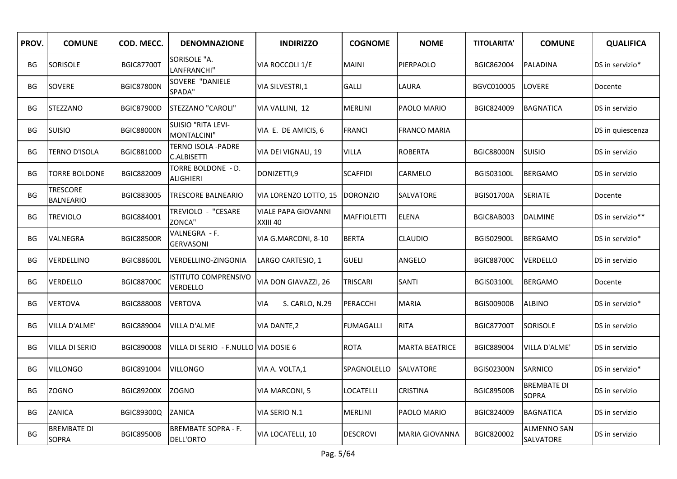| PROV.     | <b>COMUNE</b>                       | COD. MECC.        | <b>DENOMNAZIONE</b>                      | <b>INDIRIZZO</b>                       | <b>COGNOME</b>     | <b>NOME</b>           | <b>TITOLARITA'</b> | <b>COMUNE</b>                      | <b>QUALIFICA</b> |
|-----------|-------------------------------------|-------------------|------------------------------------------|----------------------------------------|--------------------|-----------------------|--------------------|------------------------------------|------------------|
| BG        | SORISOLE                            | <b>BGIC87700T</b> | SORISOLE "A.<br>LANFRANCHI"              | VIA ROCCOLI 1/E                        | <b>MAINI</b>       | PIERPAOLO             | BGIC862004         | PALADINA                           | DS in servizio*  |
| BG        | SOVERE                              | <b>BGIC87800N</b> | SOVERE "DANIELE<br>SPADA"                | VIA SILVESTRI,1                        | <b>GALLI</b>       | LAURA                 | BGVC010005         | LOVERE                             | Docente          |
| BG        | <b>STEZZANO</b>                     | <b>BGIC87900D</b> | STEZZANO "CAROLI"                        | VIA VALLINI, 12                        | <b>MERLINI</b>     | PAOLO MARIO           | BGIC824009         | <b>BAGNATICA</b>                   | DS in servizio   |
| BG        | SUISIO                              | <b>BGIC88000N</b> | <b>SUISIO "RITA LEVI-</b><br>MONTALCINI" | VIA E. DE AMICIS, 6                    | <b>FRANCI</b>      | <b>FRANCO MARIA</b>   |                    |                                    | DS in quiescenza |
| BG        | <b>TERNO D'ISOLA</b>                | BGIC88100D        | TERNO ISOLA -PADRE<br><b>C.ALBISETTI</b> | VIA DEI VIGNALI, 19                    | <b>VILLA</b>       | <b>ROBERTA</b>        | <b>BGIC88000N</b>  | <b>SUISIO</b>                      | DS in servizio   |
| <b>BG</b> | <b>TORRE BOLDONE</b>                | BGIC882009        | TORRE BOLDONE - D.<br><b>ALIGHIERI</b>   | DONIZETTI,9                            | <b>SCAFFIDI</b>    | CARMELO               | <b>BGIS03100L</b>  | <b>BERGAMO</b>                     | DS in servizio   |
| BG        | <b>TRESCORE</b><br><b>BALNEARIO</b> | BGIC883005        | TRESCORE BALNEARIO                       | VIA LORENZO LOTTO, 15                  | <b>DORONZIO</b>    | SALVATORE             | <b>BGIS01700A</b>  | <b>SERIATE</b>                     | Docente          |
| BG        | <b>TREVIOLO</b>                     | BGIC884001        | TREVIOLO - "CESARE<br>ZONCA"             | <b>VIALE PAPA GIOVANNI</b><br>XXIII 40 | <b>MAFFIOLETTI</b> | <b>ELENA</b>          | BGIC8AB003         | <b>DALMINE</b>                     | DS in servizio** |
| BG        | VALNEGRA                            | <b>BGIC88500R</b> | VALNEGRA - F.<br><b>GERVASONI</b>        | VIA G.MARCONI, 8-10                    | <b>BERTA</b>       | <b>CLAUDIO</b>        | <b>BGIS02900L</b>  | <b>BERGAMO</b>                     | DS in servizio*  |
| BG        | VERDELLINO                          | <b>BGIC88600L</b> | VERDELLINO-ZINGONIA                      | LARGO CARTESIO, 1                      | <b>GUELI</b>       | ANGELO                | <b>BGIC88700C</b>  | <b>VERDELLO</b>                    | DS in servizio   |
| BG        | <b>VERDELLO</b>                     | <b>BGIC88700C</b> | <b>ISTITUTO COMPRENSIVO</b><br>VERDELLO  | VIA DON GIAVAZZI, 26                   | <b>TRISCARI</b>    | SANTI                 | <b>BGIS03100L</b>  | <b>BERGAMO</b>                     | Docente          |
| BG        | <b>VERTOVA</b>                      | BGIC888008        | <b>VERTOVA</b>                           | VIA<br>S. CARLO, N.29                  | PERACCHI           | <b>MARIA</b>          | <b>BGIS00900B</b>  | <b>ALBINO</b>                      | DS in servizio*  |
| BG        | VILLA D'ALME'                       | BGIC889004        | <b>VILLA D'ALME</b>                      | VIA DANTE, 2                           | FUMAGALLI          | <b>RITA</b>           | <b>BGIC87700T</b>  | SORISOLE                           | DS in servizio   |
| BG        | <b>VILLA DI SERIO</b>               | BGIC890008        | VILLA DI SERIO - F.NULLO VIA DOSIE 6     |                                        | <b>ROTA</b>        | <b>MARTA BEATRICE</b> | BGIC889004         | VILLA D'ALME'                      | DS in servizio   |
| BG        | <b>VILLONGO</b>                     | BGIC891004        | <b>VILLONGO</b>                          | VIA A. VOLTA,1                         | SPAGNOLELLO        | SALVATORE             | <b>BGIS02300N</b>  | SARNICO                            | DS in servizio*  |
| BG        | <b>ZOGNO</b>                        | <b>BGIC89200X</b> | <b>ZOGNO</b>                             | VIA MARCONI, 5                         | LOCATELLI          | <b>CRISTINA</b>       | <b>BGIC89500B</b>  | <b>BREMBATE DI</b><br><b>SOPRA</b> | DS in servizio   |
| BG        | ZANICA                              | BGIC89300Q        | <b>ZANICA</b>                            | VIA SERIO N.1                          | <b>MERLINI</b>     | PAOLO MARIO           | BGIC824009         | <b>BAGNATICA</b>                   | DS in servizio   |
| <b>BG</b> | <b>BREMBATE DI</b><br><b>SOPRA</b>  | <b>BGIC89500B</b> | <b>BREMBATE SOPRA - F.</b><br>DELL'ORTO  | VIA LOCATELLI, 10                      | <b>DESCROVI</b>    | <b>MARIA GIOVANNA</b> | BGIC820002         | <b>ALMENNO SAN</b><br>SALVATORE    | DS in servizio   |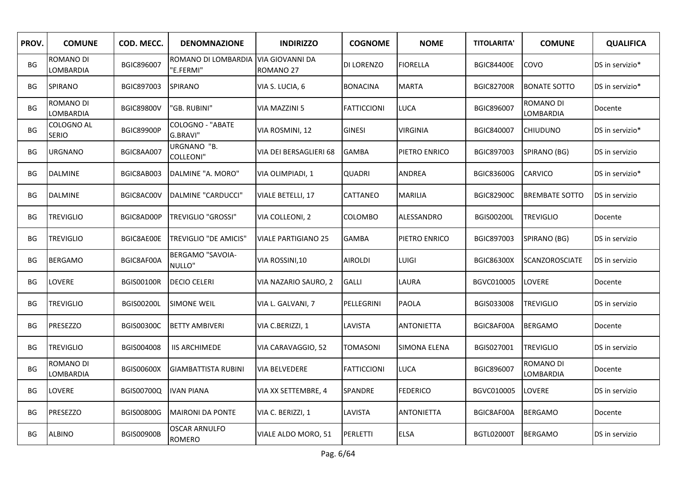| PROV.     | <b>COMUNE</b>                 | COD. MECC.        | <b>DENOMNAZIONE</b>                   | <b>INDIRIZZO</b>                               | <b>COGNOME</b>     | <b>NOME</b>       | <b>TITOLARITA'</b> | <b>COMUNE</b>          | <b>QUALIFICA</b> |
|-----------|-------------------------------|-------------------|---------------------------------------|------------------------------------------------|--------------------|-------------------|--------------------|------------------------|------------------|
| <b>BG</b> | ROMANO DI<br>LOMBARDIA        | BGIC896007        | ROMANO DI LOMBARDIA<br>'E.FERMI"      | <b>VIA GIOVANNI DA</b><br>ROMANO <sub>27</sub> | DI LORENZO         | <b>FIORELLA</b>   | <b>BGIC84400E</b>  | COVO                   | DS in servizio*  |
| BG        | <b>SPIRANO</b>                | BGIC897003        | SPIRANO                               | VIA S. LUCIA, 6                                | <b>BONACINA</b>    | <b>MARTA</b>      | <b>BGIC82700R</b>  | <b>BONATE SOTTO</b>    | DS in servizio*  |
| <b>BG</b> | <b>ROMANO DI</b><br>LOMBARDIA | <b>BGIC89800V</b> | 'GB. RUBINI"                          | VIA MAZZINI 5                                  | <b>FATTICCIONI</b> | <b>LUCA</b>       | BGIC896007         | ROMANO DI<br>LOMBARDIA | Docente          |
| <b>BG</b> | COLOGNO AL<br><b>SERIO</b>    | <b>BGIC89900P</b> | <b>COLOGNO - "ABATE</b><br>G.BRAVI"   | VIA ROSMINI, 12                                | <b>GINESI</b>      | <b>VIRGINIA</b>   | BGIC840007         | <b>CHIUDUNO</b>        | DS in servizio*  |
| BG        | <b>URGNANO</b>                | BGIC8AA007        | URGNANO "B.<br><b>COLLEONI"</b>       | VIA DEI BERSAGLIERI 68                         | <b>GAMBA</b>       | PIETRO ENRICO     | BGIC897003         | SPIRANO (BG)           | DS in servizio   |
| BG        | <b>DALMINE</b>                | BGIC8AB003        | DALMINE "A. MORO"                     | VIA OLIMPIADI, 1                               | <b>QUADRI</b>      | ANDREA            | BGIC83600G         | CARVICO                | DS in servizio*  |
| BG        | <b>DALMINE</b>                | BGIC8AC00V        | DALMINE "CARDUCCI"                    | VIALE BETELLI, 17                              | CATTANEO           | <b>MARILIA</b>    | <b>BGIC82900C</b>  | <b>BREMBATE SOTTO</b>  | DS in servizio   |
| BG        | <b>TREVIGLIO</b>              | BGIC8AD00P        | TREVIGLIO "GROSSI"                    | VIA COLLEONI, 2                                | COLOMBO            | ALESSANDRO        | <b>BGIS00200L</b>  | <b>TREVIGLIO</b>       | Docente          |
| <b>BG</b> | <b>TREVIGLIO</b>              | BGIC8AE00E        | TREVIGLIO "DE AMICIS"                 | <b>VIALE PARTIGIANO 25</b>                     | <b>GAMBA</b>       | PIETRO ENRICO     | BGIC897003         | SPIRANO (BG)           | DS in servizio   |
| BG        | <b>BERGAMO</b>                | BGIC8AF00A        | <b>BERGAMO "SAVOIA-</b><br>NULLO"     | VIA ROSSINI,10                                 | <b>AIROLDI</b>     | <b>LUIGI</b>      | <b>BGIC86300X</b>  | <b>SCANZOROSCIATE</b>  | DS in servizio   |
| BG        | <b>LOVERE</b>                 | <b>BGIS00100R</b> | <b>DECIO CELERI</b>                   | VIA NAZARIO SAURO, 2                           | <b>GALLI</b>       | LAURA             | BGVC010005         | <b>LOVERE</b>          | Docente          |
| BG        | <b>TREVIGLIO</b>              | <b>BGIS00200L</b> | <b>SIMONE WEIL</b>                    | VIA L. GALVANI, 7                              | PELLEGRINI         | PAOLA             | BGIS033008         | <b>TREVIGLIO</b>       | DS in servizio   |
| BG        | <b>PRESEZZO</b>               | <b>BGIS00300C</b> | <b>BETTY AMBIVERI</b>                 | VIA C.BERIZZI, 1                               | LAVISTA            | <b>ANTONIETTA</b> | BGIC8AF00A         | <b>BERGAMO</b>         | Docente          |
| BG        | <b>TREVIGLIO</b>              | BGIS004008        | <b>IIS ARCHIMEDE</b>                  | VIA CARAVAGGIO, 52                             | TOMASONI           | SIMONA ELENA      | BGIS027001         | <b>TREVIGLIO</b>       | DS in servizio   |
| <b>BG</b> | <b>ROMANO DI</b><br>LOMBARDIA | <b>BGIS00600X</b> | <b>GIAMBATTISTA RUBINI</b>            | VIA BELVEDERE                                  | <b>FATTICCIONI</b> | LUCA              | BGIC896007         | ROMANO DI<br>LOMBARDIA | Docente          |
| BG        | <b>LOVERE</b>                 | BGIS00700Q        | <b>IVAN PIANA</b>                     | VIA XX SETTEMBRE, 4                            | SPANDRE            | <b>FEDERICO</b>   | BGVC010005         | LOVERE                 | DS in servizio   |
| BG        | <b>PRESEZZO</b>               | BGIS00800G        | <b>MAIRONI DA PONTE</b>               | VIA C. BERIZZI, 1                              | LAVISTA            | <b>ANTONIETTA</b> | BGIC8AF00A         | <b>BERGAMO</b>         | Docente          |
| BG        | <b>ALBINO</b>                 | <b>BGIS00900B</b> | <b>OSCAR ARNULFO</b><br><b>ROMERO</b> | VIALE ALDO MORO, 51                            | <b>PERLETTI</b>    | <b>ELSA</b>       | BGTL02000T         | <b>BERGAMO</b>         | DS in servizio   |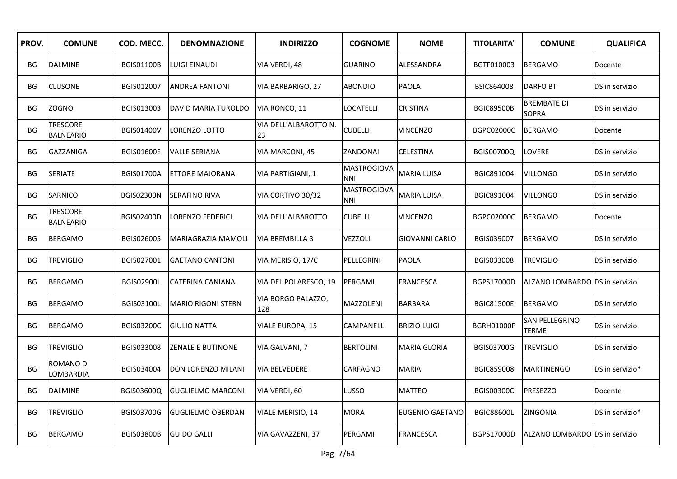| PROV.     | <b>COMUNE</b>                       | COD. MECC.        | <b>DENOMNAZIONE</b>       | <b>INDIRIZZO</b>            | <b>COGNOME</b>                   | <b>NOME</b>            | <b>TITOLARITA'</b> | <b>COMUNE</b>                      | <b>QUALIFICA</b> |
|-----------|-------------------------------------|-------------------|---------------------------|-----------------------------|----------------------------------|------------------------|--------------------|------------------------------------|------------------|
| BG        | <b>DALMINE</b>                      | <b>BGIS01100B</b> | LUIGI EINAUDI             | VIA VERDI, 48               | <b>GUARINO</b>                   | ALESSANDRA             | BGTF010003         | <b>BERGAMO</b>                     | Docente          |
| BG        | <b>CLUSONE</b>                      | BGIS012007        | <b>ANDREA FANTONI</b>     | VIA BARBARIGO, 27           | <b>ABONDIO</b>                   | <b>PAOLA</b>           | <b>BSIC864008</b>  | DARFO BT                           | DS in servizio   |
| BG        | ZOGNO                               | BGIS013003        | DAVID MARIA TUROLDO       | VIA RONCO, 11               | LOCATELLI                        | <b>CRISTINA</b>        | <b>BGIC89500B</b>  | <b>BREMBATE DI</b><br><b>SOPRA</b> | DS in servizio   |
| BG        | <b>TRESCORE</b><br><b>BALNEARIO</b> | <b>BGIS01400V</b> | LORENZO LOTTO             | VIA DELL'ALBAROTTO N.<br>23 | <b>CUBELLI</b>                   | <b>VINCENZO</b>        | BGPC02000C         | <b>BERGAMO</b>                     | Docente          |
| BG        | GAZZANIGA                           | <b>BGIS01600E</b> | <b>VALLE SERIANA</b>      | VIA MARCONI, 45             | ZANDONAI                         | CELESTINA              | BGIS00700Q         | <b>LOVERE</b>                      | DS in servizio   |
| BG        | <b>SERIATE</b>                      | <b>BGIS01700A</b> | ETTORE MAJORANA           | VIA PARTIGIANI, 1           | <b>MASTROGIOVA</b><br><b>NNI</b> | <b>MARIA LUISA</b>     | BGIC891004         | <b>VILLONGO</b>                    | DS in servizio   |
| ВG        | SARNICO                             | <b>BGIS02300N</b> | SERAFINO RIVA             | VIA CORTIVO 30/32           | <b>MASTROGIOVA</b><br><b>NNI</b> | <b>MARIA LUISA</b>     | BGIC891004         | <b>VILLONGO</b>                    | DS in servizio   |
| BG        | <b>TRESCORE</b><br><b>BALNEARIO</b> | <b>BGIS02400D</b> | LORENZO FEDERICI          | VIA DELL'ALBAROTTO          | <b>CUBELLI</b>                   | VINCENZO               | BGPC02000C         | <b>BERGAMO</b>                     | Docente          |
| BG        | <b>BERGAMO</b>                      | BGIS026005        | MARIAGRAZIA MAMOLI        | <b>VIA BREMBILLA 3</b>      | VEZZOLI                          | GIOVANNI CARLO         | BGIS039007         | <b>BERGAMO</b>                     | DS in servizio   |
| ВG        | <b>TREVIGLIO</b>                    | BGIS027001        | <b>GAETANO CANTONI</b>    | VIA MERISIO, 17/C           | PELLEGRINI                       | PAOLA                  | BGIS033008         | TREVIGLIO                          | DS in servizio   |
| <b>BG</b> | <b>BERGAMO</b>                      | <b>BGIS02900L</b> | CATERINA CANIANA          | VIA DEL POLARESCO, 19       | PERGAMI                          | FRANCESCA              | <b>BGPS17000D</b>  | ALZANO LOMBARDO DS in servizio     |                  |
| BG        | <b>BERGAMO</b>                      | <b>BGIS03100L</b> | <b>MARIO RIGONI STERN</b> | VIA BORGO PALAZZO,<br>128   | MAZZOLENI                        | BARBARA                | <b>BGIC81500E</b>  | <b>BERGAMO</b>                     | DS in servizio   |
| BG        | <b>BERGAMO</b>                      | <b>BGIS03200C</b> | <b>GIULIO NATTA</b>       | VIALE EUROPA, 15            | CAMPANELLI                       | <b>BRIZIO LUIGI</b>    | <b>BGRH01000P</b>  | SAN PELLEGRINO<br>TERME            | DS in servizio   |
| BG        | TREVIGLIO                           | BGIS033008        | ZENALE E BUTINONE         | VIA GALVANI, 7              | <b>BERTOLINI</b>                 | MARIA GLORIA           | <b>BGIS03700G</b>  | TREVIGLIO                          | DS in servizio   |
| BG        | ROMANO DI<br>LOMBARDIA              | BGIS034004        | DON LORENZO MILANI        | VIA BELVEDERE               | CARFAGNO                         | MARIA                  | BGIC859008         | <b>MARTINENGO</b>                  | DS in servizio*  |
| BG        | <b>DALMINE</b>                      | BGIS03600Q        | <b>GUGLIELMO MARCONI</b>  | VIA VERDI, 60               | LUSSO                            | MATTEO                 | <b>BGIS00300C</b>  | <b>PRESEZZO</b>                    | Docente          |
| BG        | <b>TREVIGLIO</b>                    | <b>BGIS03700G</b> | <b>GUGLIELMO OBERDAN</b>  | <b>VIALE MERISIO, 14</b>    | <b>MORA</b>                      | <b>EUGENIO GAETANO</b> | <b>BGIC88600L</b>  | <b>ZINGONIA</b>                    | DS in servizio*  |
| BG        | <b>BERGAMO</b>                      | <b>BGIS03800B</b> | <b>GUIDO GALLI</b>        | VIA GAVAZZENI, 37           | PERGAMI                          | FRANCESCA              | BGPS17000D         | ALZANO LOMBARDOLDS in servizio     |                  |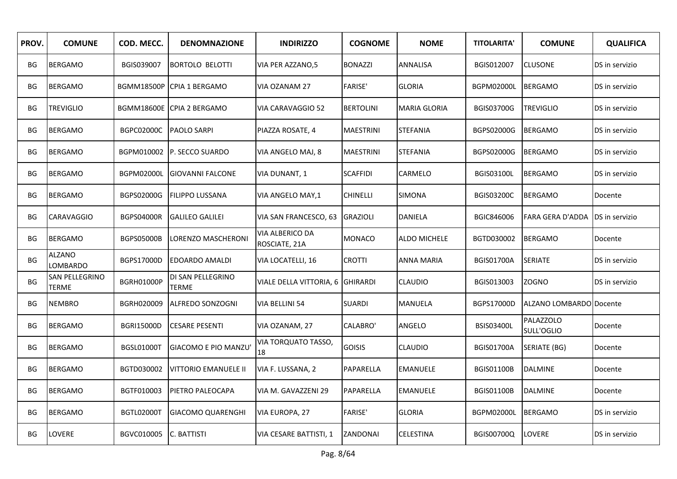| PROV.     | <b>COMUNE</b>                         | COD. MECC.        | <b>DENOMNAZIONE</b>        | <b>INDIRIZZO</b>                 | <b>COGNOME</b>   | <b>NOME</b>         | <b>TITOLARITA'</b> | <b>COMUNE</b>                  | <b>QUALIFICA</b> |
|-----------|---------------------------------------|-------------------|----------------------------|----------------------------------|------------------|---------------------|--------------------|--------------------------------|------------------|
| BG        | <b>BERGAMO</b>                        | BGIS039007        | <b>BORTOLO BELOTTI</b>     | VIA PER AZZANO,5                 | <b>BONAZZI</b>   | ANNALISA            | BGIS012007         | <b>CLUSONE</b>                 | DS in servizio   |
| BG        | <b>BERGAMO</b>                        |                   | BGMM18500P CPIA 1 BERGAMO  | VIA OZANAM 27                    | <b>FARISE'</b>   | <b>GLORIA</b>       | BGPM02000L         | <b>BERGAMO</b>                 | DS in servizio   |
| BG        | <b>TREVIGLIO</b>                      |                   | BGMM18600E CPIA 2 BERGAMO  | VIA CARAVAGGIO 52                | <b>BERTOLINI</b> | MARIA GLORIA        | <b>BGIS03700G</b>  | <b>TREVIGLIO</b>               | DS in servizio   |
| BG        | <b>BERGAMO</b>                        | <b>BGPC02000C</b> | <b>PAOLO SARPI</b>         | PIAZZA ROSATE, 4                 | <b>MAESTRINI</b> | <b>STEFANIA</b>     | BGPS02000G         | <b>BERGAMO</b>                 | DS in servizio   |
| BG        | <b>BERGAMO</b>                        |                   | BGPM010002 P. SECCO SUARDO | VIA ANGELO MAJ, 8                | <b>MAESTRINI</b> | STEFANIA            | BGPS02000G         | <b>BERGAMO</b>                 | DS in servizio   |
| BG        | <b>BERGAMO</b>                        | BGPM02000L        | <b>IGIOVANNI FALCONE</b>   | VIA DUNANT, 1                    | <b>SCAFFIDI</b>  | CARMELO             | <b>BGIS03100L</b>  | <b>BERGAMO</b>                 | DS in servizio   |
| BG        | <b>BERGAMO</b>                        | BGPS02000G        | <b>FILIPPO LUSSANA</b>     | VIA ANGELO MAY,1                 | CHINELLI         | <b>SIMONA</b>       | BGIS03200C         | <b>BERGAMO</b>                 | Docente          |
| BG        | <b>CARAVAGGIO</b>                     | <b>BGPS04000R</b> | <b>GALILEO GALILEI</b>     | VIA SAN FRANCESCO, 63            | <b>GRAZIOLI</b>  | DANIELA             | BGIC846006         | <b>FARA GERA D'ADDA</b>        | DS in servizio   |
| <b>BG</b> | <b>BERGAMO</b>                        | <b>BGPS05000B</b> | LORENZO MASCHERONI         | VIA ALBERICO DA<br>ROSCIATE, 21A | MONACO           | <b>ALDO MICHELE</b> | BGTD030002         | <b>BERGAMO</b>                 | Docente          |
| BG        | <b>ALZANO</b><br><b>LOMBARDO</b>      | BGPS17000D        | <b>EDOARDO AMALDI</b>      | VIA LOCATELLI, 16                | CROTTI           | ANNA MARIA          | <b>BGIS01700A</b>  | <b>SERIATE</b>                 | DS in servizio   |
| BG        | <b>SAN PELLEGRINO</b><br><b>TERME</b> | <b>BGRH01000P</b> | DI SAN PELLEGRINO<br>TERME | VIALE DELLA VITTORIA, 6          | <b>GHIRARDI</b>  | CLAUDIO             | BGIS013003         | <b>ZOGNO</b>                   | DS in servizio   |
| BG        | <b>NEMBRO</b>                         | BGRH020009        | ALFREDO SONZOGNI           | VIA BELLINI 54                   | <b>SUARDI</b>    | MANUELA             | BGPS17000D         | ALZANO LOMBARDO Docente        |                  |
| BG        | <b>BERGAMO</b>                        | <b>BGRI15000D</b> | <b>CESARE PESENTI</b>      | VIA OZANAM, 27                   | CALABRO'         | ANGELO              | <b>BSIS03400L</b>  | <b>PALAZZOLO</b><br>SULL'OGLIO | Docente          |
| ΒG        | <b>BERGAMO</b>                        | BGSL01000T        | GIACOMO E PIO MANZU        | VIA TORQUATO TASSO,<br>18        | <b>GOISIS</b>    | <b>CLAUDIO</b>      | <b>BGIS01700A</b>  | SERIATE (BG)                   | Docente          |
| BG        | <b>BERGAMO</b>                        | BGTD030002        | VITTORIO EMANUELE II       | VIA F. LUSSANA, 2                | PAPARELLA        | <b>EMANUELE</b>     | <b>BGIS01100B</b>  | <b>DALMINE</b>                 | Docente          |
| BG        | <b>BERGAMO</b>                        | BGTF010003        | PIETRO PALEOCAPA           | VIA M. GAVAZZENI 29              | PAPARELLA        | <b>EMANUELE</b>     | <b>BGIS01100B</b>  | <b>DALMINE</b>                 | Docente          |
| BG        | <b>BERGAMO</b>                        | <b>BGTL02000T</b> | <b>GIACOMO QUARENGHI</b>   | VIA EUROPA, 27                   | <b>FARISE'</b>   | <b>GLORIA</b>       | BGPM02000L         | <b>BERGAMO</b>                 | DS in servizio   |
| BG        | LOVERE                                | BGVC010005        | <b>IC. BATTISTI</b>        | VIA CESARE BATTISTI, 1           | <b>ZANDONAI</b>  | CELESTINA           | BGIS00700Q         | LOVERE                         | DS in servizio   |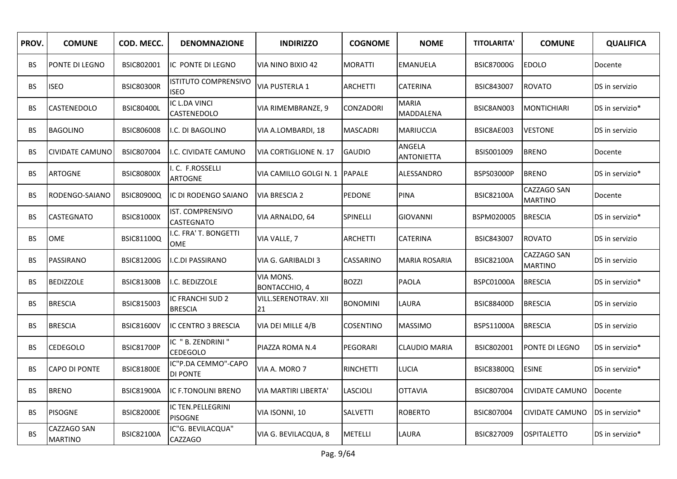| PROV.     | <b>COMUNE</b>                 | COD. MECC.        | <b>DENOMNAZIONE</b>                        | <b>INDIRIZZO</b>                  | <b>COGNOME</b>   | <b>NOME</b>                 | <b>TITOLARITA'</b> | <b>COMUNE</b>                 | <b>QUALIFICA</b> |
|-----------|-------------------------------|-------------------|--------------------------------------------|-----------------------------------|------------------|-----------------------------|--------------------|-------------------------------|------------------|
| <b>BS</b> | PONTE DI LEGNO                | BSIC802001        | IC PONTE DI LEGNO                          | VIA NINO BIXIO 42                 | <b>MORATTI</b>   | <b>EMANUELA</b>             | <b>BSIC87000G</b>  | EDOLO                         | Docente          |
| <b>BS</b> | <b>ISEO</b>                   | <b>BSIC80300R</b> | <b>ISTITUTO COMPRENSIVO</b><br><b>ISEO</b> | VIA PUSTERLA 1                    | <b>ARCHETTI</b>  | <b>CATERINA</b>             | <b>BSIC843007</b>  | <b>ROVATO</b>                 | DS in servizio   |
| <b>BS</b> | <b>CASTENEDOLO</b>            | <b>BSIC80400L</b> | IC L.DA VINCI<br>CASTENEDOLO               | VIA RIMEMBRANZE, 9                | <b>CONZADORI</b> | <b>MARIA</b><br>MADDALENA   | BSIC8AN003         | <b>MONTICHIARI</b>            | DS in servizio*  |
| BS.       | <b>BAGOLINO</b>               | BSIC806008        | I.C. DI BAGOLINO                           | VIA A.LOMBARDI, 18                | <b>MASCADRI</b>  | <b>MARIUCCIA</b>            | BSIC8AE003         | <b>VESTONE</b>                | DS in servizio   |
| BS.       | <b>CIVIDATE CAMUNO</b>        | <b>BSIC807004</b> | I.C. CIVIDATE CAMUNO                       | VIA CORTIGLIONE N. 17             | <b>GAUDIO</b>    | ANGELA<br><b>ANTONIETTA</b> | BSIS001009         | <b>BRENO</b>                  | Docente          |
| <b>BS</b> | <b>ARTOGNE</b>                | <b>BSIC80800X</b> | .C. F.ROSSELLI<br><b>ARTOGNE</b>           | VIA CAMILLO GOLGI N. 1            | <b>PAPALE</b>    | ALESSANDRO                  | BSPS03000P         | <b>BRENO</b>                  | DS in servizio*  |
| <b>BS</b> | RODENGO-SAIANO                | <b>BSIC80900Q</b> | IC DI RODENGO SAIANO                       | <b>VIA BRESCIA 2</b>              | <b>PEDONE</b>    | <b>PINA</b>                 | <b>BSIC82100A</b>  | CAZZAGO SAN<br><b>MARTINO</b> | Docente          |
| <b>BS</b> | <b>CASTEGNATO</b>             | <b>BSIC81000X</b> | IST. COMPRENSIVO<br><b>CASTEGNATO</b>      | VIA ARNALDO, 64                   | SPINELLI         | <b>GIOVANNI</b>             | BSPM020005         | <b>BRESCIA</b>                | DS in servizio*  |
| <b>BS</b> | OME                           | <b>BSIC81100Q</b> | I.C. FRA' T. BONGETTI<br>OME               | VIA VALLE, 7                      | <b>ARCHETTI</b>  | CATERINA                    | <b>BSIC843007</b>  | <b>ROVATO</b>                 | DS in servizio   |
| <b>BS</b> | PASSIRANO                     | <b>BSIC81200G</b> | I.C.DI PASSIRANO                           | VIA G. GARIBALDI 3                | CASSARINO        | <b>MARIA ROSARIA</b>        | <b>BSIC82100A</b>  | CAZZAGO SAN<br><b>MARTINO</b> | DS in servizio   |
| <b>BS</b> | <b>BEDIZZOLE</b>              | <b>BSIC81300B</b> | I.C. BEDIZZOLE                             | VIA MONS.<br><b>BONTACCHIO, 4</b> | <b>BOZZI</b>     | PAOLA                       | BSPC01000A         | <b>BRESCIA</b>                | DS in servizio*  |
| <b>BS</b> | <b>BRESCIA</b>                | BSIC815003        | IC FRANCHI SUD 2<br><b>BRESCIA</b>         | VILL.SERENOTRAV. XII<br>21        | <b>BONOMINI</b>  | LAURA                       | <b>BSIC88400D</b>  | <b>BRESCIA</b>                | DS in servizio   |
| <b>BS</b> | <b>BRESCIA</b>                | <b>BSIC81600V</b> | IC CENTRO 3 BRESCIA                        | VIA DEI MILLE 4/B                 | <b>COSENTINO</b> | <b>MASSIMO</b>              | BSPS11000A         | <b>BRESCIA</b>                | DS in servizio   |
| BS.       | <b>CEDEGOLO</b>               | <b>BSIC81700P</b> | IC " B. ZENDRINI"<br><b>CEDEGOLO</b>       | PIAZZA ROMA N.4                   | PEGORARI         | CLAUDIO MARIA               | BSIC802001         | PONTE DI LEGNO                | DS in servizio*  |
| BS.       | <b>CAPO DI PONTE</b>          | <b>BSIC81800E</b> | IC"P.DA CEMMO"-CAPO<br><b>DI PONTE</b>     | VIA A. MORO 7                     | <b>RINCHETTI</b> | <b>LUCIA</b>                | <b>BSIC83800Q</b>  | <b>ESINE</b>                  | DS in servizio*  |
| BS.       | <b>BRENO</b>                  | <b>BSIC81900A</b> | IC F.TONOLINI BRENO                        | VIA MARTIRI LIBERTA'              | LASCIOLI         | <b>OTTAVIA</b>              | BSIC807004         | CIVIDATE CAMUNO               | Docente          |
| <b>BS</b> | <b>PISOGNE</b>                | <b>BSIC82000E</b> | IC TEN.PELLEGRINI<br><b>PISOGNE</b>        | VIA ISONNI, 10                    | <b>SALVETTI</b>  | <b>ROBERTO</b>              | BSIC807004         | <b>CIVIDATE CAMUNO</b>        | DS in servizio*  |
| <b>BS</b> | CAZZAGO SAN<br><b>MARTINO</b> | <b>BSIC82100A</b> | IC"G. BEVILACQUA"<br><b>CAZZAGO</b>        | VIA G. BEVILACQUA, 8              | <b>METELLI</b>   | LAURA                       | BSIC827009         | <b>OSPITALETTO</b>            | DS in servizio*  |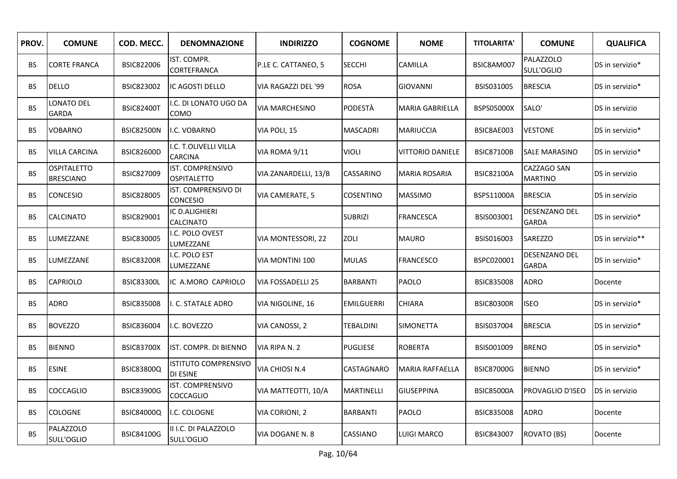| PROV.     | <b>COMUNE</b>                          | COD. MECC.        | <b>DENOMNAZIONE</b>                            | <b>INDIRIZZO</b>       | <b>COGNOME</b>    | <b>NOME</b>             | <b>TITOLARITA'</b> | <b>COMUNE</b>                  | <b>QUALIFICA</b> |
|-----------|----------------------------------------|-------------------|------------------------------------------------|------------------------|-------------------|-------------------------|--------------------|--------------------------------|------------------|
| BS.       | <b>CORTE FRANCA</b>                    | BSIC822006        | IST. COMPR.<br>CORTEFRANCA                     | P.LE C. CATTANEO, 5    | <b>SECCHI</b>     | CAMILLA                 | BSIC8AM007         | <b>PALAZZOLO</b><br>SULL'OGLIO | DS in servizio*  |
| BS.       | <b>DELLO</b>                           | BSIC823002        | <b>IC AGOSTI DELLO</b>                         | VIA RAGAZZI DEL '99    | <b>ROSA</b>       | <b>GIOVANNI</b>         | BSIS031005         | <b>BRESCIA</b>                 | DS in servizio*  |
| <b>BS</b> | LONATO DEL<br><b>GARDA</b>             | <b>BSIC82400T</b> | I.C. DI LONATO UGO DA<br>COMO                  | <b>VIA MARCHESINO</b>  | PODESTÀ           | <b>MARIA GABRIELLA</b>  | BSPS05000X         | SALO'                          | DS in servizio   |
| BS.       | <b>VOBARNO</b>                         | <b>BSIC82500N</b> | I.C. VOBARNO                                   | VIA POLI, 15           | <b>MASCADRI</b>   | <b>MARIUCCIA</b>        | BSIC8AE003         | <b>VESTONE</b>                 | DS in servizio*  |
| BS.       | <b>VILLA CARCINA</b>                   | <b>BSIC82600D</b> | I.C. T.OLIVELLI VILLA<br><b>CARCINA</b>        | VIA ROMA 9/11          | <b>VIOLI</b>      | <b>VITTORIO DANIELE</b> | <b>BSIC87100B</b>  | <b>SALE MARASINO</b>           | DS in servizio*  |
| <b>BS</b> | <b>OSPITALETTO</b><br><b>BRESCIANO</b> | BSIC827009        | IST. COMPRENSIVO<br><b>OSPITALETTO</b>         | VIA ZANARDELLI, 13/B   | CASSARINO         | <b>MARIA ROSARIA</b>    | <b>BSIC82100A</b>  | CAZZAGO SAN<br><b>MARTINO</b>  | DS in servizio   |
| BS.       | <b>CONCESIO</b>                        | <b>BSIC828005</b> | IST. COMPRENSIVO DI<br><b>CONCESIO</b>         | <b>VIA CAMERATE, 5</b> | <b>COSENTINO</b>  | <b>MASSIMO</b>          | BSPS11000A         | <b>BRESCIA</b>                 | DS in servizio   |
| BS        | <b>CALCINATO</b>                       | BSIC829001        | IC D.ALIGHIERI<br><b>CALCINATO</b>             |                        | <b>SUBRIZI</b>    | <b>FRANCESCA</b>        | BSIS003001         | DESENZANO DEL<br><b>GARDA</b>  | DS in servizio*  |
| BS.       | LUMEZZANE                              | <b>BSIC830005</b> | I.C. POLO OVEST<br>LUMEZZANE                   | VIA MONTESSORI, 22     | ZOLI              | <b>MAURO</b>            | BSIS016003         | SAREZZO                        | DS in servizio** |
| BS        | LUMEZZANE                              | <b>BSIC83200R</b> | I.C. POLO EST<br>LUMEZZANE                     | VIA MONTINI 100        | <b>MULAS</b>      | FRANCESCO               | BSPC020001         | <b>DESENZANO DEL</b><br>GARDA  | DS in servizio*  |
| BS        | <b>CAPRIOLO</b>                        | <b>BSIC83300L</b> | IC A.MORO CAPRIOLO                             | VIA FOSSADELLI 25      | <b>BARBANTI</b>   | <b>PAOLO</b>            | <b>BSIC835008</b>  | <b>ADRO</b>                    | Docente          |
| BS.       | <b>ADRO</b>                            | <b>BSIC835008</b> | I. C. STATALE ADRO                             | VIA NIGOLINE, 16       | <b>EMILGUERRI</b> | CHIARA                  | <b>BSIC80300R</b>  | <b>ISEO</b>                    | DS in servizio*  |
| BS        | <b>BOVEZZO</b>                         | BSIC836004        | I.C. BOVEZZO                                   | VIA CANOSSI, 2         | TEBALDINI         | <b>SIMONETTA</b>        | BSIS037004         | <b>BRESCIA</b>                 | DS in servizio*  |
| BS        | <b>BIENNO</b>                          | <b>BSIC83700X</b> | IST. COMPR. DI BIENNO                          | VIA RIPA N. 2          | PUGLIESE          | <b>ROBERTA</b>          | BSIS001009         | <b>BRENO</b>                   | DS in servizio*  |
| BS        | <b>ESINE</b>                           | <b>BSIC83800Q</b> | <b>ISTITUTO COMPRENSIVO</b><br><b>DI ESINE</b> | VIA CHIOSI N.4         | CASTAGNARO        | MARIA RAFFAELLA         | <b>BSIC87000G</b>  | <b>BIENNO</b>                  | DS in servizio*  |
| BS.       | COCCAGLIO                              | <b>BSIC83900G</b> | <b>IST. COMPRENSIVO</b><br><b>COCCAGLIO</b>    | VIA MATTEOTTI, 10/A    | <b>MARTINELLI</b> | <b>GIUSEPPINA</b>       | <b>BSIC85000A</b>  | <b>PROVAGLIO D'ISEO</b>        | DS in servizio   |
| BS.       | <b>COLOGNE</b>                         | <b>BSIC84000Q</b> | I.C. COLOGNE                                   | VIA CORIONI, 2         | <b>BARBANTI</b>   | PAOLO                   | <b>BSIC835008</b>  | <b>ADRO</b>                    | Docente          |
| <b>BS</b> | <b>PALAZZOLO</b><br>SULL'OGLIO         | <b>BSIC84100G</b> | II I.C. DI PALAZZOLO<br>SULL'OGLIO             | VIA DOGANE N. 8        | CASSIANO          | <b>LUIGI MARCO</b>      | <b>BSIC843007</b>  | ROVATO (BS)                    | Docente          |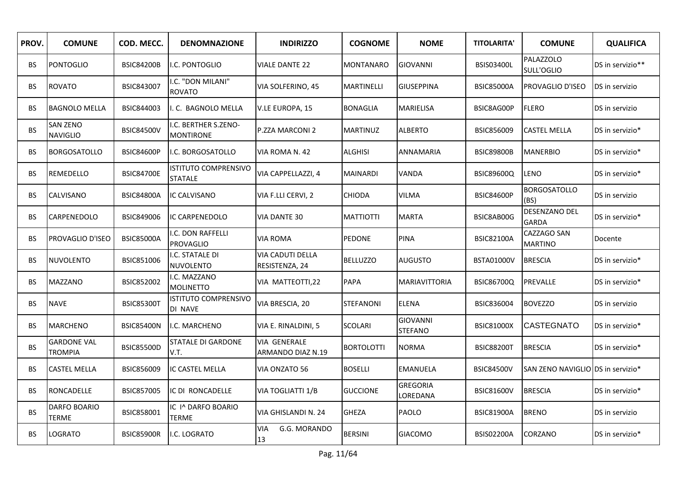| PROV.     | <b>COMUNE</b>                        | COD. MECC.        | <b>DENOMNAZIONE</b>                           | <b>INDIRIZZO</b>                          | <b>COGNOME</b>    | <b>NOME</b>                       | <b>TITOLARITA'</b> | <b>COMUNE</b>                     | <b>QUALIFICA</b> |
|-----------|--------------------------------------|-------------------|-----------------------------------------------|-------------------------------------------|-------------------|-----------------------------------|--------------------|-----------------------------------|------------------|
| BS.       | <b>PONTOGLIO</b>                     | <b>BSIC84200B</b> | I.C. PONTOGLIO                                | <b>VIALE DANTE 22</b>                     | MONTANARO         | <b>GIOVANNI</b>                   | <b>BSIS03400L</b>  | PALAZZOLO<br>SULL'OGLIO           | DS in servizio** |
| BS        | <b>ROVATO</b>                        | BSIC843007        | I.C. "DON MILANI"<br><b>ROVATO</b>            | VIA SOLFERINO, 45                         | MARTINELLI        | <b>GIUSEPPINA</b>                 | <b>BSIC85000A</b>  | PROVAGLIO D'ISEO                  | DS in servizio   |
| <b>BS</b> | <b>BAGNOLO MELLA</b>                 | BSIC844003        | I. C. BAGNOLO MELLA                           | V.LE EUROPA, 15                           | <b>BONAGLIA</b>   | MARIELISA                         | BSIC8AG00P         | <b>FLERO</b>                      | DS in servizio   |
| <b>BS</b> | <b>SAN ZENO</b><br><b>NAVIGLIO</b>   | <b>BSIC84500V</b> | I.C. BERTHER S.ZENO-<br><b>MONTIRONE</b>      | P.ZZA MARCONI 2                           | <b>MARTINUZ</b>   | <b>ALBERTO</b>                    | <b>BSIC856009</b>  | <b>CASTEL MELLA</b>               | DS in servizio*  |
| BS.       | <b>BORGOSATOLLO</b>                  | <b>BSIC84600P</b> | I.C. BORGOSATOLLO                             | VIA ROMA N. 42                            | <b>ALGHISI</b>    | <b>ANNAMARIA</b>                  | <b>BSIC89800B</b>  | <b>MANERBIO</b>                   | DS in servizio*  |
| BS.       | <b>REMEDELLO</b>                     | <b>BSIC84700E</b> | <b>ISTITUTO COMPRENSIVO</b><br><b>STATALE</b> | VIA CAPPELLAZZI, 4                        | <b>MAINARDI</b>   | <b>VANDA</b>                      | <b>BSIC89600Q</b>  | <b>LENO</b>                       | DS in servizio*  |
| ВS        | CALVISANO                            | <b>BSIC84800A</b> | <b>IC CALVISANO</b>                           | VIA F.LLI CERVI, 2                        | CHIODA            | <b>VILMA</b>                      | <b>BSIC84600P</b>  | <b>BORGOSATOLLO</b><br>(BS)       | DS in servizio   |
| BS.       | <b>CARPENEDOLO</b>                   | BSIC849006        | IC CARPENEDOLO                                | <b>VIA DANTE 30</b>                       | <b>MATTIOTTI</b>  | <b>MARTA</b>                      | BSIC8AB00G         | DESENZANO DEL<br><b>GARDA</b>     | DS in servizio*  |
| BS        | PROVAGLIO D'ISEO                     | <b>BSIC85000A</b> | I.C. DON RAFFELLI<br><b>PROVAGLIO</b>         | <b>VIA ROMA</b>                           | PEDONE            | <b>PINA</b>                       | <b>BSIC82100A</b>  | CAZZAGO SAN<br><b>MARTINO</b>     | Docente          |
| BS.       | <b>NUVOLENTO</b>                     | BSIC851006        | I.C. STATALE DI<br><b>NUVOLENTO</b>           | <b>VIA CADUTI DELLA</b><br>RESISTENZA, 24 | <b>BELLUZZO</b>   | AUGUSTO                           | <b>BSTA01000V</b>  | <b>BRESCIA</b>                    | DS in servizio*  |
| BS.       | <b>MAZZANO</b>                       | BSIC852002        | I.C. MAZZANO<br><b>MOLINETTO</b>              | VIA MATTEOTTI,22                          | PAPA              | <b>MARIAVITTORIA</b>              | <b>BSIC86700Q</b>  | PREVALLE                          | DS in servizio*  |
| BS.       | <b>NAVE</b>                          | <b>BSIC85300T</b> | <b>ISTITUTO COMPRENSIVO</b><br>DI NAVE        | VIA BRESCIA, 20                           | <b>STEFANONI</b>  | <b>ELENA</b>                      | BSIC836004         | <b>BOVEZZO</b>                    | DS in servizio   |
| BS.       | <b>MARCHENO</b>                      | <b>BSIC85400N</b> | I.C. MARCHENO                                 | VIA E. RINALDINI, 5                       | <b>SCOLARI</b>    | <b>GIOVANNI</b><br><b>STEFANO</b> | <b>BSIC81000X</b>  | <b>CASTEGNATO</b>                 | DS in servizio*  |
| BS.       | <b>GARDONE VAL</b><br><b>TROMPIA</b> | <b>BSIC85500D</b> | <b>STATALE DI GARDONE</b><br>V.T.             | <b>VIA GENERALE</b><br>ARMANDO DIAZ N.19  | <b>BORTOLOTTI</b> | <b>NORMA</b>                      | <b>BSIC88200T</b>  | <b>BRESCIA</b>                    | DS in servizio*  |
| BS.       | <b>CASTEL MELLA</b>                  | <b>BSIC856009</b> | IC CASTEL MELLA                               | VIA ONZATO 56                             | <b>BOSELLI</b>    | <b>EMANUELA</b>                   | <b>BSIC84500V</b>  | SAN ZENO NAVIGLIO DS in servizio* |                  |
| BS.       | RONCADELLE                           | <b>BSIC857005</b> | IC DI RONCADELLE                              | VIA TOGLIATTI 1/B                         | <b>GUCCIONE</b>   | <b>GREGORIA</b><br>LOREDANA       | <b>BSIC81600V</b>  | <b>BRESCIA</b>                    | DS in servizio*  |
| BS.       | DARFO BOARIO<br><b>TERME</b>         | BSIC858001        | IC I^ DARFO BOARIO<br><b>TERME</b>            | VIA GHISLANDI N. 24                       | <b>GHEZA</b>      | PAOLO                             | <b>BSIC81900A</b>  | <b>BRENO</b>                      | DS in servizio   |
| <b>BS</b> | LOGRATO                              | <b>BSIC85900R</b> | I.C. LOGRATO                                  | VIA<br>G.G. MORANDO<br>13                 | <b>BERSINI</b>    | <b>GIACOMO</b>                    | <b>BSIS02200A</b>  | CORZANO                           | DS in servizio*  |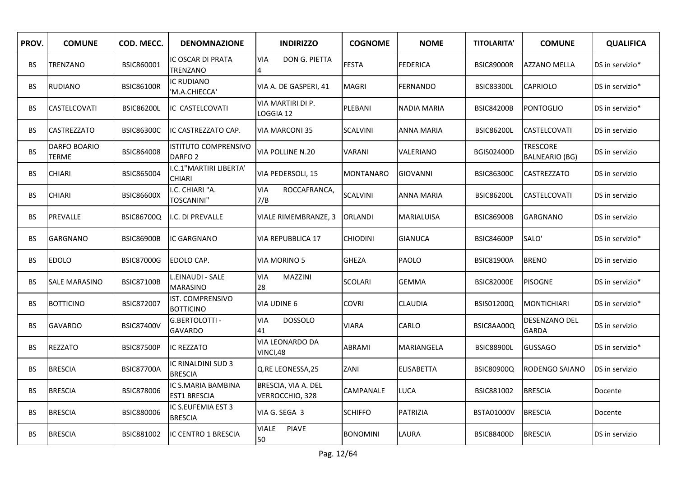| PROV.     | <b>COMUNE</b>         | COD. MECC.        | <b>DENOMNAZIONE</b>                               | <b>INDIRIZZO</b>                       | <b>COGNOME</b>   | <b>NOME</b>       | <b>TITOLARITA'</b> | <b>COMUNE</b>                            | <b>QUALIFICA</b> |
|-----------|-----------------------|-------------------|---------------------------------------------------|----------------------------------------|------------------|-------------------|--------------------|------------------------------------------|------------------|
| BS.       | TRENZANO              | BSIC860001        | IC OSCAR DI PRATA<br>TRENZANO                     | <b>VIA</b><br>DON G. PIETTA<br>4       | <b>FESTA</b>     | <b>FEDERICA</b>   | <b>BSIC89000R</b>  | <b>AZZANO MELLA</b>                      | DS in servizio*  |
| BS.       | <b>RUDIANO</b>        | <b>BSIC86100R</b> | IC RUDIANO<br>'M.A.CHIECCA'                       | VIA A. DE GASPERI, 41                  | MAGRI            | <b>FERNANDO</b>   | <b>BSIC83300L</b>  | <b>CAPRIOLO</b>                          | DS in servizio*  |
| BS        | CASTELCOVATI          | <b>BSIC86200L</b> | IC CASTELCOVATI                                   | VIA MARTIRI DI P.<br>OGGIA 12          | PLEBANI          | NADIA MARIA       | <b>BSIC84200B</b>  | <b>PONTOGLIO</b>                         | DS in servizio*  |
| BS.       | <b>CASTREZZATO</b>    | <b>BSIC86300C</b> | IC CASTREZZATO CAP.                               | <b>VIA MARCONI 35</b>                  | <b>SCALVINI</b>  | <b>ANNA MARIA</b> | <b>BSIC86200L</b>  | <b>CASTELCOVATI</b>                      | DS in servizio   |
| <b>BS</b> | DARFO BOARIO<br>TERME | <b>BSIC864008</b> | <b>ISTITUTO COMPRENSIVO</b><br>DARFO <sub>2</sub> | <b>VIA POLLINE N.20</b>                | <b>VARANI</b>    | VALERIANO         | BGIS02400D         | <b>TRESCORE</b><br><b>BALNEARIO (BG)</b> | DS in servizio   |
| BS.       | <b>CHIARI</b>         | BSIC865004        | I.C.1"MARTIRI LIBERTA'<br><b>CHIARI</b>           | VIA PEDERSOLI, 15                      | <b>MONTANARO</b> | <b>GIOVANNI</b>   | <b>BSIC86300C</b>  | <b>CASTREZZATO</b>                       | DS in servizio   |
| BS        | <b>CHIARI</b>         | <b>BSIC86600X</b> | I.C. CHIARI "A.<br><b>TOSCANINI"</b>              | <b>VIA</b><br>ROCCAFRANCA,<br>7/B      | <b>SCALVINI</b>  | <b>ANNA MARIA</b> | <b>BSIC86200L</b>  | CASTELCOVATI                             | DS in servizio   |
| ВS        | PREVALLE              | <b>BSIC86700Q</b> | I.C. DI PREVALLE                                  | VIALE RIMEMBRANZE, 3                   | ORLANDI          | <b>MARIALUISA</b> | <b>BSIC86900B</b>  | <b>GARGNANO</b>                          | DS in servizio   |
| BS        | <b>GARGNANO</b>       | <b>BSIC86900B</b> | IC GARGNANO                                       | <b>VIA REPUBBLICA 17</b>               | <b>CHIODINI</b>  | <b>GIANUCA</b>    | <b>BSIC84600P</b>  | SALO'                                    | DS in servizio*  |
| BS.       | <b>EDOLO</b>          | <b>BSIC87000G</b> | EDOLO CAP.                                        | <b>VIA MORINO 5</b>                    | <b>GHEZA</b>     | PAOLO             | <b>BSIC81900A</b>  | <b>BRENO</b>                             | DS in servizio   |
| BS.       | <b>SALE MARASINO</b>  | <b>BSIC87100B</b> | L.EINAUDI - SALE<br><b>MARASINO</b>               | MAZZINI<br>VIA<br>28                   | <b>SCOLARI</b>   | <b>GEMMA</b>      | <b>BSIC82000E</b>  | <b>PISOGNE</b>                           | DS in servizio*  |
| BS        | <b>BOTTICINO</b>      | <b>BSIC872007</b> | <b>IST. COMPRENSIVO</b><br><b>BOTTICINO</b>       | <b>VIA UDINE 6</b>                     | <b>COVRI</b>     | CLAUDIA           | BSIS01200Q         | <b>MONTICHIARI</b>                       | DS in servizio*  |
| BS.       | <b>GAVARDO</b>        | <b>BSIC87400V</b> | G.BERTOLOTTI -<br><b>GAVARDO</b>                  | <b>DOSSOLO</b><br>VIA<br>41            | <b>VIARA</b>     | CARLO             | BSIC8AA00Q         | DESENZANO DEL<br><b>GARDA</b>            | DS in servizio   |
| BS.       | <b>REZZATO</b>        | <b>BSIC87500P</b> | <b>IC REZZATO</b>                                 | VIA LEONARDO DA<br>VINCI,48            | ABRAMI           | MARIANGELA        | <b>BSIC88900L</b>  | <b>GUSSAGO</b>                           | DS in servizio*  |
| BS        | <b>BRESCIA</b>        | <b>BSIC87700A</b> | IC RINALDINI SUD 3<br><b>BRESCIA</b>              | Q.RE LEONESSA, 25                      | ZANI             | <b>ELISABETTA</b> | <b>BSIC80900Q</b>  | <b>RODENGO SAIANO</b>                    | DS in servizio   |
| BS.       | <b>BRESCIA</b>        | BSIC878006        | IC S.MARIA BAMBINA<br><b>EST1 BRESCIA</b>         | BRESCIA, VIA A. DEL<br>VERROCCHIO, 328 | CAMPANALE        | <b>LUCA</b>       | BSIC881002         | <b>BRESCIA</b>                           | Docente          |
| ВS        | <b>BRESCIA</b>        | BSIC880006        | IC S.EUFEMIA EST 3<br><b>BRESCIA</b>              | VIA G. SEGA 3                          | <b>SCHIFFO</b>   | PATRIZIA          | BSTA01000V         | <b>BRESCIA</b>                           | Docente          |
| BS.       | <b>BRESCIA</b>        | BSIC881002        | IC CENTRO 1 BRESCIA                               | <b>VIALE</b><br><b>PIAVE</b><br>50     | <b>BONOMINI</b>  | LAURA             | <b>BSIC88400D</b>  | <b>BRESCIA</b>                           | DS in servizio   |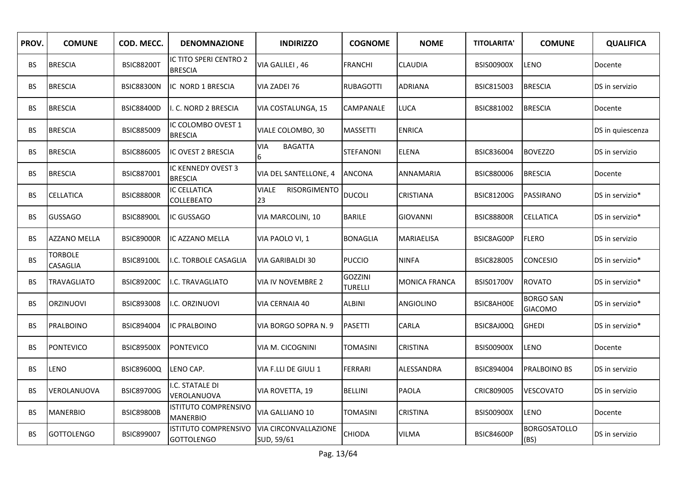| PROV.     | <b>COMUNE</b>              | COD. MECC.        | <b>DENOMNAZIONE</b>                              | <b>INDIRIZZO</b>                          | <b>COGNOME</b>                   | <b>NOME</b>          | <b>TITOLARITA'</b> | <b>COMUNE</b>                      | <b>QUALIFICA</b> |
|-----------|----------------------------|-------------------|--------------------------------------------------|-------------------------------------------|----------------------------------|----------------------|--------------------|------------------------------------|------------------|
| BS.       | <b>BRESCIA</b>             | <b>BSIC88200T</b> | IC TITO SPERI CENTRO 2<br><b>BRESCIA</b>         | VIA GALILEI, 46                           | <b>FRANCHI</b>                   | CLAUDIA              | <b>BSIS00900X</b>  | LENO                               | Docente          |
| BS        | <b>BRESCIA</b>             | <b>BSIC88300N</b> | IC NORD 1 BRESCIA                                | VIA ZADEI 76                              | <b>RUBAGOTTI</b>                 | <b>ADRIANA</b>       | <b>BSIC815003</b>  | <b>BRESCIA</b>                     | DS in servizio   |
| BS.       | <b>BRESCIA</b>             | <b>BSIC88400D</b> | I. C. NORD 2 BRESCIA                             | VIA COSTALUNGA, 15                        | CAMPANALE                        | <b>LUCA</b>          | BSIC881002         | <b>BRESCIA</b>                     | Docente          |
| BS.       | <b>BRESCIA</b>             | BSIC885009        | IC COLOMBO OVEST 1<br><b>BRESCIA</b>             | VIALE COLOMBO, 30                         | <b>MASSETTI</b>                  | <b>ENRICA</b>        |                    |                                    | DS in quiescenza |
| BS        | <b>BRESCIA</b>             | <b>BSIC886005</b> | IC OVEST 2 BRESCIA                               | <b>BAGATTA</b><br><b>VIA</b><br>6         | <b>STEFANONI</b>                 | <b>ELENA</b>         | BSIC836004         | <b>BOVEZZO</b>                     | DS in servizio   |
| BS.       | <b>BRESCIA</b>             | BSIC887001        | IC KENNEDY OVEST 3<br><b>BRESCIA</b>             | VIA DEL SANTELLONE, 4                     | <b>ANCONA</b>                    | <b>ANNAMARIA</b>     | BSIC880006         | <b>BRESCIA</b>                     | Docente          |
| ВS        | CELLATICA                  | <b>BSIC88800R</b> | <b>IC CELLATICA</b><br><b>COLLEBEATO</b>         | <b>VIALE</b><br>RISORGIMENTO<br>23        | <b>DUCOLI</b>                    | <b>CRISTIANA</b>     | <b>BSIC81200G</b>  | PASSIRANO                          | DS in servizio*  |
| BS.       | <b>GUSSAGO</b>             | <b>BSIC88900L</b> | IC GUSSAGO                                       | VIA MARCOLINI, 10                         | <b>BARILE</b>                    | <b>GIOVANNI</b>      | <b>BSIC88800R</b>  | CELLATICA                          | DS in servizio*  |
| BS.       | <b>AZZANO MELLA</b>        | <b>BSIC89000R</b> | IC AZZANO MELLA                                  | VIA PAOLO VI, 1                           | <b>BONAGLIA</b>                  | <b>MARIAELISA</b>    | BSIC8AG00P         | <b>FLERO</b>                       | DS in servizio   |
| <b>BS</b> | <b>TORBOLE</b><br>CASAGLIA | <b>BSIC89100L</b> | I.C. TORBOLE CASAGLIA                            | VIA GARIBALDI 30                          | <b>PUCCIO</b>                    | <b>NINFA</b>         | <b>BSIC828005</b>  | CONCESIO                           | DS in servizio*  |
| BS.       | TRAVAGLIATO                | <b>BSIC89200C</b> | I.C. TRAVAGLIATO                                 | VIA IV NOVEMBRE 2                         | <b>GOZZINI</b><br><b>TURELLI</b> | <b>MONICA FRANCA</b> | <b>BSIS01700V</b>  | <b>ROVATO</b>                      | DS in servizio*  |
| BS.       | <b>ORZINUOVI</b>           | BSIC893008        | I.C. ORZINUOVI                                   | VIA CERNAIA 40                            | <b>ALBINI</b>                    | ANGIOLINO            | BSIC8AH00E         | <b>BORGO SAN</b><br><b>GIACOMO</b> | DS in servizio*  |
| BS.       | PRALBOINO                  | <b>BSIC894004</b> | <b>IC PRALBOINO</b>                              | VIA BORGO SOPRA N. 9                      | <b>PASETTI</b>                   | <b>CARLA</b>         | BSIC8AJ00Q         | <b>GHEDI</b>                       | DS in servizio*  |
| BS.       | PONTEVICO                  | <b>BSIC89500X</b> | <b>PONTEVICO</b>                                 | VIA M. CICOGNINI                          | TOMASINI                         | <b>CRISTINA</b>      | <b>BSIS00900X</b>  | LENO                               | Docente          |
| BS        | LENO                       | <b>BSIC89600Q</b> | LENO CAP.                                        | VIA F.LLI DE GIULI 1                      | <b>FERRARI</b>                   | ALESSANDRA           | BSIC894004         | PRALBOINO BS                       | DS in servizio   |
| BS        | VEROLANUOVA                | <b>BSIC89700G</b> | I.C. STATALE DI<br>VEROLANUOVA                   | VIA ROVETTA, 19                           | <b>BELLINI</b>                   | <b>PAOLA</b>         | CRIC809005         | VESCOVATO                          | DS in servizio   |
| BS        | <b>MANERBIO</b>            | <b>BSIC89800B</b> | <b>ISTITUTO COMPRENSIVO</b><br><b>MANERBIO</b>   | VIA GALLIANO 10                           | <b>TOMASINI</b>                  | <b>CRISTINA</b>      | <b>BSIS00900X</b>  | LENO                               | Docente          |
| BS.       | <b>GOTTOLENGO</b>          | BSIC899007        | <b>ISTITUTO COMPRENSIVO</b><br><b>GOTTOLENGO</b> | <b>VIA CIRCONVALLAZIONE</b><br>SUD, 59/61 | <b>CHIODA</b>                    | <b>VILMA</b>         | <b>BSIC84600P</b>  | <b>BORGOSATOLLO</b><br>(BS)        | DS in servizio   |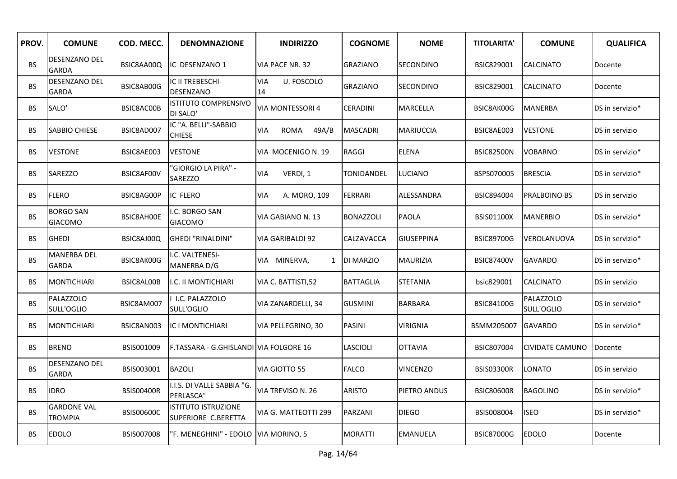| PROV.     | <b>COMUNE</b>                        | COD. MECC.        | <b>DENOMNAZIONE</b>                               | <b>INDIRIZZO</b>             | <b>COGNOME</b>   | <b>NOME</b>       | <b>TITOLARITA'</b> | <b>COMUNE</b>                  | <b>QUALIFICA</b> |
|-----------|--------------------------------------|-------------------|---------------------------------------------------|------------------------------|------------------|-------------------|--------------------|--------------------------------|------------------|
| <b>BS</b> | DESENZANO DEL<br><b>GARDA</b>        | BSIC8AA00Q        | IC DESENZANO 1                                    | VIA PACE NR. 32              | GRAZIANO         | SECONDINO         | BSIC829001         | <b>CALCINATO</b>               | Docente          |
| <b>BS</b> | <b>DESENZANO DEL</b><br>GARDA        | BSIC8AB00G        | IC II TREBESCHI-<br>DESENZANO                     | VIA<br>U. FOSCOLO<br>14      | <b>GRAZIANO</b>  | SECONDINO         | BSIC829001         | <b>CALCINATO</b>               | Docente          |
| <b>BS</b> | SALO'                                | BSIC8AC00B        | <b>ISTITUTO COMPRENSIVO</b><br>DI SALO'           | VIA MONTESSORI 4             | <b>CERADINI</b>  | MARCELLA          | BSIC8AK00G         | <b>MANERBA</b>                 | DS in servizio*  |
| BS.       | <b>SABBIO CHIESE</b>                 | BSIC8AD007        | IC "A. BELLI"-SABBIO<br><b>CHIESE</b>             | ROMA<br>49A/B<br>VIA         | <b>MASCADRI</b>  | <b>MARIUCCIA</b>  | BSIC8AE003         | <b>VESTONE</b>                 | DS in servizio   |
| BS.       | <b>VESTONE</b>                       | BSIC8AE003        | <b>VESTONE</b>                                    | VIA MOCENIGO N. 19           | RAGGI            | <b>ELENA</b>      | <b>BSIC82500N</b>  | <b>VOBARNO</b>                 | DS in servizio*  |
| <b>BS</b> | <b>SAREZZO</b>                       | BSIC8AF00V        | 'GIORGIO LA PIRA" -<br><b>SAREZZO</b>             | VERDI, 1<br><b>VIA</b>       | TONIDANDEL       | <b>LUCIANO</b>    | BSPS070005         | <b>BRESCIA</b>                 | DS in servizio*  |
| <b>BS</b> | <b>FLERO</b>                         | BSIC8AG00P        | <b>IC FLERO</b>                                   | A. MORO, 109<br><b>VIA</b>   | <b>FERRARI</b>   | <b>ALESSANDRA</b> | BSIC894004         | PRALBOINO BS                   | DS in servizio   |
| <b>BS</b> | <b>BORGO SAN</b><br><b>GIACOMO</b>   | BSIC8AH00E        | .C. BORGO SAN<br><b>GIACOMO</b>                   | VIA GABIANO N. 13            | <b>BONAZZOLI</b> | <b>PAOLA</b>      | <b>BSIS01100X</b>  | <b>MANERBIO</b>                | DS in servizio*  |
| <b>BS</b> | <b>GHEDI</b>                         | BSIC8AJ00Q        | GHEDI "RINALDINI"                                 | VIA GARIBALDI 92             | CALZAVACCA       | <b>GIUSEPPINA</b> | <b>BSIC89700G</b>  | VEROLANUOVA                    | DS in servizio*  |
| <b>BS</b> | <b>MANERBA DEL</b><br><b>GARDA</b>   | BSIC8AK00G        | I.C. VALTENESI-<br>MANERBA D/G                    | VIA MINERVA,<br>$\mathbf{1}$ | <b>DI MARZIO</b> | <b>MAURIZIA</b>   | <b>BSIC87400V</b>  | <b>GAVARDO</b>                 | DS in servizio*  |
| <b>BS</b> | <b>MONTICHIARI</b>                   | BSIC8AL00B        | I.C. II MONTICHIARI                               | VIA C. BATTISTI,52           | <b>BATTAGLIA</b> | <b>STEFANIA</b>   | bsic829001         | CALCINATO                      | DS in servizio   |
| <b>BS</b> | PALAZZOLO<br>SULL'OGLIO              | BSIC8AM007        | I.C. PALAZZOLO<br>SULL'OGLIO                      | VIA ZANARDELLI, 34           | <b>GUSMINI</b>   | <b>BARBARA</b>    | <b>BSIC84100G</b>  | <b>PALAZZOLO</b><br>SULL'OGLIO | DS in servizio*  |
| BS.       | <b>MONTICHIARI</b>                   | BSIC8AN003        | IC I MONTICHIARI                                  | VIA PELLEGRINO, 30           | PASINI           | VIRIGNIA          | BSMM205007         | <b>GAVARDO</b>                 | DS in servizio*  |
| <b>BS</b> | <b>BRENO</b>                         | BSIS001009        | F.TASSARA - G.GHISLANDI   VIA FOLGORE 16          |                              | LASCIOLI         | <b>OTTAVIA</b>    | <b>BSIC807004</b>  | CIVIDATE CAMUNO                | Docente          |
| <b>BS</b> | DESENZANO DEL<br>GARDA               | BSIS003001        | <b>BAZOLI</b>                                     | VIA GIOTTO 55                | <b>FALCO</b>     | VINCENZO          | <b>BSIS03300R</b>  | LONATO                         | DS in servizio   |
| <b>BS</b> | <b>IDRO</b>                          | <b>BSIS00400R</b> | I.I.S. DI VALLE SABBIA "G.<br>PERLASCA"           | VIA TREVISO N. 26            | ARISTO           | PIETRO ANDUS      | BSIC806008         | <b>BAGOLINO</b>                | DS in servizio*  |
| <b>BS</b> | <b>GARDONE VAL</b><br><b>TROMPIA</b> | <b>BSIS00600C</b> | <b>ISTITUTO ISTRUZIONE</b><br>SUPERIORE C.BERETTA | VIA G. MATTEOTTI 299         | PARZANI          | <b>DIEGO</b>      | BSIS008004         | <b>ISEO</b>                    | DS in servizio*  |
| <b>BS</b> | <b>EDOLO</b>                         | <b>BSIS007008</b> | "F. MENEGHINI" - EDOLO  VIA MORINO, 5             |                              | <b>MORATTI</b>   | EMANUELA          | <b>BSIC87000G</b>  | <b>EDOLO</b>                   | Docente          |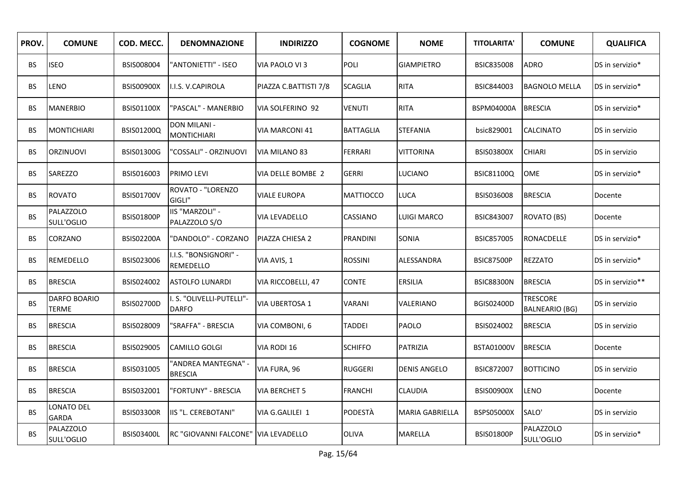| PROV.     | <b>COMUNE</b>              | COD. MECC.        | <b>DENOMNAZIONE</b>                       | <b>INDIRIZZO</b>      | <b>COGNOME</b>   | <b>NOME</b>            | <b>TITOLARITA'</b> | <b>COMUNE</b>                            | <b>QUALIFICA</b> |
|-----------|----------------------------|-------------------|-------------------------------------------|-----------------------|------------------|------------------------|--------------------|------------------------------------------|------------------|
| BS.       | <b>ISEO</b>                | BSIS008004        | 'ANTONIETTI" - ISEO                       | VIA PAOLO VI3         | <b>POLI</b>      | <b>GIAMPIETRO</b>      | <b>BSIC835008</b>  | <b>ADRO</b>                              | DS in servizio*  |
| BS.       | LENO                       | <b>BSIS00900X</b> | <b>I.I.S. V.CAPIROLA</b>                  | PIAZZA C.BATTISTI 7/8 | <b>SCAGLIA</b>   | <b>RITA</b>            | <b>BSIC844003</b>  | <b>BAGNOLO MELLA</b>                     | DS in servizio*  |
| BS        | <b>MANERBIO</b>            | <b>BSIS01100X</b> | 'PASCAL" - MANERBIO                       | VIA SOLFERINO 92      | VENUTI           | <b>RITA</b>            | <b>BSPM04000A</b>  | <b>BRESCIA</b>                           | DS in servizio*  |
| BS.       | <b>MONTICHIARI</b>         | BSIS01200Q        | DON MILANI -<br><b>MONTICHIARI</b>        | VIA MARCONI 41        | <b>BATTAGLIA</b> | <b>STEFANIA</b>        | bsic829001         | <b>CALCINATO</b>                         | DS in servizio   |
| BS.       | <b>ORZINUOVI</b>           | <b>BSIS01300G</b> | 'COSSALI" - ORZINUOVI                     | VIA MILANO 83         | <b>FERRARI</b>   | <b>VITTORINA</b>       | <b>BSIS03800X</b>  | <b>CHIARI</b>                            | DS in servizio   |
| BS.       | SAREZZO                    | BSIS016003        | PRIMO LEVI                                | VIA DELLE BOMBE 2     | <b>GERRI</b>     | <b>LUCIANO</b>         | <b>BSIC81100Q</b>  | <b>OME</b>                               | DS in servizio*  |
| BS        | <b>ROVATO</b>              | <b>BSIS01700V</b> | ROVATO - "LORENZO<br>GIGLI"               | <b>VIALE EUROPA</b>   | <b>MATTIOCCO</b> | <b>LUCA</b>            | BSIS036008         | <b>BRESCIA</b>                           | Docente          |
| <b>BS</b> | PALAZZOLO<br>SULL'OGLIO    | <b>BSIS01800P</b> | IIS "MARZOLI" -<br>PALAZZOLO S/O          | VIA LEVADELLO         | CASSIANO         | <b>LUIGI MARCO</b>     | <b>BSIC843007</b>  | <b>ROVATO (BS)</b>                       | Docente          |
| BS.       | CORZANO                    | <b>BSIS02200A</b> | 'DANDOLO" - CORZANO                       | PIAZZA CHIESA 2       | <b>PRANDINI</b>  | SONIA                  | <b>BSIC857005</b>  | <b>RONACDELLE</b>                        | DS in servizio*  |
| BS.       | REMEDELLO                  | BSIS023006        | I.I.S. "BONSIGNORI" -<br>REMEDELLO        | VIA AVIS, 1           | <b>ROSSINI</b>   | ALESSANDRA             | <b>BSIC87500P</b>  | <b>REZZATO</b>                           | DS in servizio*  |
| BS.       | <b>BRESCIA</b>             | BSIS024002        | <b>ASTOLFO LUNARDI</b>                    | VIA RICCOBELLI, 47    | <b>CONTE</b>     | <b>ERSILIA</b>         | <b>BSIC88300N</b>  | <b>BRESCIA</b>                           | DS in servizio** |
| BS.       | DARFO BOARIO<br>TERME      | <b>BSIS02700D</b> | I. S. "OLIVELLI-PUTELLI"-<br><b>DARFO</b> | <b>VIA UBERTOSA 1</b> | VARANI           | VALERIANO              | <b>BGIS02400D</b>  | <b>TRESCORE</b><br><b>BALNEARIO (BG)</b> | DS in servizio   |
| BS.       | <b>BRESCIA</b>             | BSIS028009        | "SRAFFA" - BRESCIA                        | VIA COMBONI, 6        | <b>TADDEI</b>    | PAOLO                  | BSIS024002         | <b>BRESCIA</b>                           | DS in servizio   |
| BS.       | <b>BRESCIA</b>             | BSIS029005        | <b>CAMILLO GOLGI</b>                      | VIA RODI 16           | <b>SCHIFFO</b>   | PATRIZIA               | BSTA01000V         | <b>BRESCIA</b>                           | Docente          |
| BS        | <b>BRESCIA</b>             | BSIS031005        | 'ANDREA MANTEGNA" -<br><b>BRESCIA</b>     | VIA FURA, 96          | <b>RUGGERI</b>   | <b>DENIS ANGELO</b>    | BSIC872007         | <b>BOTTICINO</b>                         | DS in servizio   |
| BS.       | <b>BRESCIA</b>             | BSIS032001        | 'FORTUNY" - BRESCIA                       | VIA BERCHET 5         | <b>FRANCHI</b>   | <b>CLAUDIA</b>         | <b>BSIS00900X</b>  | <b>LENO</b>                              | Docente          |
| BS.       | LONATO DEL<br><b>GARDA</b> | <b>BSIS03300R</b> | IIS "L. CEREBOTANI"                       | VIA G.GALILEI 1       | <b>PODESTÀ</b>   | <b>MARIA GABRIELLA</b> | BSPS05000X         | SALO'                                    | DS in servizio   |
| <b>BS</b> | PALAZZOLO<br>SULL'OGLIO    | <b>BSIS03400L</b> | <b>IRC "GIOVANNI FALCONE"</b>             | VIA LEVADELLO         | OLIVA            | MARELLA                | <b>BSIS01800P</b>  | PALAZZOLO<br>SULL'OGLIO                  | DS in servizio*  |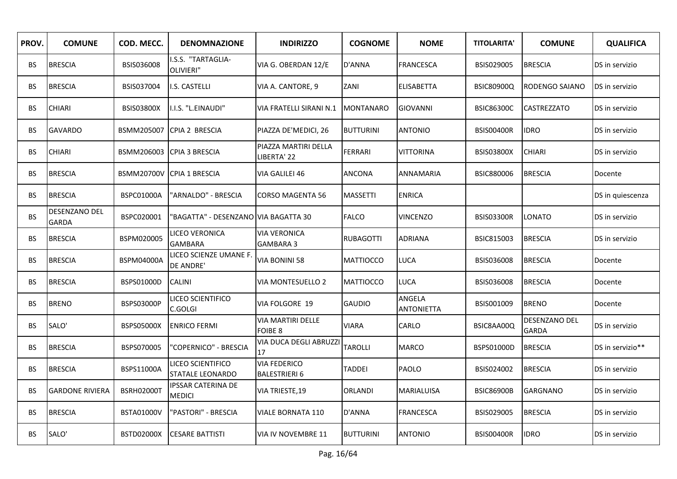| PROV.     | <b>COMUNE</b>          | COD. MECC.        | <b>DENOMNAZIONE</b>                          | <b>INDIRIZZO</b>                            | <b>COGNOME</b>   | <b>NOME</b>                 | <b>TITOLARITA'</b> | <b>COMUNE</b>                 | <b>QUALIFICA</b> |
|-----------|------------------------|-------------------|----------------------------------------------|---------------------------------------------|------------------|-----------------------------|--------------------|-------------------------------|------------------|
| BS.       | <b>BRESCIA</b>         | BSIS036008        | I.S.S. "TARTAGLIA-<br>OLIVIERI"              | VIA G. OBERDAN 12/E                         | D'ANNA           | <b>FRANCESCA</b>            | BSIS029005         | <b>BRESCIA</b>                | DS in servizio   |
| BS.       | <b>BRESCIA</b>         | BSIS037004        | I.S. CASTELLI                                | VIA A. CANTORE, 9                           | ZANI             | <b>ELISABETTA</b>           | <b>BSIC80900Q</b>  | RODENGO SAIANO                | DS in servizio   |
| BS        | <b>CHIARI</b>          | <b>BSIS03800X</b> | I.I.S. "L.EINAUDI"                           | VIA FRATELLI SIRANI N.1                     | <b>MONTANARO</b> | <b>GIOVANNI</b>             | <b>BSIC86300C</b>  | CASTREZZATO                   | DS in servizio   |
| BS.       | <b>GAVARDO</b>         |                   | BSMM205007 CPIA 2 BRESCIA                    | PIAZZA DE'MEDICI, 26                        | <b>BUTTURINI</b> | <b>ANTONIO</b>              | <b>BSIS00400R</b>  | <b>IDRO</b>                   | DS in servizio   |
| BS.       | <b>CHIARI</b>          |                   | BSMM206003 CPIA 3 BRESCIA                    | PIAZZA MARTIRI DELLA<br>IBERTA' 22          | <b>FERRARI</b>   | <b>VITTORINA</b>            | <b>BSIS03800X</b>  | <b>CHIARI</b>                 | DS in servizio   |
| BS.       | <b>BRESCIA</b>         |                   | BSMM20700V CPIA 1 BRESCIA                    | VIA GALILEI 46                              | <b>ANCONA</b>    | ANNAMARIA                   | BSIC880006         | <b>BRESCIA</b>                | Docente          |
| <b>BS</b> | <b>BRESCIA</b>         | BSPC01000A        | "ARNALDO" - BRESCIA                          | <b>CORSO MAGENTA 56</b>                     | MASSETTI         | <b>ENRICA</b>               |                    |                               | DS in quiescenza |
| <b>BS</b> | DESENZANO DEL<br>GARDA | BSPC020001        | 'BAGATTA" - DESENZANO  VIA BAGATTA 30        |                                             | <b>FALCO</b>     | <b>VINCENZO</b>             | <b>BSIS03300R</b>  | LONATO                        | DS in servizio   |
| BS.       | <b>BRESCIA</b>         | BSPM020005        | LICEO VERONICA<br><b>GAMBARA</b>             | <b>VIA VERONICA</b><br><b>GAMBARA 3</b>     | <b>RUBAGOTTI</b> | <b>ADRIANA</b>              | <b>BSIC815003</b>  | <b>BRESCIA</b>                | DS in servizio   |
| BS.       | <b>BRESCIA</b>         | <b>BSPM04000A</b> | LICEO SCIENZE UMANE F.<br>DE ANDRE'          | VIA BONINI 58                               | <b>MATTIOCCO</b> | LUCA                        | BSIS036008         | <b>BRESCIA</b>                | Docente          |
| BS.       | <b>BRESCIA</b>         | BSPS01000D        | <b>CALINI</b>                                | <b>VIA MONTESUELLO 2</b>                    | <b>MATTIOCCO</b> | <b>LUCA</b>                 | BSIS036008         | <b>BRESCIA</b>                | Docente          |
| BS.       | <b>BRENO</b>           | <b>BSPS03000P</b> | LICEO SCIENTIFICO<br>C.GOLGI                 | <b>VIA FOLGORE 19</b>                       | <b>GAUDIO</b>    | ANGELA<br><b>ANTONIETTA</b> | BSIS001009         | <b>BRENO</b>                  | Docente          |
| BS.       | SALO'                  | BSPS05000X        | <b>ENRICO FERMI</b>                          | VIA MARTIRI DELLE<br>FOIBE 8                | <b>VIARA</b>     | CARLO                       | BSIC8AA00Q         | DESENZANO DEL<br><b>GARDA</b> | DS in servizio   |
| BS.       | <b>BRESCIA</b>         | BSPS070005        | 'COPERNICO" - BRESCIA                        | VIA DUCA DEGLI ABRUZZI<br>17                | <b>TAROLLI</b>   | MARCO                       | BSPS01000D         | <b>BRESCIA</b>                | DS in servizio** |
| BS        | <b>BRESCIA</b>         | BSPS11000A        | LICEO SCIENTIFICO<br><b>STATALE LEONARDO</b> | <b>VIA FEDERICO</b><br><b>BALESTRIERI 6</b> | TADDEI           | PAOLO                       | BSIS024002         | <b>BRESCIA</b>                | DS in servizio   |
| BS.       | <b>GARDONE RIVIERA</b> | <b>BSRH02000T</b> | <b>IPSSAR CATERINA DE</b><br><b>MEDICI</b>   | VIA TRIESTE, 19                             | ORLANDI          | MARIALUISA                  | <b>BSIC86900B</b>  | <b>GARGNANO</b>               | DS in servizio   |
| BS.       | <b>BRESCIA</b>         | <b>BSTA01000V</b> | "PASTORI" - BRESCIA                          | <b>VIALE BORNATA 110</b>                    | D'ANNA           | <b>FRANCESCA</b>            | BSIS029005         | <b>BRESCIA</b>                | DS in servizio   |
| BS.       | SALO'                  | <b>BSTD02000X</b> | <b>CESARE BATTISTI</b>                       | VIA IV NOVEMBRE 11                          | <b>BUTTURINI</b> | <b>ANTONIO</b>              | <b>BSIS00400R</b>  | <b>IDRO</b>                   | DS in servizio   |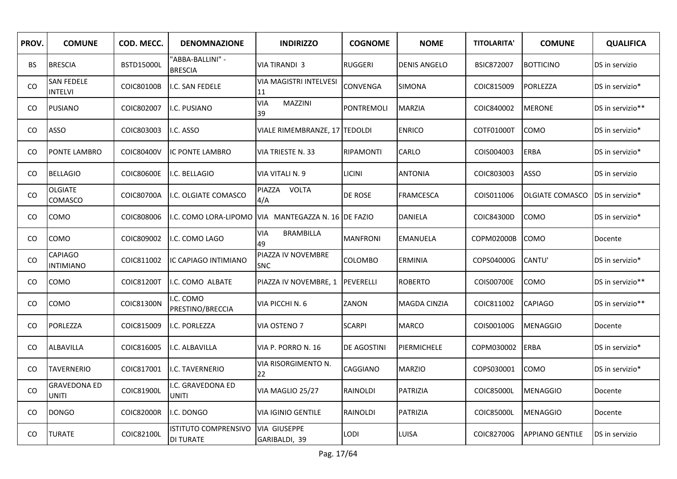| PROV.         | <b>COMUNE</b>                       | COD. MECC.        | <b>DENOMNAZIONE</b>                             | <b>INDIRIZZO</b>                                    | <b>COGNOME</b>    | <b>NOME</b>         | <b>TITOLARITA'</b> | <b>COMUNE</b>          | <b>QUALIFICA</b> |
|---------------|-------------------------------------|-------------------|-------------------------------------------------|-----------------------------------------------------|-------------------|---------------------|--------------------|------------------------|------------------|
| <b>BS</b>     | <b>BRESCIA</b>                      | <b>BSTD15000L</b> | 'ABBA-BALLINI" -<br><b>BRESCIA</b>              | VIA TIRANDI 3                                       | <b>RUGGERI</b>    | <b>DENIS ANGELO</b> | <b>BSIC872007</b>  | <b>BOTTICINO</b>       | DS in servizio   |
| CO            | <b>SAN FEDELE</b><br><b>INTELVI</b> | COIC80100B        | I.C. SAN FEDELE                                 | VIA MAGISTRI INTELVESI<br>11                        | CONVENGA          | <b>SIMONA</b>       | COIC815009         | PORLEZZA               | DS in servizio*  |
| <b>CO</b>     | <b>PUSIANO</b>                      | COIC802007        | .C. PUSIANO                                     | <b>VIA</b><br>MAZZINI<br>39                         | <b>PONTREMOLI</b> | <b>MARZIA</b>       | COIC840002         | <b>MERONE</b>          | DS in servizio** |
| CO            | ASSO                                | COIC803003        | I.C. ASSO                                       | VIALE RIMEMBRANZE, 17 TEDOLDI                       |                   | <b>ENRICO</b>       | COTF01000T         | <b>COMO</b>            | DS in servizio*  |
| <sub>CO</sub> | <b>PONTE LAMBRO</b>                 | COIC80400V        | IC PONTE LAMBRO                                 | VIA TRIESTE N. 33                                   | <b>RIPAMONTI</b>  | CARLO               | COIS004003         | <b>ERBA</b>            | DS in servizio*  |
| <b>CO</b>     | <b>BELLAGIO</b>                     | <b>COIC80600E</b> | I.C. BELLAGIO                                   | VIA VITALI N. 9                                     | <b>LICINI</b>     | <b>ANTONIA</b>      | COIC803003         | <b>ASSO</b>            | DS in servizio   |
| <b>CO</b>     | <b>OLGIATE</b><br>COMASCO           | COIC80700A        | I.C. OLGIATE COMASCO                            | PIAZZA VOLTA<br>4/A                                 | <b>DE ROSE</b>    | <b>FRAMCESCA</b>    | COIS011006         | <b>OLGIATE COMASCO</b> | DS in servizio*  |
| CO            | COMO                                | COIC808006        |                                                 | I.C. COMO LORA-LIPOMO VIA MANTEGAZZA N. 16 DE FAZIO |                   | <b>DANIELA</b>      | COIC84300D         | COMO                   | DS in servizio*  |
| <sub>CO</sub> | COMO                                | COIC809002        | I.C. COMO LAGO                                  | <b>VIA</b><br><b>BRAMBILLA</b><br>49                | <b>MANFRONI</b>   | <b>EMANUELA</b>     | COPM02000B         | <b>COMO</b>            | Docente          |
| CO            | <b>CAPIAGO</b><br><b>INTIMIANO</b>  | COIC811002        | IC CAPIAGO INTIMIANO                            | PIAZZA IV NOVEMBRE<br><b>SNC</b>                    | COLOMBO           | ERMINIA             | COPS04000G         | CANTU'                 | DS in servizio*  |
| CO            | <b>COMO</b>                         | <b>COIC81200T</b> | I.C. COMO ALBATE                                | PIAZZA IV NOVEMBRE, 1                               | PEVERELLI         | <b>ROBERTO</b>      | <b>COIS00700E</b>  | <b>COMO</b>            | DS in servizio** |
| CO            | COMO                                | COIC81300N        | I.C. COMO<br>PRESTINO/BRECCIA                   | VIA PICCHI N. 6                                     | ZANON             | MAGDA CINZIA        | COIC811002         | <b>CAPIAGO</b>         | DS in servizio** |
| CO.           | PORLEZZA                            | COIC815009        | I.C. PORLEZZA                                   | VIA OSTENO 7                                        | <b>SCARPI</b>     | <b>MARCO</b>        | COIS00100G         | <b>MENAGGIO</b>        | Docente          |
| CO.           | ALBAVILLA                           | COIC816005        | I.C. ALBAVILLA                                  | VIA P. PORRO N. 16                                  | DE AGOSTINI       | PIERMICHELE         | COPM030002         | <b>ERBA</b>            | DS in servizio*  |
| CO            | <b>TAVERNERIO</b>                   | COIC817001        | .C. TAVERNERIO                                  | VIA RISORGIMENTO N.<br>22                           | CAGGIANO          | <b>MARZIO</b>       | COPS030001         | <b>COMO</b>            | DS in servizio*  |
| <b>CO</b>     | GRAVEDONA ED<br><b>UNITI</b>        | COIC81900L        | .C. GRAVEDONA ED<br><b>UNITI</b>                | VIA MAGLIO 25/27                                    | RAINOLDI          | <b>PATRIZIA</b>     | COIC85000L         | <b>MENAGGIO</b>        | Docente          |
| CO            | <b>DONGO</b>                        | <b>COIC82000R</b> | I.C. DONGO                                      | VIA IGINIO GENTILE                                  | RAINOLDI          | PATRIZIA            | COIC85000L         | <b>MENAGGIO</b>        | Docente          |
| <b>CO</b>     | <b>TURATE</b>                       | COIC82100L        | <b>ISTITUTO COMPRENSIVO</b><br><b>DI TURATE</b> | <b>VIA GIUSEPPE</b><br>GARIBALDI, 39                | <b>LODI</b>       | LUISA               | COIC82700G         | APPIANO GENTILE        | DS in servizio   |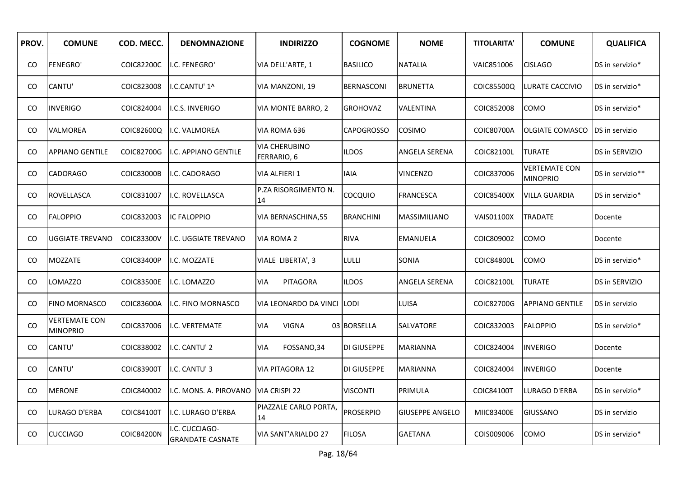| PROV. | <b>COMUNE</b>                           | COD. MECC.        | <b>DENOMNAZIONE</b>               | <b>INDIRIZZO</b>                    | <b>COGNOME</b>    | <b>NOME</b>            | <b>TITOLARITA'</b> | <b>COMUNE</b>                           | <b>QUALIFICA</b> |
|-------|-----------------------------------------|-------------------|-----------------------------------|-------------------------------------|-------------------|------------------------|--------------------|-----------------------------------------|------------------|
| CO.   | <b>FENEGRO'</b>                         | COIC82200C        | <b>I.C. FENEGRO'</b>              | VIA DELL'ARTE, 1                    | <b>BASILICO</b>   | <b>NATALIA</b>         | VAIC851006         | <b>CISLAGO</b>                          | DS in servizio*  |
| CO    | CANTU'                                  | COIC823008        | I.C.CANTU' 1^                     | VIA MANZONI, 19                     | <b>BERNASCONI</b> | <b>BRUNETTA</b>        | COIC85500Q         | LURATE CACCIVIO                         | DS in servizio*  |
| CO.   | <b>INVERIGO</b>                         | COIC824004        | <b>II.C.S. INVERIGO</b>           | <b>VIA MONTE BARRO, 2</b>           | <b>GROHOVAZ</b>   | VALENTINA              | COIC852008         | <b>COMO</b>                             | DS in servizio*  |
| CO.   | <b>VALMOREA</b>                         | COIC82600Q        | <b>I.C. VALMOREA</b>              | VIA ROMA 636                        | <b>CAPOGROSSO</b> | COSIMO                 | COIC80700A         | <b>OLGIATE COMASCO</b>                  | DS in servizio   |
| CO.   | <b>APPIANO GENTILE</b>                  | COIC82700G        | I.C. APPIANO GENTILE              | <b>VIA CHERUBINO</b><br>FERRARIO, 6 | <b>ILDOS</b>      | ANGELA SERENA          | COIC82100L         | <b>TURATE</b>                           | DS in SERVIZIO   |
| CO.   | <b>CADORAGO</b>                         | <b>COIC83000B</b> | I.C. CADORAGO                     | <b>VIA ALFIERI 1</b>                | <b>IAIA</b>       | <b>VINCENZO</b>        | COIC837006         | <b>VERTEMATE CON</b><br><b>MINOPRIO</b> | DS in servizio** |
| CO.   | ROVELLASCA                              | COIC831007        | I.C. ROVELLASCA                   | P.ZA RISORGIMENTO N.<br>14          | <b>COCQUIO</b>    | <b>FRANCESCA</b>       | <b>COIC85400X</b>  | <b>VILLA GUARDIA</b>                    | DS in servizio*  |
| CO.   | <b>FALOPPIO</b>                         | COIC832003        | <b>IC FALOPPIO</b>                | VIA BERNASCHINA,55                  | <b>BRANCHINI</b>  | MASSIMILIANO           | <b>VAIS01100X</b>  | <b>TRADATE</b>                          | Docente          |
| CO.   | UGGIATE-TREVANO                         | COIC83300V        | I.C. UGGIATE TREVANO              | VIA ROMA 2                          | <b>RIVA</b>       | <b>EMANUELA</b>        | COIC809002         | COMO                                    | Docente          |
| CO.   | <b>MOZZATE</b>                          | <b>COIC83400P</b> | I.C. MOZZATE                      | VIALE LIBERTA', 3                   | lulli             | <b>SONIA</b>           | COIC84800L         | COMO                                    | DS in servizio*  |
| CO.   | LOMAZZO                                 | <b>COIC83500E</b> | I.C. LOMAZZO                      | PITAGORA<br><b>VIA</b>              | <b>ILDOS</b>      | ANGELA SERENA          | COIC82100L         | <b>TURATE</b>                           | DS in SERVIZIO   |
| CO.   | <b>FINO MORNASCO</b>                    | COIC83600A        | I.C. FINO MORNASCO                | VIA LEONARDO DA VINCI               | <b>LODI</b>       | LUISA                  | COIC82700G         | <b>APPIANO GENTILE</b>                  | DS in servizio   |
| CO    | <b>VERTEMATE CON</b><br><b>MINOPRIO</b> | COIC837006        | <b>I.C. VERTEMATE</b>             | <b>VIA</b><br><b>VIGNA</b>          | 03 BORSELLA       | SALVATORE              | COIC832003         | <b>FALOPPIO</b>                         | DS in servizio*  |
| CO.   | CANTU'                                  | COIC838002        | I.C. CANTU' 2                     | VIA<br>FOSSANO, 34                  | DI GIUSEPPE       | MARIANNA               | COIC824004         | <b>INVERIGO</b>                         | Docente          |
| CO.   | CANTU'                                  | <b>COIC83900T</b> | I.C. CANTU' 3                     | <b>VIA PITAGORA 12</b>              | DI GIUSEPPE       | <b>MARIANNA</b>        | COIC824004         | <b>INVERIGO</b>                         | Docente          |
| CO    | <b>MERONE</b>                           | COIC840002        | I.C. MONS. A. PIROVANO            | VIA CRISPI 22                       | <b>VISCONTI</b>   | PRIMULA                | <b>COIC84100T</b>  | LURAGO D'ERBA                           | DS in servizio*  |
| CO    | LURAGO D'ERBA                           | <b>COIC84100T</b> | I.C. LURAGO D'ERBA                | PIAZZALE CARLO PORTA,<br>14         | <b>PROSERPIO</b>  | <b>GIUSEPPE ANGELO</b> | MIIC83400E         | <b>GIUSSANO</b>                         | DS in servizio   |
| CO.   | <b>CUCCIAGO</b>                         | <b>COIC84200N</b> | .C. CUCCIAGO-<br>GRANDATE-CASNATE | <b>VIA SANT'ARIALDO 27</b>          | <b>FILOSA</b>     | <b>GAETANA</b>         | COIS009006         | COMO                                    | DS in servizio*  |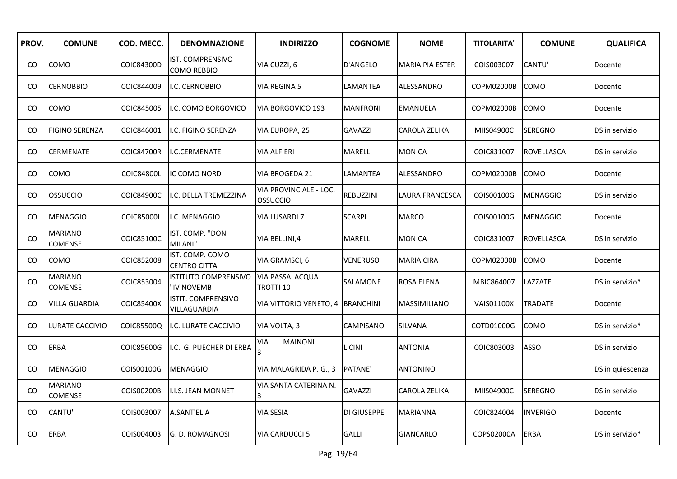| PROV. | <b>COMUNE</b>                    | COD. MECC.        | <b>DENOMNAZIONE</b>                       | <b>INDIRIZZO</b>                    | <b>COGNOME</b>   | <b>NOME</b>            | <b>TITOLARITA'</b> | <b>COMUNE</b>     | <b>QUALIFICA</b> |
|-------|----------------------------------|-------------------|-------------------------------------------|-------------------------------------|------------------|------------------------|--------------------|-------------------|------------------|
| CO    | <b>COMO</b>                      | COIC84300D        | IST. COMPRENSIVO<br>COMO REBBIO           | VIA CUZZI, 6                        | D'ANGELO         | <b>MARIA PIA ESTER</b> | COIS003007         | CANTU'            | Docente          |
| CO.   | <b>CERNOBBIO</b>                 | COIC844009        | I.C. CERNOBBIO                            | VIA REGINA 5                        | LAMANTEA         | ALESSANDRO             | COPM02000B         | <b>COMO</b>       | Docente          |
| CO.   | <b>COMO</b>                      | COIC845005        | I.C. COMO BORGOVICO                       | VIA BORGOVICO 193                   | <b>MANFRONI</b>  | <b>EMANUELA</b>        | COPM02000B         | <b>COMO</b>       | Docente          |
| CO.   | <b>FIGINO SERENZA</b>            | COIC846001        | I.C. FIGINO SERENZA                       | VIA EUROPA, 25                      | GAVAZZI          | CAROLA ZELIKA          | MIIS04900C         | <b>SEREGNO</b>    | DS in servizio   |
| CO    | <b>CERMENATE</b>                 | <b>COIC84700R</b> | II.C.CERMENATE                            | <b>VIA ALFIERI</b>                  | MARELLI          | <b>MONICA</b>          | COIC831007         | <b>ROVELLASCA</b> | DS in servizio   |
| CO.   | <b>COMO</b>                      | COIC84800L        | IC COMO NORD                              | VIA BROGEDA 21                      | LAMANTEA         | ALESSANDRO             | COPM02000B         | <b>COMO</b>       | Docente          |
| CO.   | OSSUCCIO                         | <b>COIC84900C</b> | I.C. DELLA TREMEZZINA                     | VIA PROVINCIALE - LOC.<br>OSSUCCIO  | REBUZZINI        | LAURA FRANCESCA        | COIS00100G         | <b>MENAGGIO</b>   | DS in servizio   |
| CO.   | <b>MENAGGIO</b>                  | COIC85000L        | I.C. MENAGGIO                             | <b>VIA LUSARDI 7</b>                | <b>SCARPI</b>    | <b>MARCO</b>           | COIS00100G         | <b>MENAGGIO</b>   | Docente          |
| CO    | <b>MARIANO</b><br><b>COMENSE</b> | COIC85100C        | IST. COMP. "DON<br>MILANI"                | VIA BELLINI,4                       | MARELLI          | <b>MONICA</b>          | COIC831007         | <b>ROVELLASCA</b> | DS in servizio   |
| CO    | <b>COMO</b>                      | COIC852008        | IST. COMP. COMO<br><b>CENTRO CITTA'</b>   | VIA GRAMSCI, 6                      | VENERUSO         | MARIA CIRA             | COPM02000B         | COMO              | Docente          |
| CO.   | <b>MARIANO</b><br><b>COMENSE</b> | COIC853004        | <b>ISTITUTO COMPRENSIVO</b><br>"IV NOVEMB | <b>VIA PASSALACQUA</b><br>TROTTI 10 | SALAMONE         | ROSA ELENA             | MBIC864007         | LAZZATE           | DS in servizio*  |
| CO.   | <b>VILLA GUARDIA</b>             | COIC85400X        | ISTIT. COMPRENSIVO<br>VILLAGUARDIA        | VIA VITTORIO VENETO, 4              | <b>BRANCHINI</b> | MASSIMILIANO           | <b>VAIS01100X</b>  | <b>TRADATE</b>    | Docente          |
| CO.   | LURATE CACCIVIO                  | COIC85500Q        | I.C. LURATE CACCIVIO                      | VIA VOLTA, 3                        | CAMPISANO        | SILVANA                | COTD01000G         | COMO              | DS in servizio*  |
| CO.   | <b>ERBA</b>                      | COIC85600G        | I.C. G. PUECHER DI ERBA                   | VIA<br><b>MAINONI</b>               | LICINI           | <b>ANTONIA</b>         | COIC803003         | <b>ASSO</b>       | DS in servizio   |
| CO.   | <b>MENAGGIO</b>                  | COIS00100G        | <b>MENAGGIO</b>                           | VIA MALAGRIDA P. G., 3              | PATANE'          | ANTONINO               |                    |                   | DS in quiescenza |
| CO    | <b>MARIANO</b><br><b>COMENSE</b> | COIS00200B        | I.I.S. JEAN MONNET                        | VIA SANTA CATERINA N.               | GAVAZZI          | CAROLA ZELIKA          | MIIS04900C         | <b>SEREGNO</b>    | DS in servizio   |
| CO.   | CANTU'                           | COIS003007        | A.SANT'ELIA                               | VIA SESIA                           | DI GIUSEPPE      | <b>MARIANNA</b>        | COIC824004         | <b>INVERIGO</b>   | Docente          |
| CO    | <b>ERBA</b>                      | COIS004003        | lg. D. ROMAGNOSI                          | <b>VIA CARDUCCI 5</b>               | <b>GALLI</b>     | <b>GIANCARLO</b>       | COPS02000A         | ERBA              | DS in servizio*  |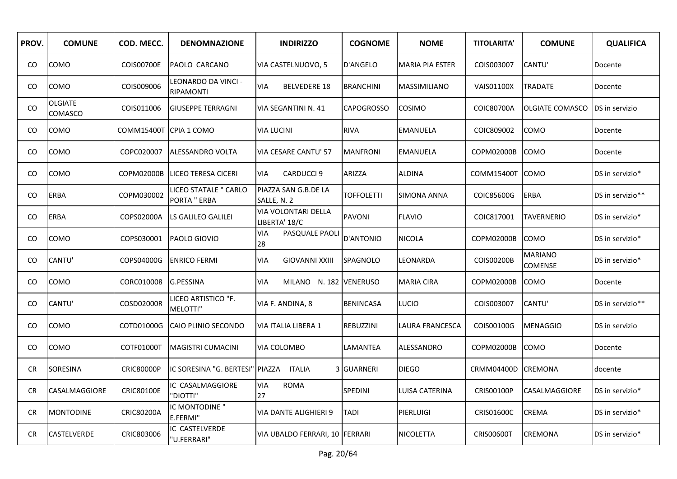| PROV. | <b>COMUNE</b>             | COD. MECC.             | <b>DENOMNAZIONE</b>                          | <b>INDIRIZZO</b>                            | <b>COGNOME</b>    | <b>NOME</b>            | <b>TITOLARITA'</b> | <b>COMUNE</b>             | <b>QUALIFICA</b> |
|-------|---------------------------|------------------------|----------------------------------------------|---------------------------------------------|-------------------|------------------------|--------------------|---------------------------|------------------|
| CO    | <b>COMO</b>               | COIS00700E             | <b>PAOLO CARCANO</b>                         | VIA CASTELNUOVO, 5                          | D'ANGELO          | <b>MARIA PIA ESTER</b> | COIS003007         | CANTU'                    | Docente          |
| CO    | <b>COMO</b>               | COIS009006             | LEONARDO DA VINCI -<br><b>RIPAMONTI</b>      | <b>BELVEDERE 18</b><br><b>VIA</b>           | <b>BRANCHINI</b>  | MASSIMILIANO           | <b>VAIS01100X</b>  | <b>TRADATE</b>            | Docente          |
| CO.   | <b>OLGIATE</b><br>COMASCO | COIS011006             | <b>GIUSEPPE TERRAGNI</b>                     | VIA SEGANTINI N. 41                         | <b>CAPOGROSSO</b> | <b>COSIMO</b>          | COIC80700A         | <b>OLGIATE COMASCO</b>    | DS in servizio   |
| CO    | <b>COMO</b>               | COMM15400T CPIA 1 COMO |                                              | <b>VIA LUCINI</b>                           | <b>RIVA</b>       | <b>EMANUELA</b>        | COIC809002         | COMO                      | Docente          |
| CO    | COMO                      | COPC020007             | <b>ALESSANDRO VOLTA</b>                      | VIA CESARE CANTU' 57                        | <b>MANFRONI</b>   | <b>EMANUELA</b>        | COPM02000B         | <b>COMO</b>               | Docente          |
| CO    | COMO                      | COPM02000B             | <b>LICEO TERESA CICERI</b>                   | <b>CARDUCCI 9</b><br><b>VIA</b>             | <b>ARIZZA</b>     | <b>ALDINA</b>          | <b>COMM15400T</b>  | <b>COMO</b>               | DS in servizio*  |
| CO    | <b>ERBA</b>               | COPM030002             | LICEO STATALE " CARLO<br><b>PORTA " ERBA</b> | PIAZZA SAN G.B.DE LA<br>SALLE, N. 2         | <b>TOFFOLETTI</b> | <b>SIMONA ANNA</b>     | COIC85600G         | <b>ERBA</b>               | DS in servizio** |
| CO    | ERBA                      | COPS02000A             | LS GALILEO GALILEI                           | <b>VIA VOLONTARI DELLA</b><br>LIBERTA' 18/C | <b>PAVONI</b>     | <b>FLAVIO</b>          | COIC817001         | <b>TAVERNERIO</b>         | DS in servizio*  |
| CO.   | COMO                      | COPS030001             | PAOLO GIOVIO                                 | PASQUALE PAOL<br>VIA<br>28                  | D'ANTONIO         | <b>NICOLA</b>          | COPM02000B         | <b>COMO</b>               | DS in servizio*  |
| CO.   | CANTU'                    | COPS04000G             | <b>ENRICO FERMI</b>                          | VIA<br><b>GIOVANNI XXIII</b>                | SPAGNOLO          | LEONARDA               | COIS00200B         | <b>MARIANO</b><br>COMENSE | DS in servizio*  |
| CO.   | <b>COMO</b>               | CORC010008             | G.PESSINA                                    | MILANO N. 182 VENERUSO<br>VIA               |                   | <b>MARIA CIRA</b>      | COPM02000B         | <b>COMO</b>               | Docente          |
| CO.   | CANTU'                    | COSD02000R             | LICEO ARTISTICO "F.<br>MELOTTI"              | VIA F. ANDINA, 8                            | <b>BENINCASA</b>  | <b>LUCIO</b>           | COIS003007         | CANTU'                    | DS in servizio** |
| CO    | <b>COMO</b>               | COTD01000G             | CAIO PLINIO SECONDO                          | VIA ITALIA LIBERA 1                         | REBUZZINI         | LAURA FRANCESCA        | COIS00100G         | <b>MENAGGIO</b>           | DS in servizio   |
| CO.   | <b>COMO</b>               | COTF01000T             | MAGISTRI CUMACINI                            | VIA COLOMBO                                 | LAMANTEA          | ALESSANDRO             | COPM02000B         | <b>COMO</b>               | Docente          |
| CR    | SORESINA                  | <b>CRIC80000P</b>      | IC SORESINA "G. BERTESI" PIAZZA ITALIA       |                                             | 3 GUARNERI        | <b>DIEGO</b>           | CRMM04400D         | <b>CREMONA</b>            | docente          |
| CR.   | <b>CASALMAGGIORE</b>      | <b>CRIC80100E</b>      | IC CASALMAGGIORE<br>"DIOTTI"                 | <b>ROMA</b><br><b>VIA</b><br>27             | SPEDINI           | LUISA CATERINA         | CRIS00100P         | CASALMAGGIORE             | DS in servizio*  |
| CR.   | <b>MONTODINE</b>          | <b>CRIC80200A</b>      | IC MONTODINE "<br>E.FERMI"                   | VIA DANTE ALIGHIERI 9                       | <b>TADI</b>       | <b>PIERLUIGI</b>       | CRIS01600C         | <b>CREMA</b>              | DS in servizio*  |
| CR    | <b>CASTELVERDE</b>        | CRIC803006             | IC CASTELVERDE<br>"U.FERRARI"                | VIA UBALDO FERRARI, 10 FERRARI              |                   | <b>NICOLETTA</b>       | <b>CRISO0600T</b>  | <b>CREMONA</b>            | DS in servizio*  |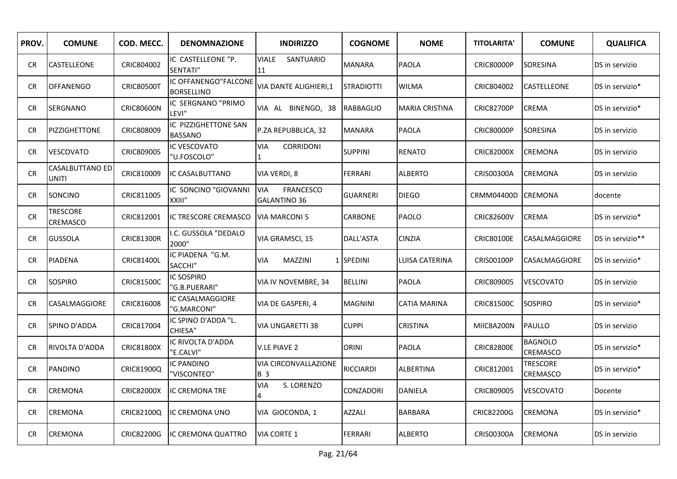| PROV.     | <b>COMUNE</b>                      | COD. MECC.        | <b>DENOMNAZIONE</b>                       | <b>INDIRIZZO</b>                                      | <b>COGNOME</b>    | <b>NOME</b>           | <b>TITOLARITA'</b> | <b>COMUNE</b>               | <b>QUALIFICA</b> |
|-----------|------------------------------------|-------------------|-------------------------------------------|-------------------------------------------------------|-------------------|-----------------------|--------------------|-----------------------------|------------------|
| <b>CR</b> | CASTELLEONE                        | CRIC804002        | IC CASTELLEONE "P.<br>SENTATI"            | <b>VIALE</b><br>SANTUARIO<br>11                       | <b>MANARA</b>     | <b>PAOLA</b>          | <b>CRIC80000P</b>  | SORESINA                    | DS in servizio   |
| <b>CR</b> | <b>OFFANENGO</b>                   | <b>CRIC80500T</b> | IC OFFANENGO"FALCONE<br><b>BORSELLINO</b> | VIA DANTE ALIGHIERI,1                                 | <b>STRADIOTTI</b> | <b>WILMA</b>          | CRIC804002         | CASTELLEONE                 | DS in servizio*  |
| CR.       | <b>SERGNANO</b>                    | <b>CRIC80600N</b> | IC SERGNANO "PRIMO<br>LEVI"               | VIA AL BINENGO, 38                                    | <b>RABBAGLIO</b>  | <b>MARIA CRISTINA</b> | <b>CRIC82700P</b>  | CREMA                       | DS in servizio*  |
| CR        | PIZZIGHETTONE                      | CRIC808009        | IC PIZZIGHETTONE SAN<br><b>BASSANO</b>    | P.ZA REPUBBLICA, 32                                   | <b>MANARA</b>     | <b>PAOLA</b>          | <b>CRIC80000P</b>  | SORESINA                    | DS in servizio   |
| CR.       | <b>VESCOVATO</b>                   | CRIC809005        | IC VESCOVATO<br>"U.FOSCOLO"               | <b>VIA</b><br>CORRIDONI                               | <b>SUPPINI</b>    | RENATO                | <b>CRIC82000X</b>  | <b>CREMONA</b>              | DS in servizio   |
| CR        | CASALBUTTANO ED<br>UNITI           | CRIC810009        | IC CASALBUTTANO                           | VIA VERDI, 8                                          | <b>FERRARI</b>    | <b>ALBERTO</b>        | CRIS00300A         | <b>CREMONA</b>              | DS in servizio   |
| <b>CR</b> | SONCINO                            | CRIC811005        | IC SONCINO "GIOVANNI<br>XXIII"            | <b>FRANCESCO</b><br><b>VIA</b><br><b>GALANTINO 36</b> | <b>GUARNERI</b>   | <b>DIEGO</b>          | <b>CRMM04400D</b>  | <b>CREMONA</b>              | docente          |
| CR.       | <b>TRESCORE</b><br><b>CREMASCO</b> | CRIC812001        | IC TRESCORE CREMASCO                      | <b>VIA MARCONI 5</b>                                  | CARBONE           | PAOLO                 | <b>CRIC82600V</b>  | <b>CREMA</b>                | DS in servizio*  |
| <b>CR</b> | <b>GUSSOLA</b>                     | <b>CRIC81300R</b> | .C. GUSSOLA "DEDALO<br>2000"              | VIA GRAMSCI, 15                                       | DALL'ASTA         | <b>CINZIA</b>         | <b>CRIC80100E</b>  | CASALMAGGIORE               | DS in servizio** |
| <b>CR</b> | <b>PIADENA</b>                     | <b>CRIC81400L</b> | IC PIADENA "G.M.<br>SACCHI"               | MAZZINI<br>VIA                                        | 1 SPEDINI         | LUISA CATERINA        | <b>CRISO0100P</b>  | CASALMAGGIORE               | DS in servizio*  |
| CR.       | <b>SOSPIRO</b>                     | <b>CRIC81500C</b> | IC SOSPIRO<br>'G.B.PUERARI"               | VIA IV NOVEMBRE, 34                                   | <b>BELLINI</b>    | <b>PAOLA</b>          | CRIC809005         | VESCOVATO                   | DS in servizio   |
| CR.       | CASALMAGGIORE                      | CRIC816008        | IC CASALMAGGIORE<br>"G.MARCONI"           | VIA DE GASPERI, 4                                     | <b>MAGNINI</b>    | CATIA MARINA          | <b>CRIC81500C</b>  | <b>SOSPIRO</b>              | DS in servizio*  |
| <b>CR</b> | SPINO D'ADDA                       | CRIC817004        | IC SPINO D'ADDA "L.<br>CHIESA"            | VIA UNGARETTI 38                                      | <b>CUPPI</b>      | <b>CRISTINA</b>       | MIIC8A200N         | <b>PAULLO</b>               | DS in servizio   |
| CR.       | RIVOLTA D'ADDA                     | <b>CRIC81800X</b> | IC RIVOLTA D'ADDA<br>'E.CALVI"            | V.LE PIAVE 2                                          | <b>ORINI</b>      | <b>PAOLA</b>          | <b>CRIC82800E</b>  | <b>BAGNOLO</b><br>CREMASCO  | DS in servizio*  |
| CR.       | <b>PANDINO</b>                     | CRIC81900Q        | IC PANDINO<br>'VISCONTEO"                 | VIA CIRCONVALLAZIONE<br><b>B</b> 3                    | RICCIARDI         | ALBERTINA             | CRIC812001         | <b>TRESCORE</b><br>CREMASCO | DS in servizio*  |
| CR        | CREMONA                            | <b>CRIC82000X</b> | <b>IC CREMONA TRE</b>                     | VIA<br>S. LORENZO                                     | CONZADORI         | <b>DANIELA</b>        | CRIC809005         | VESCOVATO                   | Docente          |
| CR.       | CREMONA                            | CRIC82100Q        | <b>IC CREMONA UNO</b>                     | VIA GIOCONDA, 1                                       | AZZALI            | <b>BARBARA</b>        | <b>CRIC82200G</b>  | CREMONA                     | DS in servizio*  |
| <b>CR</b> | <b>CREMONA</b>                     | <b>CRIC82200G</b> | IC CREMONA QUATTRO                        | <b>VIA CORTE 1</b>                                    | <b>FERRARI</b>    | <b>ALBERTO</b>        | CRIS00300A         | <b>CREMONA</b>              | DS in servizio   |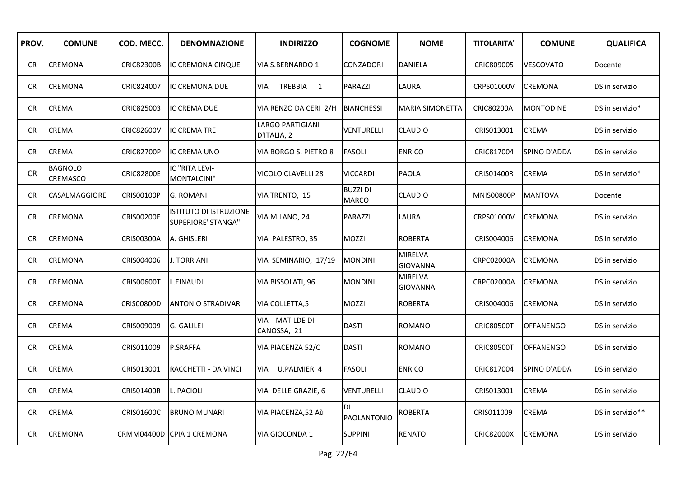| PROV.      | <b>COMUNE</b>              | COD. MECC.        | <b>DENOMNAZIONE</b>                                | <b>INDIRIZZO</b>                       | <b>COGNOME</b>                  | <b>NOME</b>         | <b>TITOLARITA'</b> | <b>COMUNE</b>    | <b>QUALIFICA</b> |
|------------|----------------------------|-------------------|----------------------------------------------------|----------------------------------------|---------------------------------|---------------------|--------------------|------------------|------------------|
| <b>CR</b>  | CREMONA                    | <b>CRIC82300B</b> | IC CREMONA CINQUE                                  | VIA S.BERNARDO 1                       | CONZADORI                       | <b>DANIELA</b>      | CRIC809005         | <b>VESCOVATO</b> | Docente          |
| <b>CR</b>  | CREMONA                    | CRIC824007        | IC CREMONA DUE                                     | TREBBIA 1<br>VIA                       | PARAZZI                         | LAURA               | CRPS01000V         | <b>CREMONA</b>   | DS in servizio   |
| <b>CR</b>  | <b>CREMA</b>               | CRIC825003        | <b>IC CREMA DUE</b>                                | VIA RENZO DA CERI 2/H                  | <b>BIANCHESSI</b>               | MARIA SIMONETTA     | CRIC80200A         | <b>MONTODINE</b> | DS in servizio*  |
| <b>CR</b>  | <b>CREMA</b>               | <b>CRIC82600V</b> | <b>IC CREMA TRE</b>                                | <b>LARGO PARTIGIANI</b><br>D'ITALIA, 2 | VENTURELLI                      | <b>CLAUDIO</b>      | CRIS013001         | <b>CREMA</b>     | DS in servizio   |
| CR.        | <b>CREMA</b>               | <b>CRIC82700P</b> | IC CREMA UNO                                       | VIA BORGO S. PIETRO 8                  | <b>FASOLI</b>                   | <b>ENRICO</b>       | CRIC817004         | SPINO D'ADDA     | DS in servizio   |
| <b>CR</b>  | <b>BAGNOLO</b><br>CREMASCO | <b>CRIC82800E</b> | IC "RITA LEVI-<br>MONTALCINI"                      | <b>VICOLO CLAVELLI 28</b>              | <b>VICCARDI</b>                 | <b>PAOLA</b>        | <b>CRISO1400R</b>  | <b>CREMA</b>     | DS in servizio*  |
| <b>CR</b>  | CASALMAGGIORE              | <b>CRISO0100P</b> | G. ROMANI                                          | VIA TRENTO, 15                         | <b>BUZZI DI</b><br><b>MARCO</b> | <b>CLAUDIO</b>      | <b>MNIS00800P</b>  | <b>MANTOVA</b>   | Docente          |
| CR.        | CREMONA                    | <b>CRISO0200E</b> | <b>ISTITUTO DI ISTRUZIONE</b><br>SUPERIORE"STANGA" | VIA MILANO, 24                         | PARAZZI                         | LAURA               | CRPS01000V         | <b>CREMONA</b>   | DS in servizio   |
| <b>CR</b>  | CREMONA                    | CRIS00300A        | A. GHISLERI                                        | VIA PALESTRO, 35                       | MOZZI                           | <b>ROBERTA</b>      | CRIS004006         | CREMONA          | DS in servizio   |
| <b>CR</b>  | CREMONA                    | CRIS004006        | <b>J. TORRIANI</b>                                 | VIA SEMINARIO, 17/19                   | <b>MONDINI</b>                  | MIRELVA<br>GIOVANNA | CRPC02000A         | <b>CREMONA</b>   | DS in servizio   |
| ${\sf CR}$ | CREMONA                    | <b>CRIS00600T</b> | L.EINAUDI                                          | VIA BISSOLATI, 96                      | <b>MONDINI</b>                  | MIRELVA<br>GIOVANNA | <b>CRPC02000A</b>  | <b>CREMONA</b>   | DS in servizio   |
| <b>CR</b>  | <b>CREMONA</b>             | <b>CRISO0800D</b> | <b>ANTONIO STRADIVARI</b>                          | VIA COLLETTA,5                         | MOZZI                           | <b>ROBERTA</b>      | CRIS004006         | CREMONA          | DS in servizio   |
| <b>CR</b>  | CREMA                      | CRIS009009        | G. GALILEI                                         | VIA MATILDE DI<br>CANOSSA, 21          | <b>DASTI</b>                    | ROMANO              | <b>CRIC80500T</b>  | <b>OFFANENGO</b> | DS in servizio   |
| CR         | CREMA                      | CRIS011009        | <b>P.SRAFFA</b>                                    | VIA PIACENZA 52/C                      | <b>DASTI</b>                    | <b>ROMANO</b>       | <b>CRIC80500T</b>  | <b>OFFANENGO</b> | DS in servizio   |
| <b>CR</b>  | <b>CREMA</b>               | CRIS013001        | RACCHETTI - DA VINCI                               | U.PALMIERI 4<br>VIA                    | <b>FASOLI</b>                   | <b>ENRICO</b>       | CRIC817004         | SPINO D'ADDA     | DS in servizio   |
| ${\sf CR}$ | CREMA                      | <b>CRISO1400R</b> | <b>L. PACIOLI</b>                                  | VIA DELLE GRAZIE, 6                    | VENTURELLI                      | <b>CLAUDIO</b>      | CRIS013001         | CREMA            | DS in servizio   |
| <b>CR</b>  | CREMA                      | CRIS01600C        | <b>BRUNO MUNARI</b>                                | VIA PIACENZA, 52 Aù                    | <b>DI</b><br>PAOLANTONIO        | <b>ROBERTA</b>      | CRIS011009         | <b>CREMA</b>     | DS in servizio** |
| <b>CR</b>  | <b>CREMONA</b>             |                   | CRMM04400D CPIA 1 CREMONA                          | VIA GIOCONDA 1                         | <b>SUPPINI</b>                  | <b>RENATO</b>       | <b>CRIC82000X</b>  | <b>CREMONA</b>   | DS in servizio   |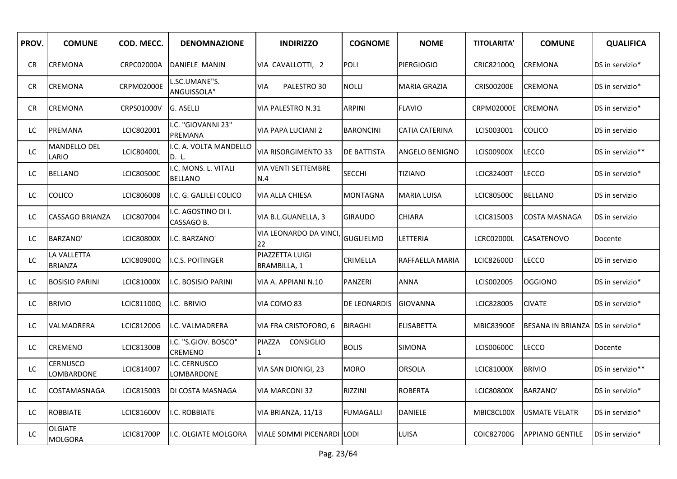| PROV. | <b>COMUNE</b>                    | COD. MECC.        | <b>DENOMNAZIONE</b>                    | <b>INDIRIZZO</b>                       | <b>COGNOME</b>   | <b>NOME</b>           | <b>TITOLARITA'</b> | <b>COMUNE</b>                      | <b>QUALIFICA</b> |
|-------|----------------------------------|-------------------|----------------------------------------|----------------------------------------|------------------|-----------------------|--------------------|------------------------------------|------------------|
| CR.   | CREMONA                          | <b>CRPC02000A</b> | DANIELE MANIN                          | VIA CAVALLOTTI, 2                      | <b>POLI</b>      | <b>PIERGIOGIO</b>     | CRIC82100Q         | <b>CREMONA</b>                     | DS in servizio*  |
| CR.   | <b>CREMONA</b>                   | <b>CRPM02000E</b> | SC.UMANE"S.<br>ANGUISSOLA"             | PALESTRO 30<br>VIA                     | NOLLI            | <b>MARIA GRAZIA</b>   | <b>CRISO0200E</b>  | <b>CREMONA</b>                     | DS in servizio*  |
| CR.   | <b>CREMONA</b>                   | CRPS01000V        | G. ASELLI                              | VIA PALESTRO N.31                      | <b>ARPINI</b>    | <b>FLAVIO</b>         | <b>CRPM02000E</b>  | <b>CREMONA</b>                     | DS in servizio*  |
| LC    | PREMANA                          | LCIC802001        | I.C. "GIOVANNI 23"<br>PREMANA          | VIA PAPA LUCIANI 2                     | <b>BARONCINI</b> | <b>CATIA CATERINA</b> | LCIS003001         | <b>COLICO</b>                      | DS in servizio   |
| LC    | MANDELLO DEL<br>LARIO            | <b>LCIC80400L</b> | I.C. A. VOLTA MANDELLO<br>D. L.        | <b>VIA RISORGIMENTO 33</b>             | DE BATTISTA      | <b>ANGELO BENIGNO</b> | <b>LCIS00900X</b>  | LECCO                              | DS in servizio** |
| LC    | <b>BELLANO</b>                   | <b>LCIC80500C</b> | I.C. MONS. L. VITALI<br><b>BELLANO</b> | <b>VIA VENTI SETTEMBRE</b><br>N.4      | <b>SECCHI</b>    | <b>TIZIANO</b>        | <b>LCIC82400T</b>  | <b>LECCO</b>                       | DS in servizio*  |
| LC    | <b>COLICO</b>                    | LCIC806008        | I.C. G. GALILEI COLICO                 | VIA ALLA CHIESA                        | <b>MONTAGNA</b>  | <b>MARIA LUISA</b>    | <b>LCIC80500C</b>  | <b>BELLANO</b>                     | DS in servizio   |
| LC    | CASSAGO BRIANZA                  | LCIC807004        | I.C. AGOSTINO DI I.<br>CASSAGO B.      | VIA B.L.GUANELLA, 3                    | <b>GIRAUDO</b>   | CHIARA                | LCIC815003         | <b>COSTA MASNAGA</b>               | DS in servizio   |
| LC    | BARZANO'                         | <b>LCIC80800X</b> | I.C. BARZANO'                          | VIA LEONARDO DA VINCI<br>22            | <b>GUGLIELMO</b> | LETTERIA              | LCRC02000L         | <b>CASATENOVO</b>                  | Docente          |
| LC    | LA VALLETTA<br><b>BRIANZA</b>    | LCIC80900Q        | I.C.S. POITINGER                       | PIAZZETTA LUIGI<br><b>BRAMBILLA, 1</b> | CRIMELLA         | RAFFAELLA MARIA       | <b>LCIC82600D</b>  | <b>LECCO</b>                       | DS in servizio   |
| LC    | <b>BOSISIO PARINI</b>            | LCIC81000X        | I.C. BOSISIO PARINI                    | VIA A. APPIANI N.10                    | PANZERI          | ANNA                  | LCIS002005         | <b>OGGIONO</b>                     | DS in servizio*  |
| LC    | <b>BRIVIO</b>                    | LCIC81100Q        | I.C. BRIVIO                            | VIA COMO 83                            | DE LEONARDIS     | <b>GIOVANNA</b>       | LCIC828005         | <b>CIVATE</b>                      | DS in servizio*  |
| LC    | VALMADRERA                       | LCIC81200G        | I.C. VALMADRERA                        | VIA FRA CRISTOFORO, 6                  | <b>BIRAGHI</b>   | <b>ELISABETTA</b>     | <b>MBIC83900E</b>  | BESANA IN BRIANZA IDS in servizio* |                  |
| LC    | <b>CREMENO</b>                   | <b>LCIC81300B</b> | I.C. "S.GIOV. BOSCO"<br>CREMENO        | PIAZZA<br><b>CONSIGLIO</b>             | <b>BOLIS</b>     | <b>SIMONA</b>         | LCIS00600C         | <b>LECCO</b>                       | Docente          |
| LC    | CERNUSCO<br>LOMBARDONE           | LCIC814007        | I.C. CERNUSCO<br>LOMBARDONE            | VIA SAN DIONIGI, 23                    | MORO             | ORSOLA                | <b>LCIC81000X</b>  | <b>BRIVIO</b>                      | DS in servizio** |
| LC    | COSTAMASNAGA                     | LCIC815003        | DI COSTA MASNAGA                       | <b>VIA MARCONI 32</b>                  | <b>RIZZINI</b>   | <b>ROBERTA</b>        | <b>LCIC80800X</b>  | BARZANO'                           | DS in servizio*  |
| LC    | <b>ROBBIATE</b>                  | <b>LCIC81600V</b> | I.C. ROBBIATE                          | VIA BRIANZA, 11/13                     | <b>FUMAGALLI</b> | DANIELE               | MBIC8CL00X         | <b>USMATE VELATR</b>               | DS in servizio*  |
| LC    | <b>OLGIATE</b><br><b>MOLGORA</b> | <b>LCIC81700P</b> | I.C. OLGIATE MOLGORA                   | <b>VIALE SOMMI PICENARDI</b>           | <b>LODI</b>      | <b>LUISA</b>          | COIC82700G         | <b>APPIANO GENTILE</b>             | DS in servizio*  |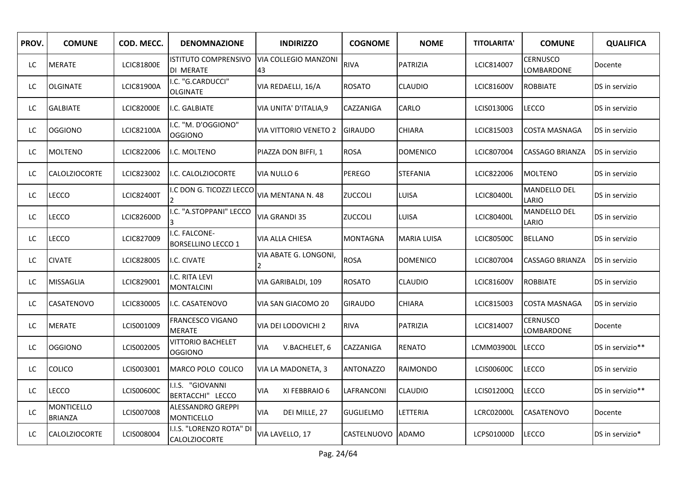| PROV. | <b>COMUNE</b>                       | COD. MECC.        | <b>DENOMNAZIONE</b>                              | <b>INDIRIZZO</b>                  | <b>COGNOME</b>    | <b>NOME</b>        | <b>TITOLARITA'</b> | <b>COMUNE</b>                 | <b>QUALIFICA</b> |
|-------|-------------------------------------|-------------------|--------------------------------------------------|-----------------------------------|-------------------|--------------------|--------------------|-------------------------------|------------------|
| LC.   | <b>MERATE</b>                       | <b>LCIC81800E</b> | ISTITUTO COMPRENSIVO<br>DI MERATE                | <b>VIA COLLEGIO MANZONI</b><br>43 | <b>RIVA</b>       | <b>PATRIZIA</b>    | LCIC814007         | <b>CERNUSCO</b><br>LOMBARDONE | Docente          |
| LC.   | <b>OLGINATE</b>                     | <b>LCIC81900A</b> | I.C. "G.CARDUCCI"<br><b>OLGINATE</b>             | VIA REDAELLI, 16/A                | <b>ROSATO</b>     | <b>CLAUDIO</b>     | <b>LCIC81600V</b>  | <b>ROBBIATE</b>               | DS in servizio   |
| LC    | <b>GALBIATE</b>                     | <b>LCIC82000E</b> | I.C. GALBIATE                                    | VIA UNITA' D'ITALIA,9             | CAZZANIGA         | CARLO              | LCIS01300G         | LECCO                         | DS in servizio   |
| LC    | <b>OGGIONO</b>                      | <b>LCIC82100A</b> | I.C. "M. D'OGGIONO"<br><b>OGGIONO</b>            | <b>VIA VITTORIO VENETO 2</b>      | <b>GIRAUDO</b>    | CHIARA             | LCIC815003         | COSTA MASNAGA                 | DS in servizio   |
| LC    | <b>MOLTENO</b>                      | LCIC822006        | I.C. MOLTENO                                     | PIAZZA DON BIFFI, 1               | <b>ROSA</b>       | <b>DOMENICO</b>    | LCIC807004         | CASSAGO BRIANZA               | DS in servizio   |
| LC    | <b>CALOLZIOCORTE</b>                | LCIC823002        | I.C. CALOLZIOCORTE                               | <b>VIA NULLO 6</b>                | <b>PEREGO</b>     | <b>STEFANIA</b>    | LCIC822006         | <b>MOLTENO</b>                | DS in servizio   |
| LC    | <b>LECCO</b>                        | <b>LCIC82400T</b> | .C DON G. TICOZZI LECCO                          | VIA MENTANA N. 48                 | ZUCCOLI           | LUISA              | <b>LCIC80400L</b>  | <b>MANDELLO DEL</b><br>LARIO  | DS in servizio   |
| LC    | LECCO                               | <b>LCIC82600D</b> | .C. "A.STOPPANI" LECCO                           | <b>VIA GRANDI 35</b>              | ZUCCOLI           | LUISA              | <b>LCIC80400L</b>  | MANDELLO DEL<br>LARIO         | DS in servizio   |
| LC    | <b>LECCO</b>                        | LCIC827009        | I.C. FALCONE-<br><b>BORSELLINO LECCO 1</b>       | VIA ALLA CHIESA                   | <b>MONTAGNA</b>   | <b>MARIA LUISA</b> | <b>LCIC80500C</b>  | <b>BELLANO</b>                | DS in servizio   |
| LC    | <b>CIVATE</b>                       | LCIC828005        | I.C. CIVATE                                      | VIA ABATE G. LONGONI,<br>2        | <b>ROSA</b>       | <b>DOMENICO</b>    | LCIC807004         | <b>CASSAGO BRIANZA</b>        | DS in servizio   |
| LC    | <b>MISSAGLIA</b>                    | LCIC829001        | I.C. RITA LEVI<br><b>MONTALCINI</b>              | VIA GARIBALDI, 109                | <b>ROSATO</b>     | <b>CLAUDIO</b>     | <b>LCIC81600V</b>  | <b>ROBBIATE</b>               | DS in servizio   |
| LC.   | <b>CASATENOVO</b>                   | LCIC830005        | I.C. CASATENOVO                                  | VIA SAN GIACOMO 20                | <b>GIRAUDO</b>    | CHIARA             | LCIC815003         | COSTA MASNAGA                 | DS in servizio   |
| LC    | <b>MERATE</b>                       | LCIS001009        | FRANCESCO VIGANO<br><b>MERATE</b>                | VIA DEI LODOVICHI 2               | <b>RIVA</b>       | PATRIZIA           | LCIC814007         | CERNUSCO<br>LOMBARDONE        | Docente          |
| LC    | <b>OGGIONO</b>                      | LCIS002005        | <b>VITTORIO BACHELET</b><br><b>OGGIONO</b>       | <b>VIA</b><br>V.BACHELET, 6       | CAZZANIGA         | <b>RENATO</b>      | LCMM03900L         | <b>LECCO</b>                  | DS in servizio** |
| LC.   | <b>COLICO</b>                       | LCIS003001        | MARCO POLO COLICO                                | VIA LA MADONETA, 3                | <b>ANTONAZZO</b>  | RAIMONDO           | LCIS00600C         | LECCO                         | DS in servizio   |
| LC    | LECCO                               | LCIS00600C        | I.I.S. "GIOVANNI<br>BERTACCHI" LECCO             | <b>VIA</b><br>XI FEBBRAIO 6       | LAFRANCONI        | <b>CLAUDIO</b>     | LCIS01200Q         | <b>LECCO</b>                  | DS in servizio** |
| LC    | <b>MONTICELLO</b><br><b>BRIANZA</b> | LCIS007008        | ALESSANDRO GREPPI<br>MONTICELLO                  | DEI MILLE, 27<br><b>VIA</b>       | <b>GUGLIELMO</b>  | LETTERIA           | LCRC02000L         | CASATENOVO                    | Docente          |
| LC.   | <b>CALOLZIOCORTE</b>                | LCIS008004        | I.I.S. "LORENZO ROTA" DI<br><b>CALOLZIOCORTE</b> | VIA LAVELLO, 17                   | CASTELNUOVO ADAMO |                    | LCPS01000D         | LECCO                         | DS in servizio*  |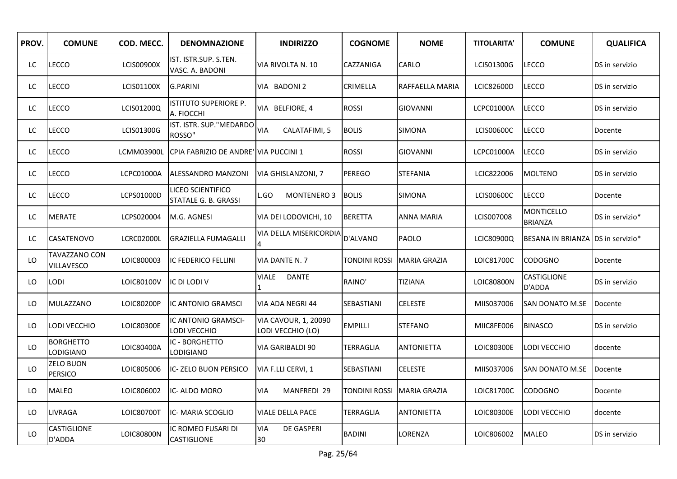| PROV. | <b>COMUNE</b>                      | COD. MECC.        | <b>DENOMNAZIONE</b>                       | <b>INDIRIZZO</b>                                 | <b>COGNOME</b>       | <b>NOME</b>         | <b>TITOLARITA'</b> | <b>COMUNE</b>                       | <b>QUALIFICA</b> |
|-------|------------------------------------|-------------------|-------------------------------------------|--------------------------------------------------|----------------------|---------------------|--------------------|-------------------------------------|------------------|
| LC    | <b>LECCO</b>                       | <b>LCIS00900X</b> | IST. ISTR.SUP. S.TEN.<br>VASC. A. BADONI  | VIA RIVOLTA N. 10                                | CAZZANIGA            | CARLO               | LCIS01300G         | <b>LECCO</b>                        | DS in servizio   |
| LC    | LECCO                              | LCIS01100X        | <b>G.PARINI</b>                           | VIA BADONI 2                                     | CRIMELLA             | RAFFAELLA MARIA     | LCIC82600D         | <b>LECCO</b>                        | DS in servizio   |
| LC    | <b>LECCO</b>                       | LCIS01200Q        | ISTITUTO SUPERIORE P.<br>A. FIOCCHI       | VIA BELFIORE, 4                                  | <b>ROSSI</b>         | <b>GIOVANNI</b>     | <b>LCPC01000A</b>  | <b>LECCO</b>                        | DS in servizio   |
| LC    | LECCO                              | LCIS01300G        | IST. ISTR. SUP."MEDARDO<br>ROSSO"         | CALATAFIMI, 5<br><b>VIA</b>                      | <b>BOLIS</b>         | <b>SIMONA</b>       | LCIS00600C         | <b>LECCO</b>                        | Docente          |
| LC.   | LECCO                              | LCMM03900L        | CPIA FABRIZIO DE ANDRE' VIA PUCCINI 1     |                                                  | <b>ROSSI</b>         | <b>GIOVANNI</b>     | LCPC01000A         | LECCO                               | DS in servizio   |
| LC    | LECCO                              | LCPC01000A        | <b>ALESSANDRO MANZONI</b>                 | <b>VIA GHISLANZONI, 7</b>                        | <b>PEREGO</b>        | <b>STEFANIA</b>     | LCIC822006         | <b>MOLTENO</b>                      | DS in servizio   |
| LC    | LECCO                              | LCPS01000D        | LICEO SCIENTIFICO<br>STATALE G. B. GRASSI | <b>MONTENERO 3</b><br>GO.                        | <b>BOLIS</b>         | <b>SIMONA</b>       | LCIS00600C         | LECCO                               | Docente          |
| LC    | <b>MERATE</b>                      | LCPS020004        | M.G. AGNESI                               | VIA DEI LODOVICHI, 10                            | <b>BERETTA</b>       | ANNA MARIA          | LCIS007008         | <b>MONTICELLO</b><br><b>BRIANZA</b> | DS in servizio*  |
| LC    | <b>CASATENOVO</b>                  | LCRC02000L        | <b>GRAZIELLA FUMAGALLI</b>                | VIA DELLA MISERICORDIA                           | D'ALVANO             | PAOLO               | LCIC80900Q         | BESANA IN BRIANZA DS in servizio*   |                  |
| LO    | TAVAZZANO CON<br>VILLAVESCO        | LOIC800003        | IC FEDERICO FELLINI                       | VIA DANTE N. 7                                   | TONDINI ROSSI        | <b>MARIA GRAZIA</b> | LOIC81700C         | <b>CODOGNO</b>                      | Docente          |
| LO    | <b>LODI</b>                        | LOIC80100V        | IC DI LODI V                              | <b>VIALE</b><br>DANTE                            | RAINO'               | TIZIANA             | LOIC80800N         | CASTIGLIONE<br>D'ADDA               | DS in servizio   |
| LO    | MULAZZANO                          | LOIC80200P        | IC ANTONIO GRAMSCI                        | VIA ADA NEGRI 44                                 | SEBASTIANI           | CELESTE             | MIIS037006         | SAN DONATO M.SE                     | Docente          |
| LO.   | LODI VECCHIO                       | LOIC80300E        | IC ANTONIO GRAMSCI-<br>LODI VECCHIO       | <b>VIA CAVOUR, 1, 20090</b><br>LODI VECCHIO (LO) | <b>EMPILLI</b>       | <b>STEFANO</b>      | MIIC8FE006         | <b>BINASCO</b>                      | DS in servizio   |
| LO    | <b>BORGHETTO</b><br>LODIGIANO      | LOIC80400A        | IC - BORGHETTO<br>LODIGIANO               | VIA GARIBALDI 90                                 | TERRAGLIA            | <b>ANTONIETTA</b>   | LOIC80300E         | LODI VECCHIO                        | docente          |
| LO    | <b>ZELO BUON</b><br><b>PERSICO</b> | LOIC805006        | IC-ZELO BUON PERSICO                      | VIA F.LLI CERVI, 1                               | SEBASTIANI           | <b>CELESTE</b>      | MIIS037006         | SAN DONATO M.SE                     | Docente          |
| LO    | <b>MALEO</b>                       | LOIC806002        | IC-ALDO MORO                              | <b>VIA</b><br><b>MANFREDI 29</b>                 | <b>TONDINI ROSSI</b> | <b>MARIA GRAZIA</b> | LOIC81700C         | <b>CODOGNO</b>                      | Docente          |
| LO    | <b>LIVRAGA</b>                     | LOIC80700T        | IC-MARIA SCOGLIO                          | VIALE DELLA PACE                                 | TERRAGLIA            | <b>ANTONIETTA</b>   | LOIC80300E         | LODI VECCHIO                        | docente          |
| LO.   | CASTIGLIONE<br>D'ADDA              | LOIC80800N        | IC ROMEO FUSARI DI<br><b>CASTIGLIONE</b>  | <b>VIA</b><br><b>DE GASPERI</b><br>30            | <b>BADINI</b>        | LORENZA             | LOIC806002         | <b>MALEO</b>                        | DS in servizio   |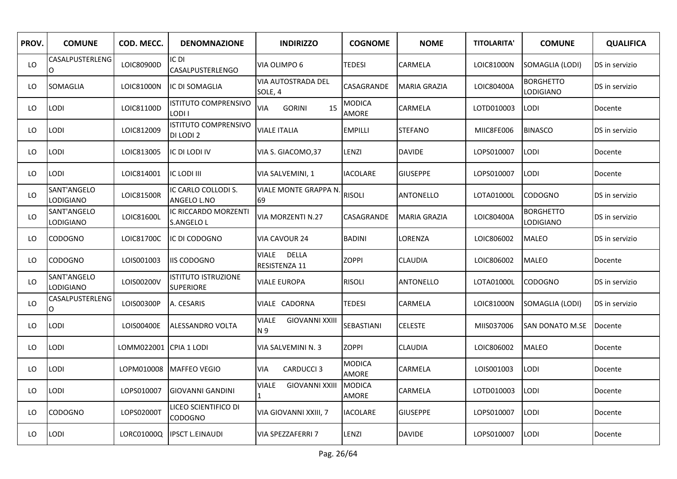| PROV. | <b>COMUNE</b>            | COD. MECC.             | <b>DENOMNAZIONE</b>                            | <b>INDIRIZZO</b>                             | <b>COGNOME</b>                | <b>NOME</b>         | <b>TITOLARITA'</b> | <b>COMUNE</b>                 | <b>QUALIFICA</b> |
|-------|--------------------------|------------------------|------------------------------------------------|----------------------------------------------|-------------------------------|---------------------|--------------------|-------------------------------|------------------|
| LO    | CASALPUSTERLENG<br>O     | LOIC80900D             | IC DI<br>CASALPUSTERLENGO                      | VIA OLIMPO 6                                 | <b>TEDESI</b>                 | CARMELA             | LOIC81000N         | SOMAGLIA (LODI)               | DS in servizio   |
| LO    | SOMAGLIA                 | LOIC81000N             | IC DI SOMAGLIA                                 | VIA AUTOSTRADA DEL<br>SOLE, 4                | CASAGRANDE                    | <b>MARIA GRAZIA</b> | LOIC80400A         | <b>BORGHETTO</b><br>LODIGIANO | DS in servizio   |
| LO    | LODI                     | LOIC81100D             | <b>ISTITUTO COMPRENSIVO</b><br>LODI I          | <b>VIA</b><br><b>GORINI</b><br>15            | <b>MODICA</b><br>AMORE        | CARMELA             | LOTD010003         | LODI                          | Docente          |
| LO    | LODI                     | LOIC812009             | <b>ISTITUTO COMPRENSIVO</b><br>DI LODI 2       | <b>VIALE ITALIA</b>                          | <b>EMPILLI</b>                | <b>STEFANO</b>      | MIIC8FE006         | <b>BINASCO</b>                | DS in servizio   |
| LO    | LODI                     | LOIC813005             | IC DI LODI IV                                  | VIA S. GIACOMO, 37                           | LENZI                         | <b>DAVIDE</b>       | LOPS010007         | LODI                          | Docente          |
| LO    | LODI                     | LOIC814001             | IC LODI III                                    | VIA SALVEMINI, 1                             | <b>IACOLARE</b>               | <b>GIUSEPPE</b>     | LOPS010007         | <b>LODI</b>                   | Docente          |
| LO    | SANT'ANGELO<br>LODIGIANO | LOIC81500R             | IC CARLO COLLODI S.<br>ANGELO L.NO             | VIALE MONTE GRAPPA N<br>69                   | <b>RISOLI</b>                 | <b>ANTONELLO</b>    | LOTA01000L         | <b>CODOGNO</b>                | DS in servizio   |
| LO    | SANT'ANGELO<br>LODIGIANO | LOIC81600L             | IC RICCARDO MORZENTI<br><b>S.ANGELO L</b>      | VIA MORZENTI N.27                            | CASAGRANDE                    | <b>MARIA GRAZIA</b> | LOIC80400A         | <b>BORGHETTO</b><br>LODIGIANO | DS in servizio   |
| LO    | <b>CODOGNO</b>           | LOIC81700C             | IC DI CODOGNO                                  | <b>VIA CAVOUR 24</b>                         | <b>BADINI</b>                 | LORENZA             | LOIC806002         | <b>MALEO</b>                  | DS in servizio   |
| LO    | CODOGNO                  | LOIS001003             | <b>IIS CODOGNO</b>                             | VIALE<br><b>DELLA</b><br>RESISTENZA 11       | ZOPPI                         | <b>CLAUDIA</b>      | LOIC806002         | <b>MALEO</b>                  | Docente          |
| LO    | SANT'ANGELO<br>LODIGIANO | LOIS00200V             | <b>ISTITUTO ISTRUZIONE</b><br><b>SUPERIORE</b> | VIALE EUROPA                                 | <b>RISOLI</b>                 | ANTONELLO           | LOTA01000L         | <b>CODOGNO</b>                | DS in servizio   |
| LO    | CASALPUSTERLENG<br>O     | LOIS00300P             | A. CESARIS                                     | VIALE CADORNA                                | <b>TEDESI</b>                 | CARMELA             | LOIC81000N         | SOMAGLIA (LODI)               | DS in servizio   |
| LO    | LODI                     | LOIS00400E             | ALESSANDRO VOLTA                               | <b>VIALE</b><br><b>GIOVANNI XXIII</b><br>N 9 | SEBASTIANI                    | <b>CELESTE</b>      | MIIS037006         | SAN DONATO M.SE               | Docente          |
| LO    | LODI                     | LOMM022001 CPIA 1 LODI |                                                | VIA SALVEMINI N. 3                           | <b>ZOPPI</b>                  | <b>CLAUDIA</b>      | LOIC806002         | <b>MALEO</b>                  | Docente          |
| LO.   | <b>LODI</b>              | LOPM010008             | <b>MAFFEO VEGIO</b>                            | VIA<br><b>CARDUCCI3</b>                      | <b>MODICA</b><br><b>AMORE</b> | CARMELA             | LOIS001003         | LODI                          | Docente          |
| LO    | LODI                     | LOPS010007             | <b>GIOVANNI GANDINI</b>                        | <b>GIOVANNI XXIII</b><br><b>VIALE</b>        | <b>MODICA</b><br>AMORE        | CARMELA             | LOTD010003         | LODI                          | Docente          |
| LO    | <b>CODOGNO</b>           | LOPS02000T             | liceo scientifico di<br>CODOGNO                | VIA GIOVANNI XXIII, 7                        | <b>IACOLARE</b>               | <b>GIUSEPPE</b>     | LOPS010007         | LODI                          | Docente          |
| LO    | LODI                     | LORC01000Q             | <b>IIPSCT L.EINAUDI</b>                        | <b>VIA SPEZZAFERRI 7</b>                     | LENZI                         | <b>DAVIDE</b>       | LOPS010007         | <b>LODI</b>                   | Docente          |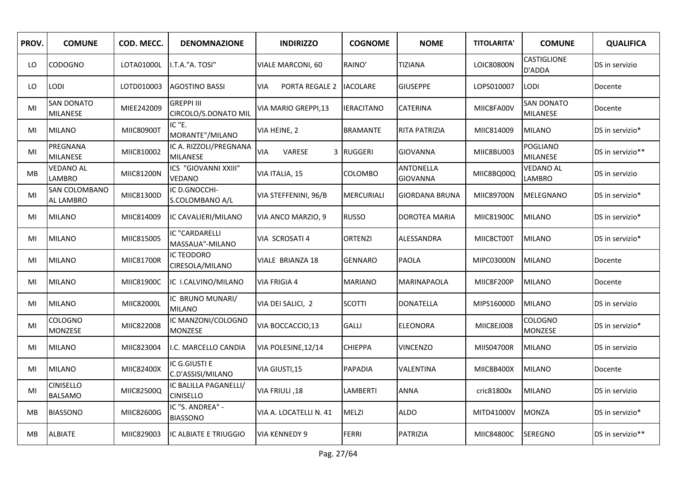| PROV.     | <b>COMUNE</b>                        | COD. MECC.        | <b>DENOMNAZIONE</b>                       | <b>INDIRIZZO</b>       | <b>COGNOME</b>    | <b>NOME</b>                         | <b>TITOLARITA'</b> | <b>COMUNE</b>                        | <b>QUALIFICA</b> |
|-----------|--------------------------------------|-------------------|-------------------------------------------|------------------------|-------------------|-------------------------------------|--------------------|--------------------------------------|------------------|
| LO.       | <b>CODOGNO</b>                       | LOTA01000L        | I.T.A."A. TOSI"                           | VIALE MARCONI, 60      | RAINO'            | <b>TIZIANA</b>                      | LOIC80800N         | <b>CASTIGLIONE</b><br>D'ADDA         | DS in servizio   |
| LO        | <b>LODI</b>                          | LOTD010003        | <b>AGOSTINO BASSI</b>                     | PORTA REGALE 2<br>VIA  | <b>IACOLARE</b>   | <b>GIUSEPPE</b>                     | LOPS010007         | <b>LODI</b>                          | Docente          |
| MI        | <b>SAN DONATO</b><br><b>MILANESE</b> | MIEE242009        | <b>GREPPI III</b><br>CIRCOLO/S.DONATO MIL | VIA MARIO GREPPI,13    | <b>IERACITANO</b> | <b>CATERINA</b>                     | MIIC8FA00V         | <b>SAN DONATO</b><br><b>MILANESE</b> | Docente          |
| MI        | MILANO                               | MIIC80900T        | IC "E.<br>MORANTE"/MILANO                 | VIA HEINE, 2           | <b>BRAMANTE</b>   | <b>RITA PATRIZIA</b>                | MIIC814009         | <b>MILANO</b>                        | DS in servizio*  |
| MI        | PREGNANA<br><b>MILANESE</b>          | MIIC810002        | IC A. RIZZOLI/PREGNANA<br><b>MILANESE</b> | <b>VIA</b><br>VARESE   | 3 RUGGERI         | <b>GIOVANNA</b>                     | MIIC8BU003         | <b>POGLIANO</b><br><b>MILANESE</b>   | DS in servizio** |
| <b>MB</b> | <b>VEDANO AL</b><br><b>LAMBRO</b>    | MIIC81200N        | ICS "GIOVANNI XXIII"<br><b>VEDANO</b>     | VIA ITALIA, 15         | COLOMBO           | <b>ANTONELLA</b><br><b>GIOVANNA</b> | MIIC8BQ00Q         | <b>VEDANO AL</b><br><b>LAMBRO</b>    | DS in servizio   |
| MI        | SAN COLOMBANO<br><b>AL LAMBRO</b>    | MIIC81300D        | IC D.GNOCCHI-<br>S.COLOMBANO A/L          | VIA STEFFENINI, 96/B   | <b>MERCURIALI</b> | <b>GIORDANA BRUNA</b>               | MIIC89700N         | <b>MELEGNANO</b>                     | DS in servizio*  |
| MI        | <b>MILANO</b>                        | MIIC814009        | IC CAVALIERI/MILANO                       | VIA ANCO MARZIO, 9     | <b>RUSSO</b>      | DOROTEA MARIA                       | MIIC81900C         | <b>MILANO</b>                        | DS in servizio*  |
| MI        | <b>MILANO</b>                        | MIIC815005        | IC "CARDARELLI<br>MASSAUA"-MILANO         | VIA SCROSATI 4         | <b>ORTENZI</b>    | ALESSANDRA                          | MIIC8CT00T         | <b>MILANO</b>                        | DS in servizio*  |
| MI        | <b>MILANO</b>                        | <b>MIIC81700R</b> | <b>IC TEODORO</b><br>CIRESOLA/MILANO      | VIALE BRIANZA 18       | <b>GENNARO</b>    | <b>PAOLA</b>                        | MIPC03000N         | <b>MILANO</b>                        | Docente          |
| MI        | <b>MILANO</b>                        | MIIC81900C        | IC I.CALVINO/MILANO                       | <b>VIA FRIGIA 4</b>    | <b>MARIANO</b>    | MARINAPAOLA                         | MIIC8F200P         | <b>MILANO</b>                        | Docente          |
| MI        | <b>MILANO</b>                        | MIIC82000L        | IC BRUNO MUNARI/<br><b>MILANO</b>         | VIA DEI SALICI, 2      | <b>SCOTTI</b>     | DONATELLA                           | MIPS16000D         | <b>MILANO</b>                        | DS in servizio   |
| MI        | COLOGNO<br><b>MONZESE</b>            | MIIC822008        | IC MANZONI/COLOGNO<br><b>MONZESE</b>      | VIA BOCCACCIO,13       | <b>GALLI</b>      | <b>ELEONORA</b>                     | MIIC8EJ008         | COLOGNO<br><b>MONZESE</b>            | DS in servizio*  |
| MI        | <b>MILANO</b>                        | MIIC823004        | I.C. MARCELLO CANDIA                      | VIA POLESINE, 12/14    | <b>CHIEPPA</b>    | VINCENZO                            | MIIS04700R         | <b>MILANO</b>                        | DS in servizio   |
| MI        | MILANO                               | MIIC82400X        | IC G.GIUSTI E<br>C.D'ASSISI/MILANO        | VIA GIUSTI,15          | <b>PAPADIA</b>    | VALENTINA                           | MIIC8B400X         | <b>MILANO</b>                        | Docente          |
| MI        | <b>CINISELLO</b><br><b>BALSAMO</b>   | MIIC82500Q        | IC BALILLA PAGANELLI/<br><b>CINISELLO</b> | VIA FRIULI, 18         | LAMBERTI          | ANNA                                | cric81800x         | <b>MILANO</b>                        | DS in servizio   |
| <b>MB</b> | <b>BIASSONO</b>                      | MIIC82600G        | IC "S. ANDREA" -<br><b>BIASSONO</b>       | VIA A. LOCATELLI N. 41 | MELZI             | <b>ALDO</b>                         | MITD41000V         | <b>MONZA</b>                         | DS in servizio*  |
| MB        | <b>ALBIATE</b>                       | MIIC829003        | IC ALBIATE E TRIUGGIO                     | <b>VIA KENNEDY 9</b>   | <b>FERRI</b>      | PATRIZIA                            | MIIC84800C         | <b>SEREGNO</b>                       | DS in servizio** |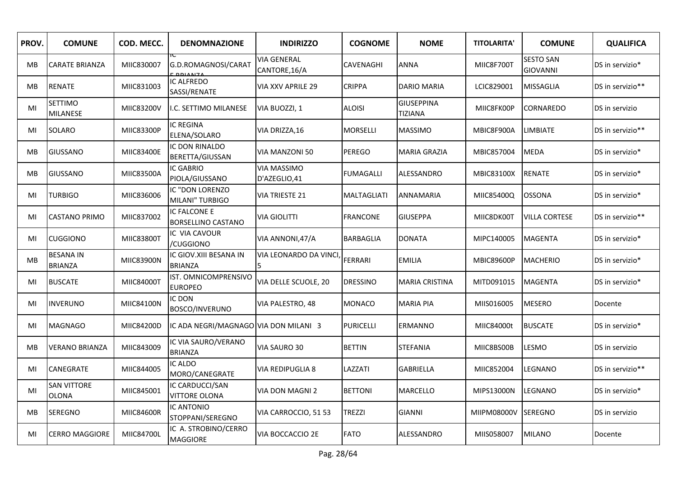| PROV.     | <b>COMUNE</b>                      | COD. MECC. | <b>DENOMNAZIONE</b>                       | <b>INDIRIZZO</b>                    | <b>COGNOME</b>   | <b>NOME</b>                         | <b>TITOLARITA'</b> | <b>COMUNE</b>                       | <b>QUALIFICA</b> |
|-----------|------------------------------------|------------|-------------------------------------------|-------------------------------------|------------------|-------------------------------------|--------------------|-------------------------------------|------------------|
| <b>MB</b> | <b>CARATE BRIANZA</b>              | MIIC830007 | G.D.ROMAGNOSI/CARAT<br>:DDIANZA           | <b>VIA GENERAL</b><br>CANTORE, 16/A | CAVENAGHI        | <b>ANNA</b>                         | MIIC8F700T         | <b>SESTO SAN</b><br><b>GIOVANNI</b> | DS in servizio*  |
| MB        | <b>RENATE</b>                      | MIIC831003 | IC ALFREDO<br>SASSI/RENATE                | VIA XXV APRILE 29                   | <b>CRIPPA</b>    | <b>DARIO MARIA</b>                  | LCIC829001         | <b>MISSAGLIA</b>                    | DS in servizio** |
| MI        | <b>SETTIMO</b><br><b>MILANESE</b>  | MIIC83200V | I.C. SETTIMO MILANESE                     | VIA BUOZZI, 1                       | <b>ALOISI</b>    | <b>GIUSEPPINA</b><br><b>TIZIANA</b> | MIIC8FK00P         | CORNAREDO                           | DS in servizio   |
| MI        | SOLARO                             | MIIC83300P | <b>IC REGINA</b><br>ELENA/SOLARO          | VIA DRIZZA, 16                      | MORSELLI         | <b>MASSIMO</b>                      | MBIC8F900A         | <b>LIMBIATE</b>                     | DS in servizio** |
| MВ        | <b>GIUSSANO</b>                    | MIIC83400E | IC DON RINALDO<br>BERETTA/GIUSSAN         | VIA MANZONI 50                      | PEREGO           | MARIA GRAZIA                        | MBIC857004         | <b>MEDA</b>                         | DS in servizio*  |
| MB        | <b>GIUSSANO</b>                    | MIIC83500A | <b>IC GABRIO</b><br>PIOLA/GIUSSANO        | <b>VIA MASSIMO</b><br>D'AZEGLIO,41  | <b>FUMAGALLI</b> | ALESSANDRO                          | <b>MBIC83100X</b>  | <b>RENATE</b>                       | DS in servizio*  |
| MI        | <b>TURBIGO</b>                     | MIIC836006 | IC "DON LORENZO<br>MILANI" TURBIGO        | VIA TRIESTE 21                      | MALTAGLIATI      | ANNAMARIA                           | MIIC85400Q         | <b>OSSONA</b>                       | DS in servizio*  |
| MI        | <b>CASTANO PRIMO</b>               | MIIC837002 | IC FALCONE E<br><b>BORSELLINO CASTANO</b> | <b>VIA GIOLITTI</b>                 | <b>FRANCONE</b>  | <b>GIUSEPPA</b>                     | MIIC8DK00T         | <b>VILLA CORTESE</b>                | DS in servizio** |
| MI        | <b>CUGGIONO</b>                    | MIIC83800T | IC VIA CAVOUR<br>/CUGGIONO                | VIA ANNONI, 47/A                    | <b>BARBAGLIA</b> | <b>DONATA</b>                       | MIPC140005         | <b>MAGENTA</b>                      | DS in servizio*  |
| MB        | <b>BESANA IN</b><br><b>BRIANZA</b> | MIIC83900N | IC GIOV. XIII BESANA IN<br><b>BRIANZA</b> | VIA LEONARDO DA VINCI<br>5.         | <b>FERRARI</b>   | <b>EMILIA</b>                       | <b>MBIC89600P</b>  | <b>MACHERIO</b>                     | DS in servizio*  |
| MI        | <b>BUSCATE</b>                     | MIIC84000T | IST. OMNICOMPRENSIVO<br><b>EUROPEO</b>    | VIA DELLE SCUOLE, 20                | <b>DRESSINO</b>  | <b>MARIA CRISTINA</b>               | MITD091015         | <b>MAGENTA</b>                      | DS in servizio*  |
| MI        | <b>INVERUNO</b>                    | MIIC84100N | IC DON<br><b>BOSCO/INVERUNO</b>           | VIA PALESTRO, 48                    | <b>MONACO</b>    | MARIA PIA                           | MIIS016005         | <b>MESERO</b>                       | Docente          |
| MI        | <b>MAGNAGO</b>                     | MIIC84200D | IC ADA NEGRI/MAGNAGO VIA DON MILANI 3     |                                     | <b>PURICELLI</b> | ERMANNO                             | MIIC84000t         | <b>BUSCATE</b>                      | DS in servizio*  |
| MВ        | <b>VERANO BRIANZA</b>              | MIIC843009 | IC VIA SAURO/VERANO<br><b>BRIANZA</b>     | VIA SAURO 30                        | <b>BETTIN</b>    | <b>STEFANIA</b>                     | MIIC8BS00B         | LESMO                               | DS in servizio   |
| MI        | CANEGRATE                          | MIIC844005 | IC ALDO<br>MORO/CANEGRATE                 | VIA REDIPUGLIA 8                    | LAZZATI          | GABRIELLA                           | MIIC852004         | LEGNANO                             | DS in servizio** |
| MI        | <b>SAN VITTORE</b><br><b>OLONA</b> | MIIC845001 | IC CARDUCCI/SAN<br><b>VITTORE OLONA</b>   | VIA DON MAGNI 2                     | <b>BETTONI</b>   | MARCELLO                            | MIPS13000N         | LEGNANO                             | DS in servizio*  |
| MВ        | <b>SEREGNO</b>                     | MIIC84600R | IC ANTONIO<br>STOPPANI/SEREGNO            | VIA CARROCCIO, 51 53                | <b>TREZZI</b>    | <b>GIANNI</b>                       | MIIPM08000V        | <b>SEREGNO</b>                      | DS in servizio   |
| MI        | <b>CERRO MAGGIORE</b>              | MIIC84700L | IC A. STROBINO/CERRO<br><b>MAGGIORE</b>   | VIA BOCCACCIO 2E                    | <b>FATO</b>      | <b>ALESSANDRO</b>                   | MIIS058007         | <b>MILANO</b>                       | Docente          |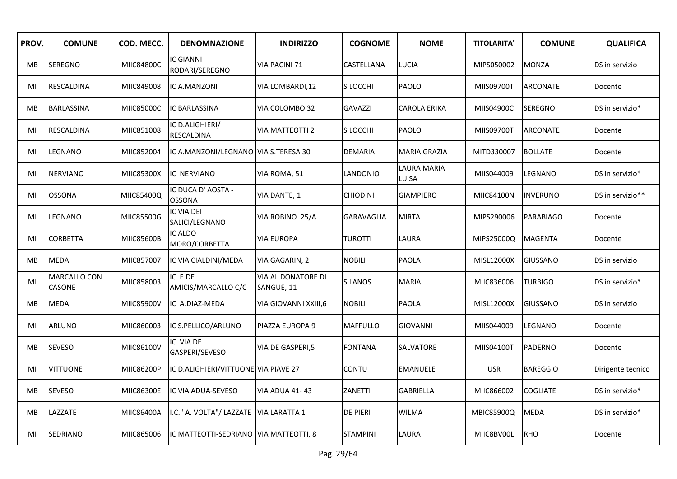| PROV.     | <b>COMUNE</b>                 | COD. MECC.        | <b>DENOMNAZIONE</b>                      | <b>INDIRIZZO</b>                 | <b>COGNOME</b>    | <b>NOME</b>          | <b>TITOLARITA'</b> | <b>COMUNE</b>    | <b>QUALIFICA</b>  |
|-----------|-------------------------------|-------------------|------------------------------------------|----------------------------------|-------------------|----------------------|--------------------|------------------|-------------------|
| MB.       | <b>SEREGNO</b>                | <b>MIIC84800C</b> | <b>IC GIANNI</b><br>RODARI/SEREGNO       | <b>VIA PACINI 71</b>             | CASTELLANA        | <b>LUCIA</b>         | MIPS050002         | <b>MONZA</b>     | DS in servizio    |
| MI        | <b>RESCALDINA</b>             | MIIC849008        | IC A.MANZONI                             | VIA LOMBARDI,12                  | <b>SILOCCHI</b>   | PAOLO                | MIIS09700T         | <b>ARCONATE</b>  | Docente           |
| МB        | <b>BARLASSINA</b>             | MIIC85000C        | <b>IC BARLASSINA</b>                     | VIA COLOMBO 32                   | <b>GAVAZZI</b>    | CAROLA ERIKA         | MIIS04900C         | <b>SEREGNO</b>   | DS in servizio*   |
| MI        | RESCALDINA                    | MIIC851008        | IC D.ALIGHIERI/<br><b>RESCALDINA</b>     | <b>VIA MATTEOTTI 2</b>           | <b>SILOCCHI</b>   | PAOLO                | MIIS09700T         | <b>ARCONATE</b>  | Docente           |
| MI        | LEGNANO                       | MIIC852004        | IC A.MANZONI/LEGNANO VIA S.TERESA 30     |                                  | <b>DEMARIA</b>    | <b>MARIA GRAZIA</b>  | MITD330007         | <b>BOLLATE</b>   | Docente           |
| MI        | <b>NERVIANO</b>               | MIIC85300X        | IC NERVIANO                              | VIA ROMA, 51                     | LANDONIO          | LAURA MARIA<br>LUISA | MIIS044009         | LEGNANO          | DS in servizio*   |
| MI        | <b>OSSONA</b>                 | MIIC85400Q        | IC DUCA D'AOSTA -<br><b>OSSONA</b>       | VIA DANTE, 1                     | <b>CHIODINI</b>   | <b>GIAMPIERO</b>     | MIIC84100N         | <b>INVERUNO</b>  | DS in servizio**  |
| MI        | LEGNANO                       | MIIC85500G        | <b>IC VIA DEI</b><br>SALICI/LEGNANO      | VIA ROBINO 25/A                  | <b>GARAVAGLIA</b> | <b>MIRTA</b>         | MIPS290006         | <b>PARABIAGO</b> | Docente           |
| MI        | <b>CORBETTA</b>               | MIIC85600B        | IC ALDO<br>MORO/CORBETTA                 | <b>VIA EUROPA</b>                | <b>TUROTTI</b>    | LAURA                | MIPS25000Q         | <b>MAGENTA</b>   | Docente           |
| <b>MB</b> | <b>MEDA</b>                   | MIIC857007        | IC VIA CIALDINI/MEDA                     | VIA GAGARIN, 2                   | <b>NOBILI</b>     | PAOLA                | MISL12000X         | <b>GIUSSANO</b>  | DS in servizio    |
| MI        | <b>MARCALLO CON</b><br>CASONE | MIIC858003        | IC E.DE<br>AMICIS/MARCALLO C/C           | VIA AL DONATORE DI<br>SANGUE, 11 | <b>SILANOS</b>    | <b>MARIA</b>         | MIIC836006         | <b>TURBIGO</b>   | DS in servizio*   |
| MB        | <b>MEDA</b>                   | MIIC85900V        | IC A.DIAZ-MEDA                           | VIA GIOVANNI XXIII,6             | NOBILI            | <b>PAOLA</b>         | MISL12000X         | <b>GIUSSANO</b>  | DS in servizio    |
| MI        | <b>ARLUNO</b>                 | MIIC860003        | IC S.PELLICO/ARLUNO                      | PIAZZA EUROPA 9                  | <b>MAFFULLO</b>   | <b>GIOVANNI</b>      | MIIS044009         | LEGNANO          | Docente           |
| <b>MB</b> | <b>SEVESO</b>                 | MIIC86100V        | IC VIA DE<br>GASPERI/SEVESO              | VIA DE GASPERI,5                 | <b>FONTANA</b>    | SALVATORE            | MIIS04100T         | PADERNO          | Docente           |
| MI        | <b>VITTUONE</b>               | MIIC86200P        | IC D.ALIGHIERI/VITTUONE VIA PIAVE 27     |                                  | CONTU             | <b>EMANUELE</b>      | <b>USR</b>         | <b>BAREGGIO</b>  | Dirigente tecnico |
| МB        | <b>SEVESO</b>                 | MIIC86300E        | IC VIA ADUA-SEVESO                       | <b>VIA ADUA 41-43</b>            | ZANETTI           | <b>GABRIELLA</b>     | MIIC866002         | <b>COGLIATE</b>  | DS in servizio*   |
| <b>MB</b> | LAZZATE                       | MIIC86400A        | I.C." A. VOLTA"/ LAZZATE   VIA LARATTA 1 |                                  | DE PIERI          | <b>WILMA</b>         | MBIC85900Q         | <b>MEDA</b>      | DS in servizio*   |
| MI        | SEDRIANO                      | MIIC865006        | IC MATTEOTTI-SEDRIANO VIA MATTEOTTI, 8   |                                  | <b>STAMPINI</b>   | LAURA                | MIIC8BV00L         | <b>RHO</b>       | Docente           |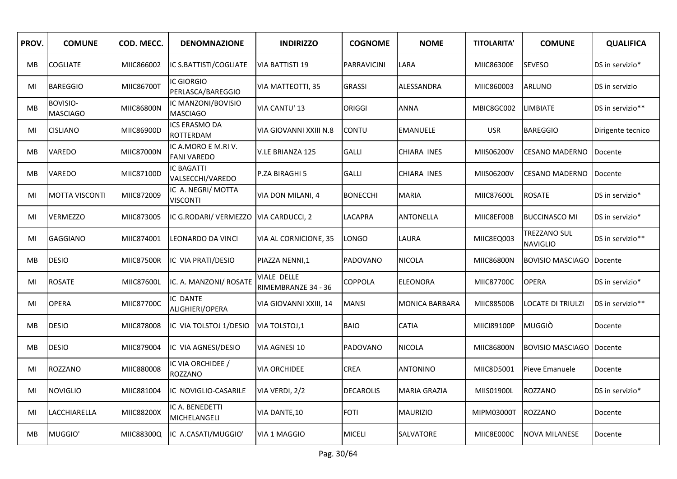| PROV.     | <b>COMUNE</b>               | COD. MECC.        | <b>DENOMNAZIONE</b>                       | <b>INDIRIZZO</b>                   | <b>COGNOME</b>     | <b>NOME</b>           | <b>TITOLARITA'</b> | <b>COMUNE</b>                          | <b>QUALIFICA</b>  |
|-----------|-----------------------------|-------------------|-------------------------------------------|------------------------------------|--------------------|-----------------------|--------------------|----------------------------------------|-------------------|
| <b>MB</b> | <b>COGLIATE</b>             | MIIC866002        | IC S.BATTISTI/COGLIATE                    | <b>VIA BATTISTI 19</b>             | <b>PARRAVICINI</b> | LARA                  | MIIC86300E         | <b>SEVESO</b>                          | DS in servizio*   |
| MI        | <b>BAREGGIO</b>             | MIIC86700T        | IC GIORGIO<br>PERLASCA/BAREGGIO           | VIA MATTEOTTI, 35                  | <b>GRASSI</b>      | ALESSANDRA            | MIIC860003         | <b>ARLUNO</b>                          | DS in servizio    |
| <b>MB</b> | BOVISIO-<br><b>MASCIAGO</b> | MIIC86800N        | IC MANZONI/BOVISIO<br><b>MASCIAGO</b>     | VIA CANTU' 13                      | <b>ORIGGI</b>      | <b>ANNA</b>           | MBIC8GC002         | <b>LIMBIATE</b>                        | DS in servizio**  |
| MI        | <b>CISLIANO</b>             | MIIC86900D        | ICS ERASMO DA<br><b>ROTTERDAM</b>         | VIA GIOVANNI XXIII N.8             | <b>CONTU</b>       | <b>EMANUELE</b>       | <b>USR</b>         | <b>BAREGGIO</b>                        | Dirigente tecnico |
| MВ        | <b>VAREDO</b>               | <b>MIIC87000N</b> | IC A.MORO E M.RI V.<br><b>FANI VAREDO</b> | <b>V.LE BRIANZA 125</b>            | <b>GALLI</b>       | CHIARA INES           | MIIS06200V         | <b>CESANO MADERNO</b>                  | Docente           |
| МB        | VAREDO                      | MIIC87100D        | <b>IC BAGATTI</b><br>VALSECCHI/VAREDO     | P.ZA BIRAGHI 5                     | <b>GALLI</b>       | CHIARA INES           | MIIS06200V         | <b>CESANO MADERNO</b>                  | Docente           |
| MI        | <b>MOTTA VISCONTI</b>       | MIIC872009        | IC A. NEGRI/ MOTTA<br><b>VISCONTI</b>     | VIA DON MILANI, 4                  | <b>BONECCHI</b>    | <b>MARIA</b>          | MIIC87600L         | <b>ROSATE</b>                          | DS in servizio*   |
| MI        | <b>VERMEZZO</b>             | MIIC873005        | IC G.RODARI/ VERMEZZO                     | VIA CARDUCCI, 2                    | LACAPRA            | <b>ANTONELLA</b>      | MIIC8EF00B         | <b>BUCCINASCO MI</b>                   | DS in servizio*   |
| MI        | <b>GAGGIANO</b>             | MIIC874001        | LEONARDO DA VINCI                         | VIA AL CORNICIONE, 35              | LONGO              | LAURA                 | MIIC8EQ003         | <b>TREZZANO SUL</b><br><b>NAVIGLIO</b> | DS in servizio**  |
| МB        | <b>DESIO</b>                | <b>MIIC87500R</b> | IC VIA PRATI/DESIO                        | PIAZZA NENNI,1                     | PADOVANO           | NICOLA                | MIIC86800N         | <b>BOVISIO MASCIAGO</b>                | Docente           |
| MI        | <b>ROSATE</b>               | MIIC87600L        | IC. A. MANZONI/ ROSATE                    | VIALE DELLE<br>RIMEMBRANZE 34 - 36 | COPPOLA            | <b>ELEONORA</b>       | <b>MIIC87700C</b>  | <b>OPERA</b>                           | DS in servizio*   |
| MI        | <b>OPERA</b>                | <b>MIIC87700C</b> | IC DANTE<br>ALIGHIERI/OPERA               | VIA GIOVANNI XXIII, 14             | <b>MANSI</b>       | <b>MONICA BARBARA</b> | MIIC88500B         | LOCATE DI TRIULZI                      | DS in servizio**  |
| <b>MB</b> | <b>DESIO</b>                | MIIC878008        | IC VIA TOLSTOJ 1/DESIO                    | VIA TOLSTOJ, 1                     | <b>BAIO</b>        | <b>CATIA</b>          | MIICI89100P        | <b>MUGGIÒ</b>                          | Docente           |
| MB        | <b>DESIO</b>                | MIIC879004        | IC VIA AGNESI/DESIO                       | VIA AGNESI 10                      | PADOVANO           | NICOLA                | MIIC86800N         | <b>BOVISIO MASCIAGO</b>                | Docente           |
| MI        | ROZZANO                     | MIIC880008        | IC VIA ORCHIDEE /<br>ROZZANO              | VIA ORCHIDEE                       | <b>CREA</b>        | ANTONINO              | MIIC8D5001         | Pieve Emanuele                         | Docente           |
| MI        | <b>NOVIGLIO</b>             | MIIC881004        | IC NOVIGLIO-CASARILE                      | VIA VERDI, 2/2                     | <b>DECAROLIS</b>   | MARIA GRAZIA          | MIIS01900L         | <b>ROZZANO</b>                         | DS in servizio*   |
| MI        | LACCHIARELLA                | MIIC88200X        | IC A. BENEDETTI<br>MICHELANGELI           | VIA DANTE, 10                      | FOTI               | <b>MAURIZIO</b>       | MIPM03000T         | ROZZANO                                | Docente           |
| MВ        | MUGGIO'                     | MIIC88300Q        | IC A.CASATI/MUGGIO'                       | <b>VIA 1 MAGGIO</b>                | <b>MICELI</b>      | SALVATORE             | MIIC8E000C         | <b>NOVA MILANESE</b>                   | Docente           |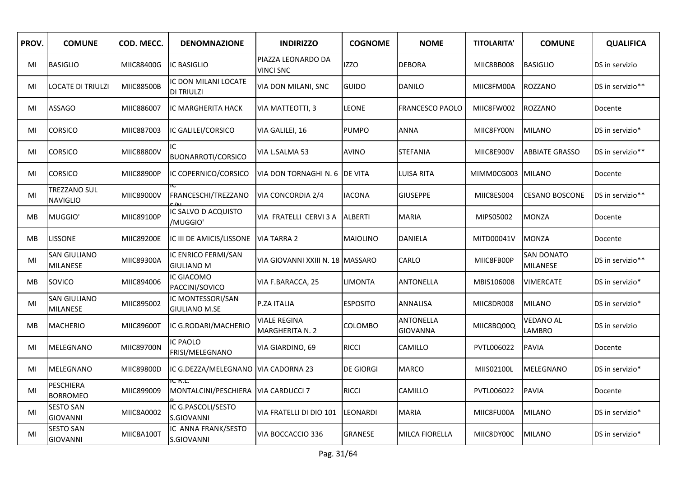| PROV.     | <b>COMUNE</b>                          | COD. MECC.        | <b>DENOMNAZIONE</b>                       | <b>INDIRIZZO</b>                              | <b>COGNOME</b>   | <b>NOME</b>                         | <b>TITOLARITA'</b> | <b>COMUNE</b>                 | <b>QUALIFICA</b> |
|-----------|----------------------------------------|-------------------|-------------------------------------------|-----------------------------------------------|------------------|-------------------------------------|--------------------|-------------------------------|------------------|
| MI        | <b>BASIGLIO</b>                        | MIIC88400G        | IC BASIGLIO                               | PIAZZA LEONARDO DA<br><b>VINCI SNC</b>        | <b>IZZO</b>      | <b>DEBORA</b>                       | MIIC8BB008         | <b>BASIGLIO</b>               | DS in servizio   |
| MI        | <b>LOCATE DI TRIULZI</b>               | MIIC88500B        | IC DON MILANI LOCATE<br>DI TRIULZI        | VIA DON MILANI, SNC                           | <b>GUIDO</b>     | <b>DANILO</b>                       | MIIC8FM00A         | <b>ROZZANO</b>                | DS in servizio** |
| MI        | <b>ASSAGO</b>                          | MIIC886007        | IC MARGHERITA HACK                        | VIA MATTEOTTI, 3                              | <b>LEONE</b>     | <b>FRANCESCO PAOLO</b>              | MIIC8FW002         | ROZZANO                       | Docente          |
| MI        | <b>CORSICO</b>                         | MIIC887003        | IC GALILEI/CORSICO                        | VIA GALILEI, 16                               | <b>PUMPO</b>     | <b>ANNA</b>                         | MIIC8FY00N         | <b>MILANO</b>                 | DS in servizio*  |
| MI        | <b>CORSICO</b>                         | MIIC88800V        | IC.<br><b>BUONARROTI/CORSICO</b>          | VIA L.SALMA 53                                | <b>AVINO</b>     | <b>STEFANIA</b>                     | MIIC8E900V         | <b>ABBIATE GRASSO</b>         | DS in servizio** |
| MI        | <b>CORSICO</b>                         | MIIC88900P        | IC COPERNICO/CORSICO                      | VIA DON TORNAGHI N. 6                         | <b>DE VITA</b>   | <b>LUISA RITA</b>                   | MIMM0CG003         | <b>MILANO</b>                 | Docente          |
| MI        | TREZZANO SUL<br><b>NAVIGLIO</b>        | MIIC89000V        | FRANCESCHI/TREZZANO                       | <b>VIA CONCORDIA 2/4</b>                      | <b>IACONA</b>    | <b>GIUSEPPE</b>                     | MIIC8ES004         | <b>CESANO BOSCONE</b>         | DS in servizio** |
| <b>MB</b> | MUGGIO'                                | MIIC89100P        | IC SALVO D ACQUISTO<br>/MUGGIO'           | VIA FRATELLI CERVI 3 A                        | <b>ALBERTI</b>   | <b>MARIA</b>                        | MIPS05002          | <b>MONZA</b>                  | Docente          |
| MB        | <b>LISSONE</b>                         | MIIC89200E        | IC III DE AMICIS/LISSONE                  | <b>VIA TARRA 2</b>                            | MAIOLINO         | DANIELA                             | MITD00041V         | <b>MONZA</b>                  | Docente          |
| MI        | <b>SAN GIULIANO</b><br>MILANESE        | MIIC89300A        | IC ENRICO FERMI/SAN<br><b>GIULIANO M</b>  | VIA GIOVANNI XXIII N. 18  MASSARO             |                  | CARLO                               | MIIC8FB00P         | <b>SAN DONATO</b><br>MILANESE | DS in servizio** |
| MB        | SOVICO                                 | MIIC894006        | IC GIACOMO<br>PACCINI/SOVICO              | VIA F.BARACCA, 25                             | <b>LIMONTA</b>   | ANTONELLA                           | MBIS106008         | <b>VIMERCATE</b>              | DS in servizio*  |
| MI        | <b>SAN GIULIANO</b><br><b>MILANESE</b> | MIIC895002        | IC MONTESSORI/SAN<br><b>GIULIANO M.SE</b> | P.ZA ITALIA                                   | <b>ESPOSITO</b>  | ANNALISA                            | MIIC8DR008         | <b>MILANO</b>                 | DS in servizio*  |
| <b>MB</b> | <b>MACHERIO</b>                        | MIIC89600T        | IC G.RODARI/MACHERIO                      | <b>VIALE REGINA</b><br><b>MARGHERITA N. 2</b> | COLOMBO          | <b>ANTONELLA</b><br><b>GIOVANNA</b> | MIIC8BQ00Q         | VEDANO AL<br>LAMBRO           | DS in servizio   |
| MI        | MELEGNANO                              | <b>MIIC89700N</b> | IC PAOLO<br>FRISI/MELEGNANO               | VIA GIARDINO, 69                              | <b>RICCI</b>     | CAMILLO                             | PVTL006022         | <b>PAVIA</b>                  | Docente          |
| MI        | MELEGNANO                              | MIIC89800D        | IC G.DEZZA/MELEGNANO   VIA CADORNA 23     |                                               | <b>DE GIORGI</b> | MARCO                               | MIIS02100L         | MELEGNANO                     | DS in servizio*  |
| MI        | PESCHIERA<br><b>BORROMEO</b>           | MIIC899009        | MONTALCINI/PESCHIERA VIA CARDUCCI 7       |                                               | <b>RICCI</b>     | CAMILLO                             | PVTL006022         | <b>PAVIA</b>                  | Docente          |
| MI        | <b>SESTO SAN</b><br><b>GIOVANNI</b>    | MIIC8A0002        | IC G.PASCOLI/SESTO<br>S.GIOVANNI          | VIA FRATELLI DI DIO 101                       | LEONARDI         | <b>MARIA</b>                        | MIIC8FU00A         | <b>MILANO</b>                 | DS in servizio*  |
| MI        | <b>SESTO SAN</b><br><b>GIOVANNI</b>    | MIIC8A100T        | IC ANNA FRANK/SESTO<br>S.GIOVANNI         | VIA BOCCACCIO 336                             | GRANESE          | <b>MILCA FIORELLA</b>               | MIIC8DY00C         | <b>MILANO</b>                 | DS in servizio*  |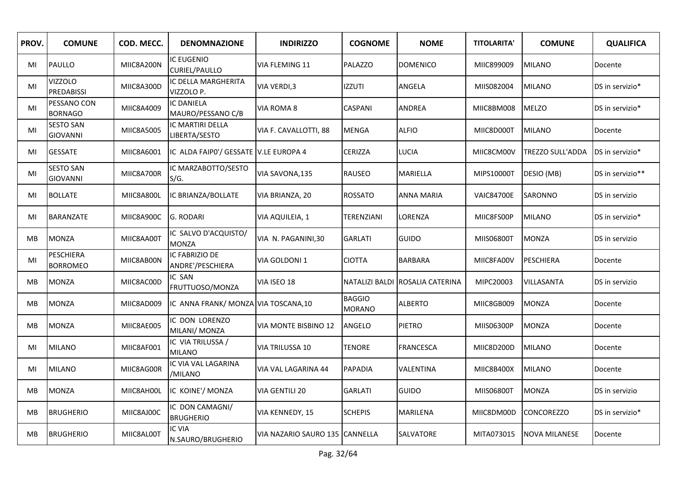| PROV.     | <b>COMUNE</b>                       | COD. MECC. | <b>DENOMNAZIONE</b>                    | <b>INDIRIZZO</b>               | <b>COGNOME</b>                 | <b>NOME</b>      | <b>TITOLARITA'</b> | <b>COMUNE</b>           | <b>QUALIFICA</b> |
|-----------|-------------------------------------|------------|----------------------------------------|--------------------------------|--------------------------------|------------------|--------------------|-------------------------|------------------|
| MI        | PAULLO                              | MIIC8A200N | IC EUGENIO<br><b>CURIEL/PAULLO</b>     | VIA FLEMING 11                 | <b>PALAZZO</b>                 | <b>DOMENICO</b>  | MIIC899009         | <b>MILANO</b>           | Docente          |
| MI        | <b>VIZZOLO</b><br><b>PREDABISSI</b> | MIIC8A300D | IC DELLA MARGHERITA<br>VIZZOLO P.      | VIA VERDI, 3                   | <b>IZZUTI</b>                  | ANGELA           | MIIS082004         | <b>MILANO</b>           | DS in servizio*  |
| MI        | PESSANO CON<br><b>BORNAGO</b>       | MIIC8A4009 | <b>IC DANIELA</b><br>MAURO/PESSANO C/B | VIA ROMA 8                     | CASPANI                        | <b>ANDREA</b>    | MIIC8BM008         | <b>MELZO</b>            | DS in servizio*  |
| MI        | <b>SESTO SAN</b><br><b>GIOVANNI</b> | MIIC8A5005 | IC MARTIRI DELLA<br>LIBERTA/SESTO      | VIA F. CAVALLOTTI, 88          | MENGA                          | <b>ALFIO</b>     | MIIC8D000T         | <b>MILANO</b>           | Docente          |
| MI        | <b>GESSATE</b>                      | MIIC8A6001 | IC ALDA FAIPO'/ GESSATE V.LE EUROPA 4  |                                | CERIZZA                        | <b>LUCIA</b>     | MIIC8CM00V         | <b>TREZZO SULL'ADDA</b> | DS in servizio*  |
| MI        | <b>SESTO SAN</b><br><b>GIOVANNI</b> | MIIC8A700R | IC MARZABOTTO/SESTO<br>S/G.            | VIA SAVONA, 135                | <b>RAUSEO</b>                  | <b>MARIELLA</b>  | MIPS10000T         | DESIO (MB)              | DS in servizio** |
| MI        | <b>BOLLATE</b>                      | MIIC8A800L | IC BRIANZA/BOLLATE                     | VIA BRIANZA, 20                | <b>ROSSATO</b>                 | ANNA MARIA       | <b>VAIC84700E</b>  | SARONNO                 | DS in servizio   |
| MI        | <b>BARANZATE</b>                    | MIIC8A900C | <b>G. RODARI</b>                       | VIA AQUILEIA, 1                | TERENZIANI                     | LORENZA          | MIIC8FS00P         | <b>MILANO</b>           | DS in servizio*  |
| MB        | <b>MONZA</b>                        | MIIC8AA00T | IC SALVO D'ACQUISTO/<br><b>MONZA</b>   | VIA N. PAGANINI,30             | <b>GARLATI</b>                 | <b>GUIDO</b>     | MIIS06800T         | <b>MONZA</b>            | DS in servizio   |
| MI        | <b>PESCHIERA</b><br><b>BORROMEO</b> | MIIC8AB00N | IC FABRIZIO DE<br>ANDRE'/PESCHIERA     | VIA GOLDONI 1                  | CIOTTA                         | <b>BARBARA</b>   | MIIC8FA00V         | <b>PESCHIERA</b>        | Docente          |
| MB        | <b>MONZA</b>                        | MIIC8AC00D | IC SAN<br>FRUTTUOSO/MONZA              | VIA ISEO 18                    | NATALIZI BALDI                 | ROSALIA CATERINA | MIPC20003          | VILLASANTA              | DS in servizio   |
| MB        | <b>MONZA</b>                        | MIIC8AD009 | IC ANNA FRANK/ MONZA VIA TOSCANA, 10   |                                | <b>BAGGIO</b><br><b>MORANO</b> | <b>ALBERTO</b>   | MIIC8GB009         | <b>MONZA</b>            | Docente          |
| <b>MB</b> | <b>MONZA</b>                        | MIIC8AE005 | IC DON LORENZO<br>MILANI/ MONZA        | VIA MONTE BISBINO 12           | ANGELO                         | <b>PIETRO</b>    | MIIS06300P         | <b>MONZA</b>            | Docente          |
| MI        | <b>MILANO</b>                       | MIIC8AF001 | IC VIA TRILUSSA /<br><b>MILANO</b>     | VIA TRILUSSA 10                | TENORE                         | <b>FRANCESCA</b> | MIIC8D200D         | <b>MILANO</b>           | Docente          |
| MI        | <b>MILANO</b>                       | MIIC8AG00R | IC VIA VAL LAGARINA<br>/MILANO         | VIA VAL LAGARINA 44            | <b>PAPADIA</b>                 | VALENTINA        | MIIC8B400X         | <b>MILANO</b>           | Docente          |
| MB        | <b>MONZA</b>                        | MIIC8AH00L | IC KOINE'/ MONZA                       | VIA GENTILI 20                 | <b>GARLATI</b>                 | <b>GUIDO</b>     | MIIS06800T         | <b>MONZA</b>            | DS in servizio   |
| MВ        | <b>BRUGHERIO</b>                    | MIIC8AJ00C | IC DON CAMAGNI/<br><b>BRUGHERIO</b>    | VIA KENNEDY, 15                | <b>SCHEPIS</b>                 | MARILENA         | MIIC8DM00D         | <b>CONCOREZZO</b>       | DS in servizio*  |
| MB        | <b>BRUGHERIO</b>                    | MIIC8AL00T | <b>IC VIA</b><br>N.SAURO/BRUGHERIO     | VIA NAZARIO SAURO 135 CANNELLA |                                | SALVATORE        | MITA073015         | <b>NOVA MILANESE</b>    | Docente          |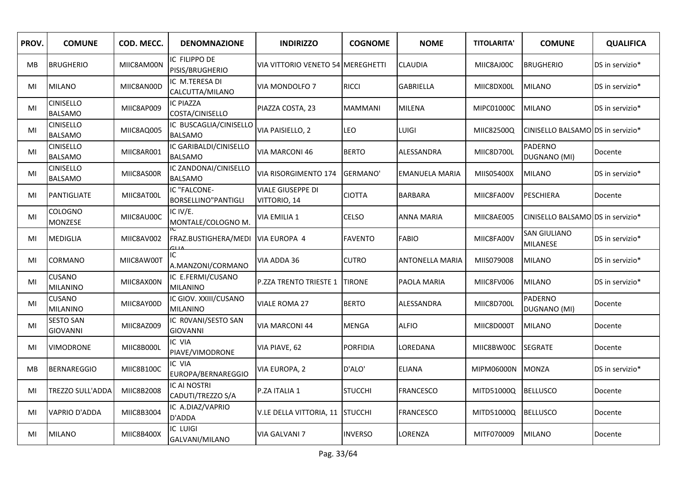| PROV. | <b>COMUNE</b>                       | COD. MECC. | <b>DENOMNAZIONE</b>                      | <b>INDIRIZZO</b>                  | <b>COGNOME</b>  | <b>NOME</b>           | <b>TITOLARITA'</b> | <b>COMUNE</b>                          | <b>QUALIFICA</b> |
|-------|-------------------------------------|------------|------------------------------------------|-----------------------------------|-----------------|-----------------------|--------------------|----------------------------------------|------------------|
| MB    | <b>BRUGHERIO</b>                    | MIIC8AM00N | IC FILIPPO DE<br>PISIS/BRUGHERIO         | VIA VITTORIO VENETO 54 MEREGHETTI |                 | CLAUDIA               | MIIC8AJ00C         | <b>BRUGHERIO</b>                       | DS in servizio*  |
| MI    | MILANO                              | MIIC8AN00D | IC M.TERESA DI<br>CALCUTTA/MILANO        | VIA MONDOLFO 7                    | <b>RICCI</b>    | <b>GABRIELLA</b>      | MIIC8DX00L         | <b>MILANO</b>                          | DS in servizio*  |
| MI    | <b>CINISELLO</b><br><b>BALSAMO</b>  | MIIC8AP009 | IC PIAZZA<br>COSTA/CINISELLO             | PIAZZA COSTA, 23                  | <b>MAMMANI</b>  | <b>MILENA</b>         | MIPC01000C         | <b>MILANO</b>                          | DS in servizio*  |
| MI    | <b>CINISELLO</b><br><b>BALSAMO</b>  | MIIC8AQ005 | IC BUSCAGLIA/CINISELLO<br><b>BALSAMO</b> | VIA PAISIELLO, 2                  | LEO             | LUIGI                 | MIIC82500Q         | CINISELLO BALSAMO DS in servizio*      |                  |
| MI    | <b>CINISELLO</b><br><b>BALSAMO</b>  | MIIC8AR001 | IC GARIBALDI/CINISELLO<br><b>BALSAMO</b> | VIA MARCONI 46                    | <b>BERTO</b>    | ALESSANDRA            | MIIC8D700L         | <b>PADERNO</b><br>DUGNANO (MI)         | Docente          |
| MI    | <b>CINISELLO</b><br><b>BALSAMO</b>  | MIIC8AS00R | IC ZANDONAI/CINISELLO<br><b>BALSAMO</b>  | VIA RISORGIMENTO 174              | <b>GERMANO'</b> | <b>EMANUELA MARIA</b> | MIIS05400X         | <b>MILANO</b>                          | DS in servizio*  |
| MI    | PANTIGLIATE                         | MIIC8AT00L | IC "FALCONE-<br>BORSELLINO"PANTIGLI      | VIALE GIUSEPPE DI<br>VITTORIO, 14 | <b>CIOTTA</b>   | <b>BARBARA</b>        | MIIC8FA00V         | PESCHIERA                              | Docente          |
| MI    | COLOGNO<br>MONZESE                  | MIIC8AU00C | IC IV/E.<br>MONTALE/COLOGNO M.           | VIA EMILIA 1                      | <b>CELSO</b>    | <b>ANNA MARIA</b>     | MIIC8AE005         | CINISELLO BALSAMO DS in servizio*      |                  |
| MI    | <b>MEDIGLIA</b>                     | MIIC8AV002 | FRAZ.BUSTIGHERA/MEDI                     | <b>VIA EUROPA 4</b>               | <b>FAVENTO</b>  | <b>FABIO</b>          | MIIC8FA00V         | <b>SAN GIULIANO</b><br><b>MILANESE</b> | DS in servizio*  |
| MI    | CORMANO                             | MIIC8AW00T | IC.<br>A.MANZONI/CORMANO                 | VIA ADDA 36                       | <b>CUTRO</b>    | ANTONELLA MARIA       | MIIS079008         | <b>MILANO</b>                          | DS in servizio*  |
| MI    | <b>CUSANO</b><br><b>MILANINO</b>    | MIIC8AX00N | IC E.FERMI/CUSANO<br><b>MILANINO</b>     | P.ZZA TRENTO TRIESTE 1            | <b>TIRONE</b>   | PAOLA MARIA           | MIIC8FV006         | <b>MILANO</b>                          | DS in servizio*  |
| MI    | <b>CUSANO</b><br><b>MILANINO</b>    | MIIC8AY00D | IC GIOV. XXIII/CUSANO<br><b>MILANINO</b> | VIALE ROMA 27                     | <b>BERTO</b>    | ALESSANDRA            | MIIC8D700L         | PADERNO<br>DUGNANO (MI)                | Docente          |
| MI    | <b>SESTO SAN</b><br><b>GIOVANNI</b> | MIIC8AZ009 | IC ROVANI/SESTO SAN<br><b>GIOVANNI</b>   | VIA MARCONI 44                    | <b>MENGA</b>    | <b>ALFIO</b>          | MIIC8D000T         | <b>MILANO</b>                          | Docente          |
| MI    | <b>VIMODRONE</b>                    | MIIC8B000L | IC VIA<br>PIAVE/VIMODRONE                | VIA PIAVE, 62                     | PORFIDIA        | LOREDANA              | MIIC8BW00C         | <b>SEGRATE</b>                         | Docente          |
| MВ    | <b>BERNAREGGIO</b>                  | MIIC8B100C | IC VIA<br>EUROPA/BERNAREGGIO             | VIA EUROPA, 2                     | D'ALO'          | <b>ELIANA</b>         | MIPM06000N         | <b>MONZA</b>                           | DS in servizio*  |
| MI    | <b>TREZZO SULL'ADDA</b>             | MIIC8B2008 | <b>IC AI NOSTRI</b><br>CADUTI/TREZZO S/A | P.ZA ITALIA 1                     | <b>STUCCHI</b>  | <b>FRANCESCO</b>      | MITD51000Q         | <b>BELLUSCO</b>                        | Docente          |
| MI    | <b>VAPRIO D'ADDA</b>                | MIIC8B3004 | IC A.DIAZ/VAPRIO<br>D'ADDA               | V.LE DELLA VITTORIA, 11 STUCCHI   |                 | <b>FRANCESCO</b>      | MITD51000Q         | <b>BELLUSCO</b>                        | Docente          |
| MI    | <b>MILANO</b>                       | MIIC8B400X | IC LUIGI<br>GALVANI/MILANO               | VIA GALVANI 7                     | <b>INVERSO</b>  | LORENZA               | MITF070009         | <b>MILANO</b>                          | Docente          |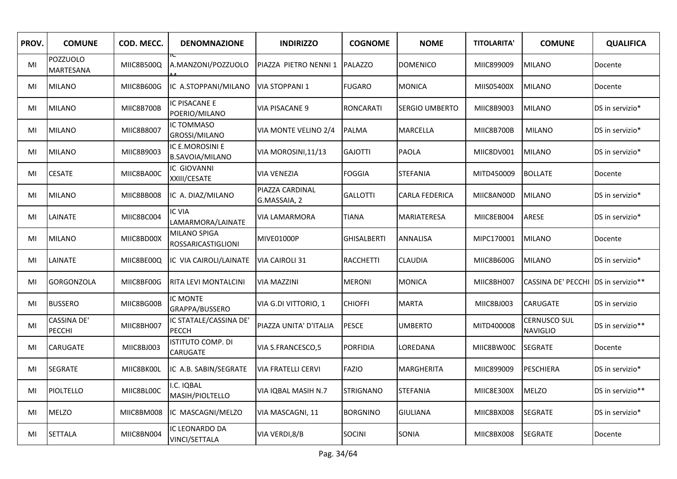| PROV. | <b>COMUNE</b>                | COD. MECC. | <b>DENOMNAZIONE</b>                       | <b>INDIRIZZO</b>                | <b>COGNOME</b>     | <b>NOME</b>           | <b>TITOLARITA'</b> | <b>COMUNE</b>                          | <b>QUALIFICA</b> |
|-------|------------------------------|------------|-------------------------------------------|---------------------------------|--------------------|-----------------------|--------------------|----------------------------------------|------------------|
| MI    | POZZUOLO<br>MARTESANA        | MIIC8B500Q | A.MANZONI/POZZUOLO                        | PIAZZA PIETRO NENNI 1           | <b>PALAZZO</b>     | <b>DOMENICO</b>       | MIIC899009         | <b>MILANO</b>                          | Docente          |
| MI    | <b>MILANO</b>                | MIIC8B600G | IC A.STOPPANI/MILANO                      | <b>VIA STOPPANI 1</b>           | <b>FUGARO</b>      | <b>MONICA</b>         | MIIS05400X         | <b>MILANO</b>                          | Docente          |
| MI    | <b>MILANO</b>                | MIIC8B700B | IC PISACANE E<br>POERIO/MILANO            | <b>VIA PISACANE 9</b>           | <b>RONCARATI</b>   | <b>SERGIO UMBERTO</b> | MIIC8B9003         | <b>MILANO</b>                          | DS in servizio*  |
| MI    | <b>MILANO</b>                | MIIC8B8007 | IC TOMMASO<br><b>GROSSI/MILANO</b>        | VIA MONTE VELINO 2/4            | <b>PALMA</b>       | MARCELLA              | MIIC8B700B         | <b>MILANO</b>                          | DS in servizio*  |
| MI    | <b>MILANO</b>                | MIIC8B9003 | IC E.MOROSINI E<br><b>B.SAVOIA/MILANO</b> | VIA MOROSINI, 11/13             | <b>GAJOTTI</b>     | <b>PAOLA</b>          | MIIC8DV001         | <b>MILANO</b>                          | DS in servizio*  |
| MI    | <b>CESATE</b>                | MIIC8BA00C | <b>IC GIOVANNI</b><br>XXIII/CESATE        | <b>VIA VENEZIA</b>              | <b>FOGGIA</b>      | <b>STEFANIA</b>       | MITD450009         | <b>BOLLATE</b>                         | Docente          |
| MI    | <b>MILANO</b>                | MIIC8BB008 | IC A. DIAZ/MILANO                         | PIAZZA CARDINAL<br>G.MASSAIA, 2 | <b>GALLOTTI</b>    | CARLA FEDERICA        | MIIC8AN00D         | <b>MILANO</b>                          | DS in servizio*  |
| MI    | LAINATE                      | MIIC8BC004 | <b>IC VIA</b><br>LAMARMORA/LAINATE        | <b>VIA LAMARMORA</b>            | <b>TIANA</b>       | MARIATERESA           | MIIC8EB004         | ARESE                                  | DS in servizio*  |
| MI    | <b>MILANO</b>                | MIIC8BD00X | MILANO SPIGA<br>ROSSARICASTIGLIONI        | MIVE01000P                      | <b>GHISALBERTI</b> | ANNALISA              | MIPC170001         | <b>MILANO</b>                          | Docente          |
| MI    | LAINATE                      | MIIC8BE00Q | IC VIA CAIROLI/LAINATE                    | <b>VIA CAIROLI 31</b>           | <b>RACCHETTI</b>   | CLAUDIA               | MIIC8B600G         | <b>MILANO</b>                          | DS in servizio*  |
| MI    | <b>GORGONZOLA</b>            | MIIC8BF00G | <b>RITA LEVI MONTALCINI</b>               | <b>VIA MAZZINI</b>              | <b>MERONI</b>      | <b>MONICA</b>         | MIIC8BH007         | CASSINA DE' PECCHI DS in servizio**    |                  |
| MI    | <b>BUSSERO</b>               | MIIC8BG00B | IC MONTE<br>GRAPPA/BUSSERO                | VIA G.DI VITTORIO, 1            | <b>CHIOFFI</b>     | <b>MARTA</b>          | MIIC8BJ003         | CARUGATE                               | DS in servizio   |
| MI    | <b>CASSINA DE'</b><br>PECCHI | MIIC8BH007 | IC STATALE/CASSINA DE'<br>PECCH           | PIAZZA UNITA' D'ITALIA          | <b>PESCE</b>       | <b>UMBERTO</b>        | MITD400008         | <b>CERNUSCO SUL</b><br><b>NAVIGLIO</b> | DS in servizio** |
| MI    | <b>CARUGATE</b>              | MIIC8BJ003 | ISTITUTO COMP. DI<br>CARUGATE             | VIA S.FRANCESCO,5               | <b>PORFIDIA</b>    | LOREDANA              | MIIC8BW00C         | <b>SEGRATE</b>                         | Docente          |
| MI    | <b>SEGRATE</b>               | MIIC8BK00L | IC A.B. SABIN/SEGRATE                     | VIA FRATELLI CERVI              | <b>FAZIO</b>       | MARGHERITA            | MIIC899009         | <b>PESCHIERA</b>                       | DS in servizio*  |
| MI    | PIOLTELLO                    | MIIC8BL00C | I.C. IQBAL<br>MASIH/PIOLTELLO             | VIA IQBAL MASIH N.7             | <b>STRIGNANO</b>   | <b>STEFANIA</b>       | MIIC8E300X         | <b>MELZO</b>                           | DS in servizio** |
| MI    | <b>MELZO</b>                 | MIIC8BM008 | IC MASCAGNI/MELZO                         | VIA MASCAGNI, 11                | <b>BORGNINO</b>    | <b>GIULIANA</b>       | MIIC8BX008         | <b>SEGRATE</b>                         | DS in servizio*  |
| MI    | <b>SETTALA</b>               | MIIC8BN004 | IC LEONARDO DA<br><b>VINCI/SETTALA</b>    | VIA VERDI, 8/B                  | <b>SOCINI</b>      | SONIA                 | MIIC8BX008         | <b>SEGRATE</b>                         | Docente          |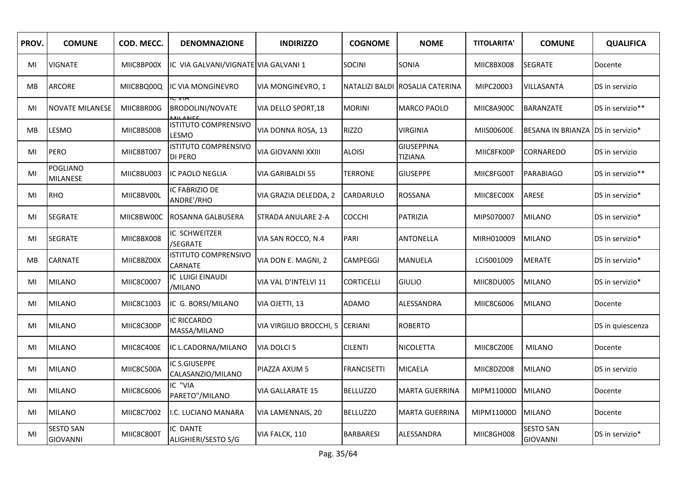| PROV. | <b>COMUNE</b>                       | COD. MECC. | <b>DENOMNAZIONE</b>                           | <b>INDIRIZZO</b>          | <b>COGNOME</b>    | <b>NOME</b>                         | <b>TITOLARITA'</b> | <b>COMUNE</b>                       | <b>QUALIFICA</b> |
|-------|-------------------------------------|------------|-----------------------------------------------|---------------------------|-------------------|-------------------------------------|--------------------|-------------------------------------|------------------|
| MI    | <b>VIGNATE</b>                      | MIIC8BP00X | IC VIA GALVANI/VIGNATE VIA GALVANI 1          |                           | <b>SOCINI</b>     | SONIA                               | MIIC8BX008         | <b>SEGRATE</b>                      | Docente          |
| MВ    | <b>ARCORE</b>                       | MIIC8BQ00Q | IC VIA MONGINEVRO                             | VIA MONGINEVRO, 1         |                   | NATALIZI BALDI ROSALIA CATERINA     | MIPC20003          | VILLASANTA                          | DS in servizio   |
| MI    | <b>NOVATE MILANESE</b>              | MIIC8BR00G | <b>BRODOLINI/NOVATE</b>                       | VIA DELLO SPORT, 18       | <b>MORINI</b>     | <b>MARCO PAOLO</b>                  | MIIC8A900C         | <b>BARANZATE</b>                    | DS in servizio** |
| МB    | <b>LESMO</b>                        | MIIC8BS00B | <b>ISTITUTO COMPRENSIVO</b><br>LESMO          | VIA DONNA ROSA, 13        | <b>RIZZO</b>      | <b>VIRGINIA</b>                     | MIIS00600E         | BESANA IN BRIANZA IDS in servizio*  |                  |
| MI    | <b>PERO</b>                         | MIIC8BT007 | <b>ISTITUTO COMPRENSIVO</b><br><b>DI PERO</b> | <b>VIA GIOVANNI XXIII</b> | <b>ALOISI</b>     | <b>GIUSEPPINA</b><br><b>TIZIANA</b> | MIIC8FK00P         | CORNAREDO                           | DS in servizio   |
| MI    | <b>POGLIANO</b><br><b>MILANESE</b>  | MIIC8BU003 | IC PAOLO NEGLIA                               | <b>VIA GARIBALDI 55</b>   | <b>TERRONE</b>    | <b>GIUSEPPE</b>                     | MIIC8FG00T         | <b>PARABIAGO</b>                    | DS in servizio** |
| MI    | RHO                                 | MIIC8BV00L | IC FABRIZIO DE<br>ANDRE'/RHO                  | VIA GRAZIA DELEDDA, 2     | <b>CARDARULO</b>  | ROSSANA                             | MIIC8EC00X         | ARESE                               | DS in servizio*  |
| MI    | <b>SEGRATE</b>                      | MIIC8BW00C | ROSANNA GALBUSERA                             | STRADA ANULARE 2-A        | <b>COCCHI</b>     | PATRIZIA                            | MIPS070007         | <b>MILANO</b>                       | DS in servizio*  |
| MI    | <b>SEGRATE</b>                      | MIIC8BX008 | IC SCHWEITZER<br>/SEGRATE                     | VIA SAN ROCCO, N.4        | PARI              | <b>ANTONELLA</b>                    | MIRH010009         | <b>MILANO</b>                       | DS in servizio*  |
| MB    | <b>CARNATE</b>                      | MIIC8BZ00X | <b>ISTITUTO COMPRENSIVO</b><br>CARNATE        | VIA DON E. MAGNI, 2       | <b>CAMPEGGI</b>   | MANUELA                             | LCIS001009         | <b>MERATE</b>                       | DS in servizio*  |
| MI    | MILANO                              | MIIC8C0007 | IC LUIGI EINAUDI<br>/MILANO                   | VIA VAL D'INTELVI 11      | <b>CORTICELLI</b> | <b>GIULIO</b>                       | MIIC8DU005         | <b>MILANO</b>                       | DS in servizio*  |
| MI    | <b>MILANO</b>                       | MIIC8C1003 | IC G. BORSI/MILANO                            | VIA OJETTI, 13            | <b>ADAMO</b>      | ALESSANDRA                          | MIIC8C6006         | <b>MILANO</b>                       | Docente          |
| MI    | <b>MILANO</b>                       | MIIC8C300P | <b>IC RICCARDO</b><br>MASSA/MILANO            | VIA VIRGILIO BROCCHI, 5   | <b>CERIANI</b>    | <b>ROBERTO</b>                      |                    |                                     | DS in quiescenza |
| MI    | <b>MILANO</b>                       | MIIC8C400E | IC L.CADORNA/MILANO                           | VIA DOLCI 5               | <b>CILENTI</b>    | NICOLETTA                           | MIIC8CZ00E         | <b>MILANO</b>                       | Docente          |
| MI    | <b>MILANO</b>                       | MIIC8C500A | IC S.GIUSEPPE<br>CALASANZIO/MILANO            | PIAZZA AXUM 5             | FRANCISETTI       | MICAELA                             | MIIC8DZ008         | <b>MILANO</b>                       | DS in servizio   |
| MI    | <b>MILANO</b>                       | MIIC8C6006 | IC "VIA<br>PARETO"/MILANO                     | <b>VIA GALLARATE 15</b>   | <b>BELLUZZO</b>   | <b>MARTA GUERRINA</b>               | MIPM11000D         | <b>MILANO</b>                       | Docente          |
| MI    | <b>MILANO</b>                       | MIIC8C7002 | I.C. LUCIANO MANARA                           | VIA LAMENNAIS, 20         | <b>BELLUZZO</b>   | <b>MARTA GUERRINA</b>               | MIPM11000D         | <b>MILANO</b>                       | Docente          |
| MI    | <b>SESTO SAN</b><br><b>GIOVANNI</b> | MIIC8C800T | IC DANTE<br>ALIGHIERI/SESTO S/G               | VIA FALCK, 110            | <b>BARBARESI</b>  | ALESSANDRA                          | MIIC8GH008         | <b>SESTO SAN</b><br><b>GIOVANNI</b> | DS in servizio*  |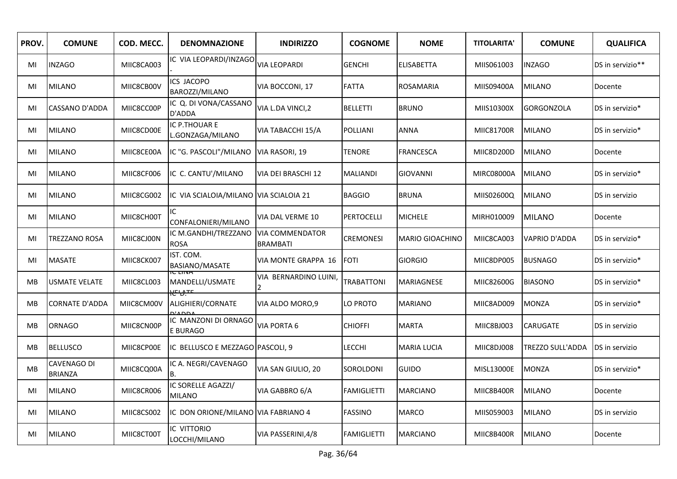| PROV.     | <b>COMUNE</b>                 | COD. MECC. | <b>DENOMNAZIONE</b>                              | <b>INDIRIZZO</b>                          | <b>COGNOME</b>     | <b>NOME</b>        | <b>TITOLARITA'</b> | <b>COMUNE</b>        | <b>QUALIFICA</b> |
|-----------|-------------------------------|------------|--------------------------------------------------|-------------------------------------------|--------------------|--------------------|--------------------|----------------------|------------------|
| MI        | <b>INZAGO</b>                 | MIIC8CA003 | IC VIA LEOPARDI/INZAGO                           | <b>VIA LEOPARDI</b>                       | <b>GENCHI</b>      | <b>ELISABETTA</b>  | MIIS061003         | <b>INZAGO</b>        | DS in servizio** |
| MI        | <b>MILANO</b>                 | MIIC8CB00V | <b>ICS JACOPO</b><br>BAROZZI/MILANO              | VIA BOCCONI, 17                           | <b>FATTA</b>       | <b>ROSAMARIA</b>   | MIIS09400A         | <b>MILANO</b>        | Docente          |
| MI        | <b>CASSANO D'ADDA</b>         | MIIC8CC00P | IC Q. DI VONA/CASSANO<br>D'ADDA                  | VIA L.DA VINCI,2                          | <b>BELLETTI</b>    | <b>BRUNO</b>       | MIIS10300X         | <b>GORGONZOLA</b>    | DS in servizio*  |
| MI        | <b>MILANO</b>                 | MIIC8CD00E | IC P.THOUAR E<br>L.GONZAGA/MILANO                | VIA TABACCHI 15/A                         | POLLIANI           | <b>ANNA</b>        | <b>MIIC81700R</b>  | <b>MILANO</b>        | DS in servizio*  |
| MI        | <b>MILANO</b>                 | MIIC8CE00A | IC "G. PASCOLI"/MILANO                           | VIA RASORI, 19                            | <b>TENORE</b>      | <b>FRANCESCA</b>   | MIIC8D200D         | <b>MILANO</b>        | Docente          |
| MI        | <b>MILANO</b>                 | MIIC8CF006 | IC C. CANTU'/MILANO                              | VIA DEI BRASCHI 12                        | <b>MALIANDI</b>    | <b>GIOVANNI</b>    | MIRC08000A         | <b>MILANO</b>        | DS in servizio*  |
| MI        | <b>MILANO</b>                 | MIIC8CG002 | IC VIA SCIALOIA/MILANO VIA SCIALOIA 21           |                                           | <b>BAGGIO</b>      | <b>BRUNA</b>       | MIIS02600Q         | <b>MILANO</b>        | DS in servizio   |
| MI        | <b>MILANO</b>                 | MIIC8CH00T | IC.<br>CONFALONIERI/MILANO                       | VIA DAL VERME 10                          | <b>PERTOCELLI</b>  | <b>MICHELE</b>     | MIRH010009         | <b>MILANO</b>        | Docente          |
| MI        | <b>TREZZANO ROSA</b>          | MIIC8CJ00N | IC M.GANDHI/TREZZANO<br><b>ROSA</b>              | <b>VIA COMMENDATOR</b><br><b>BRAMBATI</b> | <b>CREMONESI</b>   | MARIO GIOACHINO    | MIIC8CA003         | <b>VAPRIO D'ADDA</b> | DS in servizio*  |
| MI        | <b>MASATE</b>                 | MIIC8CK007 | IST. COM.<br><b>BASIANO/MASATE</b>               | VIA MONTE GRAPPA 16                       | <b>FOTI</b>        | <b>GIORGIO</b>     | MIIC8DP005         | <b>BUSNAGO</b>       | DS in servizio*  |
| MB        | <b>USMATE VELATE</b>          | MIIC8CL003 | IU LIIVA<br>MANDELLI/USMATE<br><del>ᡟᡛᡃ᠔</del> ᠴ | VIA BERNARDINO LUINI,<br>2                | TRABATTONI         | <b>MARIAGNESE</b>  | MIIC82600G         | <b>BIASONO</b>       | DS in servizio*  |
| MB        | <b>CORNATE D'ADDA</b>         | MIIC8CM00V | ALIGHIERI/CORNATE                                | VIA ALDO MORO,9                           | O PROTO            | MARIANO            | MIIC8AD009         | <b>MONZA</b>         | DS in servizio*  |
| MB        | <b>ORNAGO</b>                 | MIIC8CN00P | IC MANZONI DI ORNAGO<br>E BURAGO                 | VIA PORTA 6                               | CHIOFFI            | <b>MARTA</b>       | MIIC8BJ003         | CARUGATE             | DS in servizio   |
| MВ        | <b>BELLUSCO</b>               | MIIC8CP00E | IC BELLUSCO E MEZZAGO PASCOLI, 9                 |                                           | LECCHI             | <b>MARIA LUCIA</b> | MIIC8DJ008         | TREZZO SULL'ADDA     | DS in servizio   |
| <b>MB</b> | CAVENAGO DI<br><b>BRIANZA</b> | MIIC8CQ00A | IC A. NEGRI/CAVENAGO<br>B.                       | VIA SAN GIULIO, 20                        | SOROLDONI          | <b>GUIDO</b>       | MISL13000E         | <b>MONZA</b>         | DS in servizio*  |
| MI        | <b>MILANO</b>                 | MIIC8CR006 | IC SORELLE AGAZZI/<br><b>MILANO</b>              | VIA GABBRO 6/A                            | <b>FAMIGLIETTI</b> | <b>MARCIANO</b>    | MIIC8B400R         | <b>MILANO</b>        | Docente          |
| MI        | <b>MILANO</b>                 | MIIC8CS002 | IC DON ORIONE/MILANO VIA FABRIANO 4              |                                           | FASSINO            | <b>MARCO</b>       | MIIS059003         | <b>MILANO</b>        | DS in servizio   |
| MI        | <b>MILANO</b>                 | MIIC8CT00T | IC VITTORIO<br>LOCCHI/MILANO                     | VIA PASSERINI, 4/8                        | <b>FAMIGLIETTI</b> | <b>MARCIANO</b>    | MIIC8B400R         | <b>MILANO</b>        | Docente          |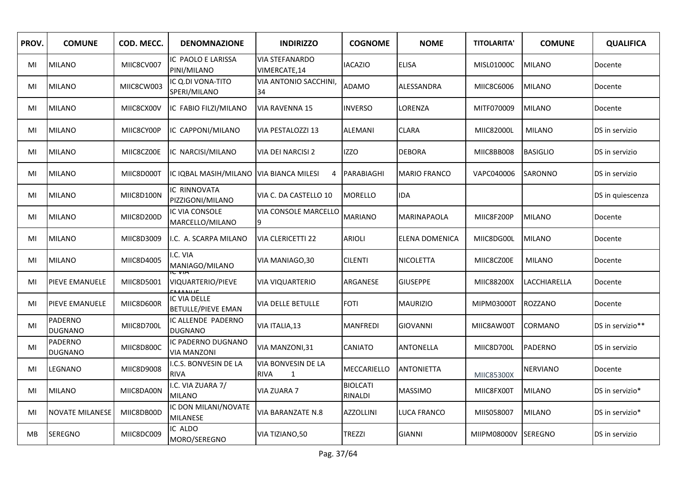| PROV.     | <b>COMUNE</b>                    | COD. MECC. | <b>DENOMNAZIONE</b>                       | <b>INDIRIZZO</b>                       | <b>COGNOME</b>             | <b>NOME</b>         | <b>TITOLARITA'</b> | <b>COMUNE</b>   | <b>QUALIFICA</b> |
|-----------|----------------------------------|------------|-------------------------------------------|----------------------------------------|----------------------------|---------------------|--------------------|-----------------|------------------|
| MI        | <b>MILANO</b>                    | MIIC8CV007 | IC PAOLO E LARISSA<br>PINI/MILANO         | <b>VIA STEFANARDO</b><br>VIMERCATE, 14 | <b>IACAZIO</b>             | <b>ELISA</b>        | MISL01000C         | <b>MILANO</b>   | Docente          |
| MI        | <b>MILANO</b>                    | MIIC8CW003 | IC Q.DI VONA-TITO<br>SPERI/MILANO         | VIA ANTONIO SACCHINI,<br>34            | <b>ADAMO</b>               | ALESSANDRA          | MIIC8C6006         | <b>MILANO</b>   | Docente          |
| MI        | <b>MILANO</b>                    | MIIC8CX00V | IC FABIO FILZI/MILANO                     | <b>VIA RAVENNA 15</b>                  | <b>INVERSO</b>             | LORENZA             | MITF070009         | <b>MILANO</b>   | Docente          |
| MI        | <b>MILANO</b>                    | MIIC8CY00P | IC CAPPONI/MILANO                         | VIA PESTALOZZI 13                      | <b>ALEMANI</b>             | <b>CLARA</b>        | MIIC82000L         | <b>MILANO</b>   | DS in servizio   |
| MI        | <b>MILANO</b>                    | MIIC8CZ00E | IC NARCISI/MILANO                         | <b>VIA DEI NARCISI 2</b>               | <b>IZZO</b>                | <b>DEBORA</b>       | MIIC8BB008         | <b>BASIGLIO</b> | DS in servizio   |
| MI        | <b>MILANO</b>                    | MIIC8D000T | IC IQBAL MASIH/MILANO VIA BIANCA MILESI   | 4                                      | PARABIAGHI                 | <b>MARIO FRANCO</b> | VAPC040006         | SARONNO         | DS in servizio   |
| MI        | <b>MILANO</b>                    | MIIC8D100N | IC RINNOVATA<br>PIZZIGONI/MILANO          | VIA C. DA CASTELLO 10                  | <b>MORELLO</b>             | <b>IDA</b>          |                    |                 | DS in quiescenza |
| MI        | <b>MILANO</b>                    | MIIC8D200D | IC VIA CONSOLE<br>MARCELLO/MILANO         | <b>VIA CONSOLE MARCELLO</b><br>9       | <b>MARIANO</b>             | <b>MARINAPAOLA</b>  | MIIC8F200P         | <b>MILANO</b>   | Docente          |
| MI        | <b>MILANO</b>                    | MIIC8D3009 | I.C. A. SCARPA MILANO                     | <b>VIA CLERICETTI 22</b>               | <b>ARIOLI</b>              | ELENA DOMENICA      | MIIC8DG00L         | <b>MILANO</b>   | Docente          |
| MI        | <b>MILANO</b>                    | MIIC8D4005 | I.C. VIA<br>MANIAGO/MILANO                | VIA MANIAGO, 30                        | <b>CILENTI</b>             | NICOLETTA           | MIIC8CZ00E         | <b>MILANO</b>   | Docente          |
| MI        | PIEVE EMANUELE                   | MIIC8D5001 | VIQUARTERIO/PIEVE                         | VIA VIQUARTERIO                        | ARGANESE                   | <b>GIUSEPPE</b>     | MIIC88200X         | LACCHIARELLA    | Docente          |
| MI        | PIEVE EMANUELE                   | MIIC8D600R | IC VIA DELLE<br><b>BETULLE/PIEVE EMAN</b> | VIA DELLE BETULLE                      | <b>FOTI</b>                | <b>MAURIZIO</b>     | MIPM03000T         | <b>ROZZANO</b>  | Docente          |
| MI        | PADERNO<br><b>DUGNANO</b>        | MIIC8D700L | IC ALLENDE PADERNO<br><b>DUGNANO</b>      | VIA ITALIA,13                          | <b>MANFREDI</b>            | <b>GIOVANNI</b>     | MIIC8AW00T         | <b>CORMANO</b>  | DS in servizio** |
| MI        | <b>PADERNO</b><br><b>DUGNANO</b> | MIIC8D800C | IC PADERNO DUGNANO<br><b>VIA MANZONI</b>  | VIA MANZONI, 31                        | CANIATO                    | ANTONELLA           | MIIC8D700L         | <b>PADERNO</b>  | DS in servizio   |
| MI        | LEGNANO                          | MIIC8D9008 | I.C.S. BONVESIN DE LA<br><b>RIVA</b>      | <b>VIA BONVESIN DE LA</b><br>RIVA<br>1 | MECCARIELLO                | <b>ANTONIETTA</b>   | MIIC85300X         | <b>NERVIANO</b> | Docente          |
| MI        | <b>MILANO</b>                    | MIIC8DA00N | I.C. VIA ZUARA 7/<br><b>MILANO</b>        | VIA ZUARA 7                            | <b>BIOLCATI</b><br>RINALDI | <b>MASSIMO</b>      | MIIC8FX00T         | <b>MILANO</b>   | DS in servizio*  |
| MI        | <b>NOVATE MILANESE</b>           | MIIC8DB00D | IC DON MILANI/NOVATE<br><b>MILANESE</b>   | VIA BARANZATE N.8                      | <b>AZZOLLINI</b>           | LUCA FRANCO         | MIIS058007         | <b>MILANO</b>   | DS in servizio*  |
| <b>MB</b> | <b>SEREGNO</b>                   | MIIC8DC009 | IC ALDO<br>MORO/SEREGNO                   | VIA TIZIANO,50                         | <b>TREZZI</b>              | <b>GIANNI</b>       | MIIPM08000V        | <b>ISEREGNO</b> | DS in servizio   |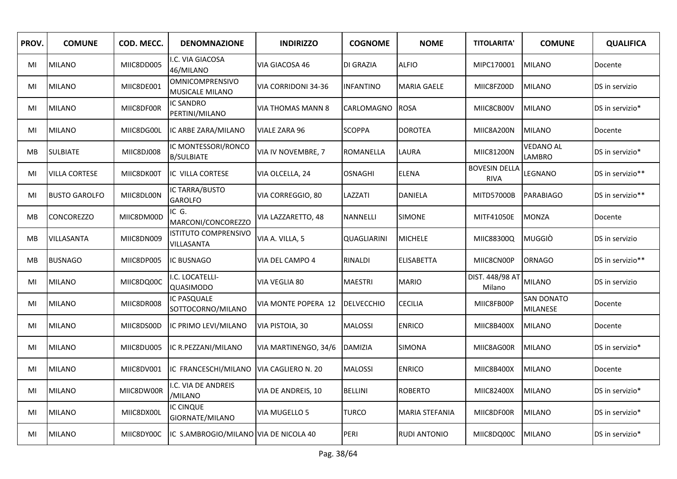| PROV. | <b>COMUNE</b>        | COD. MECC. | <b>DENOMNAZIONE</b>                              | <b>INDIRIZZO</b>     | <b>COGNOME</b>    | <b>NOME</b>         | <b>TITOLARITA'</b>                  | <b>COMUNE</b>                 | <b>QUALIFICA</b> |
|-------|----------------------|------------|--------------------------------------------------|----------------------|-------------------|---------------------|-------------------------------------|-------------------------------|------------------|
| MI    | <b>MILANO</b>        | MIIC8DD005 | .C. VIA GIACOSA<br>46/MILANO                     | VIA GIACOSA 46       | DI GRAZIA         | <b>ALFIO</b>        | MIPC170001                          | <b>MILANO</b>                 | Docente          |
| MI    | <b>MILANO</b>        | MIIC8DE001 | <b>OMNICOMPRENSIVO</b><br><b>MUSICALE MILANO</b> | VIA CORRIDONI 34-36  | <b>INFANTINO</b>  | <b>MARIA GAELE</b>  | MIIC8FZ00D                          | <b>MILANO</b>                 | DS in servizio   |
| MI    | <b>MILANO</b>        | MIIC8DF00R | <b>IC SANDRO</b><br>PERTINI/MILANO               | VIA THOMAS MANN 8    | CARLOMAGNO        | <b>ROSA</b>         | MIIC8CB00V                          | <b>MILANO</b>                 | DS in servizio*  |
| MI    | <b>MILANO</b>        | MIIC8DG00L | IC ARBE ZARA/MILANO                              | VIALE ZARA 96        | <b>SCOPPA</b>     | <b>DOROTEA</b>      | MIIC8A200N                          | <b>MILANO</b>                 | Docente          |
| MВ    | <b>SULBIATE</b>      | MIIC8DJ008 | IC MONTESSORI/RONCO<br><b>B/SULBIATE</b>         | VIA IV NOVEMBRE, 7   | ROMANELLA         | LAURA               | MIIC81200N                          | <b>VEDANO AL</b><br>LAMBRO    | DS in servizio*  |
| MI    | <b>VILLA CORTESE</b> | MIIC8DK00T | IC VILLA CORTESE                                 | VIA OLCELLA, 24      | <b>OSNAGHI</b>    | <b>ELENA</b>        | <b>BOVESIN DELLA</b><br><b>RIVA</b> | LEGNANO                       | DS in servizio** |
| MI    | <b>BUSTO GAROLFO</b> | MIIC8DL00N | IC TARRA/BUSTO<br><b>GAROLFO</b>                 | VIA CORREGGIO, 80    | LAZZATI           | <b>DANIELA</b>      | MITD57000B                          | <b>PARABIAGO</b>              | DS in servizio** |
| MB    | CONCOREZZO           | MIIC8DM00D | IC G.<br>MARCONI/CONCOREZZO                      | VIA LAZZARETTO, 48   | NANNELLI          | <b>SIMONE</b>       | MITF41050E                          | <b>MONZA</b>                  | Docente          |
| МB    | VILLASANTA           | MIIC8DN009 | <b>ISTITUTO COMPRENSIVO</b><br>VILLASANTA        | VIA A. VILLA, 5      | QUAGLIARINI       | <b>MICHELE</b>      | MIIC88300Q                          | <b>MUGGIÒ</b>                 | DS in servizio   |
| MB    | <b>BUSNAGO</b>       | MIIC8DP005 | <b>IC BUSNAGO</b>                                | VIA DEL CAMPO 4      | RINALDI           | <b>ELISABETTA</b>   | MIIC8CN00P                          | <b>ORNAGO</b>                 | DS in servizio** |
| MI    | <b>MILANO</b>        | MIIC8DQ00C | I.C. LOCATELLI-<br><b>QUASIMODO</b>              | VIA VEGLIA 80        | <b>MAESTRI</b>    | <b>MARIO</b>        | DIST. 448/98 AT<br>Milano           | <b>MILANO</b>                 | DS in servizio   |
| MI    | <b>MILANO</b>        | MIIC8DR008 | <b>IC PASQUALE</b><br>SOTTOCORNO/MILANO          | VIA MONTE POPERA 12  | <b>DELVECCHIO</b> | <b>CECILIA</b>      | MIIC8FB00P                          | <b>SAN DONATO</b><br>MILANESE | Docente          |
| MI    | <b>MILANO</b>        | MIIC8DS00D | IC PRIMO LEVI/MILANO                             | VIA PISTOIA, 30      | <b>MALOSSI</b>    | <b>ENRICO</b>       | MIIC8B400X                          | <b>MILANO</b>                 | Docente          |
| MI    | <b>MILANO</b>        | MIIC8DU005 | IC R.PEZZANI/MILANO                              | VIA MARTINENGO, 34/6 | <b>DAMIZIA</b>    | <b>SIMONA</b>       | MIIC8AG00R                          | <b>MILANO</b>                 | DS in servizio*  |
| MI    | <b>MILANO</b>        | MIIC8DV001 | IC FRANCESCHI/MILANO                             | VIA CAGLIERO N. 20   | <b>MALOSSI</b>    | <b>ENRICO</b>       | MIIC8B400X                          | <b>MILANO</b>                 | Docente          |
| MI    | <b>MILANO</b>        | MIIC8DW00R | I.C. VIA DE ANDREIS<br>/MILANO                   | VIA DE ANDREIS, 10   | <b>BELLINI</b>    | <b>ROBERTO</b>      | MIIC82400X                          | <b>MILANO</b>                 | DS in servizio*  |
| MI    | <b>MILANO</b>        | MIIC8DX00L | <b>IC CINQUE</b><br>GIORNATE/MILANO              | VIA MUGELLO 5        | <b>TURCO</b>      | MARIA STEFANIA      | MIIC8DF00R                          | <b>MILANO</b>                 | DS in servizio*  |
| MI    | <b>MILANO</b>        | MIIC8DY00C | IC S.AMBROGIO/MILANO VIA DE NICOLA 40            |                      | PERI              | <b>RUDI ANTONIO</b> | MIIC8DQ00C                          | <b>MILANO</b>                 | DS in servizio*  |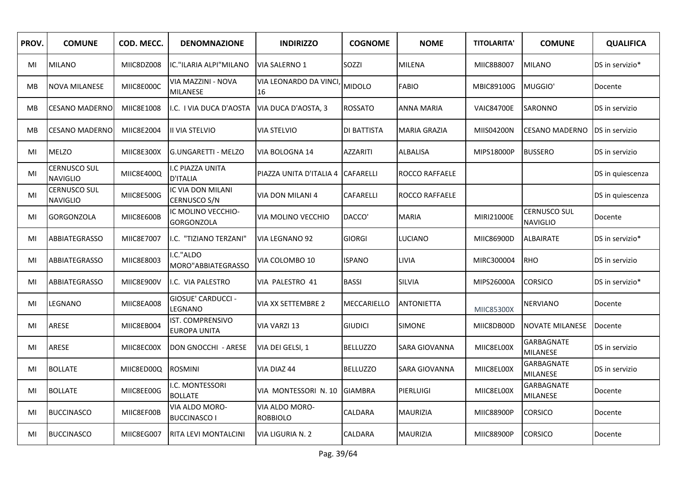| PROV. | <b>COMUNE</b>                          | COD. MECC. | <b>DENOMNAZIONE</b>                      | <b>INDIRIZZO</b>                  | <b>COGNOME</b>     | <b>NOME</b>           | <b>TITOLARITA'</b> | <b>COMUNE</b>                          | <b>QUALIFICA</b> |
|-------|----------------------------------------|------------|------------------------------------------|-----------------------------------|--------------------|-----------------------|--------------------|----------------------------------------|------------------|
| MI    | <b>MILANO</b>                          | MIIC8DZ008 | IC."ILARIA ALPI"MILANO                   | <b>VIA SALERNO 1</b>              | SOZZI              | <b>MILENA</b>         | MIIC8B8007         | <b>MILANO</b>                          | DS in servizio*  |
| MВ    | <b>NOVA MILANESE</b>                   | MIIC8E000C | VIA MAZZINI - NOVA<br>MILANESE           | VIA LEONARDO DA VINCI<br>16       | <b>MIDOLO</b>      | <b>FABIO</b>          | MBIC89100G         | MUGGIO'                                | Docente          |
| МB    | <b>CESANO MADERNO</b>                  | MIIC8E1008 | .C. I VIA DUCA D'AOSTA                   | VIA DUCA D'AOSTA, 3               | <b>ROSSATO</b>     | ANNA MARIA            | <b>VAIC84700E</b>  | SARONNO                                | DS in servizio   |
| МB    | <b>CESANO MADERNO</b>                  | MIIC8E2004 | II VIA STELVIO                           | <b>VIA STELVIO</b>                | <b>DI BATTISTA</b> | MARIA GRAZIA          | MIIS04200N         | <b>CESANO MADERNO</b>                  | DS in servizio   |
| MI    | <b>MELZO</b>                           | MIIC8E300X | <b>G.UNGARETTI - MELZO</b>               | VIA BOLOGNA 14                    | AZZARITI           | ALBALISA              | MIPS18000P         | <b>BUSSERO</b>                         | DS in servizio   |
| MI    | <b>CERNUSCO SUL</b><br><b>NAVIGLIO</b> | MIIC8E400Q | I.C PIAZZA UNITA<br><b>D'ITALIA</b>      | PIAZZA UNITA D'ITALIA 4           | <b>CAFARELLI</b>   | ROCCO RAFFAELE        |                    |                                        | DS in quiescenza |
| MI    | <b>CERNUSCO SUL</b><br><b>NAVIGLIO</b> | MIIC8E500G | IC VIA DON MILANI<br><b>CERNUSCO S/N</b> | <b>VIA DON MILANI 4</b>           | <b>CAFARELLI</b>   | <b>ROCCO RAFFAELE</b> |                    |                                        | DS in quiescenza |
| MI    | <b>GORGONZOLA</b>                      | MIIC8E600B | IC MOLINO VECCHIO-<br>GORGONZOLA         | VIA MOLINO VECCHIO                | DACCO'             | <b>MARIA</b>          | MIRI21000E         | <b>CERNUSCO SUL</b><br><b>NAVIGLIO</b> | Docente          |
| MI    | ABBIATEGRASSO                          | MIIC8E7007 | .C. "TIZIANO TERZANI"                    | VIA LEGNANO 92                    | <b>GIORGI</b>      | LUCIANO               | MIIC86900D         | <b>ALBAIRATE</b>                       | DS in servizio*  |
| MI    | <b>ABBIATEGRASSO</b>                   | MIIC8E8003 | .C."ALDO<br>MORO"ABBIATEGRASSO           | VIA COLOMBO 10                    | <b>ISPANO</b>      | <b>LIVIA</b>          | MIRC300004         | <b>RHO</b>                             | DS in servizio   |
| MI    | <b>ABBIATEGRASSO</b>                   | MIIC8E900V | I.C. VIA PALESTRO                        | VIA PALESTRO 41                   | <b>BASSI</b>       | <b>SILVIA</b>         | MIPS26000A         | <b>CORSICO</b>                         | DS in servizio*  |
| MI    | LEGNANO                                | MIIC8EA008 | GIOSUE' CARDUCCI -<br>LEGNANO            | VIA XX SETTEMBRE 2                | MECCARIELLO        | ANTONIETTA            | MIIC85300X         | NERVIANO                               | Docente          |
| MI    | ARESE                                  | MIIC8EB004 | IST. COMPRENSIVO<br><b>EUROPA UNITA</b>  | VIA VARZI 13                      | <b>GIUDICI</b>     | <b>SIMONE</b>         | MIIC8DB00D         | <b>NOVATE MILANESE</b>                 | Docente          |
| MI    | ARESE                                  | MIIC8EC00X | DON GNOCCHI - ARESE                      | VIA DEI GELSI, 1                  | <b>BELLUZZO</b>    | SARA GIOVANNA         | MIIC8EL00X         | GARBAGNATE<br><b>MILANESE</b>          | DS in servizio   |
| MI    | <b>BOLLATE</b>                         | MIIC8ED00Q | <b>ROSMINI</b>                           | VIA DIAZ 44                       | <b>BELLUZZO</b>    | SARA GIOVANNA         | MIIC8EL00X         | GARBAGNATE<br><b>MILANESE</b>          | DS in servizio   |
| MI    | <b>BOLLATE</b>                         | MIIC8EE00G | I.C. MONTESSORI<br><b>BOLLATE</b>        | VIA MONTESSORI N. 10              | <b>GIAMBRA</b>     | PIERLUIGI             | MIIC8EL00X         | <b>GARBAGNATE</b><br>MILANESE          | Docente          |
| MI    | <b>BUCCINASCO</b>                      | MIIC8EF00B | VIA ALDO MORO-<br><b>BUCCINASCO I</b>    | VIA ALDO MORO-<br><b>ROBBIOLO</b> | CALDARA            | MAURIZIA              | MIIC88900P         | <b>CORSICO</b>                         | Docente          |
| MI    | <b>BUCCINASCO</b>                      | MIIC8EG007 | <b>RITA LEVI MONTALCINI</b>              | VIA LIGURIA N. 2                  | CALDARA            | MAURIZIA              | MIIC88900P         | <b>CORSICO</b>                         | Docente          |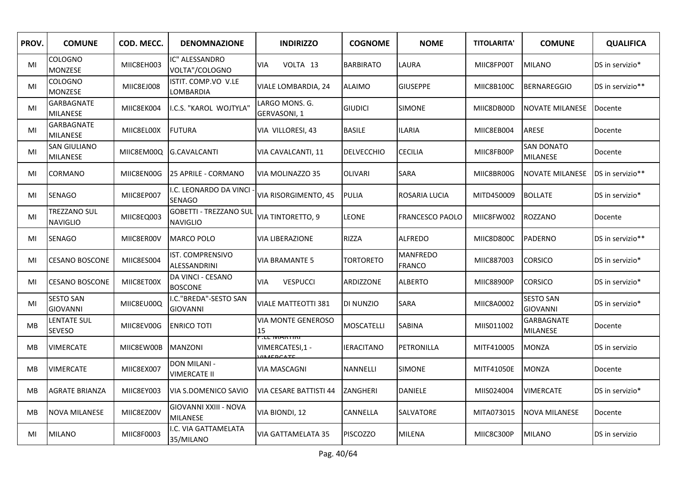| PROV.     | <b>COMUNE</b>                          | COD. MECC. | <b>DENOMNAZIONE</b>                              | <b>INDIRIZZO</b>                               | <b>COGNOME</b>    | <b>NOME</b>                      | <b>TITOLARITA'</b> | <b>COMUNE</b>                        | <b>QUALIFICA</b> |
|-----------|----------------------------------------|------------|--------------------------------------------------|------------------------------------------------|-------------------|----------------------------------|--------------------|--------------------------------------|------------------|
| MI        | COLOGNO<br><b>MONZESE</b>              | MIIC8EH003 | IC" ALESSANDRO<br>VOLTA"/COLOGNO                 | VOLTA 13<br>VIA                                | <b>BARBIRATO</b>  | LAURA                            | MIIC8FP00T         | <b>MILANO</b>                        | DS in servizio*  |
| MI        | COLOGNO<br><b>MONZESE</b>              | MIIC8EJ008 | ISTIT. COMP.VO V.LE<br>LOMBARDIA                 | VIALE LOMBARDIA, 24                            | <b>ALAIMO</b>     | <b>GIUSEPPE</b>                  | MIIC8B100C         | <b>BERNAREGGIO</b>                   | DS in servizio** |
| MI        | <b>GARBAGNATE</b><br><b>MILANESE</b>   | MIIC8EK004 | II.C.S. "KAROL WOJTYLA"                          | LARGO MONS. G.<br>GERVASONI, 1                 | <b>GIUDICI</b>    | <b>SIMONE</b>                    | MIIC8DB00D         | <b>NOVATE MILANESE</b>               | Docente          |
| MI        | <b>GARBAGNATE</b><br><b>MILANESE</b>   | MIIC8EL00X | <b>FUTURA</b>                                    | VIA VILLORESI, 43                              | <b>BASILE</b>     | <b>ILARIA</b>                    | MIIC8EB004         | ARESE                                | Docente          |
| MI        | <b>SAN GIULIANO</b><br><b>MILANESE</b> |            | MIIC8EM00Q G.CAVALCANTI                          | VIA CAVALCANTI, 11                             | <b>DELVECCHIO</b> | <b>CECILIA</b>                   | MIIC8FB00P         | <b>SAN DONATO</b><br><b>MILANESE</b> | Docente          |
| MI        | CORMANO                                | MIIC8EN00G | <b>25 APRILE - CORMANO</b>                       | VIA MOLINAZZO 35                               | <b>OLIVARI</b>    | SARA                             | MIIC8BR00G         | <b>NOVATE MILANESE</b>               | DS in servizio** |
| MI        | <b>SENAGO</b>                          | MIIC8EP007 | I.C. LEONARDO DA VINCI<br><b>SENAGO</b>          | VIA RISORGIMENTO, 45                           | <b>PULIA</b>      | ROSARIA LUCIA                    | MITD450009         | <b>BOLLATE</b>                       | DS in servizio*  |
| MI        | TREZZANO SUL<br><b>NAVIGLIO</b>        | MIIC8EQ003 | <b>GOBETTI - TREZZANO SUL</b><br><b>NAVIGLIO</b> | VIA TINTORETTO, 9                              | <b>LEONE</b>      | <b>FRANCESCO PAOLO</b>           | MIIC8FW002         | ROZZANO                              | Docente          |
| MI        | <b>SENAGO</b>                          | MIIC8ER00V | <b>MARCO POLO</b>                                | <b>VIA LIBERAZIONE</b>                         | <b>RIZZA</b>      | <b>ALFREDO</b>                   | MIIC8D800C         | <b>PADERNO</b>                       | DS in servizio** |
| MI        | <b>CESANO BOSCONE</b>                  | MIIC8ES004 | IST. COMPRENSIVO<br><b>ALESSANDRINI</b>          | <b>VIA BRAMANTE 5</b>                          | TORTORETO         | <b>MANFREDO</b><br><b>FRANCO</b> | MIIC887003         | <b>CORSICO</b>                       | DS in servizio*  |
| MI        | <b>CESANO BOSCONE</b>                  | MIIC8ET00X | DA VINCI - CESANO<br><b>BOSCONE</b>              | <b>VESPUCCI</b><br>VIA                         | ARDIZZONE         | ALBERTO                          | MIIC88900P         | <b>CORSICO</b>                       | DS in servizio*  |
| MI        | <b>SESTO SAN</b><br><b>GIOVANNI</b>    | MIIC8EU00Q | I.C."BREDA"-SESTO SAN<br><b>GIOVANNI</b>         | VIALE MATTEOTTI 381                            | DI NUNZIO         | SARA                             | MIIC8A0002         | <b>SESTO SAN</b><br><b>GIOVANNI</b>  | DS in servizio*  |
| MB        | LENTATE SUL<br>SEVESO                  | MIIC8EV00G | <b>ENRICO TOTI</b>                               | VIA MONTE GENEROSO<br>15                       | MOSCATELLI        | SABINA                           | MIIS011002         | GARBAGNATE<br>MILANESE               | Docente          |
| MB        | <b>VIMERCATE</b>                       | MIIC8EW00B | <b>MANZONI</b>                                   | יתו האושר זה.<br>VIMERCATESI,1 -<br>IIAI DCATE | <b>IERACITANO</b> | PETRONILLA                       | MITF410005         | <b>MONZA</b>                         | DS in servizio   |
| <b>MB</b> | <b>VIMERCATE</b>                       | MIIC8EX007 | DON MILANI -<br><b>VIMERCATE II</b>              | VIA MASCAGNI                                   | NANNELLI          | <b>SIMONE</b>                    | MITF41050E         | <b>MONZA</b>                         | Docente          |
| MB        | AGRATE BRIANZA                         | MIIC8EY003 | <b>VIA S.DOMENICO SAVIO</b>                      | VIA CESARE BATTISTI 44                         | ZANGHERI          | <b>DANIELE</b>                   | MIIS024004         | <b>VIMERCATE</b>                     | DS in servizio*  |
| MB        | <b>NOVA MILANESE</b>                   | MIIC8EZ00V | <b>GIOVANNI XXIII - NOVA</b><br><b>MILANESE</b>  | VIA BIONDI, 12                                 | CANNELLA          | SALVATORE                        | MITA073015         | <b>NOVA MILANESE</b>                 | Docente          |
| MI        | <b>MILANO</b>                          | MIIC8F0003 | I.C. VIA GATTAMELATA<br>35/MILANO                | <b>VIA GATTAMELATA 35</b>                      | <b>PISCOZZO</b>   | <b>MILENA</b>                    | MIIC8C300P         | <b>MILANO</b>                        | DS in servizio   |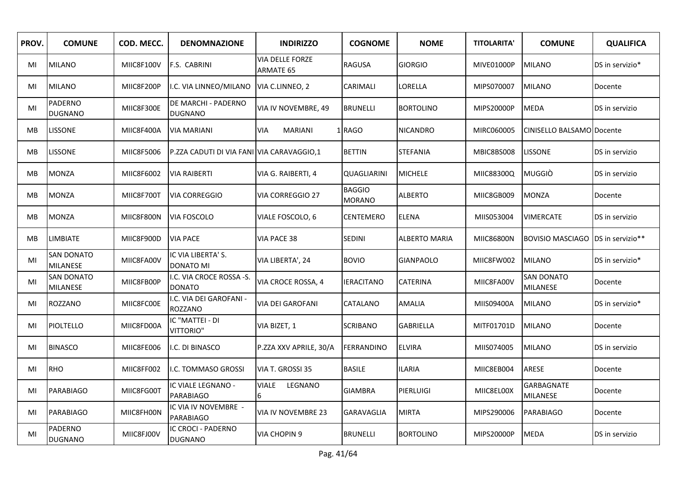| PROV.     | <b>COMUNE</b>                        | COD. MECC. | <b>DENOMNAZIONE</b>                       | <b>INDIRIZZO</b>                           | <b>COGNOME</b>                 | <b>NOME</b>      | <b>TITOLARITA'</b> | <b>COMUNE</b>                        | <b>QUALIFICA</b> |
|-----------|--------------------------------------|------------|-------------------------------------------|--------------------------------------------|--------------------------------|------------------|--------------------|--------------------------------------|------------------|
| MI        | <b>MILANO</b>                        | MIIC8F100V | F.S. CABRINI                              | <b>VIA DELLE FORZE</b><br><b>ARMATE 65</b> | <b>RAGUSA</b>                  | <b>GIORGIO</b>   | MIVE01000P         | <b>MILANO</b>                        | DS in servizio*  |
| MI        | <b>MILANO</b>                        | MIIC8F200P | I.C. VIA LINNEO/MILANO                    | VIA C.LINNEO, 2                            | CARIMALI                       | LORELLA          | MIPS070007         | <b>MILANO</b>                        | Docente          |
| MI        | PADERNO<br><b>DUGNANO</b>            | MIIC8F300E | DE MARCHI - PADERNO<br><b>DUGNANO</b>     | VIA IV NOVEMBRE, 49                        | <b>BRUNELLI</b>                | <b>BORTOLINO</b> | MIPS20000P         | <b>MEDA</b>                          | DS in servizio   |
| MВ        | <b>LISSONE</b>                       | MIIC8F400A | <b>VIA MARIANI</b>                        | <b>VIA</b><br><b>MARIANI</b>               | 1RAGO                          | <b>NICANDRO</b>  | MIRC060005         | CINISELLO BALSAMO Docente            |                  |
| MВ        | <b>LISSONE</b>                       | MIIC8F5006 | P.ZZA CADUTI DI VIA FANI VIA CARAVAGGIO,1 |                                            | <b>BETTIN</b>                  | <b>STEFANIA</b>  | MBIC8BS008         | <b>LISSONE</b>                       | DS in servizio   |
| MB        | <b>MONZA</b>                         | MIIC8F6002 | <b>VIA RAIBERTI</b>                       | VIA G. RAIBERTI, 4                         | QUAGLIARINI                    | <b>MICHELE</b>   | MIIC88300Q         | <b>MUGGIÒ</b>                        | DS in servizio   |
| <b>MB</b> | <b>MONZA</b>                         | MIIC8F700T | <b>VIA CORREGGIO</b>                      | <b>VIA CORREGGIO 27</b>                    | <b>BAGGIO</b><br><b>MORANO</b> | <b>ALBERTO</b>   | MIIC8GB009         | <b>MONZA</b>                         | Docente          |
| MB        | <b>MONZA</b>                         | MIIC8F800N | VIA FOSCOLO                               | VIALE FOSCOLO, 6                           | CENTEMERO                      | ELENA            | MIIS053004         | <b>VIMERCATE</b>                     | DS in servizio   |
| <b>MB</b> | <b>LIMBIATE</b>                      | MIIC8F900D | <b>VIA PACE</b>                           | VIA PACE 38                                | <b>SEDINI</b>                  | ALBERTO MARIA    | MIIC86800N         | <b>BOVISIO MASCIAGO</b>              | DS in servizio** |
| MI        | <b>SAN DONATO</b><br><b>MILANESE</b> | MIIC8FA00V | IC VIA LIBERTA' S.<br><b>DONATO MI</b>    | VIA LIBERTA', 24                           | <b>BOVIO</b>                   | <b>GIANPAOLO</b> | MIIC8FW002         | <b>MILANO</b>                        | DS in servizio*  |
| MI        | <b>SAN DONATO</b><br><b>MILANESE</b> | MIIC8FB00P | I.C. VIA CROCE ROSSA -S.<br><b>DONATO</b> | VIA CROCE ROSSA, 4                         | IERACITANO                     | CATERINA         | MIIC8FA00V         | <b>SAN DONATO</b><br><b>MILANESE</b> | Docente          |
| MI        | <b>ROZZANO</b>                       | MIIC8FC00E | .C. VIA DEI GAROFANI -<br>ROZZANO         | VIA DEI GAROFANI                           | CATALANO                       | AMALIA           | MIIS09400A         | <b>MILANO</b>                        | DS in servizio*  |
| MI        | PIOLTELLO                            | MIIC8FD00A | IC "MATTEI - DI<br>VITTORIO"              | VIA BIZET, 1                               | <b>SCRIBANO</b>                | <b>GABRIELLA</b> | MITF01701D         | <b>MILANO</b>                        | Docente          |
| MI        | <b>BINASCO</b>                       | MIIC8FE006 | I.C. DI BINASCO                           | P.ZZA XXV APRILE, 30/A                     | <b>FERRANDINO</b>              | <b>ELVIRA</b>    | MIIS074005         | <b>MILANO</b>                        | DS in servizio   |
| MI        | RHO                                  | MIIC8FF002 | I.C. TOMMASO GROSSI                       | VIA T. GROSSI 35                           | <b>BASILE</b>                  | <b>ILARIA</b>    | MIIC8EB004         | ARESE                                | Docente          |
| MI        | PARABIAGO                            | MIIC8FG00T | IC VIALE LEGNANO -<br><b>PARABIAGO</b>    | LEGNANO<br><b>VIALE</b><br>6               | <b>GIAMBRA</b>                 | <b>PIERLUIGI</b> | MIIC8EL00X         | <b>GARBAGNATE</b><br><b>MILANESE</b> | Docente          |
| MI        | <b>PARABIAGO</b>                     | MIIC8FH00N | IC VIA IV NOVEMBRE -<br><b>PARABIAGO</b>  | VIA IV NOVEMBRE 23                         | GARAVAGLIA                     | <b>MIRTA</b>     | MIPS290006         | PARABIAGO                            | Docente          |
| MI        | PADERNO<br><b>DUGNANO</b>            | MIIC8FJ00V | IC CROCI - PADERNO<br><b>DUGNANO</b>      | <b>VIA CHOPIN 9</b>                        | <b>BRUNELLI</b>                | <b>BORTOLINO</b> | MIPS20000P         | <b>MEDA</b>                          | DS in servizio   |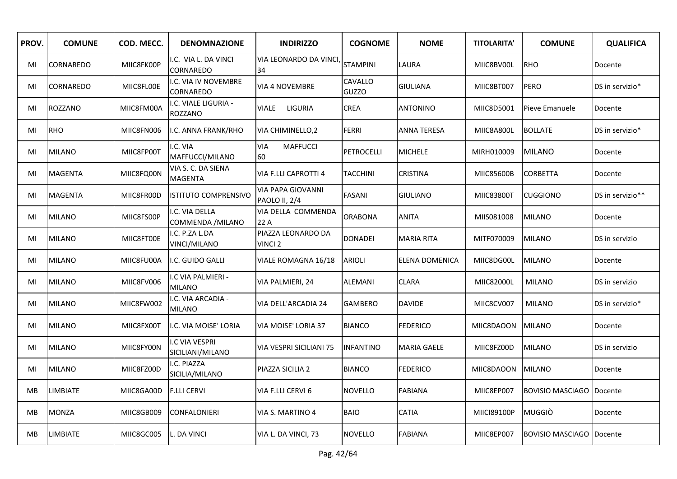| PROV.     | <b>COMUNE</b>    | COD. MECC. | <b>DENOMNAZIONE</b>                  | <b>INDIRIZZO</b>                          | <b>COGNOME</b>   | <b>NOME</b>        | <b>TITOLARITA'</b> | <b>COMUNE</b>                     | <b>QUALIFICA</b> |
|-----------|------------------|------------|--------------------------------------|-------------------------------------------|------------------|--------------------|--------------------|-----------------------------------|------------------|
| MI        | <b>CORNAREDO</b> | MIIC8FK00P | .C. VIA L. DA VINCI<br>CORNAREDO     | VIA LEONARDO DA VINCI<br>34               | <b>STAMPINI</b>  | LAURA              | MIIC8BV00L         | <b>RHO</b>                        | Docente          |
| MI        | <b>CORNAREDO</b> | MIIC8FL00E | I.C. VIA IV NOVEMBRE<br>CORNAREDO    | <b>VIA 4 NOVEMBRE</b>                     | CAVALLO<br>GUZZO | <b>GIULIANA</b>    | MIIC8BT007         | <b>PERO</b>                       | DS in servizio*  |
| MI        | <b>ROZZANO</b>   | MIIC8FM00A | I.C. VIALE LIGURIA -<br>ROZZANO      | LIGURIA<br>VIALE                          | <b>CREA</b>      | <b>ANTONINO</b>    | MIIC8D5001         | Pieve Emanuele                    | Docente          |
| MI        | <b>RHO</b>       | MIIC8FN006 | I.C. ANNA FRANK/RHO                  | VIA CHIMINELLO, 2                         | <b>FERRI</b>     | <b>ANNA TERESA</b> | MIIC8A800L         | <b>BOLLATE</b>                    | DS in servizio*  |
| MI        | <b>MILANO</b>    | MIIC8FP00T | I.C. VIA<br>MAFFUCCI/MILANO          | <b>VIA</b><br><b>MAFFUCCI</b><br>60       | PETROCELLI       | <b>MICHELE</b>     | MIRH010009         | <b>MILANO</b>                     | Docente          |
| MI        | <b>MAGENTA</b>   | MIIC8FQ00N | VIA S. C. DA SIENA<br><b>MAGENTA</b> | <b>VIA F.LLI CAPROTTI 4</b>               | <b>TACCHINI</b>  | <b>CRISTINA</b>    | MIIC85600B         | <b>CORBETTA</b>                   | Docente          |
| MI        | <b>MAGENTA</b>   | MIIC8FR00D | <b>ISTITUTO COMPRENSIVO</b>          | <b>VIA PAPA GIOVANNI</b><br>PAOLO II, 2/4 | <b>FASANI</b>    | <b>GIULIANO</b>    | MIIC83800T         | <b>CUGGIONO</b>                   | DS in servizio** |
| MI        | <b>MILANO</b>    | MIIC8FS00P | I.C. VIA DELLA<br>COMMENDA / MILANO  | VIA DELLA COMMENDA<br>22 A                | <b>ORABONA</b>   | <b>ANITA</b>       | MIIS081008         | <b>MILANO</b>                     | Docente          |
| MI        | <b>MILANO</b>    | MIIC8FT00E | I.C. P.ZA L.DA<br>VINCI/MILANO       | PIAZZA LEONARDO DA<br>VINCI <sub>2</sub>  | <b>DONADEI</b>   | <b>MARIA RITA</b>  | MITF070009         | <b>MILANO</b>                     | DS in servizio   |
| MI        | <b>MILANO</b>    | MIIC8FU00A | I.C. GUIDO GALLI                     | VIALE ROMAGNA 16/18                       | ARIOLI           | ELENA DOMENICA     | MIIC8DG00L         | <b>MILANO</b>                     | Docente          |
| MI        | <b>MILANO</b>    | MIIC8FV006 | I.C VIA PALMIERI -<br><b>MILANO</b>  | VIA PALMIERI, 24                          | ALEMANI          | <b>CLARA</b>       | MIIC82000L         | <b>MILANO</b>                     | DS in servizio   |
| MI        | <b>MILANO</b>    | MIIC8FW002 | I.C. VIA ARCADIA -<br><b>MILANO</b>  | VIA DELL'ARCADIA 24                       | GAMBERO          | <b>DAVIDE</b>      | MIIC8CV007         | <b>MILANO</b>                     | DS in servizio*  |
| MI        | <b>MILANO</b>    | MIIC8FX00T | I.C. VIA MOISE' LORIA                | VIA MOISE' LORIA 37                       | <b>BIANCO</b>    | <b>FEDERICO</b>    | MIIC8DAOON         | <b>MILANO</b>                     | Docente          |
| MI        | <b>MILANO</b>    | MIIC8FY00N | I.C VIA VESPRI<br>SICILIANI/MILANO   | VIA VESPRI SICILIANI 75                   | <b>INFANTINO</b> | <b>MARIA GAELE</b> | MIIC8FZ00D         | <b>MILANO</b>                     | DS in servizio   |
| MI        | <b>MILANO</b>    | MIIC8FZ00D | I.C. PIAZZA<br>SICILIA/MILANO        | PIAZZA SICILIA 2                          | <b>BIANCO</b>    | <b>FEDERICO</b>    | MIIC8DAOON         | <b>MILANO</b>                     | Docente          |
| MB        | <b>LIMBIATE</b>  | MIIC8GA00D | <b>F.LLI CERVI</b>                   | VIA F.LLI CERVI 6                         | NOVELLO          | <b>FABIANA</b>     | MIIC8EP007         | <b>BOVISIO MASCIAGO   Docente</b> |                  |
| MB        | <b>MONZA</b>     | MIIC8GB009 | <b>CONFALONIERI</b>                  | VIA S. MARTINO 4                          | <b>BAIO</b>      | <b>CATIA</b>       | MIICI89100P        | <b>MUGGIÒ</b>                     | Docente          |
| <b>MB</b> | <b>LIMBIATE</b>  | MIIC8GC005 | L. DA VINCI                          | VIA L. DA VINCI, 73                       | <b>NOVELLO</b>   | <b>FABIANA</b>     | MIIC8EP007         | <b>BOVISIO MASCIAGO IDocente</b>  |                  |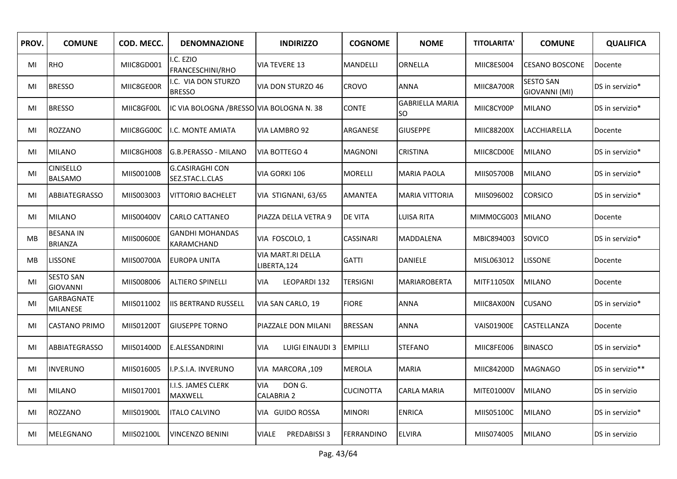| PROV.     | <b>COMUNE</b>                       | COD. MECC. | <b>DENOMNAZIONE</b>                       | <b>INDIRIZZO</b>                          | <b>COGNOME</b>    | <b>NOME</b>                  | <b>TITOLARITA'</b> | <b>COMUNE</b>                     | <b>QUALIFICA</b> |
|-----------|-------------------------------------|------------|-------------------------------------------|-------------------------------------------|-------------------|------------------------------|--------------------|-----------------------------------|------------------|
| MI        | RHO                                 | MIIC8GD001 | I.C. EZIO<br>FRANCESCHINI/RHO             | <b>VIA TEVERE 13</b>                      | MANDELLI          | ORNELLA                      | MIIC8ES004         | <b>CESANO BOSCONE</b>             | Docente          |
| MI        | <b>BRESSO</b>                       | MIIC8GE00R | I.C. VIA DON STURZO<br><b>BRESSO</b>      | VIA DON STURZO 46                         | CROVO             | <b>ANNA</b>                  | MIIC8A700R         | <b>SESTO SAN</b><br>GIOVANNI (MI) | DS in servizio*  |
| MI        | <b>BRESSO</b>                       | MIIC8GF00L | IC VIA BOLOGNA / BRESSO VIA BOLOGNA N. 38 |                                           | <b>CONTE</b>      | <b>GABRIELLA MARIA</b><br>SO | MIIC8CY00P         | <b>MILANO</b>                     | DS in servizio*  |
| MI        | ROZZANO                             | MIIC8GG00C | <b>II.C. MONTE AMIATA</b>                 | VIA LAMBRO 92                             | ARGANESE          | <b>GIUSEPPE</b>              | MIIC88200X         | <b>LACCHIARELLA</b>               | Docente          |
| MI        | <b>MILANO</b>                       | MIIC8GH008 | IG.B.PERASSO - MILANO                     | VIA BOTTEGO 4                             | <b>MAGNONI</b>    | <b>CRISTINA</b>              | MIIC8CD00E         | <b>MILANO</b>                     | DS in servizio*  |
| MI        | <b>CINISELLO</b><br><b>BALSAMO</b>  | MIIS00100B | <b>G.CASIRAGHI CON</b><br>SEZ.STAC.L.CLAS | VIA GORKI 106                             | <b>MORELLI</b>    | <b>MARIA PAOLA</b>           | MIIS05700B         | <b>MILANO</b>                     | DS in servizio*  |
| MI        | ABBIATEGRASSO                       | MIIS003003 | <b>VITTORIO BACHELET</b>                  | VIA STIGNANI, 63/65                       | <b>AMANTEA</b>    | <b>MARIA VITTORIA</b>        | MIIS096002         | <b>CORSICO</b>                    | DS in servizio*  |
| MI        | <b>MILANO</b>                       | MIIS00400V | <b>CARLO CATTANEO</b>                     | PIAZZA DELLA VETRA 9                      | <b>DE VITA</b>    | LUISA RITA                   | MIMM0CG003         | MILANO                            | Docente          |
| <b>MB</b> | <b>BESANA IN</b><br><b>BRIANZA</b>  | MIIS00600E | <b>GANDHI MOHANDAS</b><br>KARAMCHAND      | VIA FOSCOLO, 1                            | CASSINARI         | <b>MADDALENA</b>             | MBIC894003         | SOVICO                            | DS in servizio*  |
| MB        | <b>LISSONE</b>                      | MIIS00700A | <b>EUROPA UNITA</b>                       | VIA MART.RI DELLA<br>LIBERTA,124          | <b>GATTI</b>      | DANIELE                      | MISL063012         | <b>LISSONE</b>                    | Docente          |
| MI        | <b>SESTO SAN</b><br><b>GIOVANNI</b> | MIIS008006 | <b>ALTIERO SPINELLI</b>                   | <b>VIA</b><br>LEOPARDI 132                | TERSIGNI          | <b>MARIAROBERTA</b>          | MITF11050X         | <b>MILANO</b>                     | Docente          |
| MI        | GARBAGNATE<br><b>MILANESE</b>       | MIIS011002 | <b>IIS BERTRAND RUSSELL</b>               | VIA SAN CARLO, 19                         | <b>FIORE</b>      | <b>ANNA</b>                  | MIIC8AX00N         | <b>CUSANO</b>                     | DS in servizio*  |
| MI        | <b>CASTANO PRIMO</b>                | MIIS01200T | <b>GIUSEPPE TORNO</b>                     | PIAZZALE DON MILANI                       | <b>BRESSAN</b>    | ANNA                         | <b>VAIS01900E</b>  | CASTELLANZA                       | Docente          |
| MI        | ABBIATEGRASSO                       | MIIS01400D | <b>E.ALESSANDRINI</b>                     | <b>VIA</b><br>LUIGI EINAUDI 3             | <b>EMPILLI</b>    | <b>STEFANO</b>               | MIIC8FE006         | <b>BINASCO</b>                    | DS in servizio*  |
| MI        | <b>INVERUNO</b>                     | MIIS016005 | I.P.S.I.A. INVERUNO                       | VIA MARCORA, 109                          | MEROLA            | <b>MARIA</b>                 | MIIC84200D         | <b>MAGNAGO</b>                    | DS in servizio** |
| MI        | <b>MILANO</b>                       | MIIS017001 | I.I.S. JAMES CLERK<br>MAXWELL             | DON G.<br><b>VIA</b><br><b>CALABRIA 2</b> | <b>CUCINOTTA</b>  | CARLA MARIA                  | MITE01000V         | <b>MILANO</b>                     | DS in servizio   |
| MI        | ROZZANO                             | MIIS01900L | <b>ITALO CALVINO</b>                      | VIA GUIDO ROSSA                           | MINORI            | <b>ENRICA</b>                | MIIS05100C         | <b>MILANO</b>                     | DS in servizio*  |
| MI        | MELEGNANO                           | MIIS02100L | <b>VINCENZO BENINI</b>                    | PREDABISSI 3<br><b>VIALE</b>              | <b>FERRANDINO</b> | <b>ELVIRA</b>                | MIIS074005         | <b>MILANO</b>                     | DS in servizio   |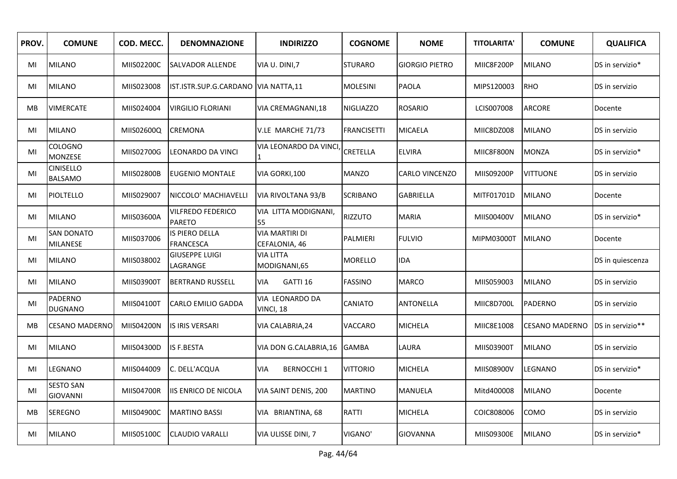| PROV.     | <b>COMUNE</b>                        | COD. MECC. | <b>DENOMNAZIONE</b>                       | <b>INDIRIZZO</b>                       | <b>COGNOME</b>   | <b>NOME</b>           | <b>TITOLARITA'</b> | <b>COMUNE</b>         | <b>QUALIFICA</b> |
|-----------|--------------------------------------|------------|-------------------------------------------|----------------------------------------|------------------|-----------------------|--------------------|-----------------------|------------------|
| MI        | <b>MILANO</b>                        | MIIS02200C | <b>SALVADOR ALLENDE</b>                   | VIA U. DINI, 7                         | <b>STURARO</b>   | <b>GIORGIO PIETRO</b> | MIIC8F200P         | <b>MILANO</b>         | DS in servizio*  |
| MI        | <b>MILANO</b>                        | MIIS023008 | IST.ISTR.SUP.G.CARDANO   VIA NATTA,11     |                                        | <b>MOLESINI</b>  | PAOLA                 | MIPS120003         | <b>RHO</b>            | DS in servizio   |
| MВ        | <b>VIMERCATE</b>                     | MIIS024004 | <b>VIRGILIO FLORIANI</b>                  | VIA CREMAGNANI,18                      | <b>NIGLIAZZO</b> | <b>ROSARIO</b>        | LCIS007008         | <b>ARCORE</b>         | Docente          |
| MI        | <b>MILANO</b>                        | MIIS02600Q | <b>CREMONA</b>                            | V.LE MARCHE 71/73                      | FRANCISETTI      | MICAELA               | MIIC8DZ008         | <b>MILANO</b>         | DS in servizio   |
| MI        | COLOGNO<br>MONZESE                   | MIIS02700G | LEONARDO DA VINCI                         | VIA LEONARDO DA VINCI                  | <b>CRETELLA</b>  | <b>ELVIRA</b>         | MIIC8F800N         | <b>MONZA</b>          | DS in servizio*  |
| MI        | <b>CINISELLO</b><br><b>BALSAMO</b>   | MIIS02800B | <b>EUGENIO MONTALE</b>                    | VIA GORKI, 100                         | <b>MANZO</b>     | CARLO VINCENZO        | MIIS09200P         | <b>VITTUONE</b>       | DS in servizio   |
| MI        | <b>PIOLTELLO</b>                     | MIIS029007 | NICCOLO' MACHIAVELLI                      | VIA RIVOLTANA 93/B                     | SCRIBANO         | <b>GABRIELLA</b>      | MITF01701D         | <b>MILANO</b>         | Docente          |
| MI        | <b>MILANO</b>                        | MIIS03600A | <b>VILFREDO FEDERICO</b><br><b>PARETO</b> | VIA LITTA MODIGNANI,<br>55             | <b>RIZZUTO</b>   | <b>MARIA</b>          | MIIS00400V         | <b>MILANO</b>         | DS in servizio*  |
| MI        | <b>SAN DONATO</b><br><b>MILANESE</b> | MIIS037006 | <b>IS PIERO DELLA</b><br><b>FRANCESCA</b> | <b>VIA MARTIRI DI</b><br>CEFALONIA, 46 | PALMIERI         | <b>FULVIO</b>         | MIPM03000T         | <b>MILANO</b>         | Docente          |
| MI        | <b>MILANO</b>                        | MIIS038002 | <b>GIUSEPPE LUIGI</b><br>LAGRANGE         | <b>VIA LITTA</b><br>MODIGNANI,65       | <b>MORELLO</b>   | IDA                   |                    |                       | DS in quiescenza |
| MI        | <b>MILANO</b>                        | MIIS03900T | <b>BERTRAND RUSSELL</b>                   | <b>VIA</b><br>GATTI 16                 | <b>FASSINO</b>   | <b>MARCO</b>          | MIIS059003         | <b>MILANO</b>         | DS in servizio   |
| MI        | <b>PADERNO</b><br><b>DUGNANO</b>     | MIIS04100T | <b>CARLO EMILIO GADDA</b>                 | VIA LEONARDO DA<br>VINCI, 18           | CANIATO          | ANTONELLA             | MIIC8D700L         | PADERNO               | DS in servizio   |
| <b>MB</b> | <b>CESANO MADERNO</b>                | MIIS04200N | IS IRIS VERSARI                           | VIA CALABRIA, 24                       | VACCARO          | <b>MICHELA</b>        | MIIC8E1008         | <b>CESANO MADERNO</b> | DS in servizio** |
| MI        | <b>MILANO</b>                        | MIIS04300D | <b>IS F.BESTA</b>                         | VIA DON G.CALABRIA, 16                 | <b>GAMBA</b>     | LAURA                 | MIIS03900T         | <b>MILANO</b>         | DS in servizio   |
| MI        | <b>LEGNANO</b>                       | MIIS044009 | C. DELL'ACQUA                             | <b>VIA</b><br><b>BERNOCCHI 1</b>       | VITTORIO         | <b>MICHELA</b>        | MIIS08900V         | LEGNANO               | DS in servizio*  |
| MI        | <b>SESTO SAN</b><br><b>GIOVANNI</b>  | MIIS04700R | <b>IIS ENRICO DE NICOLA</b>               | VIA SAINT DENIS, 200                   | <b>MARTINO</b>   | MANUELA               | Mitd400008         | <b>MILANO</b>         | Docente          |
| MB        | <b>SEREGNO</b>                       | MIIS04900C | <b>MARTINO BASSI</b>                      | VIA BRIANTINA, 68                      | RATTI            | <b>MICHELA</b>        | COIC808006         | COMO                  | DS in servizio   |
| MI        | <b>MILANO</b>                        | MIIS05100C | <b>CLAUDIO VARALLI</b>                    | VIA ULISSE DINI, 7                     | VIGANO'          | <b>GIOVANNA</b>       | MIIS09300E         | <b>MILANO</b>         | DS in servizio*  |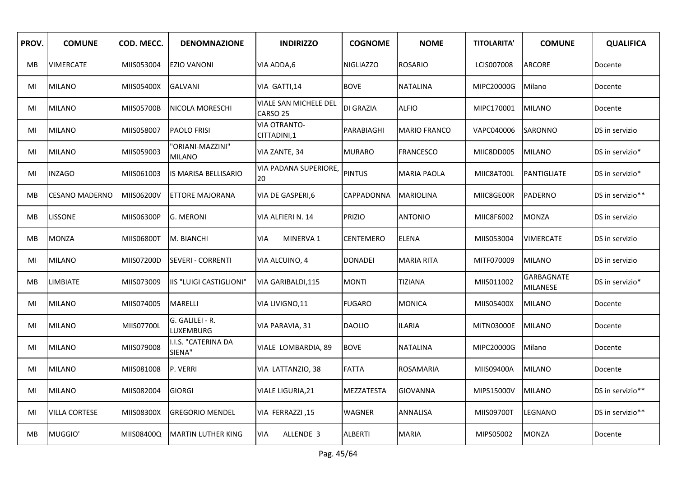| PROV. | <b>COMUNE</b>         | COD. MECC. | <b>DENOMNAZIONE</b>               | <b>INDIRIZZO</b>                   | <b>COGNOME</b>   | <b>NOME</b>         | <b>TITOLARITA'</b> | <b>COMUNE</b>                 | <b>QUALIFICA</b> |
|-------|-----------------------|------------|-----------------------------------|------------------------------------|------------------|---------------------|--------------------|-------------------------------|------------------|
| MВ    | <b>VIMERCATE</b>      | MIIS053004 | <b>EZIO VANONI</b>                | VIA ADDA,6                         | NIGLIAZZO        | <b>ROSARIO</b>      | LCIS007008         | <b>ARCORE</b>                 | Docente          |
| MI    | <b>MILANO</b>         | MIIS05400X | <b>GALVANI</b>                    | VIA GATTI,14                       | <b>BOVE</b>      | <b>NATALINA</b>     | MIPC20000G         | Milano                        | Docente          |
| MI    | <b>MILANO</b>         | MIIS05700B | NICOLA MORESCHI                   | VIALE SAN MICHELE DEL<br>CARSO 25  | <b>DI GRAZIA</b> | <b>ALFIO</b>        | MIPC170001         | <b>MILANO</b>                 | Docente          |
| MI    | <b>MILANO</b>         | MIIS058007 | <b>PAOLO FRISI</b>                | <b>VIA OTRANTO-</b><br>CITTADINI,1 | PARABIAGHI       | <b>MARIO FRANCO</b> | VAPC040006         | <b>SARONNO</b>                | DS in servizio   |
| MI    | <b>MILANO</b>         | MIIS059003 | 'ORIANI-MAZZINI"<br><b>MILANO</b> | VIA ZANTE, 34                      | <b>MURARO</b>    | FRANCESCO           | MIIC8DD005         | <b>MILANO</b>                 | DS in servizio*  |
| MI    | <b>INZAGO</b>         | MIIS061003 | IS MARISA BELLISARIO              | VIA PADANA SUPERIORE,<br>20        | <b>PINTUS</b>    | <b>MARIA PAOLA</b>  | MIIC8AT00L         | PANTIGLIATE                   | DS in servizio*  |
| МB    | <b>CESANO MADERNO</b> | MIIS06200V | <b>ETTORE MAJORANA</b>            | VIA DE GASPERI,6                   | CAPPADONNA       | <b>MARIOLINA</b>    | MIIC8GE00R         | PADERNO                       | DS in servizio** |
| MB    | <b>LISSONE</b>        | MIIS06300P | <b>G. MERONI</b>                  | VIA ALFIERI N. 14                  | <b>PRIZIO</b>    | <b>ANTONIO</b>      | MIIC8F6002         | <b>MONZA</b>                  | DS in servizio   |
| MB    | <b>MONZA</b>          | MIIS06800T | M. BIANCHI                        | MINERVA 1<br><b>VIA</b>            | CENTEMERO        | <b>ELENA</b>        | MIIS053004         | <b>VIMERCATE</b>              | DS in servizio   |
| MI    | <b>MILANO</b>         | MIIS07200D | <b>SEVERI - CORRENTI</b>          | VIA ALCUINO, 4                     | <b>DONADEI</b>   | <b>MARIA RITA</b>   | MITF070009         | <b>MILANO</b>                 | DS in servizio   |
| MB    | LIMBIATE              | MIIS073009 | IIS "LUIGI CASTIGLIONI"           | VIA GARIBALDI, 115                 | MONTI            | TIZIANA             | MIIS011002         | <b>GARBAGNATE</b><br>MILANESE | DS in servizio*  |
| MI    | <b>MILANO</b>         | MIIS074005 | <b>MARELLI</b>                    | VIA LIVIGNO, 11                    | <b>FUGARO</b>    | <b>MONICA</b>       | MIIS05400X         | <b>MILANO</b>                 | Docente          |
| MI    | <b>MILANO</b>         | MIIS07700L | G. GALILEI - R.<br>LUXEMBURG      | VIA PARAVIA, 31                    | <b>DAOLIO</b>    | <b>ILARIA</b>       | MITN03000E         | <b>MILANO</b>                 | Docente          |
| MI    | <b>MILANO</b>         | MIIS079008 | I.I.S. "CATERINA DA<br>SIENA"     | VIALE LOMBARDIA, 89                | <b>BOVE</b>      | <b>NATALINA</b>     | MIPC20000G         | Milano                        | Docente          |
| MI    | <b>MILANO</b>         | MIIS081008 | P. VERRI                          | VIA LATTANZIO, 38                  | <b>FATTA</b>     | ROSAMARIA           | MIIS09400A         | <b>MILANO</b>                 | Docente          |
| MI    | <b>MILANO</b>         | MIIS082004 | <b>GIORGI</b>                     | <b>VIALE LIGURIA, 21</b>           | MEZZATESTA       | GIOVANNA            | MIPS15000V         | <b>MILANO</b>                 | DS in servizio** |
| MI    | <b>VILLA CORTESE</b>  | MIIS08300X | <b>GREGORIO MENDEL</b>            | VIA FERRAZZI, 15                   | WAGNER           | ANNALISA            | MIIS09700T         | LEGNANO                       | DS in servizio** |
| MB    | MUGGIO'               | MIIS08400Q | <b>IMARTIN LUTHER KING</b>        | <b>VIA</b><br>ALLENDE 3            | <b>ALBERTI</b>   | <b>MARIA</b>        | MIPS05002          | <b>MONZA</b>                  | Docente          |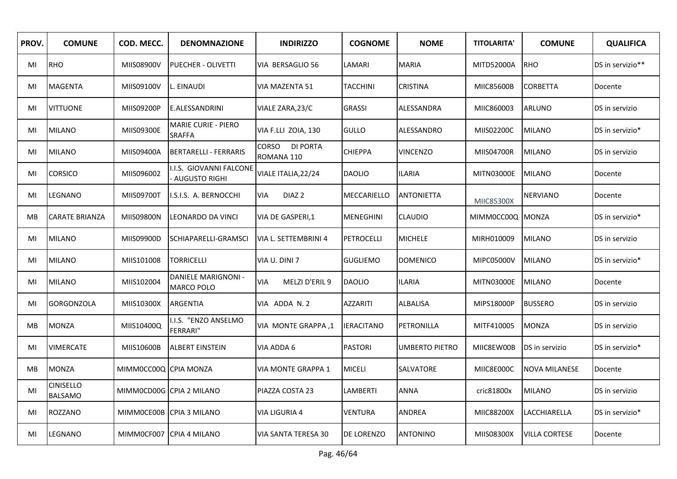| PROV.     | <b>COMUNE</b>               | COD. MECC.            | <b>DENOMNAZIONE</b>                             | <b>INDIRIZZO</b>                       | <b>COGNOME</b>    | <b>NOME</b>           | <b>TITOLARITA'</b> | <b>COMUNE</b>        | <b>QUALIFICA</b> |
|-----------|-----------------------------|-----------------------|-------------------------------------------------|----------------------------------------|-------------------|-----------------------|--------------------|----------------------|------------------|
| MI        | RHO                         | MIIS08900V            | <b>IPUECHER - OLIVETTI</b>                      | VIA BERSAGLIO 56                       | LAMARI            | <b>MARIA</b>          | MITD52000A         | <b>RHO</b>           | DS in servizio** |
| MI        | <b>MAGENTA</b>              | MIIS09100V            | L. EINAUDI                                      | VIA MAZENTA 51                         | TACCHINI          | CRISTINA              | MIIC85600B         | CORBETTA             | Docente          |
| MI        | <b>VITTUONE</b>             | MIIS09200P            | <b>E.ALESSANDRINI</b>                           | VIALE ZARA, 23/C                       | <b>GRASSI</b>     | ALESSANDRA            | MIIC860003         | <b>ARLUNO</b>        | DS in servizio   |
| MI        | <b>MILANO</b>               | MIIS09300E            | <b>MARIE CURIE - PIERO</b><br><b>SRAFFA</b>     | VIA F.LLI ZOIA, 130                    | <b>GULLO</b>      | ALESSANDRO            | MIIS02200C         | <b>MILANO</b>        | DS in servizio*  |
| MI        | <b>MILANO</b>               | MIIS09400A            | <b>BERTARELLI - FERRARIS</b>                    | <b>DI PORTA</b><br>CORSO<br>ROMANA 110 | <b>CHIEPPA</b>    | <b>VINCENZO</b>       | MIIS04700R         | <b>MILANO</b>        | DS in servizio   |
| MI        | <b>CORSICO</b>              | MIIS096002            | I.I.S. GIOVANNI FALCONE<br><b>AUGUSTO RIGHI</b> | VIALE ITALIA, 22/24                    | <b>DAOLIO</b>     | <b>ILARIA</b>         | <b>MITN03000E</b>  | <b>MILANO</b>        | Docente          |
| MI        | LEGNANO                     | MIIS09700T            | I.S.I.S. A. BERNOCCHI                           | DIAZ <sub>2</sub><br>VIA               | MECCARIELLO       | <b>ANTONIETTA</b>     | MIIC85300X         | <b>NERVIANO</b>      | Docente          |
| МB        | <b>CARATE BRIANZA</b>       | MIIS09800N            | LEONARDO DA VINCI                               | VIA DE GASPERI,1                       | <b>MENEGHINI</b>  | <b>CLAUDIO</b>        | MIMMOCCOOQ MONZA   |                      | DS in servizio*  |
| MI        | <b>MILANO</b>               | MIIS09900D            | SCHIAPARELLI-GRAMSCI                            | VIA L. SETTEMBRINI 4                   | PETROCELLI        | <b>MICHELE</b>        | MIRH010009         | <b>MILANO</b>        | DS in servizio   |
| MI        | <b>MILANO</b>               | MIIS101008            | <b>TORRICELLI</b>                               | VIA U. DINI 7                          | <b>GUGLIEMO</b>   | <b>DOMENICO</b>       | MIPC05000V         | <b>MILANO</b>        | DS in servizio*  |
| MI        | <b>MILANO</b>               | MIIS102004            | DANIELE MARIGNONI -<br><b>MARCO POLO</b>        | MELZI D'ERIL 9<br>VIA                  | <b>DAOLIO</b>     | <b>ILARIA</b>         | MITN03000E         | <b>MILANO</b>        | Docente          |
| MI        | <b>GORGONZOLA</b>           | MIIS10300X            | <b>ARGENTIA</b>                                 | VIA ADDA N. 2                          | AZZARITI          | ALBALISA              | MIPS18000P         | <b>BUSSERO</b>       | DS in servizio   |
| MB        | <b>MONZA</b>                | MIIS10400Q            | I.I.S. "ENZO ANSELMO<br><b>FERRARI"</b>         | VIA MONTE GRAPPA, 1                    | <b>IERACITANO</b> | PETRONILLA            | MITF410005         | <b>MONZA</b>         | DS in servizio   |
| MI        | <b>VIMERCATE</b>            | MIIS10600B            | ALBERT EINSTEIN                                 | VIA ADDA 6                             | <b>PASTORI</b>    | <b>UMBERTO PIETRO</b> | MIIC8EW00B         | DS in servizio       | DS in servizio*  |
| <b>MB</b> | <b>MONZA</b>                | MIMMOCCOOQ CPIA MONZA |                                                 | VIA MONTE GRAPPA 1                     | <b>MICELI</b>     | SALVATORE             | MIIC8E000C         | <b>NOVA MILANESE</b> | Docente          |
| MI        | CINISELLO<br><b>BALSAMO</b> |                       | MIMMOCDOOG CPIA 2 MILANO                        | PIAZZA COSTA 23                        | LAMBERTI          | <b>ANNA</b>           | cric81800x         | <b>MILANO</b>        | DS in servizio   |
| MI        | ROZZANO                     |                       | MIMMOCEOOB CPIA 3 MILANO                        | <b>VIA LIGURIA 4</b>                   | VENTURA           | ANDREA                | MIIC88200X         | <b>LACCHIARELLA</b>  | DS in servizio*  |
| MI        | LEGNANO                     |                       | MIMMOCFOO7 ICPIA 4 MILANO                       | VIA SANTA TERESA 30                    | DE LORENZO        | <b>ANTONINO</b>       | MIIS08300X         | <b>VILLA CORTESE</b> | Docente          |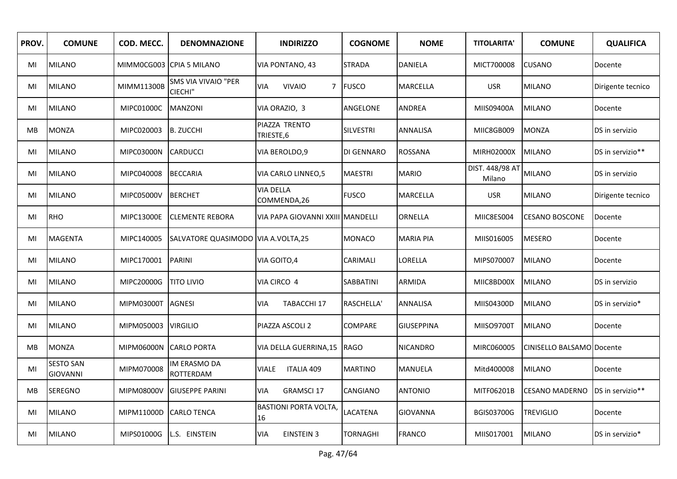| PROV.     | <b>COMUNE</b>                       | COD. MECC.             | <b>DENOMNAZIONE</b>                | <b>INDIRIZZO</b>                           | <b>COGNOME</b>   | <b>NOME</b>       | <b>TITOLARITA'</b>        | <b>COMUNE</b>             | <b>QUALIFICA</b>  |
|-----------|-------------------------------------|------------------------|------------------------------------|--------------------------------------------|------------------|-------------------|---------------------------|---------------------------|-------------------|
| MI        | <b>MILANO</b>                       |                        | MIMMOCG003 CPIA 5 MILANO           | VIA PONTANO, 43                            | <b>STRADA</b>    | <b>DANIELA</b>    | MICT700008                | <b>CUSANO</b>             | Docente           |
| MI        | <b>MILANO</b>                       | MIMM11300B             | SMS VIA VIVAIO "PER<br>CIECHI"     | <b>VIVAIO</b><br>$7^{\circ}$<br><b>VIA</b> | <b>FUSCO</b>     | MARCELLA          | <b>USR</b>                | <b>MILANO</b>             | Dirigente tecnico |
| MI        | <b>MILANO</b>                       | MIPC01000C             | MANZONI                            | VIA ORAZIO, 3                              | ANGELONE         | <b>ANDREA</b>     | MIIS09400A                | <b>MILANO</b>             | Docente           |
| <b>MB</b> | <b>MONZA</b>                        | MIPC020003             | B. ZUCCHI                          | PIAZZA TRENTO<br>TRIESTE,6                 | <b>SILVESTRI</b> | <b>ANNALISA</b>   | MIIC8GB009                | <b>MONZA</b>              | DS in servizio    |
| MI        | <b>MILANO</b>                       | MIPC03000N             | <b>CARDUCCI</b>                    | VIA BEROLDO, 9                             | DI GENNARO       | ROSSANA           | MIRH02000X                | <b>MILANO</b>             | DS in servizio**  |
| MI        | <b>MILANO</b>                       | MIPC040008             | <b>BECCARIA</b>                    | VIA CARLO LINNEO,5                         | <b>MAESTRI</b>   | <b>MARIO</b>      | DIST. 448/98 AT<br>Milano | <b>MILANO</b>             | DS in servizio    |
| MI        | <b>MILANO</b>                       | MIPC05000V             | <b>BERCHET</b>                     | <b>VIA DELLA</b><br>COMMENDA,26            | <b>FUSCO</b>     | <b>MARCELLA</b>   | <b>USR</b>                | <b>MILANO</b>             | Dirigente tecnico |
| MI        | <b>RHO</b>                          | MIPC13000E             | <b>CLEMENTE REBORA</b>             | VIA PAPA GIOVANNI XXIII                    | <b>MANDELLI</b>  | ORNELLA           | MIIC8ES004                | <b>CESANO BOSCONE</b>     | Docente           |
| MI        | <b>MAGENTA</b>                      | MIPC140005             | SALVATORE QUASIMODO VIA A.VOLTA,25 |                                            | MONACO           | <b>MARIA PIA</b>  | MIIS016005                | <b>MESERO</b>             | Docente           |
| MI        | <b>MILANO</b>                       | MIPC170001             | <b>PARINI</b>                      | VIA GOITO, 4                               | CARIMALI         | LORELLA           | MIPS070007                | <b>MILANO</b>             | Docente           |
| MI        | <b>MILANO</b>                       | MIPC20000G             | <b>TITO LIVIO</b>                  | VIA CIRCO 4                                | SABBATINI        | ARMIDA            | MIIC8BD00X                | <b>MILANO</b>             | DS in servizio    |
| MI        | <b>MILANO</b>                       | MIPM03000T             | <b>AGNESI</b>                      | TABACCHI 17<br><b>VIA</b>                  | RASCHELLA'       | ANNALISA          | MIIS04300D                | <b>MILANO</b>             | DS in servizio*   |
| MI        | <b>MILANO</b>                       | MIPM050003 VIRGILIO    |                                    | PIAZZA ASCOLI 2                            | COMPARE          | <b>GIUSEPPINA</b> | MIISO9700T                | <b>MILANO</b>             | Docente           |
| <b>MB</b> | <b>MONZA</b>                        | MIPM06000N CARLO PORTA |                                    | VIA DELLA GUERRINA, 15                     | <b>RAGO</b>      | <b>NICANDRO</b>   | MIRC060005                | CINISELLO BALSAMO Docente |                   |
| MI        | <b>SESTO SAN</b><br><b>GIOVANNI</b> | MIPM070008             | IM ERASMO DA<br>ROTTERDAM          | <b>ITALIA 409</b><br><b>VIALE</b>          | <b>MARTINO</b>   | MANUELA           | Mitd400008                | <b>MILANO</b>             | Docente           |
| MB        | <b>SEREGNO</b>                      | MIPM08000V             | <b>GIUSEPPE PARINI</b>             | <b>GRAMSCI 17</b><br>VIA                   | CANGIANO         | <b>ANTONIO</b>    | MITF06201B                | <b>CESANO MADERNO</b>     | DS in servizio**  |
| MI        | <b>MILANO</b>                       | MIPM11000D             | <b>CARLO TENCA</b>                 | <b>BASTIONI PORTA VOLTA,</b><br>16         | <b>LACATENA</b>  | <b>GIOVANNA</b>   | <b>BGIS03700G</b>         | <b>TREVIGLIO</b>          | Docente           |
| MI        | <b>MILANO</b>                       | MIPS01000G             | L.S. EINSTEIN                      | <b>EINSTEIN 3</b><br>VIA                   | TORNAGHI         | <b>FRANCO</b>     | MIIS017001                | <b>MILANO</b>             | DS in servizio*   |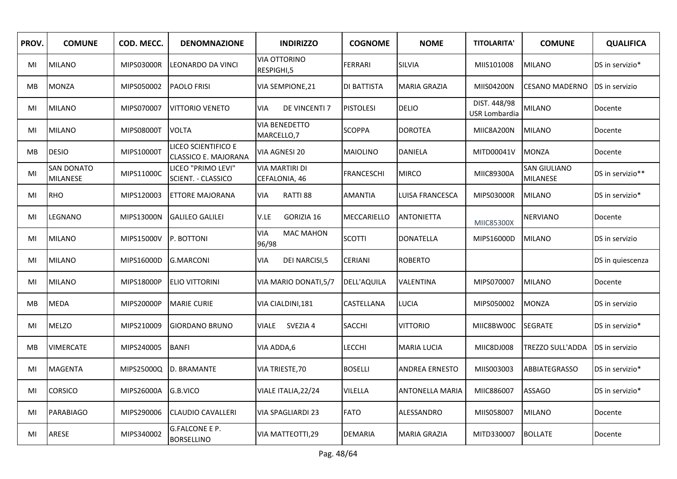| PROV. | <b>COMUNE</b>                        | COD. MECC. | <b>DENOMNAZIONE</b>                                | <b>INDIRIZZO</b>                        | <b>COGNOME</b>    | <b>NOME</b>            | <b>TITOLARITA'</b>            | <b>COMUNE</b>                          | <b>QUALIFICA</b> |
|-------|--------------------------------------|------------|----------------------------------------------------|-----------------------------------------|-------------------|------------------------|-------------------------------|----------------------------------------|------------------|
| MI    | <b>MILANO</b>                        | MIPS03000R | LEONARDO DA VINCI                                  | <b>VIA OTTORINO</b><br>RESPIGHI,5       | <b>FERRARI</b>    | SILVIA                 | MIIS101008                    | <b>MILANO</b>                          | DS in servizio*  |
| MВ    | <b>MONZA</b>                         | MIPS050002 | <b>PAOLO FRISI</b>                                 | VIA SEMPIONE, 21                        | DI BATTISTA       | <b>MARIA GRAZIA</b>    | MIIS04200N                    | <b>CESANO MADERNO</b>                  | DS in servizio   |
| MI    | <b>MILANO</b>                        | MIPS070007 | <b>VITTORIO VENETO</b>                             | <b>DE VINCENTI 7</b><br><b>VIA</b>      | <b>PISTOLESI</b>  | <b>DELIO</b>           | DIST. 448/98<br>USR Lombardia | <b>MILANO</b>                          | Docente          |
| MI    | <b>MILANO</b>                        | MIPS08000T | <b>VOLTA</b>                                       | <b>VIA BENEDETTO</b><br>MARCELLO,7      | <b>SCOPPA</b>     | <b>DOROTEA</b>         | MIIC8A200N                    | <b>MILANO</b>                          | Docente          |
| MВ    | <b>DESIO</b>                         | MIPS10000T | LICEO SCIENTIFICO E<br><b>CLASSICO E. MAJORANA</b> | VIA AGNESI 20                           | <b>MAIOLINO</b>   | <b>DANIELA</b>         | MITD00041V                    | <b>MONZA</b>                           | Docente          |
| MI    | <b>SAN DONATO</b><br><b>MILANESE</b> | MIPS11000C | LICEO "PRIMO LEVI"<br>SCIENT. - CLASSICO           | <b>VIA MARTIRI DI</b><br>CEFALONIA, 46  | <b>FRANCESCHI</b> | <b>MIRCO</b>           | MIIC89300A                    | <b>SAN GIULIANO</b><br><b>MILANESE</b> | DS in servizio** |
| MI    | <b>RHO</b>                           | MIPS120003 | <b>ETTORE MAJORANA</b>                             | RATTI 88<br><b>VIA</b>                  | <b>AMANTIA</b>    | LUISA FRANCESCA        | MIPS03000R                    | <b>MILANO</b>                          | DS in servizio*  |
| MI    | LEGNANO                              | MIPS13000N | <b>GALILEO GALILEI</b>                             | V.LE<br>GORIZIA 16                      | MECCARIELLO       | <b>ANTONIETTA</b>      | MIIC85300X                    | <b>NERVIANO</b>                        | Docente          |
| MI    | <b>MILANO</b>                        | MIPS15000V | P. BOTTONI                                         | <b>VIA</b><br><b>MAC MAHON</b><br>96/98 | <b>SCOTTI</b>     | <b>DONATELLA</b>       | MIPS16000D                    | <b>MILANO</b>                          | DS in servizio   |
| MI    | <b>MILANO</b>                        | MIPS16000D | <b>G.MARCONI</b>                                   | VIA<br><b>DEI NARCISI,5</b>             | CERIANI           | <b>ROBERTO</b>         |                               |                                        | DS in quiescenza |
| MI    | <b>MILANO</b>                        | MIPS18000P | ELIO VITTORINI                                     | VIA MARIO DONATI, 5/7                   | DELL'AQUILA       | VALENTINA              | MIPS070007                    | <b>MILANO</b>                          | Docente          |
| MB    | <b>MEDA</b>                          | MIPS20000P | <b>MARIE CURIE</b>                                 | VIA CIALDINI, 181                       | CASTELLANA        | LUCIA                  | MIPS050002                    | <b>MONZA</b>                           | DS in servizio   |
| MI    | <b>MELZO</b>                         | MIPS210009 | <b>GIORDANO BRUNO</b>                              | SVEZIA 4<br>VIALE                       | <b>SACCHI</b>     | <b>VITTORIO</b>        | MIIC8BW00C                    | <b>SEGRATE</b>                         | DS in servizio*  |
| MB    | <b>VIMERCATE</b>                     | MIPS240005 | <b>BANFI</b>                                       | VIA ADDA,6                              | LECCHI            | <b>MARIA LUCIA</b>     | MIIC8DJ008                    | TREZZO SULL'ADDA                       | DS in servizio   |
| MI    | <b>MAGENTA</b>                       | MIPS25000Q | D. BRAMANTE                                        | VIA TRIESTE, 70                         | <b>BOSELLI</b>    | <b>ANDREA ERNESTO</b>  | MIIS003003                    | <b>ABBIATEGRASSO</b>                   | DS in servizio*  |
| MI    | <b>CORSICO</b>                       | MIPS26000A | G.B.VICO                                           | VIALE ITALIA, 22/24                     | VILELLA           | <b>ANTONELLA MARIA</b> | MIIC886007                    | ASSAGO                                 | DS in servizio*  |
| MI    | <b>PARABIAGO</b>                     | MIPS290006 | <b>CLAUDIO CAVALLERI</b>                           | <b>VIA SPAGLIARDI 23</b>                | <b>FATO</b>       | ALESSANDRO             | MIIS058007                    | <b>MILANO</b>                          | Docente          |
| MI    | ARESE                                | MIPS340002 | <b>G.FALCONE E P.</b><br><b>BORSELLINO</b>         | VIA MATTEOTTI,29                        | <b>DEMARIA</b>    | <b>MARIA GRAZIA</b>    | MITD330007                    | <b>BOLLATE</b>                         | Docente          |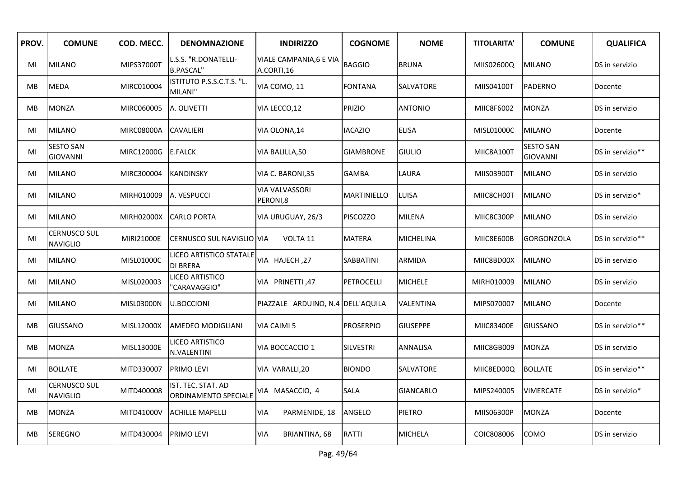| PROV.     | <b>COMUNE</b>                          | COD. MECC. | <b>DENOMNAZIONE</b>                        | <b>INDIRIZZO</b>                      | <b>COGNOME</b>     | <b>NOME</b>      | <b>TITOLARITA'</b> | <b>COMUNE</b>                       | <b>QUALIFICA</b> |
|-----------|----------------------------------------|------------|--------------------------------------------|---------------------------------------|--------------------|------------------|--------------------|-------------------------------------|------------------|
| MI        | <b>MILANO</b>                          | MIPS37000T | L.S.S. "R.DONATELLI-<br><b>B.PASCAL"</b>   | VIALE CAMPANIA, 6 E VIA<br>A.CORTI,16 | <b>BAGGIO</b>      | <b>BRUNA</b>     | MIIS02600Q         | <b>MILANO</b>                       | DS in servizio   |
| MB        | <b>MEDA</b>                            | MIRC010004 | ISTITUTO P.S.S.C.T.S. "L.<br>MILANI"       | VIA COMO, 11                          | <b>FONTANA</b>     | SALVATORE        | MIIS04100T         | PADERNO                             | Docente          |
| MВ        | <b>MONZA</b>                           | MIRC060005 | A. OLIVETTI                                | VIA LECCO,12                          | <b>PRIZIO</b>      | <b>ANTONIO</b>   | MIIC8F6002         | <b>MONZA</b>                        | DS in servizio   |
| MI        | <b>MILANO</b>                          | MIRC08000A | <b>CAVALIERI</b>                           | VIA OLONA,14                          | <b>IACAZIO</b>     | <b>ELISA</b>     | MISL01000C         | <b>MILANO</b>                       | Docente          |
| MI        | <b>SESTO SAN</b><br><b>GIOVANNI</b>    | MIRC12000G | <b>E.FALCK</b>                             | VIA BALILLA,50                        | <b>GIAMBRONE</b>   | <b>GIULIO</b>    | MIIC8A100T         | <b>SESTO SAN</b><br><b>GIOVANNI</b> | DS in servizio** |
| MI        | MILANO                                 | MIRC300004 | <b>KANDINSKY</b>                           | VIA C. BARONI, 35                     | <b>GAMBA</b>       | LAURA            | MIIS03900T         | <b>MILANO</b>                       | DS in servizio   |
| MI        | <b>MILANO</b>                          | MIRH010009 | A. VESPUCCI                                | <b>VIA VALVASSORI</b><br>PERONI,8     | <b>MARTINIELLO</b> | LUISA            | MIIC8CH00T         | <b>MILANO</b>                       | DS in servizio*  |
| MI        | <b>MILANO</b>                          | MIRH02000X | <b>CARLO PORTA</b>                         | VIA URUGUAY, 26/3                     | <b>PISCOZZO</b>    | <b>MILENA</b>    | MIIC8C300P         | <b>MILANO</b>                       | DS in servizio   |
| MI        | <b>CERNUSCO SUL</b><br><b>NAVIGLIO</b> | MIRI21000E | CERNUSCO SUL NAVIGLIO VIA                  | VOLTA 11                              | <b>MATERA</b>      | MICHELINA        | MIIC8E600B         | <b>GORGONZOLA</b>                   | DS in servizio** |
| MI        | <b>MILANO</b>                          | MISL01000C | LICEO ARTISTICO STATALE<br><b>DI BRERA</b> | VIA HAJECH, 27                        | SABBATINI          | ARMIDA           | MIIC8BD00X         | <b>MILANO</b>                       | DS in servizio   |
| MI        | <b>MILANO</b>                          | MISL020003 | LICEO ARTISTICO<br>"CARAVAGGIO"            | VIA PRINETTI, 47                      | <b>PETROCELLI</b>  | <b>MICHELE</b>   | MIRH010009         | <b>MILANO</b>                       | DS in servizio   |
| MI        | <b>MILANO</b>                          | MISL03000N | <b>U.BOCCIONI</b>                          | PIAZZALE ARDUINO, N.4 DELL'AQUILA     |                    | VALENTINA        | MIPS070007         | <b>MILANO</b>                       | Docente          |
| <b>MB</b> | <b>GIUSSANO</b>                        | MISL12000X | <b>AMEDEO MODIGLIANI</b>                   | VIA CAIMI 5                           | <b>PROSERPIO</b>   | <b>GIUSEPPE</b>  | MIIC83400E         | <b>GIUSSANO</b>                     | DS in servizio** |
| MB        | <b>MONZA</b>                           | MISL13000E | LICEO ARTISTICO<br>N.VALENTINI             | VIA BOCCACCIO 1                       | <b>SILVESTRI</b>   | ANNALISA         | MIIC8GB009         | <b>MONZA</b>                        | DS in servizio   |
| MI        | <b>BOLLATE</b>                         | MITD330007 | <b>PRIMO LEVI</b>                          | VIA VARALLI,20                        | <b>BIONDO</b>      | SALVATORE        | MIIC8ED00Q         | <b>BOLLATE</b>                      | DS in servizio** |
| MI        | <b>CERNUSCO SUL</b><br><b>NAVIGLIO</b> | MITD400008 | IST. TEC. STAT. AD<br>ORDINAMENTO SPECIALE | VIA MASACCIO, 4                       | SALA               | <b>GIANCARLO</b> | MIPS240005         | <b>VIMERCATE</b>                    | DS in servizio*  |
| MВ        | <b>MONZA</b>                           | MITD41000V | <b>ACHILLE MAPELLI</b>                     | PARMENIDE, 18<br>VIA                  | ANGELO             | PIETRO           | MIIS06300P         | <b>MONZA</b>                        | Docente          |
| МB        | <b>SEREGNO</b>                         | MITD430004 | <b>PRIMO LEVI</b>                          | VIA<br>BRIANTINA, 68                  | RATTI              | <b>MICHELA</b>   | COIC808006         | COMO                                | DS in servizio   |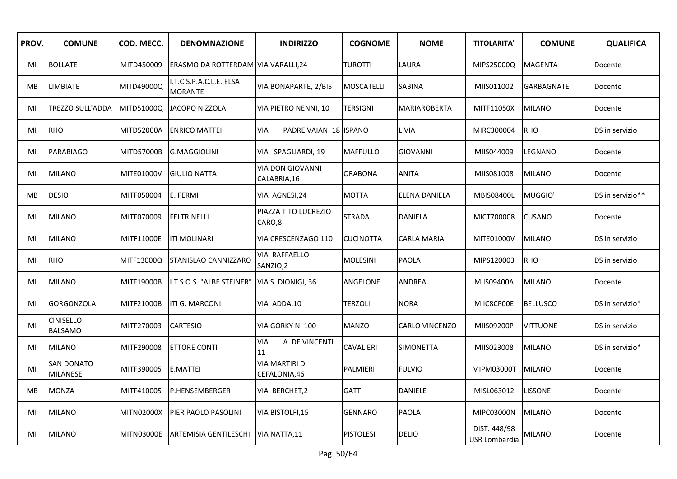| PROV. | <b>COMUNE</b>                      | COD. MECC.        | <b>DENOMNAZIONE</b>                       | <b>INDIRIZZO</b>                        | <b>COGNOME</b>   | <b>NOME</b>         | <b>TITOLARITA'</b>            | <b>COMUNE</b>   | <b>QUALIFICA</b> |
|-------|------------------------------------|-------------------|-------------------------------------------|-----------------------------------------|------------------|---------------------|-------------------------------|-----------------|------------------|
| MI    | <b>BOLLATE</b>                     | MITD450009        | ERASMO DA ROTTERDAM VIA VARALLI, 24       |                                         | TUROTTI          | LAURA               | MIPS25000Q                    | <b>MAGENTA</b>  | Docente          |
| MB    | <b>LIMBIATE</b>                    | MITD49000Q        | I.T.C.S.P.A.C.L.E. ELSA<br><b>MORANTE</b> | VIA BONAPARTE, 2/BIS                    | MOSCATELLI       | SABINA              | MIIS011002                    | GARBAGNATE      | Docente          |
| MI    | <b>TREZZO SULL'ADDA</b>            | MITD51000Q        | JACOPO NIZZOLA                            | VIA PIETRO NENNI, 10                    | <b>TERSIGNI</b>  | <b>MARIAROBERTA</b> | MITF11050X                    | <b>MILANO</b>   | Docente          |
| MI    | RHO                                | MITD52000A        | <b>ENRICO MATTEI</b>                      | PADRE VAIANI 18 ISPANO<br><b>VIA</b>    |                  | <b>LIVIA</b>        | MIRC300004                    | <b>RHO</b>      | DS in servizio   |
| MI    | <b>PARABIAGO</b>                   | MITD57000B        | <b>G.MAGGIOLINI</b>                       | VIA SPAGLIARDI, 19                      | <b>MAFFULLO</b>  | <b>GIOVANNI</b>     | MIIS044009                    | LEGNANO         | Docente          |
| MI    | <b>MILANO</b>                      | MITE01000V        | <b>GIULIO NATTA</b>                       | <b>VIA DON GIOVANNI</b><br>CALABRIA, 16 | <b>ORABONA</b>   | <b>ANITA</b>        | MIIS081008                    | <b>MILANO</b>   | Docente          |
| MB    | <b>DESIO</b>                       | MITF050004        | E. FERMI                                  | VIA AGNESI,24                           | <b>MOTTA</b>     | ELENA DANIELA       | <b>MBIS08400L</b>             | MUGGIO'         | DS in servizio** |
| MI    | <b>MILANO</b>                      | MITF070009        | <b>FELTRINELLI</b>                        | PIAZZA TITO LUCREZIO<br>CARO,8          | <b>STRADA</b>    | <b>DANIELA</b>      | MICT700008                    | <b>CUSANO</b>   | Docente          |
| MI    | <b>MILANO</b>                      | MITF11000E        | <b>ITI MOLINARI</b>                       | VIA CRESCENZAGO 110                     | <b>CUCINOTTA</b> | CARLA MARIA         | MITE01000V                    | <b>MILANO</b>   | DS in servizio   |
| MI    | RHO                                | MITF13000Q        | <b>STANISLAO CANNIZZARO</b>               | VIA RAFFAELLO<br>SANZIO,2               | <b>MOLESINI</b>  | <b>PAOLA</b>        | MIPS120003                    | <b>RHO</b>      | DS in servizio   |
| MI    | <b>MILANO</b>                      | MITF19000B        | I.T.S.O.S. "ALBE STEINER"                 | VIA S. DIONIGI, 36                      | ANGELONE         | ANDREA              | MIIS09400A                    | <b>MILANO</b>   | Docente          |
| MI    | <b>GORGONZOLA</b>                  | MITF21000B        | <b>ITI G. MARCONI</b>                     | VIA ADDA,10                             | TERZOLI          | <b>NORA</b>         | MIIC8CP00E                    | <b>BELLUSCO</b> | DS in servizio*  |
| MI    | <b>CINISELLO</b><br><b>BALSAMO</b> | MITF270003        | <b>CARTESIO</b>                           | VIA GORKY N. 100                        | <b>MANZO</b>     | CARLO VINCENZO      | MIIS09200P                    | <b>VITTUONE</b> | DS in servizio   |
| MI    | <b>MILANO</b>                      | MITF290008        | <b>ETTORE CONTI</b>                       | VIA<br>A. DE VINCENTI<br>11             | <b>CAVALIERI</b> | <b>SIMONETTA</b>    | MIIS023008                    | <b>MILANO</b>   | DS in servizio*  |
| MI    | SAN DONATO<br><b>MILANESE</b>      | MITF390005        | <b>E.MATTEI</b>                           | <b>VIA MARTIRI DI</b><br>CEFALONIA,46   | PALMIERI         | <b>FULVIO</b>       | MIPM03000T                    | <b>MILANO</b>   | Docente          |
| МB    | <b>MONZA</b>                       | MITF410005        | P.HENSEMBERGER                            | VIA BERCHET,2                           | <b>GATTI</b>     | DANIELE             | MISL063012                    | <b>LISSONE</b>  | Docente          |
| MI    | <b>MILANO</b>                      | <b>MITN02000X</b> | <b>PIER PAOLO PASOLINI</b>                | VIA BISTOLFI,15                         | <b>GENNARO</b>   | <b>PAOLA</b>        | MIPC03000N                    | <b>MILANO</b>   | Docente          |
| MI    | <b>MILANO</b>                      | MITN03000E        | ARTEMISIA GENTILESCHI                     | VIA NATTA, 11                           | <b>PISTOLESI</b> | DELIO               | DIST. 448/98<br>USR Lombardia | <b>MILANO</b>   | Docente          |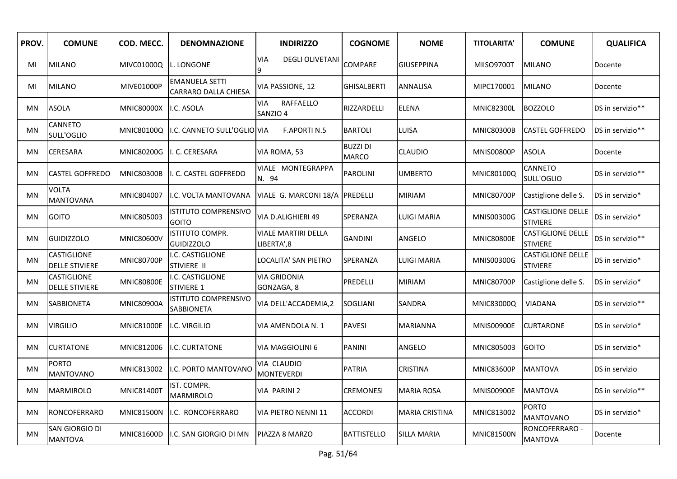| PROV.     | <b>COMUNE</b>                        | COD. MECC.        | <b>DENOMNAZIONE</b>                           | <b>INDIRIZZO</b>                          | <b>COGNOME</b>                  | <b>NOME</b>           | <b>TITOLARITA'</b> | <b>COMUNE</b>                               | <b>QUALIFICA</b> |
|-----------|--------------------------------------|-------------------|-----------------------------------------------|-------------------------------------------|---------------------------------|-----------------------|--------------------|---------------------------------------------|------------------|
| MI        | <b>MILANO</b>                        | MIVC01000Q        | L. LONGONE                                    | <b>VIA</b><br><b>DEGLI OLIVETANI</b><br>9 | COMPARE                         | GIUSEPPINA            | <b>MIISO9700T</b>  | <b>MILANO</b>                               | Docente          |
| MI        | <b>MILANO</b>                        | MIVE01000P        | <b>EMANUELA SETTI</b><br>CARRARO DALLA CHIESA | VIA PASSIONE, 12                          | <b>GHISALBERTI</b>              | ANNALISA              | MIPC170001         | <b>MILANO</b>                               | Docente          |
| MN        | <b>ASOLA</b>                         | <b>MNIC80000X</b> | I.C. ASOLA                                    | RAFFAELLO<br><b>VIA</b><br>SANZIO 4       | RIZZARDELLI                     | <b>ELENA</b>          | <b>MNIC82300L</b>  | <b>BOZZOLO</b>                              | DS in servizio** |
| MN        | CANNETO<br>SULL'OGLIO                | <b>MNIC80100Q</b> | I.C. CANNETO SULL'OGLIO VIA                   | <b>F.APORTI N.5</b>                       | <b>BARTOLI</b>                  | LUISA                 | <b>MNIC80300B</b>  | <b>CASTEL GOFFREDO</b>                      | DS in servizio** |
| MN        | <b>CERESARA</b>                      | <b>MNIC80200G</b> | . C. CERESARA                                 | VIA ROMA, 53                              | <b>BUZZI DI</b><br><b>MARCO</b> | <b>CLAUDIO</b>        | <b>MNIS00800P</b>  | <b>ASOLA</b>                                | Docente          |
| MN        | <b>CASTEL GOFFREDO</b>               | <b>MNIC80300B</b> | . C. CASTEL GOFFREDO                          | VIALE MONTEGRAPPA<br>N. 94                | <b>PAROLINI</b>                 | <b>UMBERTO</b>        | MNIC80100Q         | CANNETO<br>SULL'OGLIO                       | DS in servizio** |
| MN        | <b>VOLTA</b><br><b>MANTOVANA</b>     | MNIC804007        | I.C. VOLTA MANTOVANA                          | VIALE G. MARCONI 18/A                     | <b>PREDELLI</b>                 | <b>MIRIAM</b>         | <b>MNIC80700P</b>  | Castiglione delle S.                        | DS in servizio*  |
| MN        | <b>GOITO</b>                         | MNIC805003        | <b>ISTITUTO COMPRENSIVO</b><br><b>GOITO</b>   | VIA D.ALIGHIERI 49                        | SPERANZA                        | LUIGI MARIA           | MNIS00300G         | <b>CASTIGLIONE DELLE</b><br><b>STIVIERE</b> | DS in servizio*  |
| <b>MN</b> | <b>GUIDIZZOLO</b>                    | <b>MNIC80600V</b> | ISTITUTO COMPR.<br><b>GUIDIZZOLO</b>          | <b>VIALE MARTIRI DELLA</b><br>LIBERTA',8  | <b>GANDINI</b>                  | ANGELO                | <b>MNIC80800E</b>  | <b>CASTIGLIONE DELLE</b><br><b>STIVIERE</b> | DS in servizio** |
| <b>MN</b> | CASTIGLIONE<br><b>DELLE STIVIERE</b> | <b>MNIC80700P</b> | I.C. CASTIGLIONE<br>STIVIERE II               | LOCALITA' SAN PIETRO                      | SPERANZA                        | <b>LUIGI MARIA</b>    | MNIS00300G         | CASTIGLIONE DELLE<br><b>STIVIERE</b>        | DS in servizio*  |
| MN        | CASTIGLIONE<br><b>DELLE STIVIERE</b> | <b>MNIC80800E</b> | .C. CASTIGLIONE<br>STIVIERE 1                 | <b>VIA GRIDONIA</b><br>GONZAGA, 8         | PREDELLI                        | <b>MIRIAM</b>         | <b>MNIC80700P</b>  | Castiglione delle S.                        | DS in servizio*  |
| MN        | <b>SABBIONETA</b>                    | <b>MNIC80900A</b> | ISTITUTO COMPRENSIVO<br><b>SABBIONETA</b>     | VIA DELL'ACCADEMIA,2                      | SOGLIANI                        | SANDRA                | <b>MNIC83000Q</b>  | VIADANA                                     | DS in servizio** |
| MN        | <b>VIRGILIO</b>                      | <b>MNIC81000E</b> | I.C. VIRGILIO                                 | VIA AMENDOLA N. 1                         | <b>PAVESI</b>                   | MARIANNA              | <b>MNIS00900E</b>  | <b>CURTARONE</b>                            | DS in servizio*  |
| <b>MN</b> | <b>CURTATONE</b>                     | MNIC812006        | I.C. CURTATONE                                | VIA MAGGIOLINI 6                          | <b>PANINI</b>                   | ANGELO                | MNIC805003         | <b>GOITO</b>                                | DS in servizio*  |
| MN        | <b>PORTO</b><br><b>MANTOVANO</b>     | MNIC813002        | I.C. PORTO MANTOVANO                          | VIA CLAUDIO<br><b>MONTEVERDI</b>          | <b>PATRIA</b>                   | <b>CRISTINA</b>       | <b>MNIC83600P</b>  | <b>MANTOVA</b>                              | DS in servizio   |
| MN        | <b>MARMIROLO</b>                     | <b>MNIC81400T</b> | IST. COMPR.<br>MARMIROLO                      | VIA PARINI 2                              | <b>CREMONESI</b>                | MARIA ROSA            | <b>MNIS00900E</b>  | <b>MANTOVA</b>                              | DS in servizio** |
| MN        | RONCOFERRARO                         | <b>MNIC81500N</b> | I.C. RONCOFERRARO                             | VIA PIETRO NENNI 11                       | <b>ACCORDI</b>                  | <b>MARIA CRISTINA</b> | MNIC813002         | <b>PORTO</b><br><b>MANTOVANO</b>            | DS in servizio*  |
| MN        | SAN GIORGIO DI<br><b>MANTOVA</b>     | MNIC81600D        | I.C. SAN GIORGIO DI MN                        | <b>PIAZZA 8 MARZO</b>                     | <b>BATTISTELLO</b>              | <b>SILLA MARIA</b>    | <b>MNIC81500N</b>  | RONCOFERRARO -<br><b>MANTOVA</b>            | Docente          |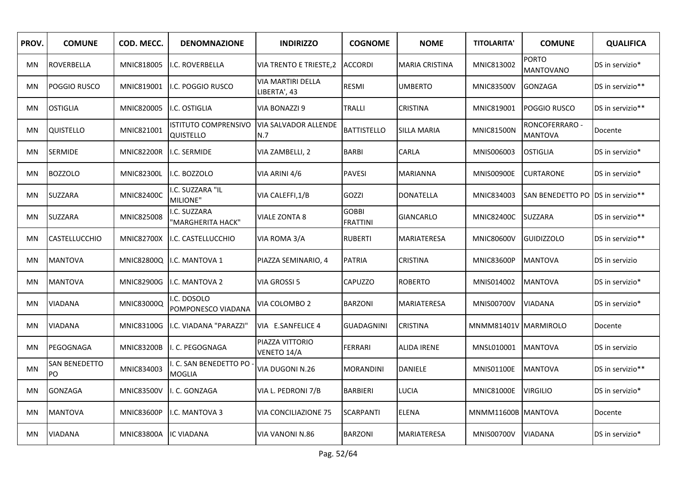| PROV. | <b>COMUNE</b>        | COD. MECC.        | <b>DENOMNAZIONE</b>                    | <b>INDIRIZZO</b>                   | <b>COGNOME</b>                  | <b>NOME</b>        | <b>TITOLARITA'</b>   | <b>COMUNE</b>                       | <b>QUALIFICA</b> |
|-------|----------------------|-------------------|----------------------------------------|------------------------------------|---------------------------------|--------------------|----------------------|-------------------------------------|------------------|
| MN    | ROVERBELLA           | MNIC818005        | I.C. ROVERBELLA                        | VIA TRENTO E TRIESTE,2             | <b>ACCORDI</b>                  | MARIA CRISTINA     | MNIC813002           | <b>PORTO</b><br><b>MANTOVANO</b>    | DS in servizio*  |
| MN    | POGGIO RUSCO         | MNIC819001        | I.C. POGGIO RUSCO                      | VIA MARTIRI DELLA<br>LIBERTA', 43  | RESMI                           | <b>UMBERTO</b>     | <b>MNIC83500V</b>    | <b>GONZAGA</b>                      | DS in servizio** |
| MN    | <b>OSTIGLIA</b>      | MNIC820005        | I.C. OSTIGLIA                          | VIA BONAZZI 9                      | <b>TRALLI</b>                   | <b>CRISTINA</b>    | MNIC819001           | <b>POGGIO RUSCO</b>                 | DS in servizio** |
| MN    | QUISTELLO            | MNIC821001        | ISTITUTO COMPRENSIVO<br>QUISTELLO      | <b>VIA SALVADOR ALLENDE</b><br>N.7 | <b>BATTISTELLO</b>              | <b>SILLA MARIA</b> | <b>MNIC81500N</b>    | RONCOFERRARO -<br><b>MANTOVA</b>    | Docente          |
| MN    | SERMIDE              | <b>MNIC82200R</b> | I.C. SERMIDE                           | VIA ZAMBELLI, 2                    | <b>BARBI</b>                    | CARLA              | MNIS006003           | <b>OSTIGLIA</b>                     | DS in servizio*  |
| MN    | <b>BOZZOLO</b>       | <b>MNIC82300L</b> | I.C. BOZZOLO                           | VIA ARINI 4/6                      | <b>PAVESI</b>                   | <b>MARIANNA</b>    | <b>MNIS00900E</b>    | <b>CURTARONE</b>                    | DS in servizio*  |
| MN    | SUZZARA              | <b>MNIC82400C</b> | I.C. SUZZARA "IL<br>MILIONE"           | VIA CALEFFI, 1/B                   | GOZZI                           | <b>DONATELLA</b>   | MNIC834003           | SAN BENEDETTO PO   DS in servizio** |                  |
| MN    | SUZZARA              | MNIC825008        | .C. SUZZARA<br>"MARGHERITA HACK"       | <b>VIALE ZONTA 8</b>               | <b>GOBBI</b><br><b>FRATTINI</b> | <b>GIANCARLO</b>   | <b>MNIC82400C</b>    | <b>SUZZARA</b>                      | DS in servizio** |
| MN    | <b>CASTELLUCCHIO</b> | <b>MNIC82700X</b> | I.C. CASTELLUCCHIO                     | VIA ROMA 3/A                       | <b>RUBERTI</b>                  | MARIATERESA        | <b>MNIC80600V</b>    | <b>GUIDIZZOLO</b>                   | DS in servizio** |
| MN    | <b>MANTOVA</b>       | <b>MNIC82800Q</b> | I.C. MANTOVA 1                         | PIAZZA SEMINARIO, 4                | <b>PATRIA</b>                   | CRISTINA           | <b>MNIC83600P</b>    | <b>MANTOVA</b>                      | DS in servizio   |
| MN    | <b>MANTOVA</b>       | <b>MNIC82900G</b> | I.C. MANTOVA 2                         | VIA GROSSI 5                       | CAPUZZO                         | <b>ROBERTO</b>     | MNIS014002           | <b>MANTOVA</b>                      | DS in servizio*  |
| MN    | VIADANA              | <b>MNIC83000Q</b> | .C. DOSOLO<br>POMPONESCO VIADANA       | VIA COLOMBO 2                      | <b>BARZONI</b>                  | MARIATERESA        | <b>MNIS00700V</b>    | <b>VIADANA</b>                      | DS in servizio*  |
| MN    | VIADANA              | MNIC83100G        | I.C. VIADANA "PARAZZI"                 | VIA E.SANFELICE 4                  | <b>GUADAGNINI</b>               | CRISTINA           | MNMM81401V MARMIROLO |                                     | Docente          |
| MN    | PEGOGNAGA            | <b>MNIC83200B</b> | I. C. PEGOGNAGA                        | PIAZZA VITTORIO<br>VENETO 14/A     | <b>FERRARI</b>                  | <b>ALIDA IRENE</b> | MNSL010001           | <b>MANTOVA</b>                      | DS in servizio   |
| MN    | SAN BENEDETTO<br>PO  | MNIC834003        | . C. SAN BENEDETTO PO<br><b>MOGLIA</b> | VIA DUGONI N.26                    | MORANDINI                       | DANIELE            | <b>MNIS01100E</b>    | <b>MANTOVA</b>                      | DS in servizio** |
| MN    | GONZAGA              | <b>MNIC83500V</b> | . C. GONZAGA                           | VIA L. PEDRONI 7/B                 | <b>BARBIERI</b>                 | LUCIA              | <b>MNIC81000E</b>    | <b>VIRGILIO</b>                     | DS in servizio*  |
| MN    | <b>MANTOVA</b>       | <b>MNIC83600P</b> | I.C. MANTOVA 3                         | VIA CONCILIAZIONE 75               | <b>SCARPANTI</b>                | <b>ELENA</b>       | MNMM11600B MANTOVA   |                                     | Docente          |
| MN    | VIADANA              | <b>MNIC83800A</b> | <b>IC VIADANA</b>                      | VIA VANONI N.86                    | <b>BARZONI</b>                  | <b>MARIATERESA</b> | <b>MNIS00700V</b>    | <b>VIADANA</b>                      | DS in servizio*  |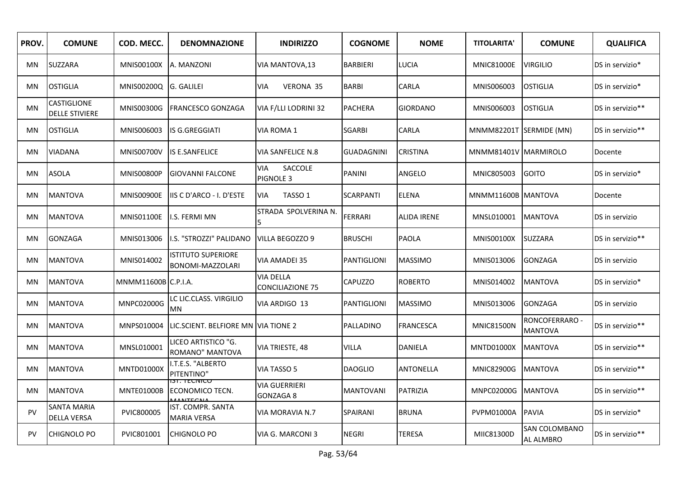| PROV. | <b>COMUNE</b>                        | COD. MECC.            | <b>DENOMNAZIONE</b>                           | <b>INDIRIZZO</b>                            | <b>COGNOME</b>     | <b>NOME</b>        | <b>TITOLARITA'</b>      | <b>COMUNE</b>                    | <b>QUALIFICA</b> |
|-------|--------------------------------------|-----------------------|-----------------------------------------------|---------------------------------------------|--------------------|--------------------|-------------------------|----------------------------------|------------------|
| MN    | <b>SUZZARA</b>                       | <b>MNIS00100X</b>     | A. MANZONI                                    | VIA MANTOVA, 13                             | <b>BARBIERI</b>    | <b>LUCIA</b>       | <b>MNIC81000E</b>       | <b>VIRGILIO</b>                  | DS in servizio*  |
| MN    | OSTIGLIA                             | MNIS00200Q G. GALILEI |                                               | VIA<br><b>VERONA 35</b>                     | <b>BARBI</b>       | CARLA              | MNIS006003              | <b>OSTIGLIA</b>                  | DS in servizio*  |
| MN    | CASTIGLIONE<br><b>DELLE STIVIERE</b> | MNIS00300G            | <b>FRANCESCO GONZAGA</b>                      | VIA F/LLI LODRINI 32                        | <b>PACHERA</b>     | <b>GIORDANO</b>    | MNIS006003              | <b>OSTIGLIA</b>                  | DS in servizio** |
| MN    | <b>OSTIGLIA</b>                      | MNIS006003            | IS G.GREGGIATI                                | VIA ROMA 1                                  | <b>SGARBI</b>      | CARLA              | MNMM82201T SERMIDE (MN) |                                  | DS in servizio** |
| MN    | VIADANA                              | <b>MNIS00700V</b>     | IS E.SANFELICE                                | <b>VIA SANFELICE N.8</b>                    | <b>GUADAGNINI</b>  | <b>CRISTINA</b>    | MNMM81401V MARMIROLO    |                                  | Docente          |
| MN    | <b>ASOLA</b>                         | <b>MNIS00800P</b>     | <b>GIOVANNI FALCONE</b>                       | SACCOLE<br>VIA<br><b>PIGNOLE 3</b>          | <b>PANINI</b>      | ANGELO             | MNIC805003              | <b>GOITO</b>                     | DS in servizio*  |
| MN    | MANTOVA                              | <b>MNIS00900E</b>     | IIS C D'ARCO - I. D'ESTE                      | TASSO <sub>1</sub><br><b>VIA</b>            | <b>SCARPANTI</b>   | <b>ELENA</b>       | MNMM11600B MANTOVA      |                                  | Docente          |
| MN    | MANTOVA                              | <b>MNIS01100E</b>     | I.S. FERMI MN                                 | STRADA SPOLVERINA N.<br>5                   | <b>FERRARI</b>     | <b>ALIDA IRENE</b> | MNSL010001              | <b>MANTOVA</b>                   | DS in servizio   |
| MN    | GONZAGA                              | MNIS013006            | I.S. "STROZZI" PALIDANO                       | <b>VILLA BEGOZZO 9</b>                      | <b>BRUSCHI</b>     | <b>PAOLA</b>       | <b>MNIS00100X</b>       | <b>SUZZARA</b>                   | DS in servizio** |
| MN    | <b>MANTOVA</b>                       | MNIS014002            | <b>ISTITUTO SUPERIORE</b><br>BONOMI-MAZZOLARI | <b>VIA AMADEI 35</b>                        | <b>PANTIGLIONI</b> | <b>MASSIMO</b>     | MNIS013006              | <b>GONZAGA</b>                   | DS in servizio   |
| MN    | MANTOVA                              | MNMM11600B C.P.I.A.   |                                               | <b>VIA DELLA</b><br><b>CONCILIAZIONE 75</b> | <b>CAPUZZO</b>     | <b>ROBERTO</b>     | MNIS014002              | <b>MANTOVA</b>                   | DS in servizio*  |
| MN    | MANTOVA                              | MNPC02000G            | LC LIC.CLASS. VIRGILIO<br>MN                  | VIA ARDIGO 13                               | <b>PANTIGLIONI</b> | <b>MASSIMO</b>     | MNIS013006              | <b>GONZAGA</b>                   | DS in servizio   |
| MN    | MANTOVA                              | MNPS010004            | LIC.SCIENT. BELFIORE MN  VIA TIONE 2          |                                             | PALLADINO          | FRANCESCA          | <b>MNIC81500N</b>       | RONCOFERRARO -<br><b>MANTOVA</b> | DS in servizio** |
| MN    | MANTOVA                              | MNSL010001            | LICEO ARTISTICO "G.<br>ROMANO" MANTOVA        | VIA TRIESTE, 48                             | <b>VILLA</b>       | DANIELA            | <b>MNTD01000X</b>       | <b>MANTOVA</b>                   | DS in servizio** |
| MN    | <b>MANTOVA</b>                       | <b>MNTD01000X</b>     | I.T.E.S. "ALBERTO<br>PITENTINO"               | VIA TASSO 5                                 | <b>DAOGLIO</b>     | ANTONELLA          | <b>MNIC82900G</b>       | <b>MANTOVA</b>                   | DS in servizio** |
| MN    | MANTOVA                              | MNTE01000B            | יטוועדו ונו<br>ECONOMICO TECN.                | VIA GUERRIERI<br>GONZAGA 8                  | <b>MANTOVANI</b>   | PATRIZIA           | <b>MNPC02000G</b>       | <b>MANTOVA</b>                   | DS in servizio** |
| PV    | SANTA MARIA<br><b>DELLA VERSA</b>    | PVIC800005            | IST. COMPR. SANTA<br><b>MARIA VERSA</b>       | VIA MORAVIA N.7                             | SPAIRANI           | <b>BRUNA</b>       | PVPM01000A              | <b>PAVIA</b>                     | DS in servizio*  |
| PV    | CHIGNOLO PO                          | PVIC801001            | <b>CHIGNOLO PO</b>                            | VIA G. MARCONI 3                            | <b>NEGRI</b>       | <b>TERESA</b>      | MIIC81300D              | SAN COLOMBANO<br>AL ALMBRO       | DS in servizio** |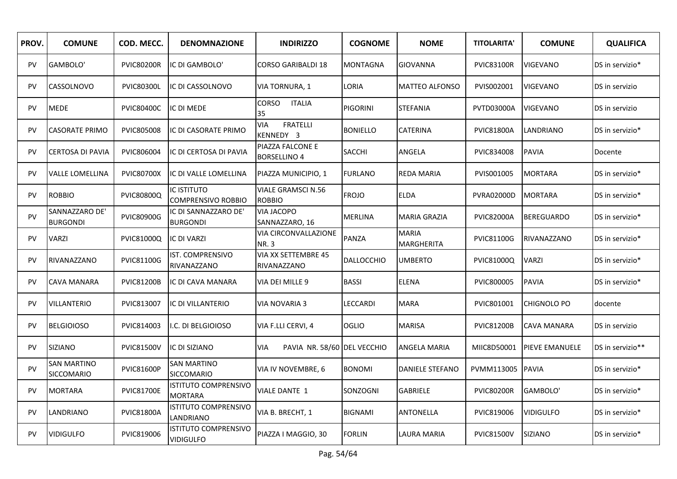| PROV.     | <b>COMUNE</b>                     | COD. MECC.        | <b>DENOMNAZIONE</b>                             | <b>INDIRIZZO</b>                           | <b>COGNOME</b>  | <b>NOME</b>                       | <b>TITOLARITA'</b> | <b>COMUNE</b>         | <b>QUALIFICA</b> |
|-----------|-----------------------------------|-------------------|-------------------------------------------------|--------------------------------------------|-----------------|-----------------------------------|--------------------|-----------------------|------------------|
| <b>PV</b> | GAMBOLO'                          | <b>PVIC80200R</b> | IC DI GAMBOLO'                                  | <b>CORSO GARIBALDI 18</b>                  | <b>MONTAGNA</b> | <b>GIOVANNA</b>                   | <b>PVIC83100R</b>  | <b>VIGEVANO</b>       | DS in servizio*  |
| PV        | <b>CASSOLNOVO</b>                 | <b>PVIC80300L</b> | IC DI CASSOLNOVO                                | VIA TORNURA, 1                             | LORIA           | <b>MATTEO ALFONSO</b>             | PVIS002001         | <b>VIGEVANO</b>       | DS in servizio   |
| <b>PV</b> | <b>MEDE</b>                       | <b>PVIC80400C</b> | IC DI MEDE                                      | <b>CORSO</b><br><b>ITALIA</b><br>35        | <b>PIGORINI</b> | <b>STEFANIA</b>                   | PVTD03000A         | <b>VIGEVANO</b>       | DS in servizio   |
| <b>PV</b> | <b>CASORATE PRIMO</b>             | <b>PVIC805008</b> | IC DI CASORATE PRIMO                            | <b>FRATELLI</b><br><b>VIA</b><br>KENNEDY 3 | <b>BONIELLO</b> | <b>CATERINA</b>                   | <b>PVIC81800A</b>  | LANDRIANO             | DS in servizio*  |
| PV        | <b>CERTOSA DI PAVIA</b>           | PVIC806004        | IC DI CERTOSA DI PAVIA                          | PIAZZA FALCONE E<br><b>BORSELLINO 4</b>    | <b>SACCHI</b>   | ANGELA                            | PVIC834008         | <b>PAVIA</b>          | Docente          |
| PV        | <b>VALLE LOMELLINA</b>            | <b>PVIC80700X</b> | IC DI VALLE LOMELLINA                           | PIAZZA MUNICIPIO, 1                        | <b>FURLANO</b>  | REDA MARIA                        | PVIS001005         | <b>MORTARA</b>        | DS in servizio*  |
| PV        | <b>ROBBIO</b>                     | <b>PVIC80800Q</b> | <b>IC ISTITUTO</b><br><b>COMPRENSIVO ROBBIO</b> | <b>VIALE GRAMSCI N.56</b><br><b>ROBBIO</b> | <b>FROJO</b>    | <b>ELDA</b>                       | <b>PVRA02000D</b>  | <b>MORTARA</b>        | DS in servizio*  |
| PV        | SANNAZZARO DE'<br><b>BURGONDI</b> | <b>PVIC80900G</b> | IC DI SANNAZZARO DE'<br><b>BURGONDI</b>         | <b>VIA JACOPO</b><br>SANNAZZARO, 16        | <b>MERLINA</b>  | <b>MARIA GRAZIA</b>               | <b>PVIC82000A</b>  | <b>BEREGUARDO</b>     | DS in servizio*  |
| PV        | <b>VARZI</b>                      | PVIC81000Q        | <b>IC DI VARZI</b>                              | VIA CIRCONVALLAZIONE<br><b>NR.3</b>        | <b>PANZA</b>    | <b>MARIA</b><br><b>MARGHERITA</b> | PVIC81100G         | RIVANAZZANO           | DS in servizio*  |
| PV        | RIVANAZZANO                       | PVIC81100G        | IST. COMPRENSIVO<br>RIVANAZZANO                 | VIA XX SETTEMBRE 45<br>RIVANAZZANO         | DALLOCCHIO      | UMBERTO                           | PVIC81000Q         | <b>VARZI</b>          | DS in servizio*  |
| PV        | <b>CAVA MANARA</b>                | <b>PVIC81200B</b> | IC DI CAVA MANARA                               | VIA DEI MILLE 9                            | <b>BASSI</b>    | <b>ELENA</b>                      | PVIC800005         | <b>PAVIA</b>          | DS in servizio*  |
| PV        | <b>VILLANTERIO</b>                | PVIC813007        | IC DI VILLANTERIO                               | VIA NOVARIA 3                              | LECCARDI        | <b>MARA</b>                       | PVIC801001         | CHIGNOLO PO           | docente          |
| PV        | <b>BELGIOIOSO</b>                 | PVIC814003        | I.C. DI BELGIOIOSO                              | VIA F.LLI CERVI, 4                         | <b>OGLIO</b>    | <b>MARISA</b>                     | <b>PVIC81200B</b>  | CAVA MANARA           | DS in servizio   |
| <b>PV</b> | <b>SIZIANO</b>                    | <b>PVIC81500V</b> | IC DI SIZIANO                                   | PAVIA NR. 58/60 DEL VECCHIO<br><b>VIA</b>  |                 | ANGELA MARIA                      | MIIC8D50001        | <b>PIEVE EMANUELE</b> | DS in servizio** |
| PV        | <b>SAN MARTINO</b><br>SICCOMARIO  | <b>PVIC81600P</b> | <b>SAN MARTINO</b><br><b>SICCOMARIO</b>         | VIA IV NOVEMBRE, 6                         | <b>BONOMI</b>   | DANIELE STEFANO                   | PVMM113005         | <b>PAVIA</b>          | DS in servizio*  |
| PV        | <b>MORTARA</b>                    | <b>PVIC81700E</b> | <b>ISTITUTO COMPRENSIVO</b><br><b>MORTARA</b>   | <b>VIALE DANTE 1</b>                       | SONZOGNI        | <b>GABRIELE</b>                   | <b>PVIC80200R</b>  | GAMBOLO'              | DS in servizio*  |
| <b>PV</b> | LANDRIANO                         | <b>PVIC81800A</b> | <b>ISTITUTO COMPRENSIVO</b><br>LANDRIANO        | VIA B. BRECHT, 1                           | <b>BIGNAMI</b>  | <b>ANTONELLA</b>                  | PVIC819006         | <b>VIDIGULFO</b>      | DS in servizio*  |
| PV        | <b>VIDIGULFO</b>                  | PVIC819006        | <b>ISTITUTO COMPRENSIVO</b><br><b>VIDIGULFO</b> | PIAZZA I MAGGIO, 30                        | FORLIN          | LAURA MARIA                       | <b>PVIC81500V</b>  | SIZIANO               | DS in servizio*  |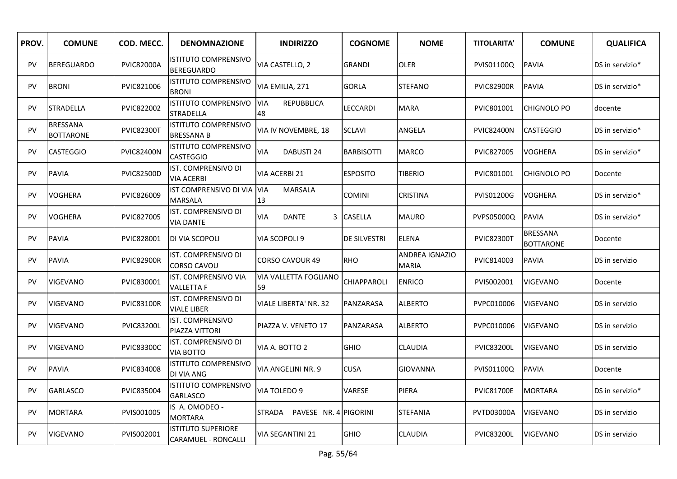| PROV.     | <b>COMUNE</b>                       | COD. MECC.        | <b>DENOMNAZIONE</b>                                     | <b>INDIRIZZO</b>                      | <b>COGNOME</b>      | <b>NOME</b>                    | <b>TITOLARITA'</b> | <b>COMUNE</b>                       | <b>QUALIFICA</b> |
|-----------|-------------------------------------|-------------------|---------------------------------------------------------|---------------------------------------|---------------------|--------------------------------|--------------------|-------------------------------------|------------------|
| PV        | <b>BEREGUARDO</b>                   | <b>PVIC82000A</b> | <b>ISTITUTO COMPRENSIVO</b><br><b>BEREGUARDO</b>        | VIA CASTELLO. 2                       | <b>GRANDI</b>       | <b>OLER</b>                    | PVIS01100Q         | <b>PAVIA</b>                        | DS in servizio*  |
| <b>PV</b> | <b>BRONI</b>                        | PVIC821006        | <b>ISTITUTO COMPRENSIVO</b><br><b>BRONI</b>             | VIA EMILIA, 271                       | <b>GORLA</b>        | <b>STEFANO</b>                 | <b>PVIC82900R</b>  | <b>PAVIA</b>                        | DS in servizio*  |
| PV        | <b>STRADELLA</b>                    | PVIC822002        | <b>ISTITUTO COMPRENSIVO</b><br><b>STRADELLA</b>         | <b>VIA</b><br><b>REPUBBLICA</b><br>48 | LECCARDI            | <b>MARA</b>                    | PVIC801001         | <b>CHIGNOLO PO</b>                  | docente          |
| PV        | <b>BRESSANA</b><br><b>BOTTARONE</b> | <b>PVIC82300T</b> | <b>ISTITUTO COMPRENSIVO</b><br><b>BRESSANA B</b>        | VIA IV NOVEMBRE, 18                   | <b>SCLAVI</b>       | ANGELA                         | <b>PVIC82400N</b>  | <b>CASTEGGIO</b>                    | DS in servizio*  |
| <b>PV</b> | <b>CASTEGGIO</b>                    | <b>PVIC82400N</b> | <b>ISTITUTO COMPRENSIVO</b><br><b>CASTEGGIO</b>         | <b>VIA</b><br>DABUSTI 24              | <b>BARBISOTTI</b>   | <b>MARCO</b>                   | PVIC827005         | <b>VOGHERA</b>                      | DS in servizio*  |
| PV        | <b>PAVIA</b>                        | <b>PVIC82500D</b> | IST. COMPRENSIVO DI<br><b>VIA ACERBI</b>                | <b>VIA ACERBI 21</b>                  | <b>ESPOSITO</b>     | <b>TIBERIO</b>                 | PVIC801001         | <b>CHIGNOLO PO</b>                  | Docente          |
| PV        | <b>VOGHERA</b>                      | PVIC826009        | <b>IST COMPRENSIVO DI VIA</b><br><b>MARSALA</b>         | <b>VIA</b><br><b>MARSALA</b><br>13    | <b>COMINI</b>       | CRISTINA                       | PVIS01200G         | <b>VOGHERA</b>                      | DS in servizio*  |
| PV        | <b>VOGHERA</b>                      | PVIC827005        | IST. COMPRENSIVO DI<br><b>VIA DANTE</b>                 | VIA<br>DANTE<br>3                     | <b>CASELLA</b>      | <b>MAURO</b>                   | PVPS05000Q         | <b>PAVIA</b>                        | DS in servizio*  |
| PV        | <b>PAVIA</b>                        | PVIC828001        | DI VIA SCOPOLI                                          | VIA SCOPOLI 9                         | <b>DE SILVESTRI</b> | <b>ELENA</b>                   | <b>PVIC82300T</b>  | <b>BRESSANA</b><br><b>BOTTARONE</b> | Docente          |
| <b>PV</b> | <b>PAVIA</b>                        | <b>PVIC82900R</b> | IST. COMPRENSIVO DI<br><b>CORSO CAVOU</b>               | <b>CORSO CAVOUR 49</b>                | <b>RHO</b>          | ANDREA IGNAZIO<br><b>MARIA</b> | PVIC814003         | <b>PAVIA</b>                        | DS in servizio   |
| PV        | <b>VIGEVANO</b>                     | PVIC830001        | IST. COMPRENSIVO VIA<br><b>VALLETTA F</b>               | VIA VALLETTA FOGLIANO<br>59           | <b>CHIAPPAROLI</b>  | <b>ENRICO</b>                  | PVIS002001         | <b>VIGEVANO</b>                     | Docente          |
| <b>PV</b> | VIGEVANO                            | <b>PVIC83100R</b> | IST. COMPRENSIVO DI<br><b>VIALE LIBER</b>               | VIALE LIBERTA' NR. 32                 | PANZARASA           | ALBERTO                        | PVPC010006         | VIGEVANO                            | DS in servizio   |
| <b>PV</b> | <b>VIGEVANO</b>                     | <b>PVIC83200L</b> | <b>IST. COMPRENSIVO</b><br>PIAZZA VITTORI               | PIAZZA V. VENETO 17                   | PANZARASA           | <b>ALBERTO</b>                 | PVPC010006         | <b>VIGEVANO</b>                     | DS in servizio   |
| PV        | <b>VIGEVANO</b>                     | <b>PVIC83300C</b> | IST. COMPRENSIVO DI<br>VIA BOTTO                        | VIA A. BOTTO 2                        | <b>GHIO</b>         | CLAUDIA                        | <b>PVIC83200L</b>  | <b>VIGEVANO</b>                     | DS in servizio   |
| <b>PV</b> | <b>PAVIA</b>                        | PVIC834008        | ISTITUTO COMPRENSIVO<br>DI VIA ANG                      | VIA ANGELINI NR. 9                    | <b>CUSA</b>         | GIOVANNA                       | PVIS01100Q         | <b>PAVIA</b>                        | Docente          |
| <b>PV</b> | <b>GARLASCO</b>                     | PVIC835004        | <b>ISTITUTO COMPRENSIVO</b><br><b>GARLASCO</b>          | VIA TOLEDO 9                          | VARESE              | PIERA                          | <b>PVIC81700E</b>  | <b>MORTARA</b>                      | DS in servizio*  |
| <b>PV</b> | <b>MORTARA</b>                      | PVIS001005        | IS A. OMODEO -<br><b>MORTARA</b>                        | STRADA<br>PAVESE NR. 4 PIGORINI       |                     | <b>STEFANIA</b>                | <b>PVTD03000A</b>  | <b>VIGEVANO</b>                     | DS in servizio   |
| PV        | VIGEVANO                            | PVIS002001        | <b>ISTITUTO SUPERIORE</b><br><b>CARAMUEL - RONCALLI</b> | <b>VIA SEGANTINI 21</b>               | <b>GHIO</b>         | <b>CLAUDIA</b>                 | <b>PVIC83200L</b>  | <b>VIGEVANO</b>                     | DS in servizio   |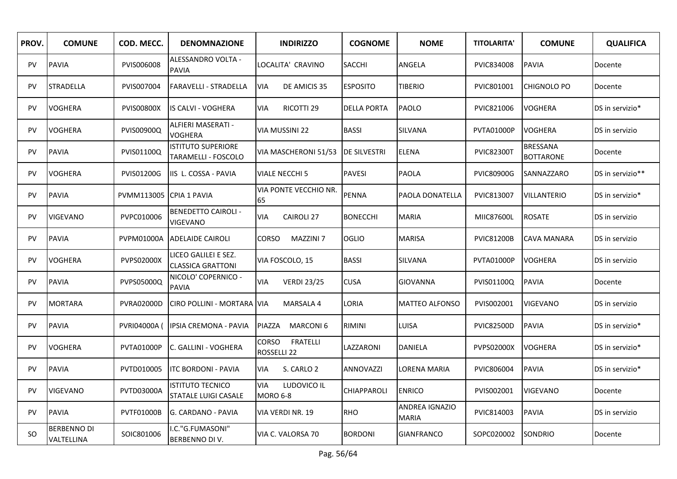| PROV.     | <b>COMUNE</b>                    | COD. MECC.        | <b>DENOMNAZIONE</b>                              | <b>INDIRIZZO</b>                               | <b>COGNOME</b>      | <b>NOME</b>                    | <b>TITOLARITA'</b> | <b>COMUNE</b>                | <b>QUALIFICA</b> |
|-----------|----------------------------------|-------------------|--------------------------------------------------|------------------------------------------------|---------------------|--------------------------------|--------------------|------------------------------|------------------|
| <b>PV</b> | <b>PAVIA</b>                     | PVIS006008        | ALESSANDRO VOLTA -<br><b>PAVIA</b>               | LOCALITA' CRAVINO                              | <b>SACCHI</b>       | ANGELA                         | PVIC834008         | <b>PAVIA</b>                 | Docente          |
| <b>PV</b> | <b>STRADELLA</b>                 | PVIS007004        | <b>FARAVELLI - STRADELLA</b>                     | <b>VIA</b><br>DE AMICIS 35                     | <b>ESPOSITO</b>     | <b>TIBERIO</b>                 | PVIC801001         | CHIGNOLO PO                  | Docente          |
| <b>PV</b> | <b>VOGHERA</b>                   | <b>PVIS00800X</b> | IS CALVI - VOGHERA                               | RICOTTI 29<br><b>VIA</b>                       | <b>DELLA PORTA</b>  | PAOLO                          | PVIC821006         | <b>VOGHERA</b>               | DS in servizio*  |
| <b>PV</b> | <b>VOGHERA</b>                   | PVIS00900Q        | ALFIERI MASERATI -<br><b>VOGHERA</b>             | VIA MUSSINI 22                                 | <b>BASSI</b>        | <b>SILVANA</b>                 | PVTA01000P         | <b>VOGHERA</b>               | DS in servizio   |
| PV        | <b>PAVIA</b>                     | PVIS01100Q        | <b>ISTITUTO SUPERIORE</b><br>TARAMELLI - FOSCOLO | VIA MASCHERONI 51/53                           | <b>DE SILVESTRI</b> | <b>ELENA</b>                   | <b>PVIC82300T</b>  | BRESSANA<br><b>BOTTARONE</b> | Docente          |
| PV        | <b>VOGHERA</b>                   | <b>PVIS01200G</b> | IIS L. COSSA - PAVIA                             | <b>VIALE NECCHI 5</b>                          | <b>PAVESI</b>       | <b>PAOLA</b>                   | <b>PVIC80900G</b>  | SANNAZZARO                   | DS in servizio** |
| PV        | <b>PAVIA</b>                     | PVMM113005        | <b>CPIA 1 PAVIA</b>                              | VIA PONTE VECCHIO NR.<br>65                    | <b>PENNA</b>        | PAOLA DONATELLA                | PVIC813007         | <b>VILLANTERIO</b>           | DS in servizio*  |
| PV        | <b>VIGEVANO</b>                  | PVPC010006        | <b>BENEDETTO CAIROLI -</b><br>VIGEVANO           | <b>CAIROLI 27</b><br>VIA                       | <b>BONECCHI</b>     | <b>MARIA</b>                   | MIIC87600L         | <b>ROSATE</b>                | DS in servizio   |
| <b>PV</b> | <b>PAVIA</b>                     | PVPM01000A        | <b>ADELAIDE CAIROLI</b>                          | MAZZINI 7<br>CORSO                             | <b>OGLIO</b>        | <b>MARISA</b>                  | <b>PVIC81200B</b>  | CAVA MANARA                  | DS in servizio   |
| <b>PV</b> | <b>VOGHERA</b>                   | <b>PVPS02000X</b> | LICEO GALILEI E SEZ.<br><b>CLASSICA GRATTONI</b> | VIA FOSCOLO, 15                                | <b>BASSI</b>        | SILVANA                        | PVTA01000P         | <b>VOGHERA</b>               | DS in servizio   |
| PV        | <b>PAVIA</b>                     | PVPS05000Q        | NICOLO' COPERNICO -<br><b>PAVIA</b>              | VIA<br><b>VERDI 23/25</b>                      | <b>CUSA</b>         | GIOVANNA                       | PVIS01100Q         | <b>PAVIA</b>                 | Docente          |
| PV        | <b>MORTARA</b>                   | <b>PVRA02000D</b> | CIRO POLLINI - MORTARA VIA                       | MARSALA 4                                      | LORIA               | <b>MATTEO ALFONSO</b>          | PVIS002001         | <b>VIGEVANO</b>              | DS in servizio   |
| PV        | <b>PAVIA</b>                     | PVRI04000A (      | <b>IPSIA CREMONA - PAVIA</b>                     | PIAZZA<br>MARCONI <sub>6</sub>                 | RIMINI              | LUISA                          | <b>PVIC82500D</b>  | <b>PAVIA</b>                 | DS in servizio*  |
| PV        | <b>VOGHERA</b>                   | PVTA01000P        | C. GALLINI - VOGHERA                             | <b>CORSO</b><br><b>FRATELLI</b><br>ROSSELLI 22 | LAZZARONI           | DANIELA                        | PVPS02000X         | <b>VOGHERA</b>               | DS in servizio*  |
| <b>PV</b> | <b>PAVIA</b>                     | PVTD010005        | <b>ITC BORDONI - PAVIA</b>                       | <b>VIA</b><br>S. CARLO 2                       | ANNOVAZZI           | LORENA MARIA                   | PVIC806004         | <b>PAVIA</b>                 | DS in servizio*  |
| <b>PV</b> | <b>VIGEVANO</b>                  | <b>PVTD03000A</b> | <b>ISTITUTO TECNICO</b><br>STATALE LUIGI CASALE  | <b>VIA</b><br>LUDOVICO IL<br>MORO 6-8          | CHIAPPAROLI         | <b>ENRICO</b>                  | PVIS002001         | <b>VIGEVANO</b>              | Docente          |
| <b>PV</b> | <b>PAVIA</b>                     | <b>PVTF01000B</b> | G. CARDANO - PAVIA                               | VIA VERDI NR. 19                               | <b>RHO</b>          | ANDREA IGNAZIO<br><b>MARIA</b> | PVIC814003         | <b>PAVIA</b>                 | DS in servizio   |
| SO.       | <b>BERBENNO DI</b><br>VALTELLINA | SOIC801006        | .C."G.FUMASONI"<br>BERBENNO DI V.                | VIA C. VALORSA 70                              | <b>BORDONI</b>      | <b>GIANFRANCO</b>              | SOPC020002         | SONDRIO                      | Docente          |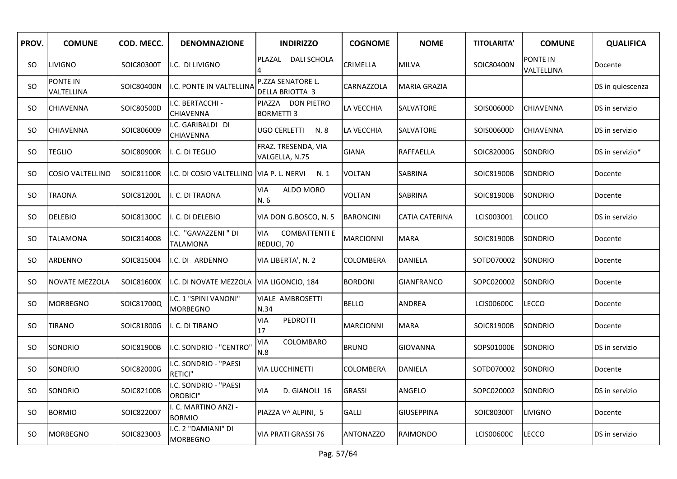| PROV. | <b>COMUNE</b>                 | COD. MECC. | <b>DENOMNAZIONE</b>                        | <b>INDIRIZZO</b>                            | <b>COGNOME</b>   | <b>NOME</b>         | <b>TITOLARITA'</b> | <b>COMUNE</b>          | <b>QUALIFICA</b> |
|-------|-------------------------------|------------|--------------------------------------------|---------------------------------------------|------------------|---------------------|--------------------|------------------------|------------------|
| SO.   | <b>LIVIGNO</b>                | SOIC80300T | I.C. DI LIVIGNO                            | PLAZAL<br><b>DALI SCHOLA</b>                | CRIMELLA         | <b>MILVA</b>        | SOIC80400N         | PONTE IN<br>VALTELLINA | Docente          |
| SO    | <b>PONTE IN</b><br>VALTELLINA | SOIC80400N | I.C. PONTE IN VALTELLINA                   | P.ZZA SENATORE L.<br><b>DELLA BRIOTTA 3</b> | CARNAZZOLA       | <b>MARIA GRAZIA</b> |                    |                        | DS in quiescenza |
| SO.   | <b>CHIAVENNA</b>              | SOIC80500D | I.C. BERTACCHI -<br>CHIAVENNA              | PIAZZA DON PIETRO<br><b>BORMETTI 3</b>      | LA VECCHIA       | SALVATORE           | SOIS00600D         | <b>CHIAVENNA</b>       | DS in servizio   |
| SO.   | <b>CHIAVENNA</b>              | SOIC806009 | .C. GARIBALDI DI<br>CHIAVENNA              | UGO CERLETTI<br>N.8                         | LA VECCHIA       | SALVATORE           | SOIS00600D         | <b>CHIAVENNA</b>       | DS in servizio   |
| SO.   | <b>TEGLIO</b>                 | SOIC80900R | II. C. DI TEGLIO                           | FRAZ. TRESENDA, VIA<br>VALGELLA, N.75       | <b>GIANA</b>     | <b>RAFFAELLA</b>    | SOIC82000G         | <b>SONDRIO</b>         | DS in servizio*  |
| SO.   | <b>COSIO VALTELLINO</b>       | SOIC81100R | II.C. DI COSIO VALTELLINO VIA P. L. NERVI  | N.1                                         | <b>VOLTAN</b>    | SABRINA             | SOIC81900B         | SONDRIO                | Docente          |
| SO.   | <b>TRAONA</b>                 | SOIC81200L | I. C. DI TRAONA                            | VIA<br>ALDO MORO<br>N.6                     | <b>VOLTAN</b>    | SABRINA             | SOIC81900B         | <b>SONDRIO</b>         | Docente          |
| SO.   | <b>DELEBIO</b>                | SOIC81300C | I. C. DI DELEBIO                           | VIA DON G.BOSCO, N. 5                       | <b>BARONCINI</b> | CATIA CATERINA      | LCIS003001         | <b>COLICO</b>          | DS in servizio   |
| SO.   | <b>TALAMONA</b>               | SOIC814008 | I.C. "GAVAZZENI" DI<br>TALAMONA            | VIA<br><b>COMBATTENTI E</b><br>REDUCI, 70   | <b>MARCIONNI</b> | <b>MARA</b>         | SOIC81900B         | SONDRIO                | Docente          |
| SO.   | <b>ARDENNO</b>                | SOIC815004 | I.C. DI ARDENNO                            | VIA LIBERTA', N. 2                          | COLOMBERA        | DANIELA             | SOTD070002         | SONDRIO                | Docente          |
| SO.   | <b>NOVATE MEZZOLA</b>         | SOIC81600X | II.C. DI NOVATE MEZZOLA VIIA LIGONCIO, 184 |                                             | <b>BORDONI</b>   | GIANFRANCO          | SOPC020002         | SONDRIO                | Docente          |
| SO.   | <b>MORBEGNO</b>               | SOIC81700Q | I.C. 1 "SPINI VANONI"<br><b>MORBEGNO</b>   | <b>VIALE AMBROSETTI</b><br>N.34             | <b>BELLO</b>     | ANDREA              | LCIS00600C         | <b>LECCO</b>           | Docente          |
| SO.   | <b>TIRANO</b>                 | SOIC81800G | I. C. DI TIRANO                            | <b>VIA</b><br>PEDROTTI<br>17                | MARCIONNI        | <b>MARA</b>         | SOIC81900B         | SONDRIO                | Docente          |
| SO.   | <b>SONDRIO</b>                | SOIC81900B | I.C. SONDRIO - "CENTRO"                    | COLOMBARO<br><b>VIA</b><br>N.8              | <b>BRUNO</b>     | <b>GIOVANNA</b>     | SOPS01000E         | <b>SONDRIO</b>         | DS in servizio   |
| SO.   | SONDRIO                       | SOIC82000G | I.C. SONDRIO - "PAESI<br>RETICI"           | <b>VIA LUCCHINETTI</b>                      | COLOMBERA        | DANIELA             | SOTD070002         | SONDRIO                | Docente          |
| SO.   | <b>SONDRIO</b>                | SOIC82100B | I.C. SONDRIO - "PAESI<br>OROBICI"          | <b>VIA</b><br>D. GIANOLI 16                 | <b>GRASSI</b>    | ANGELO              | SOPC020002         | <b>SONDRIO</b>         | DS in servizio   |
| SO.   | <b>BORMIO</b>                 | SOIC822007 | I. C. MARTINO ANZI -<br><b>BORMIO</b>      | PIAZZA V^ ALPINI, 5                         | <b>GALLI</b>     | <b>GIUSEPPINA</b>   | SOIC80300T         | <b>LIVIGNO</b>         | Docente          |
| SO.   | <b>MORBEGNO</b>               | SOIC823003 | I.C. 2 "DAMIANI" DI<br><b>MORBEGNO</b>     | VIA PRATI GRASSI 76                         | <b>ANTONAZZO</b> | <b>RAIMONDO</b>     | LCIS00600C         | <b>LECCO</b>           | DS in servizio   |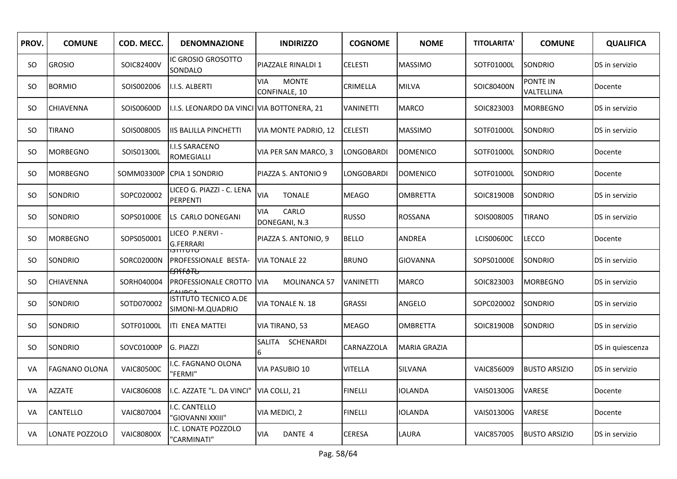| PROV.     | <b>COMUNE</b>        | COD. MECC.        | <b>DENOMNAZIONE</b>                                 | <b>INDIRIZZO</b>                            | <b>COGNOME</b>    | <b>NOME</b>     | <b>TITOLARITA'</b> | <b>COMUNE</b>          | <b>QUALIFICA</b> |
|-----------|----------------------|-------------------|-----------------------------------------------------|---------------------------------------------|-------------------|-----------------|--------------------|------------------------|------------------|
| SO.       | <b>GROSIO</b>        | SOIC82400V        | IC GROSIO GROSOTTO<br>SONDALO                       | PIAZZALE RINALDI 1                          | <b>CELESTI</b>    | <b>MASSIMO</b>  | SOTF01000L         | SONDRIO                | DS in servizio   |
| SO.       | <b>BORMIO</b>        | SOIS002006        | I.I.S. ALBERTI                                      | <b>VIA</b><br><b>MONTE</b><br>CONFINALE, 10 | CRIMELLA          | <b>MILVA</b>    | SOIC80400N         | PONTE IN<br>VALTELLINA | Docente          |
| SO.       | <b>CHIAVENNA</b>     | SOIS00600D        | I.I.S. LEONARDO DA VINCI VIA BOTTONERA, 21          |                                             | <b>VANINETTI</b>  | <b>MARCO</b>    | SOIC823003         | <b>MORBEGNO</b>        | DS in servizio   |
| SO.       | <b>TIRANO</b>        | SOIS008005        | <b>IIS BALILLA PINCHETTI</b>                        | VIA MONTE PADRIO, 12                        | <b>CELESTI</b>    | <b>MASSIMO</b>  | SOTF01000L         | SONDRIO                | DS in servizio   |
| SO.       | <b>MORBEGNO</b>      | SOIS01300L        | <b>I.I.S SARACENO</b><br><b>ROMEGIALLI</b>          | VIA PER SAN MARCO, 3                        | LONGOBARDI        | <b>DOMENICO</b> | SOTF01000L         | SONDRIO                | Docente          |
| <b>SO</b> | <b>MORBEGNO</b>      | SOMM03300P        | ICPIA 1 SONDRIO                                     | PIAZZA S. ANTONIO 9                         | <b>LONGOBARDI</b> | <b>DOMENICO</b> | SOTF01000L         | SONDRIO                | Docente          |
| SO.       | SONDRIO              | SOPC020002        | LICEO G. PIAZZI - C. LENA<br>PERPENTI               | <b>VIA</b><br><b>TONALE</b>                 | <b>MEAGO</b>      | <b>OMBRETTA</b> | SOIC81900B         | SONDRIO                | DS in servizio   |
| <b>SO</b> | <b>SONDRIO</b>       | SOPS01000E        | LS CARLO DONEGANI                                   | <b>VIA</b><br>CARLO<br>DONEGANI, N.3        | <b>RUSSO</b>      | <b>ROSSANA</b>  | SOIS008005         | TIRANO                 | DS in servizio   |
| SO.       | <b>MORBEGNO</b>      | SOPS050001        | LICEO P.NERVI -<br><b>G.FERRARI</b>                 | PIAZZA S. ANTONIO, 9                        | <b>BELLO</b>      | ANDREA          | <b>LCIS00600C</b>  | LECCO                  | Docente          |
| SO.       | <b>SONDRIO</b>       | SORC02000N        | טוטווונו<br>PROFESSIONALE BESTA-                    | <b>VIA TONALE 22</b>                        | <b>BRUNO</b>      | GIOVANNA        | SOPS01000E         | SONDRIO                | DS in servizio   |
| SO.       | <b>CHIAVENNA</b>     | SORH040004        | ᡏ <del>ᢒᡤᡝ᠔</del> ᠯ᠍᠍ᡃᡉ<br>PROFESSIONALE CROTTO VIA | <b>MOLINANCA 57</b>                         | <b>VANINETTI</b>  | MARCO           | SOIC823003         | <b>MORBEGNO</b>        | DS in servizio   |
| <b>SO</b> | <b>SONDRIO</b>       | SOTD070002        | <b>ISTITUTO TECNICO A.DE</b><br>SIMONI-M.QUADRIO    | VIA TONALE N. 18                            | <b>GRASSI</b>     | ANGELO          | SOPC020002         | SONDRIO                | DS in servizio   |
| SO.       | <b>SONDRIO</b>       | SOTF01000L        | ITI ENEA MATTEI                                     | VIA TIRANO, 53                              | <b>MEAGO</b>      | <b>OMBRETTA</b> | SOIC81900B         | SONDRIO                | DS in servizio   |
| SO.       | SONDRIO              | SOVC01000P        | G. PIAZZI                                           | SCHENARDI<br>SALITA<br>6                    | CARNAZZOLA        | MARIA GRAZIA    |                    |                        | DS in quiescenza |
| VA        | <b>FAGNANO OLONA</b> | <b>VAIC80500C</b> | .C. FAGNANO OLONA<br>"FERMI"                        | VIA PASUBIO 10                              | <b>VITELLA</b>    | SILVANA         | VAIC856009         | <b>BUSTO ARSIZIO</b>   | DS in servizio   |
| VA        | <b>AZZATE</b>        | VAIC806008        | I.C. AZZATE "L. DA VINCI"                           | VIA COLLI, 21                               | <b>FINELLI</b>    | <b>IOLANDA</b>  | VAIS01300G         | <b>VARESE</b>          | Docente          |
| VA        | <b>CANTELLO</b>      | VAIC807004        | I.C. CANTELLO<br>"GIOVANNI XXIII"                   | VIA MEDICI, 2                               | <b>FINELLI</b>    | IOLANDA         | <b>VAIS01300G</b>  | VARESE                 | Docente          |
| VA        | LONATE POZZOLO       | <b>VAIC80800X</b> | .C. LONATE POZZOLO<br>"CARMINATI"                   | <b>VIA</b><br>DANTE 4                       | <b>CERESA</b>     | LAURA           | VAIC857005         | <b>BUSTO ARSIZIO</b>   | DS in servizio   |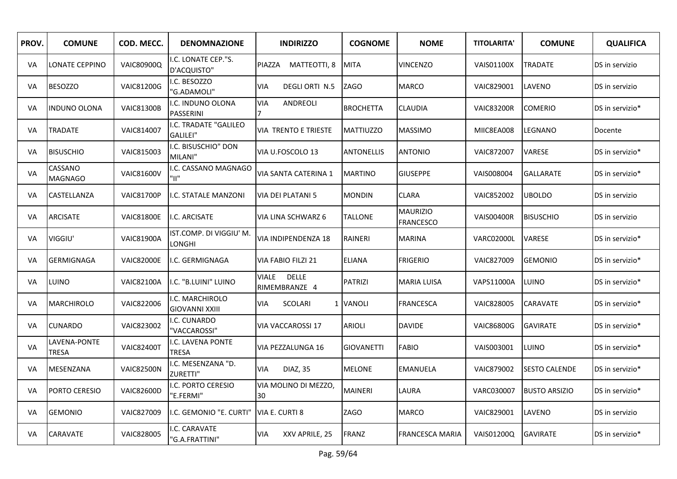| PROV. | <b>COMUNE</b>             | COD. MECC.        | <b>DENOMNAZIONE</b>                      | <b>INDIRIZZO</b>                              | <b>COGNOME</b>    | <b>NOME</b>                         | <b>TITOLARITA'</b> | <b>COMUNE</b>        | <b>QUALIFICA</b> |
|-------|---------------------------|-------------------|------------------------------------------|-----------------------------------------------|-------------------|-------------------------------------|--------------------|----------------------|------------------|
| VA    | LONATE CEPPINO            | VAIC80900Q        | .C. LONATE CEP."S.<br>D'ACQUISTO"        | MATTEOTTI, 8<br>PIAZZA                        | <b>MITA</b>       | <b>VINCENZO</b>                     | <b>VAIS01100X</b>  | TRADATE              | DS in servizio   |
| VA    | <b>BESOZZO</b>            | <b>VAIC81200G</b> | I.C. BESOZZO<br>'G.ADAMOLI"              | DEGLI ORTI N.5<br>VIA                         | <b>ZAGO</b>       | MARCO                               | VAIC829001         | LAVENO               | DS in servizio   |
| VA    | <b>INDUNO OLONA</b>       | <b>VAIC81300B</b> | I.C. INDUNO OLONA<br><b>PASSERINI</b>    | <b>VIA</b><br>ANDREOLI                        | <b>BROCHETTA</b>  | <b>CLAUDIA</b>                      | <b>VAIC83200R</b>  | <b>COMERIO</b>       | DS in servizio*  |
| VA    | TRADATE                   | VAIC814007        | I.C. TRADATE "GALILEO<br>GALILEI"        | VIA TRENTO E TRIESTE                          | <b>MATTIUZZO</b>  | <b>MASSIMO</b>                      | MIIC8EA008         | LEGNANO              | Docente          |
| VA.   | <b>BISUSCHIO</b>          | VAIC815003        | I.C. BISUSCHIO" DON<br>MILANI"           | VIA U.FOSCOLO 13                              | <b>ANTONELLIS</b> | <b>ANTONIO</b>                      | VAIC872007         | VARESE               | DS in servizio*  |
| VA    | CASSANO<br><b>MAGNAGO</b> | <b>VAIC81600V</b> | I.C. CASSANO MAGNAGO<br>"וו"             | VIA SANTA CATERINA 1                          | <b>MARTINO</b>    | <b>GIUSEPPE</b>                     | VAIS008004         | <b>GALLARATE</b>     | DS in servizio*  |
| VA    | CASTELLANZA               | <b>VAIC81700P</b> | I.C. STATALE MANZONI                     | VIA DEI PLATANI 5                             | <b>MONDIN</b>     | CLARA                               | VAIC852002         | <b>UBOLDO</b>        | DS in servizio   |
| VA    | <b>ARCISATE</b>           | <b>VAIC81800E</b> | I.C. ARCISATE                            | VIA LINA SCHWARZ 6                            | <b>TALLONE</b>    | <b>MAURIZIO</b><br><b>FRANCESCO</b> | <b>VAIS00400R</b>  | <b>BISUSCHIO</b>     | DS in servizio   |
| VA    | VIGGIU'                   | <b>VAIC81900A</b> | IST.COMP. DI VIGGIU' M.<br>LONGHI        | <b>VIA INDIPENDENZA 18</b>                    | <b>RAINERI</b>    | <b>MARINA</b>                       | VARC02000L         | VARESE               | DS in servizio*  |
| VA    | <b>GERMIGNAGA</b>         | <b>VAIC82000E</b> | I.C. GERMIGNAGA                          | VIA FABIO FILZI 21                            | <b>ELIANA</b>     | <b>FRIGERIO</b>                     | VAIC827009         | <b>GEMONIO</b>       | DS in servizio*  |
| VA    | LUINO                     | <b>VAIC82100A</b> | I.C. "B.LUINI" LUINO                     | <b>VIALE</b><br><b>DELLE</b><br>RIMEMBRANZE 4 | <b>PATRIZI</b>    | MARIA LUISA                         | VAPS11000A         | LUINO                | DS in servizio*  |
| VA    | <b>MARCHIROLO</b>         | VAIC822006        | I.C. MARCHIROLO<br><b>GIOVANNI XXIII</b> | SCOLARI<br><b>VIA</b>                         | 1 VANOLI          | FRANCESCA                           | VAIC828005         | CARAVATE             | DS in servizio*  |
| VA    | <b>CUNARDO</b>            | VAIC823002        | I.C. CUNARDO<br>'VACCAROSSI"             | VIA VACCAROSSI 17                             | <b>ARIOLI</b>     | <b>DAVIDE</b>                       | <b>VAIC86800G</b>  | <b>GAVIRATE</b>      | DS in servizio*  |
| VA    | LAVENA-PONTE<br>TRESA     | <b>VAIC82400T</b> | .C. LAVENA PONTE<br><b>TRESA</b>         | VIA PEZZALUNGA 16                             | <b>GIOVANETTI</b> | <b>FABIO</b>                        | VAIS003001         | LUINO                | DS in servizio*  |
| VA    | MESENZANA                 | <b>VAIC82500N</b> | I.C. MESENZANA "D.<br>ZURETTI"           | DIAZ, 35<br><b>VIA</b>                        | <b>MELONE</b>     | <b>EMANUELA</b>                     | VAIC879002         | <b>SESTO CALENDE</b> | DS in servizio*  |
| VA    | PORTO CERESIO             | <b>VAIC82600D</b> | I.C. PORTO CERESIO<br>"E.FERMI"          | VIA MOLINO DI MEZZO.<br>30                    | <b>MAINERI</b>    | LAURA                               | VARC030007         | <b>BUSTO ARSIZIO</b> | DS in servizio*  |
| VA    | <b>GEMONIO</b>            | VAIC827009        | I.C. GEMONIO "E. CURTI"                  | VIA E. CURTI 8                                | ZAGO              | <b>MARCO</b>                        | VAIC829001         | LAVENO               | DS in servizio   |
| VA    | <b>CARAVATE</b>           | VAIC828005        | .C. CARAVATE<br>"G.A.FRATTINI"           | <b>VIA</b><br>XXV APRILE, 25                  | <b>FRANZ</b>      | FRANCESCA MARIA                     | VAIS01200Q         | <b>GAVIRATE</b>      | DS in servizio*  |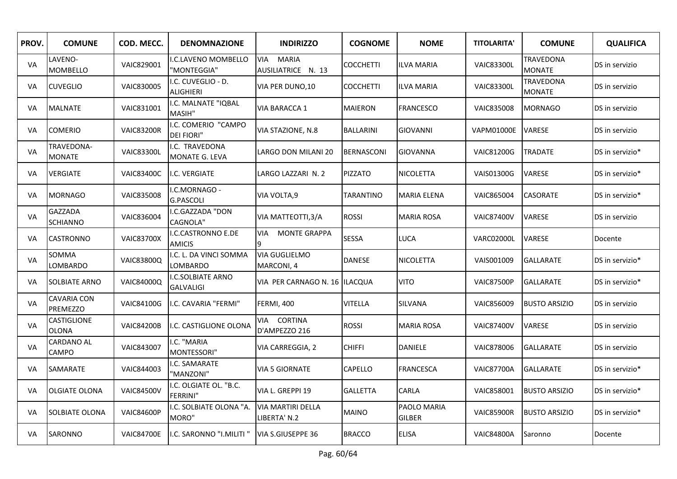| PROV. | <b>COMUNE</b>                         | COD. MECC.        | <b>DENOMNAZIONE</b>                         | <b>INDIRIZZO</b>                                 | <b>COGNOME</b>    | <b>NOME</b>                  | <b>TITOLARITA'</b> | <b>COMUNE</b>                     | <b>QUALIFICA</b> |
|-------|---------------------------------------|-------------------|---------------------------------------------|--------------------------------------------------|-------------------|------------------------------|--------------------|-----------------------------------|------------------|
| VA    | LAVENO-<br><b>MOMBELLO</b>            | VAIC829001        | .C.LAVENO MOMBELLO<br>"MONTEGGIA"           | <b>VIA</b><br><b>MARIA</b><br>AUSILIATRICE N. 13 | COCCHETTI         | <b>ILVA MARIA</b>            | <b>VAIC83300L</b>  | <b>TRAVEDONA</b><br><b>MONATE</b> | DS in servizio   |
| VA    | <b>CUVEGLIO</b>                       | VAIC830005        | I.C. CUVEGLIO - D.<br><b>ALIGHIERI</b>      | VIA PER DUNO,10                                  | COCCHETTI         | <b>ILVA MARIA</b>            | <b>VAIC83300L</b>  | TRAVEDONA<br><b>MONATE</b>        | DS in servizio   |
| VA.   | <b>MALNATE</b>                        | VAIC831001        | I.C. MALNATE "IQBAL<br>MASIH"               | VIA BARACCA 1                                    | MAIERON           | <b>FRANCESCO</b>             | <b>VAIC835008</b>  | <b>MORNAGO</b>                    | DS in servizio   |
| VA    | <b>COMERIO</b>                        | <b>VAIC83200R</b> | I.C. COMERIO "CAMPO<br><b>DEI FIORI"</b>    | VIA STAZIONE, N.8                                | <b>BALLARINI</b>  | <b>GIOVANNI</b>              | <b>VAPM01000E</b>  | <b>VARESE</b>                     | DS in servizio   |
| VA    | TRAVEDONA-<br><b>MONATE</b>           | <b>VAIC83300L</b> | .C. TRAVEDONA<br>MONATE G. LEVA             | LARGO DON MILANI 20                              | <b>BERNASCONI</b> | <b>GIOVANNA</b>              | <b>VAIC81200G</b>  | <b>TRADATE</b>                    | DS in servizio*  |
| VA    | <b>VERGIATE</b>                       | <b>VAIC83400C</b> | I.C. VERGIATE                               | LARGO LAZZARI N. 2                               | <b>PIZZATO</b>    | NICOLETTA                    | VAIS01300G         | VARESE                            | DS in servizio*  |
| VA    | <b>MORNAGO</b>                        | <b>VAIC835008</b> | I.C.MORNAGO -<br><b>G.PASCOLI</b>           | VIA VOLTA, 9                                     | TARANTINO         | <b>MARIA ELENA</b>           | VAIC865004         | <b>CASORATE</b>                   | DS in servizio*  |
| VA    | <b>GAZZADA</b><br><b>SCHIANNO</b>     | <b>VAIC836004</b> | I.C.GAZZADA "DON<br><b>CAGNOLA"</b>         | VIA MATTEOTTI, 3/A                               | <b>ROSSI</b>      | <b>MARIA ROSA</b>            | <b>VAIC87400V</b>  | <b>VARESE</b>                     | DS in servizio   |
| VA    | <b>CASTRONNO</b>                      | <b>VAIC83700X</b> | I.C.CASTRONNO E.DE<br><b>AMICIS</b>         | <b>MONTE GRAPPA</b><br>VIA<br>9                  | <b>SESSA</b>      | LUCA                         | <b>VARC02000L</b>  | VARESE                            | Docente          |
| VA    | SOMMA<br>LOMBARDO                     | <b>VAIC83800Q</b> | I.C. L. DA VINCI SOMMA<br>LOMBARDO          | VIA GUGLIELMO<br>MARCONI, 4                      | <b>DANESE</b>     | NICOLETTA                    | VAIS001009         | <b>GALLARATE</b>                  | DS in servizio*  |
| VA    | <b>SOLBIATE ARNO</b>                  | <b>VAIC84000Q</b> | <b>.C.SOLBIATE ARNO</b><br><b>GALVALIGI</b> | VIA PER CARNAGO N. 16 ILACQUA                    |                   | <b>VITO</b>                  | <b>VAIC87500P</b>  | <b>GALLARATE</b>                  | DS in servizio*  |
| VA    | <b>CAVARIA CON</b><br><b>PREMEZZO</b> | <b>VAIC84100G</b> | I.C. CAVARIA "FERMI"                        | <b>FERMI, 400</b>                                | VITELLA           | SILVANA                      | VAIC856009         | <b>BUSTO ARSIZIO</b>              | DS in servizio   |
| VA    | CASTIGLIONE<br><b>OLONA</b>           | <b>VAIC84200B</b> | I.C. CASTIGLIONE OLONA                      | VIA CORTINA<br>D'AMPEZZO 216                     | <b>ROSSI</b>      | <b>MARIA ROSA</b>            | <b>VAIC87400V</b>  | <b>VARESE</b>                     | DS in servizio   |
| VA    | <b>CARDANO AL</b><br><b>CAMPO</b>     | VAIC843007        | I.C. "MARIA<br>MONTESSORI"                  | VIA CARREGGIA, 2                                 | <b>CHIFFI</b>     | <b>DANIELE</b>               | <b>VAIC878006</b>  | GALLARATE                         | DS in servizio   |
| VA    | SAMARATE                              | VAIC844003        | I.C. SAMARATE<br>'MANZONI"                  | VIA 5 GIORNATE                                   | CAPELLO           | <b>FRANCESCA</b>             | <b>VAIC87700A</b>  | <b>GALLARATE</b>                  | DS in servizio*  |
| VA    | <b>OLGIATE OLONA</b>                  | <b>VAIC84500V</b> | I.C. OLGIATE OL. "B.C.<br><b>FERRINI"</b>   | VIA L. GREPPI 19                                 | <b>GALLETTA</b>   | CARLA                        | VAIC858001         | <b>BUSTO ARSIZIO</b>              | DS in servizio*  |
| VA    | <b>SOLBIATE OLONA</b>                 | <b>VAIC84600P</b> | I.C. SOLBIATE OLONA "A.<br>MORO"            | <b>VIA MARTIRI DELLA</b><br>LIBERTA' N.2         | <b>MAINO</b>      | PAOLO MARIA<br><b>GILBER</b> | <b>VAIC85900R</b>  | <b>BUSTO ARSIZIO</b>              | DS in servizio*  |
| VA    | SARONNO                               | <b>VAIC84700E</b> | I.C. SARONNO "I.MILITI"                     | VIA S.GIUSEPPE 36                                | <b>BRACCO</b>     | <b>ELISA</b>                 | <b>VAIC84800A</b>  | Saronno                           | Docente          |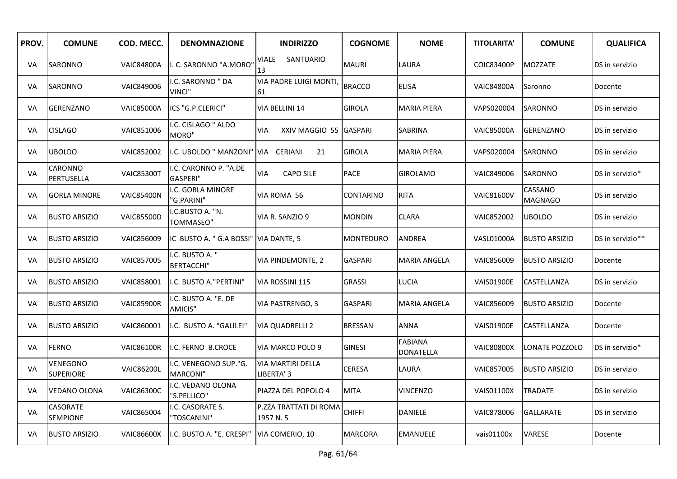| PROV. | <b>COMUNE</b>                | COD. MECC.        | <b>DENOMNAZIONE</b>                      | <b>INDIRIZZO</b>                       | <b>COGNOME</b>   | <b>NOME</b>                        | <b>TITOLARITA'</b> | <b>COMUNE</b>             | <b>QUALIFICA</b> |
|-------|------------------------------|-------------------|------------------------------------------|----------------------------------------|------------------|------------------------------------|--------------------|---------------------------|------------------|
| VA    | <b>SARONNO</b>               | <b>VAIC84800A</b> | . C. SARONNO "A.MORO"                    | SANTUARIO<br>VIALE<br>13               | <b>MAURI</b>     | LAURA                              | <b>COIC83400P</b>  | <b>MOZZATE</b>            | DS in servizio   |
| VA    | <b>SARONNO</b>               | VAIC849006        | .C. SARONNO " DA<br><b>VINCI"</b>        | <b>VIA PADRE LUIGI MONTI</b><br>61     | <b>BRACCO</b>    | <b>ELISA</b>                       | <b>VAIC84800A</b>  | Saronno                   | Docente          |
| VA    | <b>GERENZANO</b>             | <b>VAIC85000A</b> | ICS "G.P.CLERICI"                        | VIA BELLINI 14                         | <b>GIROLA</b>    | MARIA PIERA                        | VAPS020004         | SARONNO                   | DS in servizio   |
| VA    | <b>CISLAGO</b>               | VAIC851006        | .C. CISLAGO " ALDO<br>MORO"              | XXIV MAGGIO 55 GASPARI<br>VIA.         |                  | <b>SABRINA</b>                     | <b>VAIC85000A</b>  | <b>GERENZANO</b>          | DS in servizio   |
| VA    | <b>UBOLDO</b>                | VAIC852002        | I.C. UBOLDO " MANZONI"                   | VIA CERIANI<br>21                      | <b>GIROLA</b>    | <b>MARIA PIERA</b>                 | VAPS020004         | SARONNO                   | DS in servizio   |
| VA    | CARONNO<br>PERTUSELLA        | <b>VAIC85300T</b> | I.C. CARONNO P. "A.DE<br><b>GASPERI"</b> | <b>VIA</b><br><b>CAPO SILE</b>         | <b>PACE</b>      | <b>GIROLAMO</b>                    | VAIC849006         | <b>SARONNO</b>            | DS in servizio*  |
| VA    | <b>GORLA MINORE</b>          | <b>VAIC85400N</b> | I.C. GORLA MINORE<br>"G.PARINI"          | VIA ROMA 56                            | <b>CONTARINO</b> | <b>RITA</b>                        | <b>VAIC81600V</b>  | CASSANO<br><b>MAGNAGO</b> | DS in servizio   |
| VA    | <b>BUSTO ARSIZIO</b>         | <b>VAIC85500D</b> | .C.BUSTO A. "N.<br>TOMMASEO"             | VIA R. SANZIO 9                        | <b>MONDIN</b>    | CLARA                              | VAIC852002         | <b>UBOLDO</b>             | DS in servizio   |
| VA    | <b>BUSTO ARSIZIO</b>         | VAIC856009        | IC BUSTO A. " G.A BOSSI"                 | VIA DANTE, 5                           | <b>MONTEDURO</b> | ANDREA                             | <b>VASL01000A</b>  | <b>BUSTO ARSIZIO</b>      | DS in servizio** |
| VA    | <b>BUSTO ARSIZIO</b>         | VAIC857005        | I.C. BUSTO A. "<br><b>BERTACCHI"</b>     | VIA PINDEMONTE, 2                      | <b>GASPARI</b>   | MARIA ANGELA                       | VAIC856009         | <b>BUSTO ARSIZIO</b>      | Docente          |
| VA    | <b>BUSTO ARSIZIO</b>         | VAIC858001        | I.C. BUSTO A."PERTINI"                   | VIA ROSSINI 115                        | <b>GRASSI</b>    | <b>LUCIA</b>                       | <b>VAIS01900E</b>  | CASTELLANZA               | DS in servizio   |
| VA    | <b>BUSTO ARSIZIO</b>         | <b>VAIC85900R</b> | I.C. BUSTO A. "E. DE<br>AMICIS"          | VIA PASTRENGO, 3                       | <b>GASPARI</b>   | <b>MARIA ANGELA</b>                | VAIC856009         | <b>BUSTO ARSIZIO</b>      | Docente          |
| VA    | <b>BUSTO ARSIZIO</b>         | VAIC860001        | I.C. BUSTO A. "GALILEI"                  | <b>VIA QUADRELLI 2</b>                 | <b>BRESSAN</b>   | ANNA                               | <b>VAIS01900E</b>  | CASTELLANZA               | Docente          |
| VA    | <b>FERNO</b>                 | <b>VAIC86100R</b> | I.C. FERNO B.CROCE                       | VIA MARCO POLO 9                       | <b>GINESI</b>    | <b>FABIANA</b><br><b>DONATELLA</b> | <b>VAIC80800X</b>  | LONATE POZZOLO            | DS in servizio*  |
| VA    | VENEGONO<br><b>SUPERIORE</b> | <b>VAIC86200L</b> | I.C. VENEGONO SUP."G.<br><b>MARCONI"</b> | <b>VIA MARTIRI DELLA</b><br>LIBERTA' 3 | CERESA           | LAURA                              | VAIC857005         | <b>BUSTO ARSIZIO</b>      | DS in servizio   |
| VA    | <b>VEDANO OLONA</b>          | <b>VAIC86300C</b> | I.C. VEDANO OLONA<br>"S.PELLICO"         | PIAZZA DEL POPOLO 4                    | <b>MITA</b>      | VINCENZO                           | <b>VAIS01100X</b>  | <b>TRADATE</b>            | DS in servizio   |
| VA    | CASORATE<br><b>SEMPIONE</b>  | VAIC865004        | .C. CASORATE S.<br>"TOSCANINI"           | P.ZZA TRATTATI DI ROMA<br>1957 N.5     | <b>CHIFFI</b>    | DANIELE                            | <b>VAIC878006</b>  | <b>GALLARATE</b>          | DS in servizio   |
| VA    | <b>BUSTO ARSIZIO</b>         | <b>VAIC86600X</b> | I.C. BUSTO A. "E. CRESPI"                | VIA COMERIO, 10                        | <b>MARCORA</b>   | EMANUELE                           | vais01100x         | VARESE                    | Docente          |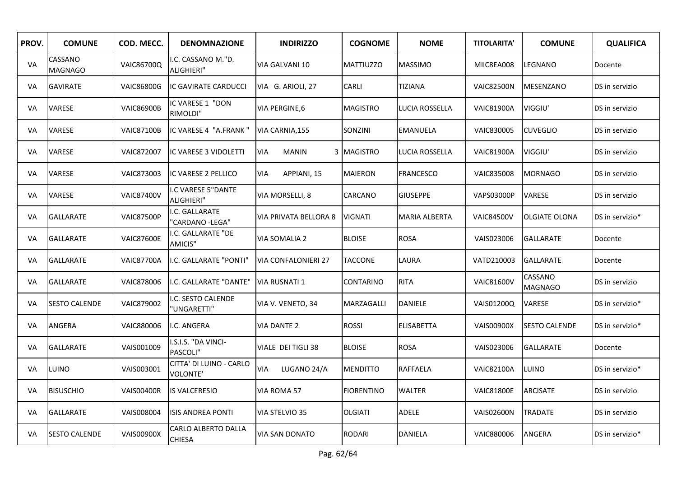| PROV. | <b>COMUNE</b>             | COD. MECC.        | <b>DENOMNAZIONE</b>                        | <b>INDIRIZZO</b>           | <b>COGNOME</b>    | <b>NOME</b>           | <b>TITOLARITA'</b> | <b>COMUNE</b>             | <b>QUALIFICA</b> |
|-------|---------------------------|-------------------|--------------------------------------------|----------------------------|-------------------|-----------------------|--------------------|---------------------------|------------------|
| VA    | CASSANO<br><b>MAGNAGO</b> | <b>VAIC86700Q</b> | .C. CASSANO M."D.<br>ALIGHIERI"            | VIA GALVANI 10             | <b>MATTIUZZO</b>  | <b>MASSIMO</b>        | MIIC8EA008         | LEGNANO                   | Docente          |
| VA    | <b>GAVIRATE</b>           | <b>VAIC86800G</b> | IC GAVIRATE CARDUCCI                       | VIA G. ARIOLI, 27          | <b>CARLI</b>      | TIZIANA               | <b>VAIC82500N</b>  | MESENZANO                 | DS in servizio   |
| VA    | VARESE                    | <b>VAIC86900B</b> | IC VARESE 1 "DON<br>RIMOLDI"               | VIA PERGINE,6              | <b>MAGISTRO</b>   | <b>LUCIA ROSSELLA</b> | <b>VAIC81900A</b>  | VIGGIU'                   | DS in servizio   |
| VA    | <b>VARESE</b>             | <b>VAIC87100B</b> | IC VARESE 4 "A.FRANK"                      | VIA CARNIA, 155            | SONZINI           | <b>EMANUELA</b>       | VAIC830005         | <b>CUVEGLIO</b>           | DS in servizio   |
| VA    | VARESE                    | VAIC872007        | IC VARESE 3 VIDOLETTI                      | <b>VIA</b><br><b>MANIN</b> | 3 MAGISTRO        | LUCIA ROSSELLA        | <b>VAIC81900A</b>  | VIGGIU'                   | DS in servizio   |
| VA    | VARESE                    | VAIC873003        | IC VARESE 2 PELLICO                        | <b>VIA</b><br>APPIANI, 15  | <b>MAIERON</b>    | <b>FRANCESCO</b>      | <b>VAIC835008</b>  | <b>MORNAGO</b>            | DS in servizio   |
| VA    | VARESE                    | <b>VAIC87400V</b> | I.C VARESE 5"DANTE<br>ALIGHIERI"           | VIA MORSELLI, 8            | CARCANO           | <b>GIUSEPPE</b>       | <b>VAPS03000P</b>  | VARESE                    | DS in servizio   |
| VA    | <b>GALLARATE</b>          | <b>VAIC87500P</b> | I.C. GALLARATE<br>"CARDANO -LEGA"          | VIA PRIVATA BELLORA 8      | <b>VIGNATI</b>    | <b>MARIA ALBERTA</b>  | <b>VAIC84500V</b>  | <b>OLGIATE OLONA</b>      | DS in servizio*  |
| VA    | <b>GALLARATE</b>          | <b>VAIC87600E</b> | I.C. GALLARATE "DE<br>AMICIS"              | VIA SOMALIA 2              | <b>BLOISE</b>     | <b>ROSA</b>           | VAIS023006         | <b>GALLARATE</b>          | Docente          |
| VA    | <b>GALLARATE</b>          | <b>VAIC87700A</b> | I.C. GALLARATE "PONTI"                     | <b>VIA CONFALONIERI 27</b> | <b>TACCONE</b>    | LAURA                 | VATD210003         | <b>GALLARATE</b>          | Docente          |
| VA    | <b>GALLARATE</b>          | VAIC878006        | I.C. GALLARATE "DANTE"                     | VIA RUSNATI 1              | CONTARINO         | <b>RITA</b>           | <b>VAIC81600V</b>  | CASSANO<br><b>MAGNAGO</b> | DS in servizio   |
| VA    | <b>SESTO CALENDE</b>      | VAIC879002        | I.C. SESTO CALENDE<br>'UNGARETTI"          | VIA V. VENETO, 34          | MARZAGALLI        | <b>DANIELE</b>        | VAIS01200Q         | VARESE                    | DS in servizio*  |
| VA    | ANGERA                    | VAIC880006        | I.C. ANGERA                                | VIA DANTE 2                | <b>ROSSI</b>      | <b>ELISABETTA</b>     | <b>VAIS00900X</b>  | <b>SESTO CALENDE</b>      | DS in servizio*  |
| VA    | <b>GALLARATE</b>          | VAIS001009        | I.S.I.S. "DA VINCI-<br>PASCOLI"            | VIALE DEI TIGLI 38         | <b>BLOISE</b>     | <b>ROSA</b>           | VAIS023006         | GALLARATE                 | Docente          |
| VA    | LUINO                     | VAIS003001        | CITTA' DI LUINO - CARLO<br><b>VOLONTE'</b> | LUGANO 24/A<br>VIA         | <b>MENDITTO</b>   | <b>RAFFAELA</b>       | <b>VAIC82100A</b>  | LUINO                     | DS in servizio*  |
| VA    | <b>BISUSCHIO</b>          | <b>VAIS00400R</b> | <b>IS VALCERESIO</b>                       | VIA ROMA 57                | <b>FIORENTINO</b> | <b>WALTER</b>         | <b>VAIC81800E</b>  | <b>ARCISATE</b>           | DS in servizio   |
| VA    | <b>GALLARATE</b>          | VAIS008004        | <b>ISIS ANDREA PONTI</b>                   | VIA STELVIO 35             | <b>OLGIATI</b>    | <b>ADELE</b>          | <b>VAIS02600N</b>  | TRADATE                   | DS in servizio   |
| VA    | <b>SESTO CALENDE</b>      | <b>VAIS00900X</b> | CARLO ALBERTO DALLA<br><b>CHIESA</b>       | <b>VIA SAN DONATO</b>      | <b>RODARI</b>     | <b>DANIELA</b>        | VAIC880006         | ANGERA                    | DS in servizio*  |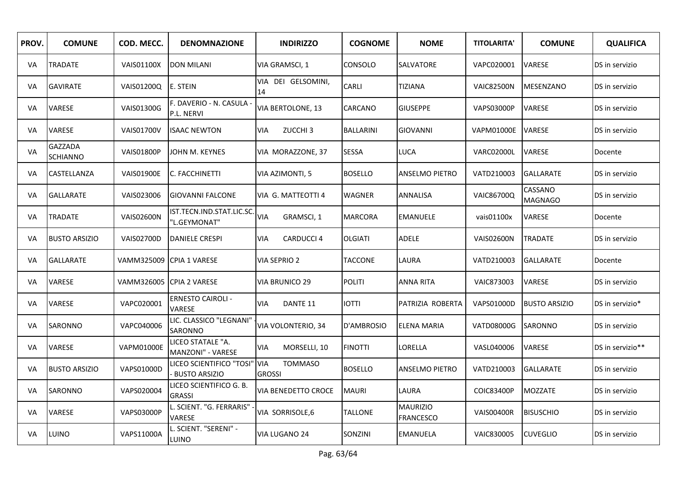| PROV. | <b>COMUNE</b>                     | COD. MECC.        | <b>DENOMNAZIONE</b>                                  | <b>INDIRIZZO</b>                  | <b>COGNOME</b>   | <b>NOME</b>                         | <b>TITOLARITA'</b> | <b>COMUNE</b>             | <b>QUALIFICA</b> |
|-------|-----------------------------------|-------------------|------------------------------------------------------|-----------------------------------|------------------|-------------------------------------|--------------------|---------------------------|------------------|
| VA    | <b>TRADATE</b>                    | <b>VAIS01100X</b> | <b>DON MILANI</b>                                    | VIA GRAMSCI, 1                    | CONSOLO          | SALVATORE                           | VAPC020001         | <b>VARESE</b>             | DS in servizio   |
| VA    | <b>GAVIRATE</b>                   | VAIS01200Q        | E. STEIN                                             | VIA DEI GELSOMINI,<br>14          | CARLI            | <b>TIZIANA</b>                      | <b>VAIC82500N</b>  | <b>MESENZANO</b>          | DS in servizio   |
| VA    | <b>VARESE</b>                     | VAIS01300G        | F. DAVERIO - N. CASULA -<br>P.L. NERVI               | VIA BERTOLONE, 13                 | CARCANO          | <b>GIUSEPPE</b>                     | <b>VAPS03000P</b>  | VARESE                    | DS in servizio   |
| VA    | VARESE                            | <b>VAIS01700V</b> | <b>ISAAC NEWTON</b>                                  | ZUCCHI <sub>3</sub><br><b>VIA</b> | <b>BALLARINI</b> | <b>GIOVANNI</b>                     | <b>VAPM01000E</b>  | <b>VARESE</b>             | DS in servizio   |
| VA    | <b>GAZZADA</b><br><b>SCHIANNO</b> | <b>VAIS01800P</b> | JOHN M. KEYNES                                       | VIA MORAZZONE, 37                 | SESSA            | LUCA                                | VARC02000L         | <b>VARESE</b>             | Docente          |
| VA    | CASTELLANZA                       | <b>VAIS01900E</b> | C. FACCHINETTI                                       | VIA AZIMONTI, 5                   | <b>BOSELLO</b>   | ANSELMO PIETRO                      | VATD210003         | <b>GALLARATE</b>          | DS in servizio   |
| VA    | <b>GALLARATE</b>                  | VAIS023006        | <b>GIOVANNI FALCONE</b>                              | VIA G. MATTEOTTI 4                | <b>WAGNER</b>    | ANNALISA                            | <b>VAIC86700Q</b>  | CASSANO<br><b>MAGNAGO</b> | DS in servizio   |
| VA    | <b>TRADATE</b>                    | <b>VAIS02600N</b> | IST.TECN.IND.STAT.LIC.SC.<br>"L.GEYMONAT"            | <b>VIA</b><br>GRAMSCI, 1          | <b>MARCORA</b>   | <b>EMANUELE</b>                     | vais01100x         | VARESE                    | Docente          |
| VA    | <b>BUSTO ARSIZIO</b>              | <b>VAIS02700D</b> | <b>DANIELE CRESPI</b>                                | <b>CARDUCCI 4</b><br>VIA          | <b>OLGIATI</b>   | ADELE                               | <b>VAIS02600N</b>  | <b>TRADATE</b>            | DS in servizio   |
| VA    | <b>GALLARATE</b>                  | VAMM325009        | <b>CPIA 1 VARESE</b>                                 | VIA SEPRIO 2                      | <b>TACCONE</b>   | LAURA                               | VATD210003         | <b>GALLARATE</b>          | Docente          |
| VA    | <b>VARESE</b>                     | VAMM326005        | <b>CPIA 2 VARESE</b>                                 | VIA BRUNICO 29                    | <b>POLITI</b>    | <b>ANNA RITA</b>                    | VAIC873003         | VARESE                    | DS in servizio   |
| VA    | <b>VARESE</b>                     | VAPC020001        | <b>ERNESTO CAIROLI -</b><br>VARESE                   | DANTE 11<br>VIA                   | IOTTI            | PATRIZIA ROBERTA                    | <b>VAPS01000D</b>  | <b>BUSTO ARSIZIO</b>      | DS in servizio*  |
| VA    | <b>SARONNO</b>                    | VAPC040006        | LIC. CLASSICO "LEGNANI'<br>SARONNO                   | VIA VOLONTERIO, 34                | D'AMBROSIO       | ELENA MARIA                         | VATD08000G         | SARONNO                   | DS in servizio   |
| VA    | <b>VARESE</b>                     | <b>VAPM01000E</b> | LICEO STATALE "A.<br>MANZONI" - VARESE               | MORSELLI, 10<br><b>VIA</b>        | <b>FINOTTI</b>   | LORELLA                             | VASL040006         | <b>VARESE</b>             | DS in servizio** |
| VA    | <b>BUSTO ARSIZIO</b>              | VAPS01000D        | LICEO SCIENTIFICO "TOSI" VIA<br><b>BUSTO ARSIZIO</b> | <b>TOMMASO</b><br><b>GROSSI</b>   | <b>BOSELLO</b>   | ANSELMO PIETRO                      | VATD210003         | <b>GALLARATE</b>          | DS in servizio   |
| VA    | <b>SARONNO</b>                    | VAPS020004        | LICEO SCIENTIFICO G. B.<br><b>GRASSI</b>             | <b>VIA BENEDETTO CROCE</b>        | <b>MAURI</b>     | LAURA                               | <b>COIC83400P</b>  | <b>MOZZATE</b>            | DS in servizio   |
| VA    | <b>VARESE</b>                     | <b>VAPS03000P</b> | L. SCIENT. "G. FERRARIS"<br>VARESE                   | VIA SORRISOLE,6                   | <b>TALLONE</b>   | <b>MAURIZIO</b><br><b>FRANCESCO</b> | <b>VAIS00400R</b>  | <b>BISUSCHIO</b>          | DS in servizio   |
| VA    | LUINO                             | <b>VAPS11000A</b> | L. SCIENT. "SERENI" -<br>LUINO                       | VIA LUGANO 24                     | SONZINI          | <b>EMANUELA</b>                     | VAIC830005         | <b>CUVEGLIO</b>           | DS in servizio   |